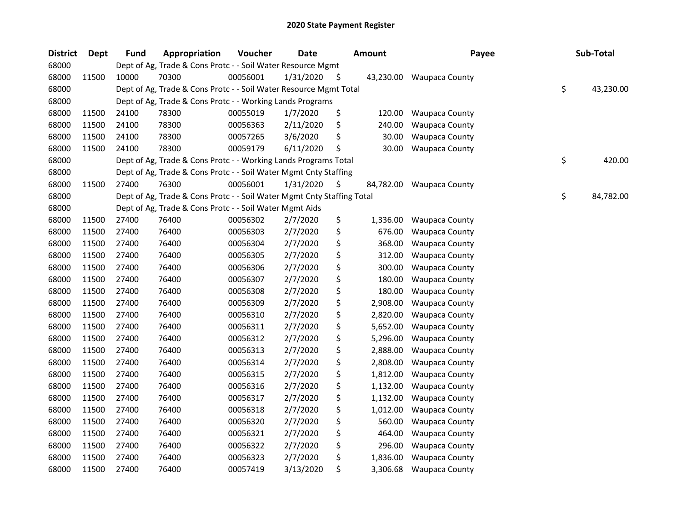| <b>District</b> | Dept  | <b>Fund</b> | Appropriation                                                          | Voucher  | <b>Date</b> |     | <b>Amount</b> | Payee                 | Sub-Total       |
|-----------------|-------|-------------|------------------------------------------------------------------------|----------|-------------|-----|---------------|-----------------------|-----------------|
| 68000           |       |             | Dept of Ag, Trade & Cons Protc - - Soil Water Resource Mgmt            |          |             |     |               |                       |                 |
| 68000           | 11500 | 10000       | 70300                                                                  | 00056001 | 1/31/2020   | \$. | 43,230.00     | <b>Waupaca County</b> |                 |
| 68000           |       |             | Dept of Ag, Trade & Cons Protc - - Soil Water Resource Mgmt Total      |          |             |     |               |                       | \$<br>43,230.00 |
| 68000           |       |             | Dept of Ag, Trade & Cons Protc - - Working Lands Programs              |          |             |     |               |                       |                 |
| 68000           | 11500 | 24100       | 78300                                                                  | 00055019 | 1/7/2020    | \$  | 120.00        | <b>Waupaca County</b> |                 |
| 68000           | 11500 | 24100       | 78300                                                                  | 00056363 | 2/11/2020   | \$  | 240.00        | <b>Waupaca County</b> |                 |
| 68000           | 11500 | 24100       | 78300                                                                  | 00057265 | 3/6/2020    | \$  | 30.00         | <b>Waupaca County</b> |                 |
| 68000           | 11500 | 24100       | 78300                                                                  | 00059179 | 6/11/2020   | \$  | 30.00         | <b>Waupaca County</b> |                 |
| 68000           |       |             | Dept of Ag, Trade & Cons Protc - - Working Lands Programs Total        |          |             |     |               |                       | \$<br>420.00    |
| 68000           |       |             | Dept of Ag, Trade & Cons Protc - - Soil Water Mgmt Cnty Staffing       |          |             |     |               |                       |                 |
| 68000           | 11500 | 27400       | 76300                                                                  | 00056001 | 1/31/2020   | \$  | 84,782.00     | <b>Waupaca County</b> |                 |
| 68000           |       |             | Dept of Ag, Trade & Cons Protc - - Soil Water Mgmt Cnty Staffing Total |          |             |     |               |                       | \$<br>84,782.00 |
| 68000           |       |             | Dept of Ag, Trade & Cons Protc - - Soil Water Mgmt Aids                |          |             |     |               |                       |                 |
| 68000           | 11500 | 27400       | 76400                                                                  | 00056302 | 2/7/2020    | \$  | 1,336.00      | Waupaca County        |                 |
| 68000           | 11500 | 27400       | 76400                                                                  | 00056303 | 2/7/2020    | \$  | 676.00        | <b>Waupaca County</b> |                 |
| 68000           | 11500 | 27400       | 76400                                                                  | 00056304 | 2/7/2020    | \$  | 368.00        | Waupaca County        |                 |
| 68000           | 11500 | 27400       | 76400                                                                  | 00056305 | 2/7/2020    | \$  | 312.00        | <b>Waupaca County</b> |                 |
| 68000           | 11500 | 27400       | 76400                                                                  | 00056306 | 2/7/2020    | \$  | 300.00        | <b>Waupaca County</b> |                 |
| 68000           | 11500 | 27400       | 76400                                                                  | 00056307 | 2/7/2020    | \$  | 180.00        | <b>Waupaca County</b> |                 |
| 68000           | 11500 | 27400       | 76400                                                                  | 00056308 | 2/7/2020    | \$  | 180.00        | <b>Waupaca County</b> |                 |
| 68000           | 11500 | 27400       | 76400                                                                  | 00056309 | 2/7/2020    | \$  | 2,908.00      | Waupaca County        |                 |
| 68000           | 11500 | 27400       | 76400                                                                  | 00056310 | 2/7/2020    | \$  | 2,820.00      | <b>Waupaca County</b> |                 |
| 68000           | 11500 | 27400       | 76400                                                                  | 00056311 | 2/7/2020    | \$  | 5,652.00      | <b>Waupaca County</b> |                 |
| 68000           | 11500 | 27400       | 76400                                                                  | 00056312 | 2/7/2020    | \$  | 5,296.00      | <b>Waupaca County</b> |                 |
| 68000           | 11500 | 27400       | 76400                                                                  | 00056313 | 2/7/2020    | \$  | 2,888.00      | Waupaca County        |                 |
| 68000           | 11500 | 27400       | 76400                                                                  | 00056314 | 2/7/2020    | \$  | 2,808.00      | Waupaca County        |                 |
| 68000           | 11500 | 27400       | 76400                                                                  | 00056315 | 2/7/2020    | \$  | 1,812.00      | <b>Waupaca County</b> |                 |
| 68000           | 11500 | 27400       | 76400                                                                  | 00056316 | 2/7/2020    | \$  | 1,132.00      | Waupaca County        |                 |
| 68000           | 11500 | 27400       | 76400                                                                  | 00056317 | 2/7/2020    | \$  | 1,132.00      | <b>Waupaca County</b> |                 |
| 68000           | 11500 | 27400       | 76400                                                                  | 00056318 | 2/7/2020    | \$  | 1,012.00      | Waupaca County        |                 |
| 68000           | 11500 | 27400       | 76400                                                                  | 00056320 | 2/7/2020    | \$  | 560.00        | <b>Waupaca County</b> |                 |
| 68000           | 11500 | 27400       | 76400                                                                  | 00056321 | 2/7/2020    | \$  | 464.00        | <b>Waupaca County</b> |                 |
| 68000           | 11500 | 27400       | 76400                                                                  | 00056322 | 2/7/2020    | \$  | 296.00        | <b>Waupaca County</b> |                 |
| 68000           | 11500 | 27400       | 76400                                                                  | 00056323 | 2/7/2020    | \$  | 1,836.00      | Waupaca County        |                 |
| 68000           | 11500 | 27400       | 76400                                                                  | 00057419 | 3/13/2020   | \$  | 3,306.68      | <b>Waupaca County</b> |                 |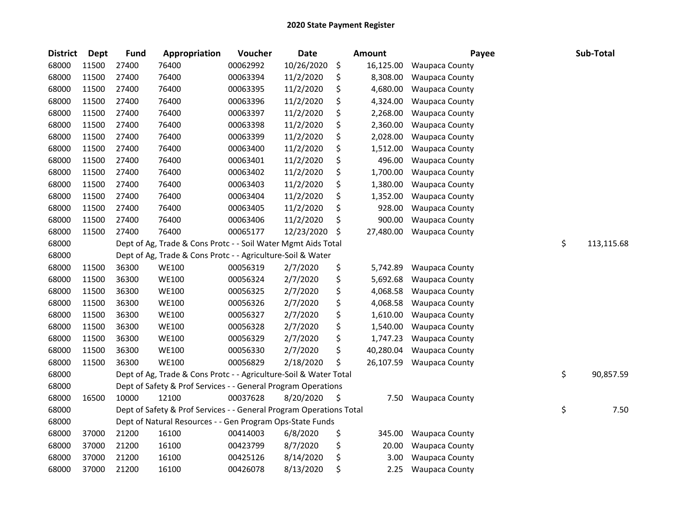| <b>District</b> | <b>Dept</b> | Fund  | Appropriation                                                       | Voucher  | <b>Date</b> | Amount          | Payee                 | Sub-Total        |
|-----------------|-------------|-------|---------------------------------------------------------------------|----------|-------------|-----------------|-----------------------|------------------|
| 68000           | 11500       | 27400 | 76400                                                               | 00062992 | 10/26/2020  | \$<br>16,125.00 | <b>Waupaca County</b> |                  |
| 68000           | 11500       | 27400 | 76400                                                               | 00063394 | 11/2/2020   | \$<br>8,308.00  | <b>Waupaca County</b> |                  |
| 68000           | 11500       | 27400 | 76400                                                               | 00063395 | 11/2/2020   | \$<br>4,680.00  | Waupaca County        |                  |
| 68000           | 11500       | 27400 | 76400                                                               | 00063396 | 11/2/2020   | \$<br>4,324.00  | Waupaca County        |                  |
| 68000           | 11500       | 27400 | 76400                                                               | 00063397 | 11/2/2020   | \$<br>2,268.00  | Waupaca County        |                  |
| 68000           | 11500       | 27400 | 76400                                                               | 00063398 | 11/2/2020   | \$<br>2,360.00  | Waupaca County        |                  |
| 68000           | 11500       | 27400 | 76400                                                               | 00063399 | 11/2/2020   | \$<br>2,028.00  | Waupaca County        |                  |
| 68000           | 11500       | 27400 | 76400                                                               | 00063400 | 11/2/2020   | \$<br>1,512.00  | Waupaca County        |                  |
| 68000           | 11500       | 27400 | 76400                                                               | 00063401 | 11/2/2020   | \$<br>496.00    | Waupaca County        |                  |
| 68000           | 11500       | 27400 | 76400                                                               | 00063402 | 11/2/2020   | \$<br>1,700.00  | Waupaca County        |                  |
| 68000           | 11500       | 27400 | 76400                                                               | 00063403 | 11/2/2020   | \$<br>1,380.00  | <b>Waupaca County</b> |                  |
| 68000           | 11500       | 27400 | 76400                                                               | 00063404 | 11/2/2020   | \$<br>1,352.00  | Waupaca County        |                  |
| 68000           | 11500       | 27400 | 76400                                                               | 00063405 | 11/2/2020   | \$<br>928.00    | <b>Waupaca County</b> |                  |
| 68000           | 11500       | 27400 | 76400                                                               | 00063406 | 11/2/2020   | \$<br>900.00    | <b>Waupaca County</b> |                  |
| 68000           | 11500       | 27400 | 76400                                                               | 00065177 | 12/23/2020  | \$<br>27,480.00 | <b>Waupaca County</b> |                  |
| 68000           |             |       | Dept of Ag, Trade & Cons Protc - - Soil Water Mgmt Aids Total       |          |             |                 |                       | \$<br>113,115.68 |
| 68000           |             |       | Dept of Ag, Trade & Cons Protc - - Agriculture-Soil & Water         |          |             |                 |                       |                  |
| 68000           | 11500       | 36300 | <b>WE100</b>                                                        | 00056319 | 2/7/2020    | \$<br>5,742.89  | Waupaca County        |                  |
| 68000           | 11500       | 36300 | <b>WE100</b>                                                        | 00056324 | 2/7/2020    | \$<br>5,692.68  | Waupaca County        |                  |
| 68000           | 11500       | 36300 | <b>WE100</b>                                                        | 00056325 | 2/7/2020    | \$<br>4,068.58  | Waupaca County        |                  |
| 68000           | 11500       | 36300 | <b>WE100</b>                                                        | 00056326 | 2/7/2020    | \$<br>4,068.58  | <b>Waupaca County</b> |                  |
| 68000           | 11500       | 36300 | <b>WE100</b>                                                        | 00056327 | 2/7/2020    | \$<br>1,610.00  | Waupaca County        |                  |
| 68000           | 11500       | 36300 | <b>WE100</b>                                                        | 00056328 | 2/7/2020    | \$<br>1,540.00  | <b>Waupaca County</b> |                  |
| 68000           | 11500       | 36300 | <b>WE100</b>                                                        | 00056329 | 2/7/2020    | \$<br>1,747.23  | Waupaca County        |                  |
| 68000           | 11500       | 36300 | <b>WE100</b>                                                        | 00056330 | 2/7/2020    | \$<br>40,280.04 | Waupaca County        |                  |
| 68000           | 11500       | 36300 | <b>WE100</b>                                                        | 00056829 | 2/18/2020   | \$<br>26,107.59 | <b>Waupaca County</b> |                  |
| 68000           |             |       | Dept of Ag, Trade & Cons Protc - - Agriculture-Soil & Water Total   |          |             |                 |                       | \$<br>90,857.59  |
| 68000           |             |       | Dept of Safety & Prof Services - - General Program Operations       |          |             |                 |                       |                  |
| 68000           | 16500       | 10000 | 12100                                                               | 00037628 | 8/20/2020   | \$<br>7.50      | <b>Waupaca County</b> |                  |
| 68000           |             |       | Dept of Safety & Prof Services - - General Program Operations Total |          |             |                 |                       | \$<br>7.50       |
| 68000           |             |       | Dept of Natural Resources - - Gen Program Ops-State Funds           |          |             |                 |                       |                  |
| 68000           | 37000       | 21200 | 16100                                                               | 00414003 | 6/8/2020    | \$<br>345.00    | <b>Waupaca County</b> |                  |
| 68000           | 37000       | 21200 | 16100                                                               | 00423799 | 8/7/2020    | \$<br>20.00     | <b>Waupaca County</b> |                  |
| 68000           | 37000       | 21200 | 16100                                                               | 00425126 | 8/14/2020   | \$<br>3.00      | <b>Waupaca County</b> |                  |
| 68000           | 37000       | 21200 | 16100                                                               | 00426078 | 8/13/2020   | \$<br>2.25      | <b>Waupaca County</b> |                  |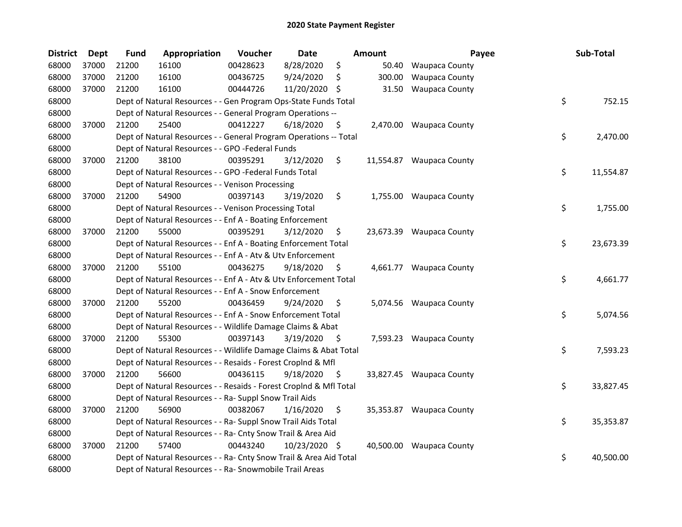| <b>District</b> | <b>Dept</b> | <b>Fund</b> | Appropriation                                                      | Voucher  | Date           |      | <b>Amount</b> | Payee                    | Sub-Total       |
|-----------------|-------------|-------------|--------------------------------------------------------------------|----------|----------------|------|---------------|--------------------------|-----------------|
| 68000           | 37000       | 21200       | 16100                                                              | 00428623 | 8/28/2020      | \$   | 50.40         | <b>Waupaca County</b>    |                 |
| 68000           | 37000       | 21200       | 16100                                                              | 00436725 | 9/24/2020      | \$   | 300.00        | <b>Waupaca County</b>    |                 |
| 68000           | 37000       | 21200       | 16100                                                              | 00444726 | 11/20/2020 \$  |      | 31.50         | <b>Waupaca County</b>    |                 |
| 68000           |             |             | Dept of Natural Resources - - Gen Program Ops-State Funds Total    |          |                |      |               |                          | \$<br>752.15    |
| 68000           |             |             | Dept of Natural Resources - - General Program Operations --        |          |                |      |               |                          |                 |
| 68000           | 37000       | 21200       | 25400                                                              | 00412227 | 6/18/2020      | \$   |               | 2,470.00 Waupaca County  |                 |
| 68000           |             |             | Dept of Natural Resources - - General Program Operations -- Total  |          |                |      |               |                          | \$<br>2,470.00  |
| 68000           |             |             | Dept of Natural Resources - - GPO -Federal Funds                   |          |                |      |               |                          |                 |
| 68000           | 37000       | 21200       | 38100                                                              | 00395291 | 3/12/2020      | \$   |               | 11,554.87 Waupaca County |                 |
| 68000           |             |             | Dept of Natural Resources - - GPO -Federal Funds Total             |          |                |      |               |                          | \$<br>11,554.87 |
| 68000           |             |             | Dept of Natural Resources - - Venison Processing                   |          |                |      |               |                          |                 |
| 68000           | 37000       | 21200       | 54900                                                              | 00397143 | 3/19/2020      | \$   |               | 1,755.00 Waupaca County  |                 |
| 68000           |             |             | Dept of Natural Resources - - Venison Processing Total             |          |                |      |               |                          | \$<br>1,755.00  |
| 68000           |             |             | Dept of Natural Resources - - Enf A - Boating Enforcement          |          |                |      |               |                          |                 |
| 68000           | 37000       | 21200       | 55000                                                              | 00395291 | 3/12/2020      | \$   |               | 23,673.39 Waupaca County |                 |
| 68000           |             |             | Dept of Natural Resources - - Enf A - Boating Enforcement Total    |          |                |      |               |                          | \$<br>23,673.39 |
| 68000           |             |             | Dept of Natural Resources - - Enf A - Atv & Utv Enforcement        |          |                |      |               |                          |                 |
| 68000           | 37000       | 21200       | 55100                                                              | 00436275 | 9/18/2020      | \$   |               | 4,661.77 Waupaca County  |                 |
| 68000           |             |             | Dept of Natural Resources - - Enf A - Atv & Utv Enforcement Total  |          |                |      |               |                          | \$<br>4,661.77  |
| 68000           |             |             | Dept of Natural Resources - - Enf A - Snow Enforcement             |          |                |      |               |                          |                 |
| 68000           | 37000       | 21200       | 55200                                                              | 00436459 | 9/24/2020      | \$   |               | 5,074.56 Waupaca County  |                 |
| 68000           |             |             | Dept of Natural Resources - - Enf A - Snow Enforcement Total       |          |                |      |               |                          | \$<br>5,074.56  |
| 68000           |             |             | Dept of Natural Resources - - Wildlife Damage Claims & Abat        |          |                |      |               |                          |                 |
| 68000           | 37000       | 21200       | 55300                                                              | 00397143 | 3/19/2020      | - \$ |               | 7,593.23 Waupaca County  |                 |
| 68000           |             |             | Dept of Natural Resources - - Wildlife Damage Claims & Abat Total  |          |                |      |               |                          | \$<br>7,593.23  |
| 68000           |             |             | Dept of Natural Resources - - Resaids - Forest Croplnd & Mfl       |          |                |      |               |                          |                 |
| 68000           | 37000       | 21200       | 56600                                                              | 00436115 | $9/18/2020$ \$ |      |               | 33,827.45 Waupaca County |                 |
| 68000           |             |             | Dept of Natural Resources - - Resaids - Forest Croplnd & Mfl Total |          |                |      |               |                          | \$<br>33,827.45 |
| 68000           |             |             | Dept of Natural Resources - - Ra- Suppl Snow Trail Aids            |          |                |      |               |                          |                 |
| 68000           | 37000       | 21200       | 56900                                                              | 00382067 | 1/16/2020      | \$   |               | 35,353.87 Waupaca County |                 |
| 68000           |             |             | Dept of Natural Resources - - Ra- Suppl Snow Trail Aids Total      |          |                |      |               |                          | \$<br>35,353.87 |
| 68000           |             |             | Dept of Natural Resources - - Ra- Cnty Snow Trail & Area Aid       |          |                |      |               |                          |                 |
| 68000           | 37000       | 21200       | 57400                                                              | 00443240 | 10/23/2020 \$  |      |               | 40,500.00 Waupaca County |                 |
| 68000           |             |             | Dept of Natural Resources - - Ra- Cnty Snow Trail & Area Aid Total |          |                |      |               |                          | \$<br>40,500.00 |
| 68000           |             |             | Dept of Natural Resources - - Ra- Snowmobile Trail Areas           |          |                |      |               |                          |                 |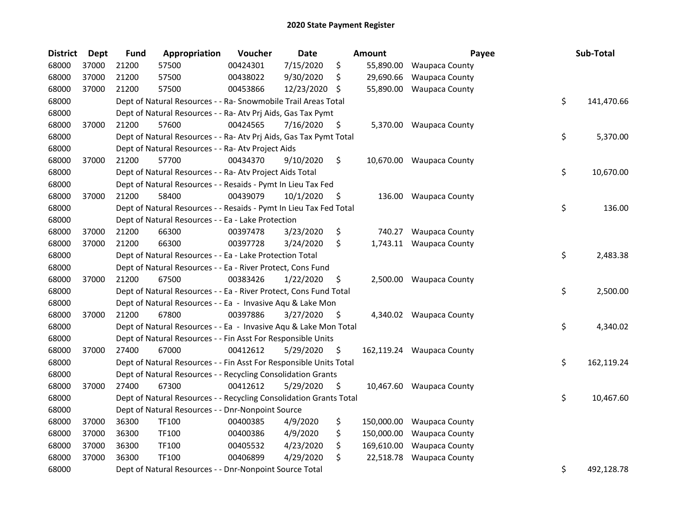| <b>District</b> | <b>Dept</b> | <b>Fund</b> | Appropriation                                                      | Voucher  | Date          |     | <b>Amount</b> | Payee                     | Sub-Total        |
|-----------------|-------------|-------------|--------------------------------------------------------------------|----------|---------------|-----|---------------|---------------------------|------------------|
| 68000           | 37000       | 21200       | 57500                                                              | 00424301 | 7/15/2020     | \$  | 55,890.00     | <b>Waupaca County</b>     |                  |
| 68000           | 37000       | 21200       | 57500                                                              | 00438022 | 9/30/2020     | \$  | 29,690.66     | <b>Waupaca County</b>     |                  |
| 68000           | 37000       | 21200       | 57500                                                              | 00453866 | 12/23/2020 \$ |     | 55,890.00     | Waupaca County            |                  |
| 68000           |             |             | Dept of Natural Resources - - Ra- Snowmobile Trail Areas Total     |          |               |     |               |                           | \$<br>141,470.66 |
| 68000           |             |             | Dept of Natural Resources - - Ra- Atv Prj Aids, Gas Tax Pymt       |          |               |     |               |                           |                  |
| 68000           | 37000       | 21200       | 57600                                                              | 00424565 | 7/16/2020     | \$  |               | 5,370.00 Waupaca County   |                  |
| 68000           |             |             | Dept of Natural Resources - - Ra- Atv Prj Aids, Gas Tax Pymt Total |          |               |     |               |                           | \$<br>5,370.00   |
| 68000           |             |             | Dept of Natural Resources - - Ra- Atv Project Aids                 |          |               |     |               |                           |                  |
| 68000           | 37000       | 21200       | 57700                                                              | 00434370 | 9/10/2020     | \$  |               | 10,670.00 Waupaca County  |                  |
| 68000           |             |             | Dept of Natural Resources - - Ra- Atv Project Aids Total           |          |               |     |               |                           | \$<br>10,670.00  |
| 68000           |             |             | Dept of Natural Resources - - Resaids - Pymt In Lieu Tax Fed       |          |               |     |               |                           |                  |
| 68000           | 37000       | 21200       | 58400                                                              | 00439079 | 10/1/2020     | \$. |               | 136.00 Waupaca County     |                  |
| 68000           |             |             | Dept of Natural Resources - - Resaids - Pymt In Lieu Tax Fed Total |          |               |     |               |                           | \$<br>136.00     |
| 68000           |             |             | Dept of Natural Resources - - Ea - Lake Protection                 |          |               |     |               |                           |                  |
| 68000           | 37000       | 21200       | 66300                                                              | 00397478 | 3/23/2020     | \$  | 740.27        | <b>Waupaca County</b>     |                  |
| 68000           | 37000       | 21200       | 66300                                                              | 00397728 | 3/24/2020     | \$  |               | 1,743.11 Waupaca County   |                  |
| 68000           |             |             | Dept of Natural Resources - - Ea - Lake Protection Total           |          |               |     |               |                           | \$<br>2,483.38   |
| 68000           |             |             | Dept of Natural Resources - - Ea - River Protect, Cons Fund        |          |               |     |               |                           |                  |
| 68000           | 37000       | 21200       | 67500                                                              | 00383426 | 1/22/2020     | \$  |               | 2,500.00 Waupaca County   |                  |
| 68000           |             |             | Dept of Natural Resources - - Ea - River Protect, Cons Fund Total  |          |               |     |               |                           | \$<br>2,500.00   |
| 68000           |             |             | Dept of Natural Resources - - Ea - Invasive Aqu & Lake Mon         |          |               |     |               |                           |                  |
| 68000           | 37000       | 21200       | 67800                                                              | 00397886 | 3/27/2020     | \$  |               | 4,340.02 Waupaca County   |                  |
| 68000           |             |             | Dept of Natural Resources - - Ea - Invasive Aqu & Lake Mon Total   |          |               |     |               |                           | \$<br>4,340.02   |
| 68000           |             |             | Dept of Natural Resources - - Fin Asst For Responsible Units       |          |               |     |               |                           |                  |
| 68000           | 37000       | 27400       | 67000                                                              | 00412612 | 5/29/2020     | \$. |               | 162,119.24 Waupaca County |                  |
| 68000           |             |             | Dept of Natural Resources - - Fin Asst For Responsible Units Total |          |               |     |               |                           | \$<br>162,119.24 |
| 68000           |             |             | Dept of Natural Resources - - Recycling Consolidation Grants       |          |               |     |               |                           |                  |
| 68000           | 37000       | 27400       | 67300                                                              | 00412612 | 5/29/2020     | \$. |               | 10,467.60 Waupaca County  |                  |
| 68000           |             |             | Dept of Natural Resources - - Recycling Consolidation Grants Total |          |               |     |               |                           | \$<br>10,467.60  |
| 68000           |             |             | Dept of Natural Resources - - Dnr-Nonpoint Source                  |          |               |     |               |                           |                  |
| 68000           | 37000       | 36300       | TF100                                                              | 00400385 | 4/9/2020      | \$  | 150,000.00    | <b>Waupaca County</b>     |                  |
| 68000           | 37000       | 36300       | TF100                                                              | 00400386 | 4/9/2020      | \$  | 150,000.00    | <b>Waupaca County</b>     |                  |
| 68000           | 37000       | 36300       | TF100                                                              | 00405532 | 4/23/2020     | \$  | 169,610.00    | <b>Waupaca County</b>     |                  |
| 68000           | 37000       | 36300       | TF100                                                              | 00406899 | 4/29/2020     | \$  | 22,518.78     | <b>Waupaca County</b>     |                  |
| 68000           |             |             | Dept of Natural Resources - - Dnr-Nonpoint Source Total            |          |               |     |               |                           | \$<br>492,128.78 |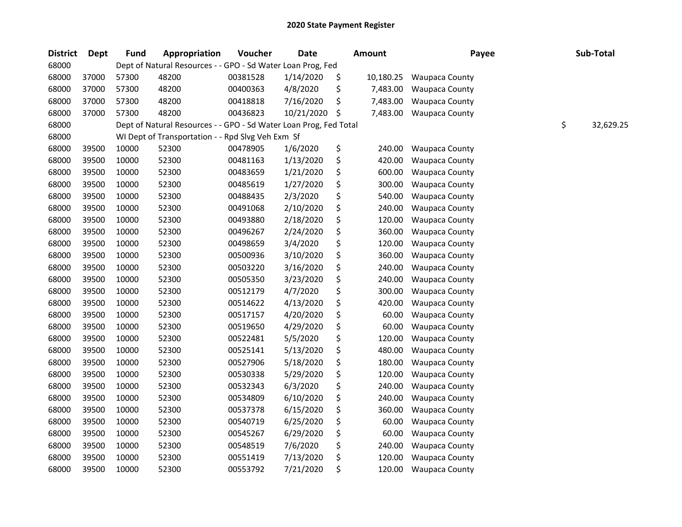| <b>District</b> | Dept  | Fund  | Appropriation                                                     | Voucher  | <b>Date</b> | <b>Amount</b>   | Payee                 | Sub-Total       |
|-----------------|-------|-------|-------------------------------------------------------------------|----------|-------------|-----------------|-----------------------|-----------------|
| 68000           |       |       | Dept of Natural Resources - - GPO - Sd Water Loan Prog, Fed       |          |             |                 |                       |                 |
| 68000           | 37000 | 57300 | 48200                                                             | 00381528 | 1/14/2020   | \$<br>10,180.25 | <b>Waupaca County</b> |                 |
| 68000           | 37000 | 57300 | 48200                                                             | 00400363 | 4/8/2020    | \$<br>7,483.00  | <b>Waupaca County</b> |                 |
| 68000           | 37000 | 57300 | 48200                                                             | 00418818 | 7/16/2020   | \$<br>7,483.00  | <b>Waupaca County</b> |                 |
| 68000           | 37000 | 57300 | 48200                                                             | 00436823 | 10/21/2020  | \$<br>7,483.00  | <b>Waupaca County</b> |                 |
| 68000           |       |       | Dept of Natural Resources - - GPO - Sd Water Loan Prog, Fed Total |          |             |                 |                       | \$<br>32,629.25 |
| 68000           |       |       | WI Dept of Transportation - - Rpd Slvg Veh Exm Sf                 |          |             |                 |                       |                 |
| 68000           | 39500 | 10000 | 52300                                                             | 00478905 | 1/6/2020    | \$<br>240.00    | <b>Waupaca County</b> |                 |
| 68000           | 39500 | 10000 | 52300                                                             | 00481163 | 1/13/2020   | \$<br>420.00    | Waupaca County        |                 |
| 68000           | 39500 | 10000 | 52300                                                             | 00483659 | 1/21/2020   | \$<br>600.00    | <b>Waupaca County</b> |                 |
| 68000           | 39500 | 10000 | 52300                                                             | 00485619 | 1/27/2020   | \$<br>300.00    | Waupaca County        |                 |
| 68000           | 39500 | 10000 | 52300                                                             | 00488435 | 2/3/2020    | \$<br>540.00    | <b>Waupaca County</b> |                 |
| 68000           | 39500 | 10000 | 52300                                                             | 00491068 | 2/10/2020   | \$<br>240.00    | <b>Waupaca County</b> |                 |
| 68000           | 39500 | 10000 | 52300                                                             | 00493880 | 2/18/2020   | \$<br>120.00    | <b>Waupaca County</b> |                 |
| 68000           | 39500 | 10000 | 52300                                                             | 00496267 | 2/24/2020   | \$<br>360.00    | <b>Waupaca County</b> |                 |
| 68000           | 39500 | 10000 | 52300                                                             | 00498659 | 3/4/2020    | \$<br>120.00    | <b>Waupaca County</b> |                 |
| 68000           | 39500 | 10000 | 52300                                                             | 00500936 | 3/10/2020   | \$<br>360.00    | Waupaca County        |                 |
| 68000           | 39500 | 10000 | 52300                                                             | 00503220 | 3/16/2020   | \$<br>240.00    | <b>Waupaca County</b> |                 |
| 68000           | 39500 | 10000 | 52300                                                             | 00505350 | 3/23/2020   | \$<br>240.00    | <b>Waupaca County</b> |                 |
| 68000           | 39500 | 10000 | 52300                                                             | 00512179 | 4/7/2020    | \$<br>300.00    | <b>Waupaca County</b> |                 |
| 68000           | 39500 | 10000 | 52300                                                             | 00514622 | 4/13/2020   | \$<br>420.00    | <b>Waupaca County</b> |                 |
| 68000           | 39500 | 10000 | 52300                                                             | 00517157 | 4/20/2020   | \$<br>60.00     | <b>Waupaca County</b> |                 |
| 68000           | 39500 | 10000 | 52300                                                             | 00519650 | 4/29/2020   | \$<br>60.00     | Waupaca County        |                 |
| 68000           | 39500 | 10000 | 52300                                                             | 00522481 | 5/5/2020    | \$<br>120.00    | <b>Waupaca County</b> |                 |
| 68000           | 39500 | 10000 | 52300                                                             | 00525141 | 5/13/2020   | \$<br>480.00    | <b>Waupaca County</b> |                 |
| 68000           | 39500 | 10000 | 52300                                                             | 00527906 | 5/18/2020   | \$<br>180.00    | <b>Waupaca County</b> |                 |
| 68000           | 39500 | 10000 | 52300                                                             | 00530338 | 5/29/2020   | \$<br>120.00    | <b>Waupaca County</b> |                 |
| 68000           | 39500 | 10000 | 52300                                                             | 00532343 | 6/3/2020    | \$<br>240.00    | <b>Waupaca County</b> |                 |
| 68000           | 39500 | 10000 | 52300                                                             | 00534809 | 6/10/2020   | \$<br>240.00    | <b>Waupaca County</b> |                 |
| 68000           | 39500 | 10000 | 52300                                                             | 00537378 | 6/15/2020   | \$<br>360.00    | <b>Waupaca County</b> |                 |
| 68000           | 39500 | 10000 | 52300                                                             | 00540719 | 6/25/2020   | \$<br>60.00     | <b>Waupaca County</b> |                 |
| 68000           | 39500 | 10000 | 52300                                                             | 00545267 | 6/29/2020   | \$<br>60.00     | <b>Waupaca County</b> |                 |
| 68000           | 39500 | 10000 | 52300                                                             | 00548519 | 7/6/2020    | \$<br>240.00    | <b>Waupaca County</b> |                 |
| 68000           | 39500 | 10000 | 52300                                                             | 00551419 | 7/13/2020   | \$<br>120.00    | <b>Waupaca County</b> |                 |
| 68000           | 39500 | 10000 | 52300                                                             | 00553792 | 7/21/2020   | \$<br>120.00    | <b>Waupaca County</b> |                 |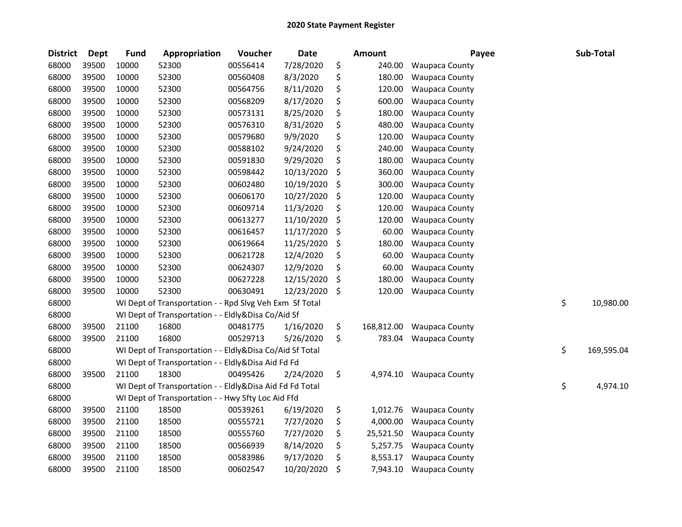| \$<br>68000<br>39500<br>00556414<br>7/28/2020<br>10000<br>52300<br>240.00<br><b>Waupaca County</b>     |                  |
|--------------------------------------------------------------------------------------------------------|------------------|
|                                                                                                        |                  |
| \$<br>68000<br>39500<br>10000<br>52300<br>00560408<br>8/3/2020<br>180.00<br><b>Waupaca County</b>      |                  |
| \$<br>68000<br>39500<br>10000<br>52300<br>00564756<br>8/11/2020<br>120.00<br><b>Waupaca County</b>     |                  |
| \$<br>68000<br>39500<br>10000<br>52300<br>00568209<br>8/17/2020<br>600.00<br><b>Waupaca County</b>     |                  |
| \$<br>180.00<br>68000<br>39500<br>10000<br>52300<br>00573131<br>8/25/2020<br><b>Waupaca County</b>     |                  |
| \$<br>480.00<br>68000<br>39500<br>10000<br>52300<br>00576310<br>8/31/2020<br><b>Waupaca County</b>     |                  |
| \$<br>68000<br>39500<br>10000<br>9/9/2020<br>120.00<br>52300<br>00579680<br><b>Waupaca County</b>      |                  |
| \$<br>68000<br>39500<br>10000<br>9/24/2020<br>240.00<br>52300<br>00588102<br><b>Waupaca County</b>     |                  |
| 68000<br>39500<br>00591830<br>\$<br>180.00<br>10000<br>52300<br>9/29/2020<br><b>Waupaca County</b>     |                  |
| 68000<br>39500<br>10000<br>52300<br>00598442<br>\$<br>360.00<br>10/13/2020<br><b>Waupaca County</b>    |                  |
| 68000<br>39500<br>10000<br>52300<br>00602480<br>10/19/2020<br>\$<br>300.00<br><b>Waupaca County</b>    |                  |
| 68000<br>39500<br>10000<br>52300<br>00606170<br>10/27/2020<br>\$<br>120.00<br><b>Waupaca County</b>    |                  |
| 68000<br>39500<br>10000<br>00609714<br>11/3/2020<br>\$<br>120.00<br>52300<br><b>Waupaca County</b>     |                  |
| \$<br>39500<br>10000<br>11/10/2020<br>120.00<br>68000<br>52300<br>00613277<br><b>Waupaca County</b>    |                  |
| \$<br>68000<br>39500<br>10000<br>52300<br>00616457<br>11/17/2020<br>60.00<br><b>Waupaca County</b>     |                  |
| 68000<br>39500<br>10000<br>52300<br>00619664<br>11/25/2020<br>\$<br>180.00<br><b>Waupaca County</b>    |                  |
| 68000<br>39500<br>10000<br>\$<br>60.00<br>52300<br>00621728<br>12/4/2020<br>Waupaca County             |                  |
| 68000<br>39500<br>\$<br>10000<br>52300<br>00624307<br>12/9/2020<br>60.00<br><b>Waupaca County</b>      |                  |
| 68000<br>39500<br>180.00<br>10000<br>52300<br>00627228<br>12/15/2020<br>\$<br><b>Waupaca County</b>    |                  |
| 68000<br>39500<br>10000<br>52300<br>00630491<br>12/23/2020<br>\$<br>120.00<br><b>Waupaca County</b>    |                  |
| 68000<br>Rpd Slvg Veh Exm Sf Total<br>WI Dept of Transportation -                                      | \$<br>10,980.00  |
| 68000<br>WI Dept of Transportation - -<br>Eldly&Disa Co/Aid Sf                                         |                  |
| 68000<br>39500<br>21100<br>16800<br>00481775<br>\$<br>168,812.00<br>1/16/2020<br><b>Waupaca County</b> |                  |
| 68000<br>16800<br>\$<br>39500<br>21100<br>00529713<br>5/26/2020<br>783.04<br><b>Waupaca County</b>     |                  |
| 68000<br>WI Dept of Transportation - - Eldly&Disa Co/Aid Sf Total                                      | \$<br>169,595.04 |
| 68000<br>WI Dept of Transportation - - Eldly&Disa Aid Fd Fd                                            |                  |
| 68000<br>21100<br>18300<br>00495426<br>2/24/2020<br>\$<br>39500<br>4,974.10<br><b>Waupaca County</b>   |                  |
| 68000<br>WI Dept of Transportation - - Eldly&Disa Aid Fd Fd Total                                      | \$<br>4,974.10   |
| 68000<br>WI Dept of Transportation - - Hwy Sfty Loc Aid Ffd                                            |                  |
| 68000<br>39500<br>\$<br>21100<br>18500<br>00539261<br>6/19/2020<br>1,012.76<br>Waupaca County          |                  |
| \$<br>21100<br>4,000.00<br>68000<br>39500<br>18500<br>00555721<br>7/27/2020<br><b>Waupaca County</b>   |                  |
| \$<br>68000<br>39500<br>21100<br>18500<br>00555760<br>7/27/2020<br>25,521.50<br><b>Waupaca County</b>  |                  |
| 68000<br>39500<br>00566939<br>8/14/2020<br>\$<br>21100<br>18500<br>5,257.75<br><b>Waupaca County</b>   |                  |
| 68000<br>39500<br>9/17/2020<br>\$<br>21100<br>18500<br>00583986<br>8,553.17<br><b>Waupaca County</b>   |                  |
| 68000<br>39500<br>\$<br>21100<br>18500<br>00602547<br>10/20/2020<br>7,943.10<br><b>Waupaca County</b>  |                  |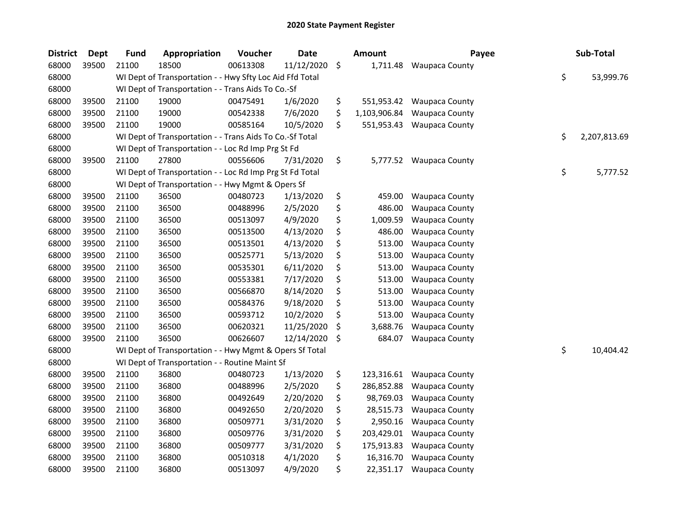| <b>District</b> | <b>Dept</b> | <b>Fund</b> | Appropriation                                            | Voucher  | <b>Date</b> | Amount             | Payee                   | Sub-Total          |
|-----------------|-------------|-------------|----------------------------------------------------------|----------|-------------|--------------------|-------------------------|--------------------|
| 68000           | 39500       | 21100       | 18500                                                    | 00613308 | 11/12/2020  | \$<br>1,711.48     | <b>Waupaca County</b>   |                    |
| 68000           |             |             | WI Dept of Transportation - - Hwy Sfty Loc Aid Ffd Total |          |             |                    |                         | \$<br>53,999.76    |
| 68000           |             |             | WI Dept of Transportation - - Trans Aids To Co.-Sf       |          |             |                    |                         |                    |
| 68000           | 39500       | 21100       | 19000                                                    | 00475491 | 1/6/2020    | \$<br>551,953.42   | <b>Waupaca County</b>   |                    |
| 68000           | 39500       | 21100       | 19000                                                    | 00542338 | 7/6/2020    | \$<br>1,103,906.84 | <b>Waupaca County</b>   |                    |
| 68000           | 39500       | 21100       | 19000                                                    | 00585164 | 10/5/2020   | \$<br>551,953.43   | <b>Waupaca County</b>   |                    |
| 68000           |             |             | WI Dept of Transportation - - Trans Aids To Co.-Sf Total |          |             |                    |                         | \$<br>2,207,813.69 |
| 68000           |             |             | WI Dept of Transportation - - Loc Rd Imp Prg St Fd       |          |             |                    |                         |                    |
| 68000           | 39500       | 21100       | 27800                                                    | 00556606 | 7/31/2020   | \$                 | 5,777.52 Waupaca County |                    |
| 68000           |             |             | WI Dept of Transportation - - Loc Rd Imp Prg St Fd Total |          |             |                    |                         | \$<br>5,777.52     |
| 68000           |             |             | WI Dept of Transportation - - Hwy Mgmt & Opers Sf        |          |             |                    |                         |                    |
| 68000           | 39500       | 21100       | 36500                                                    | 00480723 | 1/13/2020   | \$<br>459.00       | <b>Waupaca County</b>   |                    |
| 68000           | 39500       | 21100       | 36500                                                    | 00488996 | 2/5/2020    | \$<br>486.00       | <b>Waupaca County</b>   |                    |
| 68000           | 39500       | 21100       | 36500                                                    | 00513097 | 4/9/2020    | \$<br>1,009.59     | <b>Waupaca County</b>   |                    |
| 68000           | 39500       | 21100       | 36500                                                    | 00513500 | 4/13/2020   | \$<br>486.00       | <b>Waupaca County</b>   |                    |
| 68000           | 39500       | 21100       | 36500                                                    | 00513501 | 4/13/2020   | \$<br>513.00       | <b>Waupaca County</b>   |                    |
| 68000           | 39500       | 21100       | 36500                                                    | 00525771 | 5/13/2020   | \$<br>513.00       | <b>Waupaca County</b>   |                    |
| 68000           | 39500       | 21100       | 36500                                                    | 00535301 | 6/11/2020   | \$<br>513.00       | <b>Waupaca County</b>   |                    |
| 68000           | 39500       | 21100       | 36500                                                    | 00553381 | 7/17/2020   | \$<br>513.00       | <b>Waupaca County</b>   |                    |
| 68000           | 39500       | 21100       | 36500                                                    | 00566870 | 8/14/2020   | \$<br>513.00       | <b>Waupaca County</b>   |                    |
| 68000           | 39500       | 21100       | 36500                                                    | 00584376 | 9/18/2020   | \$<br>513.00       | <b>Waupaca County</b>   |                    |
| 68000           | 39500       | 21100       | 36500                                                    | 00593712 | 10/2/2020   | \$<br>513.00       | <b>Waupaca County</b>   |                    |
| 68000           | 39500       | 21100       | 36500                                                    | 00620321 | 11/25/2020  | \$<br>3,688.76     | Waupaca County          |                    |
| 68000           | 39500       | 21100       | 36500                                                    | 00626607 | 12/14/2020  | \$<br>684.07       | <b>Waupaca County</b>   |                    |
| 68000           |             |             | WI Dept of Transportation - - Hwy Mgmt & Opers Sf Total  |          |             |                    |                         | \$<br>10,404.42    |
| 68000           |             |             | WI Dept of Transportation - - Routine Maint Sf           |          |             |                    |                         |                    |
| 68000           | 39500       | 21100       | 36800                                                    | 00480723 | 1/13/2020   | \$<br>123,316.61   | <b>Waupaca County</b>   |                    |
| 68000           | 39500       | 21100       | 36800                                                    | 00488996 | 2/5/2020    | \$<br>286,852.88   | <b>Waupaca County</b>   |                    |
| 68000           | 39500       | 21100       | 36800                                                    | 00492649 | 2/20/2020   | \$<br>98,769.03    | <b>Waupaca County</b>   |                    |
| 68000           | 39500       | 21100       | 36800                                                    | 00492650 | 2/20/2020   | \$<br>28,515.73    | <b>Waupaca County</b>   |                    |
| 68000           | 39500       | 21100       | 36800                                                    | 00509771 | 3/31/2020   | \$<br>2,950.16     | <b>Waupaca County</b>   |                    |
| 68000           | 39500       | 21100       | 36800                                                    | 00509776 | 3/31/2020   | \$<br>203,429.01   | <b>Waupaca County</b>   |                    |
| 68000           | 39500       | 21100       | 36800                                                    | 00509777 | 3/31/2020   | \$<br>175,913.83   | <b>Waupaca County</b>   |                    |
| 68000           | 39500       | 21100       | 36800                                                    | 00510318 | 4/1/2020    | \$<br>16,316.70    | <b>Waupaca County</b>   |                    |
| 68000           | 39500       | 21100       | 36800                                                    | 00513097 | 4/9/2020    | \$<br>22,351.17    | <b>Waupaca County</b>   |                    |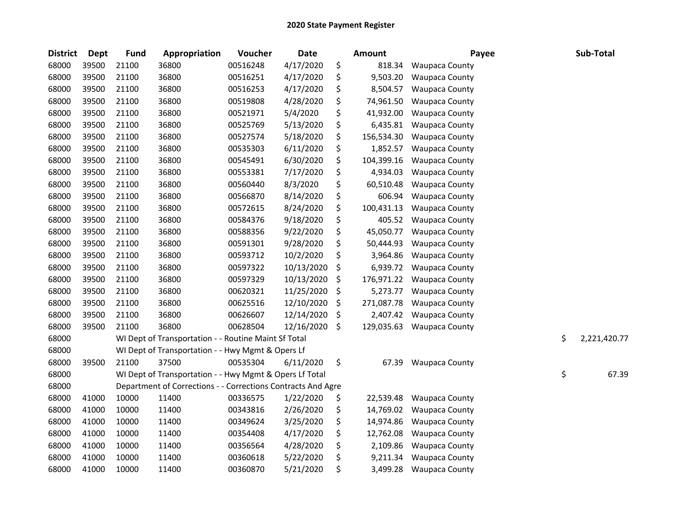| <b>District</b> | <b>Dept</b> | <b>Fund</b> | Appropriation                                                | Voucher  | <b>Date</b> | <b>Amount</b>    | Payee                 | Sub-Total          |
|-----------------|-------------|-------------|--------------------------------------------------------------|----------|-------------|------------------|-----------------------|--------------------|
| 68000           | 39500       | 21100       | 36800                                                        | 00516248 | 4/17/2020   | \$<br>818.34     | <b>Waupaca County</b> |                    |
| 68000           | 39500       | 21100       | 36800                                                        | 00516251 | 4/17/2020   | \$<br>9,503.20   | <b>Waupaca County</b> |                    |
| 68000           | 39500       | 21100       | 36800                                                        | 00516253 | 4/17/2020   | \$<br>8,504.57   | <b>Waupaca County</b> |                    |
| 68000           | 39500       | 21100       | 36800                                                        | 00519808 | 4/28/2020   | \$<br>74,961.50  | <b>Waupaca County</b> |                    |
| 68000           | 39500       | 21100       | 36800                                                        | 00521971 | 5/4/2020    | \$<br>41,932.00  | <b>Waupaca County</b> |                    |
| 68000           | 39500       | 21100       | 36800                                                        | 00525769 | 5/13/2020   | \$<br>6,435.81   | <b>Waupaca County</b> |                    |
| 68000           | 39500       | 21100       | 36800                                                        | 00527574 | 5/18/2020   | \$<br>156,534.30 | <b>Waupaca County</b> |                    |
| 68000           | 39500       | 21100       | 36800                                                        | 00535303 | 6/11/2020   | \$<br>1,852.57   | <b>Waupaca County</b> |                    |
| 68000           | 39500       | 21100       | 36800                                                        | 00545491 | 6/30/2020   | \$<br>104,399.16 | <b>Waupaca County</b> |                    |
| 68000           | 39500       | 21100       | 36800                                                        | 00553381 | 7/17/2020   | \$<br>4,934.03   | <b>Waupaca County</b> |                    |
| 68000           | 39500       | 21100       | 36800                                                        | 00560440 | 8/3/2020    | \$<br>60,510.48  | <b>Waupaca County</b> |                    |
| 68000           | 39500       | 21100       | 36800                                                        | 00566870 | 8/14/2020   | \$<br>606.94     | <b>Waupaca County</b> |                    |
| 68000           | 39500       | 21100       | 36800                                                        | 00572615 | 8/24/2020   | \$<br>100,431.13 | <b>Waupaca County</b> |                    |
| 68000           | 39500       | 21100       | 36800                                                        | 00584376 | 9/18/2020   | \$<br>405.52     | Waupaca County        |                    |
| 68000           | 39500       | 21100       | 36800                                                        | 00588356 | 9/22/2020   | \$<br>45,050.77  | <b>Waupaca County</b> |                    |
| 68000           | 39500       | 21100       | 36800                                                        | 00591301 | 9/28/2020   | \$<br>50,444.93  | <b>Waupaca County</b> |                    |
| 68000           | 39500       | 21100       | 36800                                                        | 00593712 | 10/2/2020   | \$<br>3,964.86   | <b>Waupaca County</b> |                    |
| 68000           | 39500       | 21100       | 36800                                                        | 00597322 | 10/13/2020  | \$<br>6,939.72   | <b>Waupaca County</b> |                    |
| 68000           | 39500       | 21100       | 36800                                                        | 00597329 | 10/13/2020  | \$<br>176,971.22 | <b>Waupaca County</b> |                    |
| 68000           | 39500       | 21100       | 36800                                                        | 00620321 | 11/25/2020  | \$<br>5,273.77   | <b>Waupaca County</b> |                    |
| 68000           | 39500       | 21100       | 36800                                                        | 00625516 | 12/10/2020  | \$<br>271,087.78 | <b>Waupaca County</b> |                    |
| 68000           | 39500       | 21100       | 36800                                                        | 00626607 | 12/14/2020  | \$<br>2,407.42   | <b>Waupaca County</b> |                    |
| 68000           | 39500       | 21100       | 36800                                                        | 00628504 | 12/16/2020  | \$<br>129,035.63 | <b>Waupaca County</b> |                    |
| 68000           |             |             | WI Dept of Transportation - - Routine Maint Sf Total         |          |             |                  |                       | \$<br>2,221,420.77 |
| 68000           |             |             | WI Dept of Transportation - - Hwy Mgmt & Opers Lf            |          |             |                  |                       |                    |
| 68000           | 39500       | 21100       | 37500                                                        | 00535304 | 6/11/2020   | \$<br>67.39      | <b>Waupaca County</b> |                    |
| 68000           |             |             | WI Dept of Transportation - - Hwy Mgmt & Opers Lf Total      |          |             |                  |                       | \$<br>67.39        |
| 68000           |             |             | Department of Corrections - - Corrections Contracts And Agre |          |             |                  |                       |                    |
| 68000           | 41000       | 10000       | 11400                                                        | 00336575 | 1/22/2020   | \$<br>22,539.48  | <b>Waupaca County</b> |                    |
| 68000           | 41000       | 10000       | 11400                                                        | 00343816 | 2/26/2020   | \$<br>14,769.02  | <b>Waupaca County</b> |                    |
| 68000           | 41000       | 10000       | 11400                                                        | 00349624 | 3/25/2020   | \$<br>14,974.86  | <b>Waupaca County</b> |                    |
| 68000           | 41000       | 10000       | 11400                                                        | 00354408 | 4/17/2020   | \$<br>12,762.08  | <b>Waupaca County</b> |                    |
| 68000           | 41000       | 10000       | 11400                                                        | 00356564 | 4/28/2020   | \$<br>2,109.86   | <b>Waupaca County</b> |                    |
| 68000           | 41000       | 10000       | 11400                                                        | 00360618 | 5/22/2020   | \$<br>9,211.34   | <b>Waupaca County</b> |                    |
| 68000           | 41000       | 10000       | 11400                                                        | 00360870 | 5/21/2020   | \$<br>3,499.28   | <b>Waupaca County</b> |                    |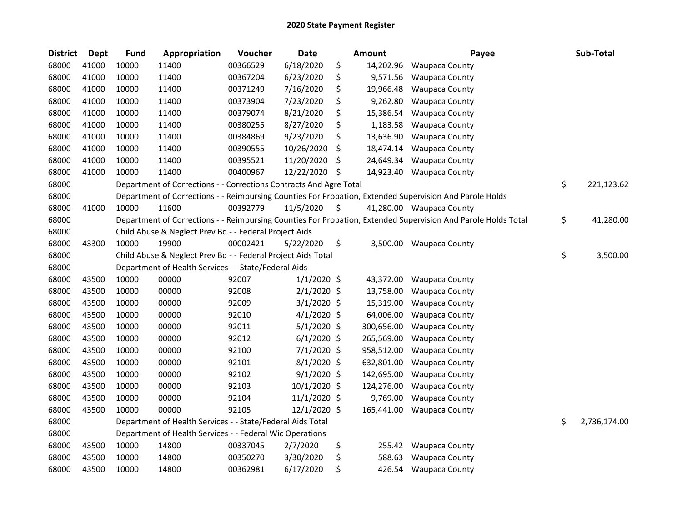| <b>District</b> | <b>Dept</b> | <b>Fund</b> | Appropriation                                                      | Voucher  | <b>Date</b>    |     | <b>Amount</b> | Payee                                                                                                         | Sub-Total          |
|-----------------|-------------|-------------|--------------------------------------------------------------------|----------|----------------|-----|---------------|---------------------------------------------------------------------------------------------------------------|--------------------|
| 68000           | 41000       | 10000       | 11400                                                              | 00366529 | 6/18/2020      | \$  | 14,202.96     | <b>Waupaca County</b>                                                                                         |                    |
| 68000           | 41000       | 10000       | 11400                                                              | 00367204 | 6/23/2020      | \$  | 9,571.56      | <b>Waupaca County</b>                                                                                         |                    |
| 68000           | 41000       | 10000       | 11400                                                              | 00371249 | 7/16/2020      | \$  | 19,966.48     | <b>Waupaca County</b>                                                                                         |                    |
| 68000           | 41000       | 10000       | 11400                                                              | 00373904 | 7/23/2020      | \$  | 9,262.80      | <b>Waupaca County</b>                                                                                         |                    |
| 68000           | 41000       | 10000       | 11400                                                              | 00379074 | 8/21/2020      | \$  | 15,386.54     | <b>Waupaca County</b>                                                                                         |                    |
| 68000           | 41000       | 10000       | 11400                                                              | 00380255 | 8/27/2020      | \$  | 1,183.58      | <b>Waupaca County</b>                                                                                         |                    |
| 68000           | 41000       | 10000       | 11400                                                              | 00384869 | 9/23/2020      | \$  | 13,636.90     | <b>Waupaca County</b>                                                                                         |                    |
| 68000           | 41000       | 10000       | 11400                                                              | 00390555 | 10/26/2020     | \$  | 18,474.14     | <b>Waupaca County</b>                                                                                         |                    |
| 68000           | 41000       | 10000       | 11400                                                              | 00395521 | 11/20/2020     | \$  | 24,649.34     | <b>Waupaca County</b>                                                                                         |                    |
| 68000           | 41000       | 10000       | 11400                                                              | 00400967 | 12/22/2020     | -\$ | 14,923.40     | <b>Waupaca County</b>                                                                                         |                    |
| 68000           |             |             | Department of Corrections - - Corrections Contracts And Agre Total |          |                |     |               |                                                                                                               | \$<br>221,123.62   |
| 68000           |             |             |                                                                    |          |                |     |               | Department of Corrections - - Reimbursing Counties For Probation, Extended Supervision And Parole Holds       |                    |
| 68000           | 41000       | 10000       | 11600                                                              | 00392779 | 11/5/2020      | \$  |               | 41,280.00 Waupaca County                                                                                      |                    |
| 68000           |             |             |                                                                    |          |                |     |               | Department of Corrections - - Reimbursing Counties For Probation, Extended Supervision And Parole Holds Total | \$<br>41,280.00    |
| 68000           |             |             | Child Abuse & Neglect Prev Bd - - Federal Project Aids             |          |                |     |               |                                                                                                               |                    |
| 68000           | 43300       | 10000       | 19900                                                              | 00002421 | 5/22/2020      | \$  | 3,500.00      | <b>Waupaca County</b>                                                                                         |                    |
| 68000           |             |             | Child Abuse & Neglect Prev Bd - - Federal Project Aids Total       |          |                |     |               |                                                                                                               | \$<br>3,500.00     |
| 68000           |             |             | Department of Health Services - - State/Federal Aids               |          |                |     |               |                                                                                                               |                    |
| 68000           | 43500       | 10000       | 00000                                                              | 92007    | $1/1/2020$ \$  |     | 43,372.00     | <b>Waupaca County</b>                                                                                         |                    |
| 68000           | 43500       | 10000       | 00000                                                              | 92008    | $2/1/2020$ \$  |     | 13,758.00     | <b>Waupaca County</b>                                                                                         |                    |
| 68000           | 43500       | 10000       | 00000                                                              | 92009    | $3/1/2020$ \$  |     | 15,319.00     | <b>Waupaca County</b>                                                                                         |                    |
| 68000           | 43500       | 10000       | 00000                                                              | 92010    | $4/1/2020$ \$  |     | 64,006.00     | <b>Waupaca County</b>                                                                                         |                    |
| 68000           | 43500       | 10000       | 00000                                                              | 92011    | $5/1/2020$ \$  |     | 300,656.00    | <b>Waupaca County</b>                                                                                         |                    |
| 68000           | 43500       | 10000       | 00000                                                              | 92012    | $6/1/2020$ \$  |     | 265,569.00    | <b>Waupaca County</b>                                                                                         |                    |
| 68000           | 43500       | 10000       | 00000                                                              | 92100    | 7/1/2020 \$    |     | 958,512.00    | <b>Waupaca County</b>                                                                                         |                    |
| 68000           | 43500       | 10000       | 00000                                                              | 92101    | $8/1/2020$ \$  |     | 632,801.00    | <b>Waupaca County</b>                                                                                         |                    |
| 68000           | 43500       | 10000       | 00000                                                              | 92102    | $9/1/2020$ \$  |     | 142,695.00    | <b>Waupaca County</b>                                                                                         |                    |
| 68000           | 43500       | 10000       | 00000                                                              | 92103    | 10/1/2020 \$   |     | 124,276.00    | <b>Waupaca County</b>                                                                                         |                    |
| 68000           | 43500       | 10000       | 00000                                                              | 92104    | $11/1/2020$ \$ |     | 9,769.00      | <b>Waupaca County</b>                                                                                         |                    |
| 68000           | 43500       | 10000       | 00000                                                              | 92105    | $12/1/2020$ \$ |     | 165,441.00    | <b>Waupaca County</b>                                                                                         |                    |
| 68000           |             |             | Department of Health Services - - State/Federal Aids Total         |          |                |     |               |                                                                                                               | \$<br>2,736,174.00 |
| 68000           |             |             | Department of Health Services - - Federal Wic Operations           |          |                |     |               |                                                                                                               |                    |
| 68000           | 43500       | 10000       | 14800                                                              | 00337045 | 2/7/2020       | \$  | 255.42        | <b>Waupaca County</b>                                                                                         |                    |
| 68000           | 43500       | 10000       | 14800                                                              | 00350270 | 3/30/2020      | \$  | 588.63        | <b>Waupaca County</b>                                                                                         |                    |
| 68000           | 43500       | 10000       | 14800                                                              | 00362981 | 6/17/2020      | \$  | 426.54        | <b>Waupaca County</b>                                                                                         |                    |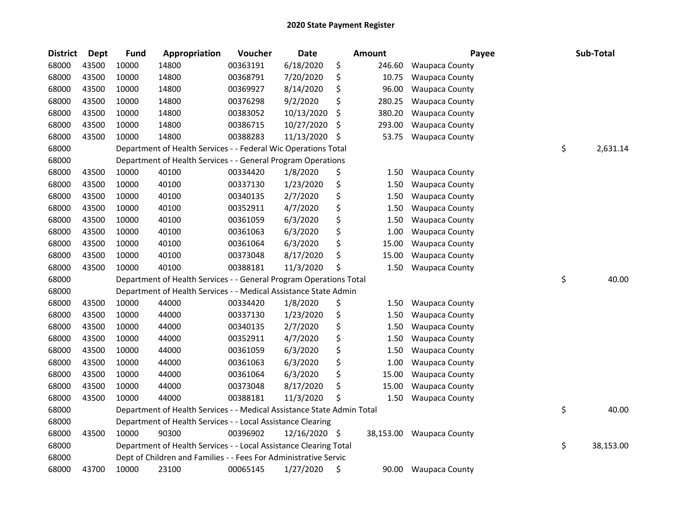| <b>District</b> | <b>Dept</b> | <b>Fund</b> | Appropriation                                                          | Voucher  | <b>Date</b>   |    | Amount | Payee                    | Sub-Total       |
|-----------------|-------------|-------------|------------------------------------------------------------------------|----------|---------------|----|--------|--------------------------|-----------------|
| 68000           | 43500       | 10000       | 14800                                                                  | 00363191 | 6/18/2020     | \$ | 246.60 | <b>Waupaca County</b>    |                 |
| 68000           | 43500       | 10000       | 14800                                                                  | 00368791 | 7/20/2020     | \$ | 10.75  | Waupaca County           |                 |
| 68000           | 43500       | 10000       | 14800                                                                  | 00369927 | 8/14/2020     | \$ | 96.00  | <b>Waupaca County</b>    |                 |
| 68000           | 43500       | 10000       | 14800                                                                  | 00376298 | 9/2/2020      | \$ | 280.25 | <b>Waupaca County</b>    |                 |
| 68000           | 43500       | 10000       | 14800                                                                  | 00383052 | 10/13/2020    | \$ | 380.20 | <b>Waupaca County</b>    |                 |
| 68000           | 43500       | 10000       | 14800                                                                  | 00386715 | 10/27/2020    | \$ | 293.00 | <b>Waupaca County</b>    |                 |
| 68000           | 43500       | 10000       | 14800                                                                  | 00388283 | 11/13/2020    | \$ | 53.75  | <b>Waupaca County</b>    |                 |
| 68000           |             |             | Department of Health Services - - Federal Wic Operations Total         |          |               |    |        |                          | \$<br>2,631.14  |
| 68000           |             |             | Department of Health Services - - General Program Operations           |          |               |    |        |                          |                 |
| 68000           | 43500       | 10000       | 40100                                                                  | 00334420 | 1/8/2020      | \$ | 1.50   | <b>Waupaca County</b>    |                 |
| 68000           | 43500       | 10000       | 40100                                                                  | 00337130 | 1/23/2020     | \$ | 1.50   | Waupaca County           |                 |
| 68000           | 43500       | 10000       | 40100                                                                  | 00340135 | 2/7/2020      | \$ | 1.50   | <b>Waupaca County</b>    |                 |
| 68000           | 43500       | 10000       | 40100                                                                  | 00352911 | 4/7/2020      | \$ | 1.50   | Waupaca County           |                 |
| 68000           | 43500       | 10000       | 40100                                                                  | 00361059 | 6/3/2020      | \$ | 1.50   | <b>Waupaca County</b>    |                 |
| 68000           | 43500       | 10000       | 40100                                                                  | 00361063 | 6/3/2020      | \$ | 1.00   | Waupaca County           |                 |
| 68000           | 43500       | 10000       | 40100                                                                  | 00361064 | 6/3/2020      | \$ | 15.00  | <b>Waupaca County</b>    |                 |
| 68000           | 43500       | 10000       | 40100                                                                  | 00373048 | 8/17/2020     | \$ | 15.00  | <b>Waupaca County</b>    |                 |
| 68000           | 43500       | 10000       | 40100                                                                  | 00388181 | 11/3/2020     | \$ | 1.50   | <b>Waupaca County</b>    |                 |
| 68000           |             |             | Department of Health Services - - General Program Operations Total     |          |               |    |        |                          | \$<br>40.00     |
| 68000           |             |             | Department of Health Services - - Medical Assistance State Admin       |          |               |    |        |                          |                 |
| 68000           | 43500       | 10000       | 44000                                                                  | 00334420 | 1/8/2020      | \$ | 1.50   | <b>Waupaca County</b>    |                 |
| 68000           | 43500       | 10000       | 44000                                                                  | 00337130 | 1/23/2020     | \$ | 1.50   | <b>Waupaca County</b>    |                 |
| 68000           | 43500       | 10000       | 44000                                                                  | 00340135 | 2/7/2020      | \$ | 1.50   | <b>Waupaca County</b>    |                 |
| 68000           | 43500       | 10000       | 44000                                                                  | 00352911 | 4/7/2020      | \$ | 1.50   | <b>Waupaca County</b>    |                 |
| 68000           | 43500       | 10000       | 44000                                                                  | 00361059 | 6/3/2020      | \$ | 1.50   | Waupaca County           |                 |
| 68000           | 43500       | 10000       | 44000                                                                  | 00361063 | 6/3/2020      | \$ | 1.00   | <b>Waupaca County</b>    |                 |
| 68000           | 43500       | 10000       | 44000                                                                  | 00361064 | 6/3/2020      | \$ | 15.00  | <b>Waupaca County</b>    |                 |
| 68000           | 43500       | 10000       | 44000                                                                  | 00373048 | 8/17/2020     | \$ | 15.00  | <b>Waupaca County</b>    |                 |
| 68000           | 43500       | 10000       | 44000                                                                  | 00388181 | 11/3/2020     | Ś  | 1.50   | <b>Waupaca County</b>    |                 |
| 68000           |             |             | Department of Health Services - - Medical Assistance State Admin Total |          |               |    |        |                          | \$<br>40.00     |
| 68000           |             |             | Department of Health Services - - Local Assistance Clearing            |          |               |    |        |                          |                 |
| 68000           | 43500       | 10000       | 90300                                                                  | 00396902 | 12/16/2020 \$ |    |        | 38,153.00 Waupaca County |                 |
| 68000           |             |             | Department of Health Services - - Local Assistance Clearing Total      |          |               |    |        |                          | \$<br>38,153.00 |
| 68000           |             |             | Dept of Children and Families - - Fees For Administrative Servic       |          |               |    |        |                          |                 |
| 68000           | 43700       | 10000       | 23100                                                                  | 00065145 | 1/27/2020     | \$ | 90.00  | <b>Waupaca County</b>    |                 |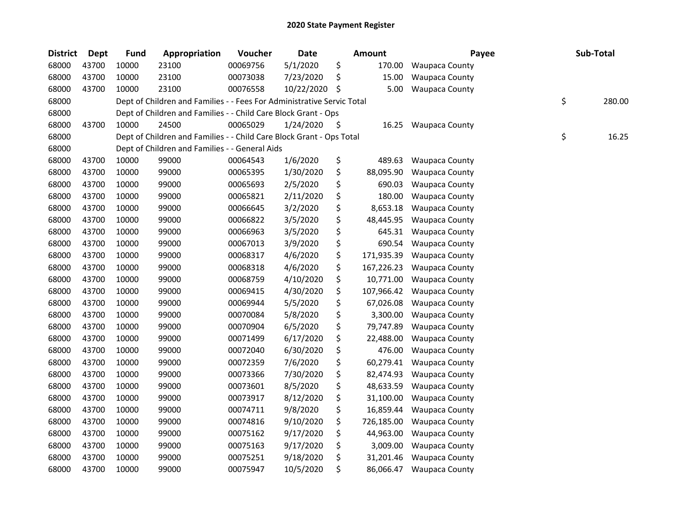| <b>District</b> | Dept  | <b>Fund</b> | Appropriation                                                          | Voucher  | <b>Date</b> |     | <b>Amount</b> | Payee                 | Sub-Total    |
|-----------------|-------|-------------|------------------------------------------------------------------------|----------|-------------|-----|---------------|-----------------------|--------------|
| 68000           | 43700 | 10000       | 23100                                                                  | 00069756 | 5/1/2020    | \$  | 170.00        | <b>Waupaca County</b> |              |
| 68000           | 43700 | 10000       | 23100                                                                  | 00073038 | 7/23/2020   | \$  | 15.00         | <b>Waupaca County</b> |              |
| 68000           | 43700 | 10000       | 23100                                                                  | 00076558 | 10/22/2020  | Ŝ.  | 5.00          | <b>Waupaca County</b> |              |
| 68000           |       |             | Dept of Children and Families - - Fees For Administrative Servic Total |          |             |     |               |                       | \$<br>280.00 |
| 68000           |       |             | Dept of Children and Families - - Child Care Block Grant - Ops         |          |             |     |               |                       |              |
| 68000           | 43700 | 10000       | 24500                                                                  | 00065029 | 1/24/2020   | \$. | 16.25         | <b>Waupaca County</b> |              |
| 68000           |       |             | Dept of Children and Families - - Child Care Block Grant - Ops Total   |          |             |     |               |                       | \$<br>16.25  |
| 68000           |       |             | Dept of Children and Families - - General Aids                         |          |             |     |               |                       |              |
| 68000           | 43700 | 10000       | 99000                                                                  | 00064543 | 1/6/2020    | \$  | 489.63        | <b>Waupaca County</b> |              |
| 68000           | 43700 | 10000       | 99000                                                                  | 00065395 | 1/30/2020   | \$  | 88,095.90     | Waupaca County        |              |
| 68000           | 43700 | 10000       | 99000                                                                  | 00065693 | 2/5/2020    | \$  | 690.03        | <b>Waupaca County</b> |              |
| 68000           | 43700 | 10000       | 99000                                                                  | 00065821 | 2/11/2020   | \$  | 180.00        | <b>Waupaca County</b> |              |
| 68000           | 43700 | 10000       | 99000                                                                  | 00066645 | 3/2/2020    | \$  | 8,653.18      | Waupaca County        |              |
| 68000           | 43700 | 10000       | 99000                                                                  | 00066822 | 3/5/2020    | \$  | 48,445.95     | <b>Waupaca County</b> |              |
| 68000           | 43700 | 10000       | 99000                                                                  | 00066963 | 3/5/2020    | \$  | 645.31        | <b>Waupaca County</b> |              |
| 68000           | 43700 | 10000       | 99000                                                                  | 00067013 | 3/9/2020    | \$  | 690.54        | <b>Waupaca County</b> |              |
| 68000           | 43700 | 10000       | 99000                                                                  | 00068317 | 4/6/2020    | \$  | 171,935.39    | <b>Waupaca County</b> |              |
| 68000           | 43700 | 10000       | 99000                                                                  | 00068318 | 4/6/2020    | \$  | 167,226.23    | <b>Waupaca County</b> |              |
| 68000           | 43700 | 10000       | 99000                                                                  | 00068759 | 4/10/2020   | \$  | 10,771.00     | <b>Waupaca County</b> |              |
| 68000           | 43700 | 10000       | 99000                                                                  | 00069415 | 4/30/2020   | \$  | 107,966.42    | <b>Waupaca County</b> |              |
| 68000           | 43700 | 10000       | 99000                                                                  | 00069944 | 5/5/2020    | \$  | 67,026.08     | <b>Waupaca County</b> |              |
| 68000           | 43700 | 10000       | 99000                                                                  | 00070084 | 5/8/2020    | \$  | 3,300.00      | <b>Waupaca County</b> |              |
| 68000           | 43700 | 10000       | 99000                                                                  | 00070904 | 6/5/2020    | \$  | 79,747.89     | <b>Waupaca County</b> |              |
| 68000           | 43700 | 10000       | 99000                                                                  | 00071499 | 6/17/2020   | \$  | 22,488.00     | <b>Waupaca County</b> |              |
| 68000           | 43700 | 10000       | 99000                                                                  | 00072040 | 6/30/2020   | \$  | 476.00        | Waupaca County        |              |
| 68000           | 43700 | 10000       | 99000                                                                  | 00072359 | 7/6/2020    | \$  | 60,279.41     | <b>Waupaca County</b> |              |
| 68000           | 43700 | 10000       | 99000                                                                  | 00073366 | 7/30/2020   | \$  | 82,474.93     | <b>Waupaca County</b> |              |
| 68000           | 43700 | 10000       | 99000                                                                  | 00073601 | 8/5/2020    | \$  | 48,633.59     | <b>Waupaca County</b> |              |
| 68000           | 43700 | 10000       | 99000                                                                  | 00073917 | 8/12/2020   | \$  | 31,100.00     | <b>Waupaca County</b> |              |
| 68000           | 43700 | 10000       | 99000                                                                  | 00074711 | 9/8/2020    | \$  | 16,859.44     | <b>Waupaca County</b> |              |
| 68000           | 43700 | 10000       | 99000                                                                  | 00074816 | 9/10/2020   | \$  | 726,185.00    | <b>Waupaca County</b> |              |
| 68000           | 43700 | 10000       | 99000                                                                  | 00075162 | 9/17/2020   | \$  | 44,963.00     | <b>Waupaca County</b> |              |
| 68000           | 43700 | 10000       | 99000                                                                  | 00075163 | 9/17/2020   | \$  | 3,009.00      | <b>Waupaca County</b> |              |
| 68000           | 43700 | 10000       | 99000                                                                  | 00075251 | 9/18/2020   | \$  | 31,201.46     | <b>Waupaca County</b> |              |
| 68000           | 43700 | 10000       | 99000                                                                  | 00075947 | 10/5/2020   | \$  | 86,066.47     | <b>Waupaca County</b> |              |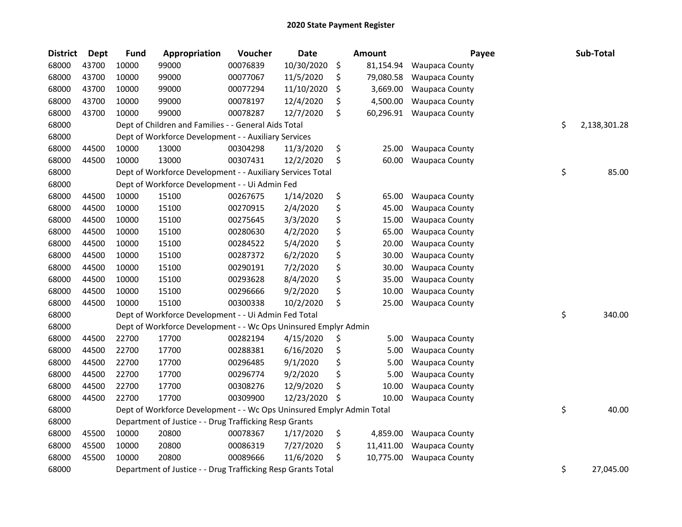| <b>District</b> | <b>Dept</b> | <b>Fund</b> | Appropriation                                                         | Voucher  | <b>Date</b> | Amount          | Payee                 | Sub-Total          |
|-----------------|-------------|-------------|-----------------------------------------------------------------------|----------|-------------|-----------------|-----------------------|--------------------|
| 68000           | 43700       | 10000       | 99000                                                                 | 00076839 | 10/30/2020  | \$<br>81,154.94 | <b>Waupaca County</b> |                    |
| 68000           | 43700       | 10000       | 99000                                                                 | 00077067 | 11/5/2020   | \$<br>79,080.58 | <b>Waupaca County</b> |                    |
| 68000           | 43700       | 10000       | 99000                                                                 | 00077294 | 11/10/2020  | \$<br>3,669.00  | Waupaca County        |                    |
| 68000           | 43700       | 10000       | 99000                                                                 | 00078197 | 12/4/2020   | \$<br>4,500.00  | Waupaca County        |                    |
| 68000           | 43700       | 10000       | 99000                                                                 | 00078287 | 12/7/2020   | \$<br>60,296.91 | <b>Waupaca County</b> |                    |
| 68000           |             |             | Dept of Children and Families - - General Aids Total                  |          |             |                 |                       | \$<br>2,138,301.28 |
| 68000           |             |             | Dept of Workforce Development - - Auxiliary Services                  |          |             |                 |                       |                    |
| 68000           | 44500       | 10000       | 13000                                                                 | 00304298 | 11/3/2020   | \$<br>25.00     | <b>Waupaca County</b> |                    |
| 68000           | 44500       | 10000       | 13000                                                                 | 00307431 | 12/2/2020   | \$<br>60.00     | <b>Waupaca County</b> |                    |
| 68000           |             |             | Dept of Workforce Development - - Auxiliary Services Total            |          |             |                 |                       | \$<br>85.00        |
| 68000           |             |             | Dept of Workforce Development - - Ui Admin Fed                        |          |             |                 |                       |                    |
| 68000           | 44500       | 10000       | 15100                                                                 | 00267675 | 1/14/2020   | \$<br>65.00     | <b>Waupaca County</b> |                    |
| 68000           | 44500       | 10000       | 15100                                                                 | 00270915 | 2/4/2020    | \$<br>45.00     | <b>Waupaca County</b> |                    |
| 68000           | 44500       | 10000       | 15100                                                                 | 00275645 | 3/3/2020    | \$<br>15.00     | <b>Waupaca County</b> |                    |
| 68000           | 44500       | 10000       | 15100                                                                 | 00280630 | 4/2/2020    | \$<br>65.00     | Waupaca County        |                    |
| 68000           | 44500       | 10000       | 15100                                                                 | 00284522 | 5/4/2020    | \$<br>20.00     | <b>Waupaca County</b> |                    |
| 68000           | 44500       | 10000       | 15100                                                                 | 00287372 | 6/2/2020    | \$<br>30.00     | <b>Waupaca County</b> |                    |
| 68000           | 44500       | 10000       | 15100                                                                 | 00290191 | 7/2/2020    | \$<br>30.00     | <b>Waupaca County</b> |                    |
| 68000           | 44500       | 10000       | 15100                                                                 | 00293628 | 8/4/2020    | \$<br>35.00     | <b>Waupaca County</b> |                    |
| 68000           | 44500       | 10000       | 15100                                                                 | 00296666 | 9/2/2020    | \$<br>10.00     | <b>Waupaca County</b> |                    |
| 68000           | 44500       | 10000       | 15100                                                                 | 00300338 | 10/2/2020   | \$<br>25.00     | <b>Waupaca County</b> |                    |
| 68000           |             |             | Dept of Workforce Development - - Ui Admin Fed Total                  |          |             |                 |                       | \$<br>340.00       |
| 68000           |             |             | Dept of Workforce Development - - Wc Ops Uninsured Emplyr Admin       |          |             |                 |                       |                    |
| 68000           | 44500       | 22700       | 17700                                                                 | 00282194 | 4/15/2020   | \$<br>5.00      | <b>Waupaca County</b> |                    |
| 68000           | 44500       | 22700       | 17700                                                                 | 00288381 | 6/16/2020   | \$<br>5.00      | Waupaca County        |                    |
| 68000           | 44500       | 22700       | 17700                                                                 | 00296485 | 9/1/2020    | \$<br>5.00      | <b>Waupaca County</b> |                    |
| 68000           | 44500       | 22700       | 17700                                                                 | 00296774 | 9/2/2020    | \$<br>5.00      | Waupaca County        |                    |
| 68000           | 44500       | 22700       | 17700                                                                 | 00308276 | 12/9/2020   | \$<br>10.00     | <b>Waupaca County</b> |                    |
| 68000           | 44500       | 22700       | 17700                                                                 | 00309900 | 12/23/2020  | \$<br>10.00     | <b>Waupaca County</b> |                    |
| 68000           |             |             | Dept of Workforce Development - - Wc Ops Uninsured Emplyr Admin Total |          |             |                 |                       | \$<br>40.00        |
| 68000           |             |             | Department of Justice - - Drug Trafficking Resp Grants                |          |             |                 |                       |                    |
| 68000           | 45500       | 10000       | 20800                                                                 | 00078367 | 1/17/2020   | \$<br>4,859.00  | <b>Waupaca County</b> |                    |
| 68000           | 45500       | 10000       | 20800                                                                 | 00086319 | 7/27/2020   | \$<br>11,411.00 | Waupaca County        |                    |
| 68000           | 45500       | 10000       | 20800                                                                 | 00089666 | 11/6/2020   | \$<br>10,775.00 | <b>Waupaca County</b> |                    |
| 68000           |             |             | Department of Justice - - Drug Trafficking Resp Grants Total          |          |             |                 |                       | \$<br>27,045.00    |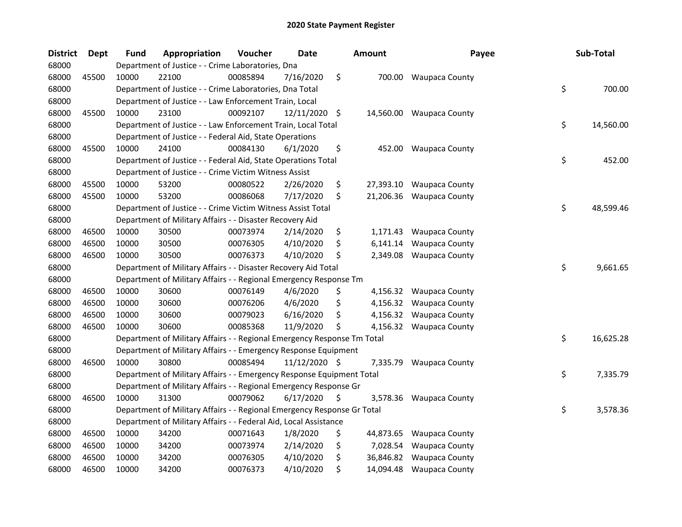| <b>District</b> | <b>Dept</b> | <b>Fund</b> | Appropriation                                                           | Voucher  | Date            | <b>Amount</b>   | Payee                    | Sub-Total       |
|-----------------|-------------|-------------|-------------------------------------------------------------------------|----------|-----------------|-----------------|--------------------------|-----------------|
| 68000           |             |             | Department of Justice - - Crime Laboratories, Dna                       |          |                 |                 |                          |                 |
| 68000           | 45500       | 10000       | 22100                                                                   | 00085894 | 7/16/2020       | \$              | 700.00 Waupaca County    |                 |
| 68000           |             |             | Department of Justice - - Crime Laboratories, Dna Total                 |          |                 |                 |                          | \$<br>700.00    |
| 68000           |             |             | Department of Justice - - Law Enforcement Train, Local                  |          |                 |                 |                          |                 |
| 68000           | 45500       | 10000       | 23100                                                                   | 00092107 | $12/11/2020$ \$ |                 | 14,560.00 Waupaca County |                 |
| 68000           |             |             | Department of Justice - - Law Enforcement Train, Local Total            |          |                 |                 |                          | \$<br>14,560.00 |
| 68000           |             |             | Department of Justice - - Federal Aid, State Operations                 |          |                 |                 |                          |                 |
| 68000           | 45500       | 10000       | 24100                                                                   | 00084130 | 6/1/2020        | \$<br>452.00    | <b>Waupaca County</b>    |                 |
| 68000           |             |             | Department of Justice - - Federal Aid, State Operations Total           |          |                 |                 |                          | \$<br>452.00    |
| 68000           |             |             | Department of Justice - - Crime Victim Witness Assist                   |          |                 |                 |                          |                 |
| 68000           | 45500       | 10000       | 53200                                                                   | 00080522 | 2/26/2020       | \$<br>27,393.10 | <b>Waupaca County</b>    |                 |
| 68000           | 45500       | 10000       | 53200                                                                   | 00086068 | 7/17/2020       | \$<br>21,206.36 | <b>Waupaca County</b>    |                 |
| 68000           |             |             | Department of Justice - - Crime Victim Witness Assist Total             |          |                 |                 |                          | \$<br>48,599.46 |
| 68000           |             |             | Department of Military Affairs - - Disaster Recovery Aid                |          |                 |                 |                          |                 |
| 68000           | 46500       | 10000       | 30500                                                                   | 00073974 | 2/14/2020       | \$<br>1,171.43  | <b>Waupaca County</b>    |                 |
| 68000           | 46500       | 10000       | 30500                                                                   | 00076305 | 4/10/2020       | \$<br>6,141.14  | <b>Waupaca County</b>    |                 |
| 68000           | 46500       | 10000       | 30500                                                                   | 00076373 | 4/10/2020       | \$<br>2,349.08  | <b>Waupaca County</b>    |                 |
| 68000           |             |             | Department of Military Affairs - - Disaster Recovery Aid Total          |          |                 |                 |                          | \$<br>9,661.65  |
| 68000           |             |             | Department of Military Affairs - - Regional Emergency Response Tm       |          |                 |                 |                          |                 |
| 68000           | 46500       | 10000       | 30600                                                                   | 00076149 | 4/6/2020        | \$<br>4,156.32  | <b>Waupaca County</b>    |                 |
| 68000           | 46500       | 10000       | 30600                                                                   | 00076206 | 4/6/2020        | \$              | 4,156.32 Waupaca County  |                 |
| 68000           | 46500       | 10000       | 30600                                                                   | 00079023 | 6/16/2020       | \$              | 4,156.32 Waupaca County  |                 |
| 68000           | 46500       | 10000       | 30600                                                                   | 00085368 | 11/9/2020       | \$              | 4,156.32 Waupaca County  |                 |
| 68000           |             |             | Department of Military Affairs - - Regional Emergency Response Tm Total |          |                 |                 |                          | \$<br>16,625.28 |
| 68000           |             |             | Department of Military Affairs - - Emergency Response Equipment         |          |                 |                 |                          |                 |
| 68000           | 46500       | 10000       | 30800                                                                   | 00085494 | 11/12/2020 \$   | 7,335.79        | <b>Waupaca County</b>    |                 |
| 68000           |             |             | Department of Military Affairs - - Emergency Response Equipment Total   |          |                 |                 |                          | \$<br>7,335.79  |
| 68000           |             |             | Department of Military Affairs - - Regional Emergency Response Gr       |          |                 |                 |                          |                 |
| 68000           | 46500       | 10000       | 31300                                                                   | 00079062 | 6/17/2020       | \$<br>3,578.36  | <b>Waupaca County</b>    |                 |
| 68000           |             |             | Department of Military Affairs - - Regional Emergency Response Gr Total |          |                 |                 |                          | \$<br>3,578.36  |
| 68000           |             |             | Department of Military Affairs - - Federal Aid, Local Assistance        |          |                 |                 |                          |                 |
| 68000           | 46500       | 10000       | 34200                                                                   | 00071643 | 1/8/2020        | \$<br>44,873.65 | <b>Waupaca County</b>    |                 |
| 68000           | 46500       | 10000       | 34200                                                                   | 00073974 | 2/14/2020       | \$<br>7,028.54  | <b>Waupaca County</b>    |                 |
| 68000           | 46500       | 10000       | 34200                                                                   | 00076305 | 4/10/2020       | \$<br>36,846.82 | <b>Waupaca County</b>    |                 |
| 68000           | 46500       | 10000       | 34200                                                                   | 00076373 | 4/10/2020       | \$              | 14,094.48 Waupaca County |                 |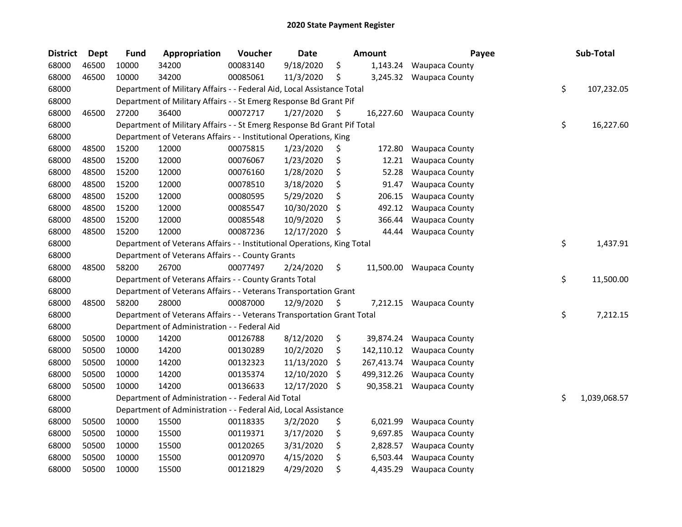| <b>District</b> | <b>Dept</b> | <b>Fund</b> | Appropriation                                                           | Voucher  | <b>Date</b> |     | Amount     | Payee                 | Sub-Total          |
|-----------------|-------------|-------------|-------------------------------------------------------------------------|----------|-------------|-----|------------|-----------------------|--------------------|
| 68000           | 46500       | 10000       | 34200                                                                   | 00083140 | 9/18/2020   | \$  | 1,143.24   | <b>Waupaca County</b> |                    |
| 68000           | 46500       | 10000       | 34200                                                                   | 00085061 | 11/3/2020   | \$  | 3,245.32   | <b>Waupaca County</b> |                    |
| 68000           |             |             | Department of Military Affairs - - Federal Aid, Local Assistance Total  |          |             |     |            |                       | \$<br>107,232.05   |
| 68000           |             |             | Department of Military Affairs - - St Emerg Response Bd Grant Pif       |          |             |     |            |                       |                    |
| 68000           | 46500       | 27200       | 36400                                                                   | 00072717 | 1/27/2020   | \$, | 16,227.60  | <b>Waupaca County</b> |                    |
| 68000           |             |             | Department of Military Affairs - - St Emerg Response Bd Grant Pif Total |          |             |     |            |                       | \$<br>16,227.60    |
| 68000           |             |             | Department of Veterans Affairs - - Institutional Operations, King       |          |             |     |            |                       |                    |
| 68000           | 48500       | 15200       | 12000                                                                   | 00075815 | 1/23/2020   | \$  | 172.80     | <b>Waupaca County</b> |                    |
| 68000           | 48500       | 15200       | 12000                                                                   | 00076067 | 1/23/2020   | \$  | 12.21      | <b>Waupaca County</b> |                    |
| 68000           | 48500       | 15200       | 12000                                                                   | 00076160 | 1/28/2020   | \$  | 52.28      | <b>Waupaca County</b> |                    |
| 68000           | 48500       | 15200       | 12000                                                                   | 00078510 | 3/18/2020   | \$  | 91.47      | <b>Waupaca County</b> |                    |
| 68000           | 48500       | 15200       | 12000                                                                   | 00080595 | 5/29/2020   | \$  | 206.15     | <b>Waupaca County</b> |                    |
| 68000           | 48500       | 15200       | 12000                                                                   | 00085547 | 10/30/2020  | \$  | 492.12     | <b>Waupaca County</b> |                    |
| 68000           | 48500       | 15200       | 12000                                                                   | 00085548 | 10/9/2020   | Ś   | 366.44     | <b>Waupaca County</b> |                    |
| 68000           | 48500       | 15200       | 12000                                                                   | 00087236 | 12/17/2020  | \$, | 44.44      | <b>Waupaca County</b> |                    |
| 68000           |             |             | Department of Veterans Affairs - - Institutional Operations, King Total |          |             |     |            |                       | \$<br>1,437.91     |
| 68000           |             |             | Department of Veterans Affairs - - County Grants                        |          |             |     |            |                       |                    |
| 68000           | 48500       | 58200       | 26700                                                                   | 00077497 | 2/24/2020   | \$  | 11,500.00  | <b>Waupaca County</b> |                    |
| 68000           |             |             | Department of Veterans Affairs - - County Grants Total                  |          |             |     |            |                       | \$<br>11,500.00    |
| 68000           |             |             | Department of Veterans Affairs - - Veterans Transportation Grant        |          |             |     |            |                       |                    |
| 68000           | 48500       | 58200       | 28000                                                                   | 00087000 | 12/9/2020   | \$  | 7,212.15   | <b>Waupaca County</b> |                    |
| 68000           |             |             | Department of Veterans Affairs - - Veterans Transportation Grant Total  |          |             |     |            |                       | \$<br>7,212.15     |
| 68000           |             |             | Department of Administration - - Federal Aid                            |          |             |     |            |                       |                    |
| 68000           | 50500       | 10000       | 14200                                                                   | 00126788 | 8/12/2020   | \$  | 39,874.24  | <b>Waupaca County</b> |                    |
| 68000           | 50500       | 10000       | 14200                                                                   | 00130289 | 10/2/2020   | \$  | 142,110.12 | <b>Waupaca County</b> |                    |
| 68000           | 50500       | 10000       | 14200                                                                   | 00132323 | 11/13/2020  | \$  | 267,413.74 | <b>Waupaca County</b> |                    |
| 68000           | 50500       | 10000       | 14200                                                                   | 00135374 | 12/10/2020  | \$  | 499,312.26 | <b>Waupaca County</b> |                    |
| 68000           | 50500       | 10000       | 14200                                                                   | 00136633 | 12/17/2020  | \$  | 90,358.21  | <b>Waupaca County</b> |                    |
| 68000           |             |             | Department of Administration - - Federal Aid Total                      |          |             |     |            |                       | \$<br>1,039,068.57 |
| 68000           |             |             | Department of Administration - - Federal Aid, Local Assistance          |          |             |     |            |                       |                    |
| 68000           | 50500       | 10000       | 15500                                                                   | 00118335 | 3/2/2020    | \$  | 6,021.99   | <b>Waupaca County</b> |                    |
| 68000           | 50500       | 10000       | 15500                                                                   | 00119371 | 3/17/2020   | \$  | 9,697.85   | <b>Waupaca County</b> |                    |
| 68000           | 50500       | 10000       | 15500                                                                   | 00120265 | 3/31/2020   | \$  | 2,828.57   | <b>Waupaca County</b> |                    |
| 68000           | 50500       | 10000       | 15500                                                                   | 00120970 | 4/15/2020   | \$  | 6,503.44   | <b>Waupaca County</b> |                    |
| 68000           | 50500       | 10000       | 15500                                                                   | 00121829 | 4/29/2020   | \$  | 4,435.29   | <b>Waupaca County</b> |                    |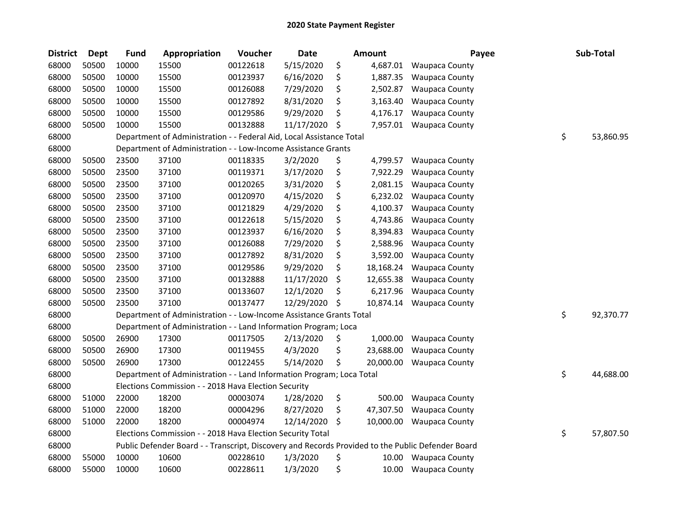| <b>District</b> | Dept  | <b>Fund</b> | Appropriation                                                                                     | Voucher  | <b>Date</b> | <b>Amount</b>   | Payee                 |    | Sub-Total |
|-----------------|-------|-------------|---------------------------------------------------------------------------------------------------|----------|-------------|-----------------|-----------------------|----|-----------|
| 68000           | 50500 | 10000       | 15500                                                                                             | 00122618 | 5/15/2020   | \$<br>4,687.01  | <b>Waupaca County</b> |    |           |
| 68000           | 50500 | 10000       | 15500                                                                                             | 00123937 | 6/16/2020   | \$<br>1,887.35  | <b>Waupaca County</b> |    |           |
| 68000           | 50500 | 10000       | 15500                                                                                             | 00126088 | 7/29/2020   | \$<br>2,502.87  | <b>Waupaca County</b> |    |           |
| 68000           | 50500 | 10000       | 15500                                                                                             | 00127892 | 8/31/2020   | \$<br>3,163.40  | <b>Waupaca County</b> |    |           |
| 68000           | 50500 | 10000       | 15500                                                                                             | 00129586 | 9/29/2020   | \$<br>4,176.17  | Waupaca County        |    |           |
| 68000           | 50500 | 10000       | 15500                                                                                             | 00132888 | 11/17/2020  | \$<br>7,957.01  | <b>Waupaca County</b> |    |           |
| 68000           |       |             | Department of Administration - - Federal Aid, Local Assistance Total                              |          |             |                 |                       | \$ | 53,860.95 |
| 68000           |       |             | Department of Administration - - Low-Income Assistance Grants                                     |          |             |                 |                       |    |           |
| 68000           | 50500 | 23500       | 37100                                                                                             | 00118335 | 3/2/2020    | \$<br>4,799.57  | <b>Waupaca County</b> |    |           |
| 68000           | 50500 | 23500       | 37100                                                                                             | 00119371 | 3/17/2020   | \$<br>7,922.29  | <b>Waupaca County</b> |    |           |
| 68000           | 50500 | 23500       | 37100                                                                                             | 00120265 | 3/31/2020   | \$<br>2,081.15  | Waupaca County        |    |           |
| 68000           | 50500 | 23500       | 37100                                                                                             | 00120970 | 4/15/2020   | \$<br>6,232.02  | <b>Waupaca County</b> |    |           |
| 68000           | 50500 | 23500       | 37100                                                                                             | 00121829 | 4/29/2020   | \$<br>4,100.37  | <b>Waupaca County</b> |    |           |
| 68000           | 50500 | 23500       | 37100                                                                                             | 00122618 | 5/15/2020   | \$<br>4,743.86  | <b>Waupaca County</b> |    |           |
| 68000           | 50500 | 23500       | 37100                                                                                             | 00123937 | 6/16/2020   | \$<br>8,394.83  | <b>Waupaca County</b> |    |           |
| 68000           | 50500 | 23500       | 37100                                                                                             | 00126088 | 7/29/2020   | \$<br>2,588.96  | <b>Waupaca County</b> |    |           |
| 68000           | 50500 | 23500       | 37100                                                                                             | 00127892 | 8/31/2020   | \$<br>3,592.00  | Waupaca County        |    |           |
| 68000           | 50500 | 23500       | 37100                                                                                             | 00129586 | 9/29/2020   | \$<br>18,168.24 | <b>Waupaca County</b> |    |           |
| 68000           | 50500 | 23500       | 37100                                                                                             | 00132888 | 11/17/2020  | \$<br>12,655.38 | <b>Waupaca County</b> |    |           |
| 68000           | 50500 | 23500       | 37100                                                                                             | 00133607 | 12/1/2020   | \$<br>6,217.96  | Waupaca County        |    |           |
| 68000           | 50500 | 23500       | 37100                                                                                             | 00137477 | 12/29/2020  | \$<br>10,874.14 | <b>Waupaca County</b> |    |           |
| 68000           |       |             | Department of Administration - - Low-Income Assistance Grants Total                               |          |             |                 |                       | \$ | 92,370.77 |
| 68000           |       |             | Department of Administration - - Land Information Program; Loca                                   |          |             |                 |                       |    |           |
| 68000           | 50500 | 26900       | 17300                                                                                             | 00117505 | 2/13/2020   | \$<br>1,000.00  | Waupaca County        |    |           |
| 68000           | 50500 | 26900       | 17300                                                                                             | 00119455 | 4/3/2020    | \$<br>23,688.00 | <b>Waupaca County</b> |    |           |
| 68000           | 50500 | 26900       | 17300                                                                                             | 00122455 | 5/14/2020   | \$<br>20,000.00 | <b>Waupaca County</b> |    |           |
| 68000           |       |             | Department of Administration - - Land Information Program; Loca Total                             |          |             |                 |                       | \$ | 44,688.00 |
| 68000           |       |             | Elections Commission - - 2018 Hava Election Security                                              |          |             |                 |                       |    |           |
| 68000           | 51000 | 22000       | 18200                                                                                             | 00003074 | 1/28/2020   | \$<br>500.00    | <b>Waupaca County</b> |    |           |
| 68000           | 51000 | 22000       | 18200                                                                                             | 00004296 | 8/27/2020   | \$<br>47,307.50 | <b>Waupaca County</b> |    |           |
| 68000           | 51000 | 22000       | 18200                                                                                             | 00004974 | 12/14/2020  | \$<br>10,000.00 | <b>Waupaca County</b> |    |           |
| 68000           |       |             | Elections Commission - - 2018 Hava Election Security Total                                        |          |             |                 |                       | \$ | 57,807.50 |
| 68000           |       |             | Public Defender Board - - Transcript, Discovery and Records Provided to the Public Defender Board |          |             |                 |                       |    |           |
| 68000           | 55000 | 10000       | 10600                                                                                             | 00228610 | 1/3/2020    | \$<br>10.00     | <b>Waupaca County</b> |    |           |
| 68000           | 55000 | 10000       | 10600                                                                                             | 00228611 | 1/3/2020    | \$<br>10.00     | <b>Waupaca County</b> |    |           |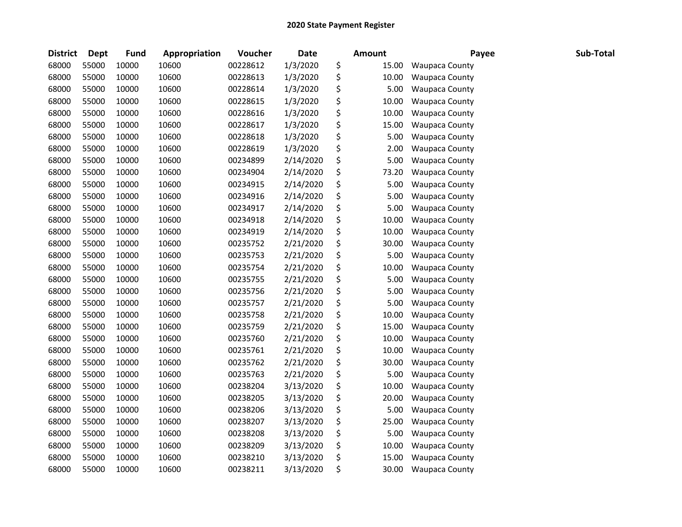| <b>District</b> | <b>Dept</b> | <b>Fund</b> | Appropriation | Voucher  | <b>Date</b> | <b>Amount</b> | Payee                 | Sub-Total |
|-----------------|-------------|-------------|---------------|----------|-------------|---------------|-----------------------|-----------|
| 68000           | 55000       | 10000       | 10600         | 00228612 | 1/3/2020    | \$<br>15.00   | <b>Waupaca County</b> |           |
| 68000           | 55000       | 10000       | 10600         | 00228613 | 1/3/2020    | \$<br>10.00   | <b>Waupaca County</b> |           |
| 68000           | 55000       | 10000       | 10600         | 00228614 | 1/3/2020    | \$<br>5.00    | <b>Waupaca County</b> |           |
| 68000           | 55000       | 10000       | 10600         | 00228615 | 1/3/2020    | \$<br>10.00   | <b>Waupaca County</b> |           |
| 68000           | 55000       | 10000       | 10600         | 00228616 | 1/3/2020    | \$<br>10.00   | <b>Waupaca County</b> |           |
| 68000           | 55000       | 10000       | 10600         | 00228617 | 1/3/2020    | \$<br>15.00   | Waupaca County        |           |
| 68000           | 55000       | 10000       | 10600         | 00228618 | 1/3/2020    | \$<br>5.00    | <b>Waupaca County</b> |           |
| 68000           | 55000       | 10000       | 10600         | 00228619 | 1/3/2020    | \$<br>2.00    | <b>Waupaca County</b> |           |
| 68000           | 55000       | 10000       | 10600         | 00234899 | 2/14/2020   | \$<br>5.00    | <b>Waupaca County</b> |           |
| 68000           | 55000       | 10000       | 10600         | 00234904 | 2/14/2020   | \$<br>73.20   | <b>Waupaca County</b> |           |
| 68000           | 55000       | 10000       | 10600         | 00234915 | 2/14/2020   | \$<br>5.00    | <b>Waupaca County</b> |           |
| 68000           | 55000       | 10000       | 10600         | 00234916 | 2/14/2020   | \$<br>5.00    | <b>Waupaca County</b> |           |
| 68000           | 55000       | 10000       | 10600         | 00234917 | 2/14/2020   | \$<br>5.00    | <b>Waupaca County</b> |           |
| 68000           | 55000       | 10000       | 10600         | 00234918 | 2/14/2020   | \$<br>10.00   | <b>Waupaca County</b> |           |
| 68000           | 55000       | 10000       | 10600         | 00234919 | 2/14/2020   | \$<br>10.00   | <b>Waupaca County</b> |           |
| 68000           | 55000       | 10000       | 10600         | 00235752 | 2/21/2020   | \$<br>30.00   | <b>Waupaca County</b> |           |
| 68000           | 55000       | 10000       | 10600         | 00235753 | 2/21/2020   | \$<br>5.00    | Waupaca County        |           |
| 68000           | 55000       | 10000       | 10600         | 00235754 | 2/21/2020   | \$<br>10.00   | <b>Waupaca County</b> |           |
| 68000           | 55000       | 10000       | 10600         | 00235755 | 2/21/2020   | \$<br>5.00    | <b>Waupaca County</b> |           |
| 68000           | 55000       | 10000       | 10600         | 00235756 | 2/21/2020   | \$<br>5.00    | Waupaca County        |           |
| 68000           | 55000       | 10000       | 10600         | 00235757 | 2/21/2020   | \$<br>5.00    | Waupaca County        |           |
| 68000           | 55000       | 10000       | 10600         | 00235758 | 2/21/2020   | \$<br>10.00   | <b>Waupaca County</b> |           |
| 68000           | 55000       | 10000       | 10600         | 00235759 | 2/21/2020   | \$<br>15.00   | <b>Waupaca County</b> |           |
| 68000           | 55000       | 10000       | 10600         | 00235760 | 2/21/2020   | \$<br>10.00   | <b>Waupaca County</b> |           |
| 68000           | 55000       | 10000       | 10600         | 00235761 | 2/21/2020   | \$<br>10.00   | Waupaca County        |           |
| 68000           | 55000       | 10000       | 10600         | 00235762 | 2/21/2020   | \$<br>30.00   | Waupaca County        |           |
| 68000           | 55000       | 10000       | 10600         | 00235763 | 2/21/2020   | \$<br>5.00    | Waupaca County        |           |
| 68000           | 55000       | 10000       | 10600         | 00238204 | 3/13/2020   | \$<br>10.00   | Waupaca County        |           |
| 68000           | 55000       | 10000       | 10600         | 00238205 | 3/13/2020   | \$<br>20.00   | Waupaca County        |           |
| 68000           | 55000       | 10000       | 10600         | 00238206 | 3/13/2020   | \$<br>5.00    | <b>Waupaca County</b> |           |
| 68000           | 55000       | 10000       | 10600         | 00238207 | 3/13/2020   | \$<br>25.00   | <b>Waupaca County</b> |           |
| 68000           | 55000       | 10000       | 10600         | 00238208 | 3/13/2020   | \$<br>5.00    | Waupaca County        |           |
| 68000           | 55000       | 10000       | 10600         | 00238209 | 3/13/2020   | \$<br>10.00   | <b>Waupaca County</b> |           |
| 68000           | 55000       | 10000       | 10600         | 00238210 | 3/13/2020   | \$<br>15.00   | <b>Waupaca County</b> |           |
| 68000           | 55000       | 10000       | 10600         | 00238211 | 3/13/2020   | \$<br>30.00   | <b>Waupaca County</b> |           |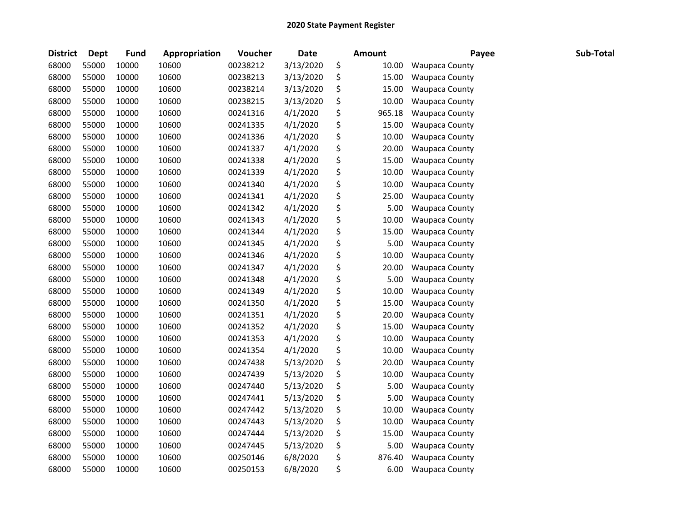| <b>District</b> | <b>Dept</b> | <b>Fund</b> | Appropriation | Voucher  | <b>Date</b> | <b>Amount</b> | Payee                 | Sub-Total |
|-----------------|-------------|-------------|---------------|----------|-------------|---------------|-----------------------|-----------|
| 68000           | 55000       | 10000       | 10600         | 00238212 | 3/13/2020   | \$<br>10.00   | <b>Waupaca County</b> |           |
| 68000           | 55000       | 10000       | 10600         | 00238213 | 3/13/2020   | \$<br>15.00   | <b>Waupaca County</b> |           |
| 68000           | 55000       | 10000       | 10600         | 00238214 | 3/13/2020   | \$<br>15.00   | Waupaca County        |           |
| 68000           | 55000       | 10000       | 10600         | 00238215 | 3/13/2020   | \$<br>10.00   | <b>Waupaca County</b> |           |
| 68000           | 55000       | 10000       | 10600         | 00241316 | 4/1/2020    | \$<br>965.18  | <b>Waupaca County</b> |           |
| 68000           | 55000       | 10000       | 10600         | 00241335 | 4/1/2020    | \$<br>15.00   | <b>Waupaca County</b> |           |
| 68000           | 55000       | 10000       | 10600         | 00241336 | 4/1/2020    | \$<br>10.00   | <b>Waupaca County</b> |           |
| 68000           | 55000       | 10000       | 10600         | 00241337 | 4/1/2020    | \$<br>20.00   | <b>Waupaca County</b> |           |
| 68000           | 55000       | 10000       | 10600         | 00241338 | 4/1/2020    | \$<br>15.00   | <b>Waupaca County</b> |           |
| 68000           | 55000       | 10000       | 10600         | 00241339 | 4/1/2020    | \$<br>10.00   | <b>Waupaca County</b> |           |
| 68000           | 55000       | 10000       | 10600         | 00241340 | 4/1/2020    | \$<br>10.00   | Waupaca County        |           |
| 68000           | 55000       | 10000       | 10600         | 00241341 | 4/1/2020    | \$<br>25.00   | <b>Waupaca County</b> |           |
| 68000           | 55000       | 10000       | 10600         | 00241342 | 4/1/2020    | \$<br>5.00    | Waupaca County        |           |
| 68000           | 55000       | 10000       | 10600         | 00241343 | 4/1/2020    | \$<br>10.00   | Waupaca County        |           |
| 68000           | 55000       | 10000       | 10600         | 00241344 | 4/1/2020    | \$<br>15.00   | Waupaca County        |           |
| 68000           | 55000       | 10000       | 10600         | 00241345 | 4/1/2020    | \$<br>5.00    | <b>Waupaca County</b> |           |
| 68000           | 55000       | 10000       | 10600         | 00241346 | 4/1/2020    | \$<br>10.00   | <b>Waupaca County</b> |           |
| 68000           | 55000       | 10000       | 10600         | 00241347 | 4/1/2020    | \$<br>20.00   | <b>Waupaca County</b> |           |
| 68000           | 55000       | 10000       | 10600         | 00241348 | 4/1/2020    | \$<br>5.00    | <b>Waupaca County</b> |           |
| 68000           | 55000       | 10000       | 10600         | 00241349 | 4/1/2020    | \$<br>10.00   | Waupaca County        |           |
| 68000           | 55000       | 10000       | 10600         | 00241350 | 4/1/2020    | \$<br>15.00   | <b>Waupaca County</b> |           |
| 68000           | 55000       | 10000       | 10600         | 00241351 | 4/1/2020    | \$<br>20.00   | <b>Waupaca County</b> |           |
| 68000           | 55000       | 10000       | 10600         | 00241352 | 4/1/2020    | \$<br>15.00   | <b>Waupaca County</b> |           |
| 68000           | 55000       | 10000       | 10600         | 00241353 | 4/1/2020    | \$<br>10.00   | <b>Waupaca County</b> |           |
| 68000           | 55000       | 10000       | 10600         | 00241354 | 4/1/2020    | \$<br>10.00   | <b>Waupaca County</b> |           |
| 68000           | 55000       | 10000       | 10600         | 00247438 | 5/13/2020   | \$<br>20.00   | Waupaca County        |           |
| 68000           | 55000       | 10000       | 10600         | 00247439 | 5/13/2020   | \$<br>10.00   | <b>Waupaca County</b> |           |
| 68000           | 55000       | 10000       | 10600         | 00247440 | 5/13/2020   | \$<br>5.00    | <b>Waupaca County</b> |           |
| 68000           | 55000       | 10000       | 10600         | 00247441 | 5/13/2020   | \$<br>5.00    | <b>Waupaca County</b> |           |
| 68000           | 55000       | 10000       | 10600         | 00247442 | 5/13/2020   | \$<br>10.00   | <b>Waupaca County</b> |           |
| 68000           | 55000       | 10000       | 10600         | 00247443 | 5/13/2020   | \$<br>10.00   | <b>Waupaca County</b> |           |
| 68000           | 55000       | 10000       | 10600         | 00247444 | 5/13/2020   | \$<br>15.00   | <b>Waupaca County</b> |           |
| 68000           | 55000       | 10000       | 10600         | 00247445 | 5/13/2020   | \$<br>5.00    | <b>Waupaca County</b> |           |
| 68000           | 55000       | 10000       | 10600         | 00250146 | 6/8/2020    | \$<br>876.40  | <b>Waupaca County</b> |           |
| 68000           | 55000       | 10000       | 10600         | 00250153 | 6/8/2020    | \$<br>6.00    | <b>Waupaca County</b> |           |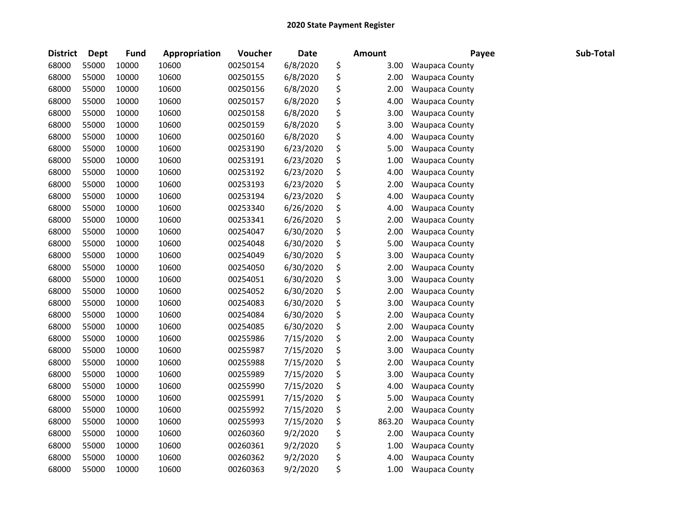| <b>District</b> | <b>Dept</b> | <b>Fund</b> | Appropriation | Voucher  | Date      | Amount       | Payee                 | Sub-Total |
|-----------------|-------------|-------------|---------------|----------|-----------|--------------|-----------------------|-----------|
| 68000           | 55000       | 10000       | 10600         | 00250154 | 6/8/2020  | \$<br>3.00   | <b>Waupaca County</b> |           |
| 68000           | 55000       | 10000       | 10600         | 00250155 | 6/8/2020  | \$<br>2.00   | <b>Waupaca County</b> |           |
| 68000           | 55000       | 10000       | 10600         | 00250156 | 6/8/2020  | \$<br>2.00   | <b>Waupaca County</b> |           |
| 68000           | 55000       | 10000       | 10600         | 00250157 | 6/8/2020  | \$<br>4.00   | <b>Waupaca County</b> |           |
| 68000           | 55000       | 10000       | 10600         | 00250158 | 6/8/2020  | \$<br>3.00   | <b>Waupaca County</b> |           |
| 68000           | 55000       | 10000       | 10600         | 00250159 | 6/8/2020  | \$<br>3.00   | <b>Waupaca County</b> |           |
| 68000           | 55000       | 10000       | 10600         | 00250160 | 6/8/2020  | \$<br>4.00   | <b>Waupaca County</b> |           |
| 68000           | 55000       | 10000       | 10600         | 00253190 | 6/23/2020 | \$<br>5.00   | <b>Waupaca County</b> |           |
| 68000           | 55000       | 10000       | 10600         | 00253191 | 6/23/2020 | \$<br>1.00   | <b>Waupaca County</b> |           |
| 68000           | 55000       | 10000       | 10600         | 00253192 | 6/23/2020 | \$<br>4.00   | Waupaca County        |           |
| 68000           | 55000       | 10000       | 10600         | 00253193 | 6/23/2020 | \$<br>2.00   | <b>Waupaca County</b> |           |
| 68000           | 55000       | 10000       | 10600         | 00253194 | 6/23/2020 | \$<br>4.00   | Waupaca County        |           |
| 68000           | 55000       | 10000       | 10600         | 00253340 | 6/26/2020 | \$<br>4.00   | <b>Waupaca County</b> |           |
| 68000           | 55000       | 10000       | 10600         | 00253341 | 6/26/2020 | \$<br>2.00   | <b>Waupaca County</b> |           |
| 68000           | 55000       | 10000       | 10600         | 00254047 | 6/30/2020 | \$<br>2.00   | <b>Waupaca County</b> |           |
| 68000           | 55000       | 10000       | 10600         | 00254048 | 6/30/2020 | \$<br>5.00   | <b>Waupaca County</b> |           |
| 68000           | 55000       | 10000       | 10600         | 00254049 | 6/30/2020 | \$<br>3.00   | Waupaca County        |           |
| 68000           | 55000       | 10000       | 10600         | 00254050 | 6/30/2020 | \$<br>2.00   | Waupaca County        |           |
| 68000           | 55000       | 10000       | 10600         | 00254051 | 6/30/2020 | \$<br>3.00   | <b>Waupaca County</b> |           |
| 68000           | 55000       | 10000       | 10600         | 00254052 | 6/30/2020 | \$<br>2.00   | <b>Waupaca County</b> |           |
| 68000           | 55000       | 10000       | 10600         | 00254083 | 6/30/2020 | \$<br>3.00   | <b>Waupaca County</b> |           |
| 68000           | 55000       | 10000       | 10600         | 00254084 | 6/30/2020 | \$<br>2.00   | <b>Waupaca County</b> |           |
| 68000           | 55000       | 10000       | 10600         | 00254085 | 6/30/2020 | \$<br>2.00   | <b>Waupaca County</b> |           |
| 68000           | 55000       | 10000       | 10600         | 00255986 | 7/15/2020 | \$<br>2.00   | Waupaca County        |           |
| 68000           | 55000       | 10000       | 10600         | 00255987 | 7/15/2020 | \$<br>3.00   | Waupaca County        |           |
| 68000           | 55000       | 10000       | 10600         | 00255988 | 7/15/2020 | \$<br>2.00   | Waupaca County        |           |
| 68000           | 55000       | 10000       | 10600         | 00255989 | 7/15/2020 | \$<br>3.00   | <b>Waupaca County</b> |           |
| 68000           | 55000       | 10000       | 10600         | 00255990 | 7/15/2020 | \$<br>4.00   | <b>Waupaca County</b> |           |
| 68000           | 55000       | 10000       | 10600         | 00255991 | 7/15/2020 | \$<br>5.00   | Waupaca County        |           |
| 68000           | 55000       | 10000       | 10600         | 00255992 | 7/15/2020 | \$<br>2.00   | <b>Waupaca County</b> |           |
| 68000           | 55000       | 10000       | 10600         | 00255993 | 7/15/2020 | \$<br>863.20 | Waupaca County        |           |
| 68000           | 55000       | 10000       | 10600         | 00260360 | 9/2/2020  | \$<br>2.00   | <b>Waupaca County</b> |           |
| 68000           | 55000       | 10000       | 10600         | 00260361 | 9/2/2020  | \$<br>1.00   | <b>Waupaca County</b> |           |
| 68000           | 55000       | 10000       | 10600         | 00260362 | 9/2/2020  | \$<br>4.00   | <b>Waupaca County</b> |           |
| 68000           | 55000       | 10000       | 10600         | 00260363 | 9/2/2020  | \$<br>1.00   | <b>Waupaca County</b> |           |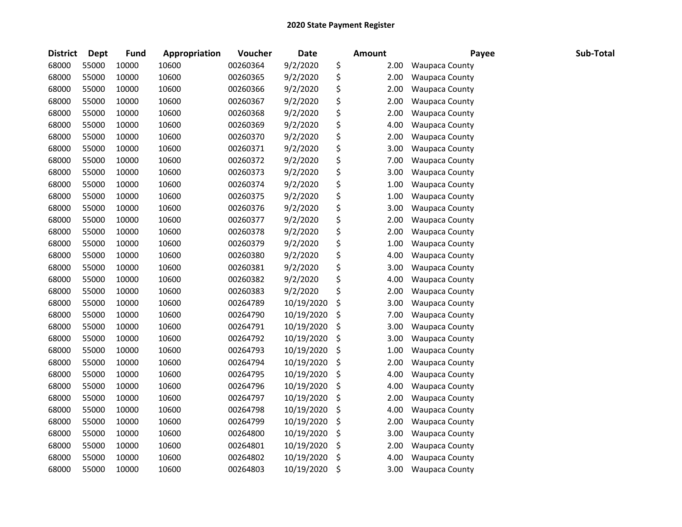| <b>District</b> | <b>Dept</b> | <b>Fund</b> | Appropriation | Voucher  | Date       | <b>Amount</b> | Payee                 | Sub-Total |
|-----------------|-------------|-------------|---------------|----------|------------|---------------|-----------------------|-----------|
| 68000           | 55000       | 10000       | 10600         | 00260364 | 9/2/2020   | \$<br>2.00    | <b>Waupaca County</b> |           |
| 68000           | 55000       | 10000       | 10600         | 00260365 | 9/2/2020   | \$<br>2.00    | <b>Waupaca County</b> |           |
| 68000           | 55000       | 10000       | 10600         | 00260366 | 9/2/2020   | \$<br>2.00    | Waupaca County        |           |
| 68000           | 55000       | 10000       | 10600         | 00260367 | 9/2/2020   | \$<br>2.00    | <b>Waupaca County</b> |           |
| 68000           | 55000       | 10000       | 10600         | 00260368 | 9/2/2020   | \$<br>2.00    | <b>Waupaca County</b> |           |
| 68000           | 55000       | 10000       | 10600         | 00260369 | 9/2/2020   | \$<br>4.00    | Waupaca County        |           |
| 68000           | 55000       | 10000       | 10600         | 00260370 | 9/2/2020   | \$<br>2.00    | <b>Waupaca County</b> |           |
| 68000           | 55000       | 10000       | 10600         | 00260371 | 9/2/2020   | \$<br>3.00    | <b>Waupaca County</b> |           |
| 68000           | 55000       | 10000       | 10600         | 00260372 | 9/2/2020   | \$<br>7.00    | Waupaca County        |           |
| 68000           | 55000       | 10000       | 10600         | 00260373 | 9/2/2020   | \$<br>3.00    | Waupaca County        |           |
| 68000           | 55000       | 10000       | 10600         | 00260374 | 9/2/2020   | \$<br>1.00    | <b>Waupaca County</b> |           |
| 68000           | 55000       | 10000       | 10600         | 00260375 | 9/2/2020   | \$<br>1.00    | <b>Waupaca County</b> |           |
| 68000           | 55000       | 10000       | 10600         | 00260376 | 9/2/2020   | \$<br>3.00    | <b>Waupaca County</b> |           |
| 68000           | 55000       | 10000       | 10600         | 00260377 | 9/2/2020   | \$<br>2.00    | <b>Waupaca County</b> |           |
| 68000           | 55000       | 10000       | 10600         | 00260378 | 9/2/2020   | \$<br>2.00    | <b>Waupaca County</b> |           |
| 68000           | 55000       | 10000       | 10600         | 00260379 | 9/2/2020   | \$<br>1.00    | <b>Waupaca County</b> |           |
| 68000           | 55000       | 10000       | 10600         | 00260380 | 9/2/2020   | \$<br>4.00    | Waupaca County        |           |
| 68000           | 55000       | 10000       | 10600         | 00260381 | 9/2/2020   | \$<br>3.00    | <b>Waupaca County</b> |           |
| 68000           | 55000       | 10000       | 10600         | 00260382 | 9/2/2020   | \$<br>4.00    | <b>Waupaca County</b> |           |
| 68000           | 55000       | 10000       | 10600         | 00260383 | 9/2/2020   | \$<br>2.00    | Waupaca County        |           |
| 68000           | 55000       | 10000       | 10600         | 00264789 | 10/19/2020 | \$<br>3.00    | <b>Waupaca County</b> |           |
| 68000           | 55000       | 10000       | 10600         | 00264790 | 10/19/2020 | \$<br>7.00    | <b>Waupaca County</b> |           |
| 68000           | 55000       | 10000       | 10600         | 00264791 | 10/19/2020 | \$<br>3.00    | <b>Waupaca County</b> |           |
| 68000           | 55000       | 10000       | 10600         | 00264792 | 10/19/2020 | \$<br>3.00    | <b>Waupaca County</b> |           |
| 68000           | 55000       | 10000       | 10600         | 00264793 | 10/19/2020 | \$<br>1.00    | Waupaca County        |           |
| 68000           | 55000       | 10000       | 10600         | 00264794 | 10/19/2020 | \$<br>2.00    | Waupaca County        |           |
| 68000           | 55000       | 10000       | 10600         | 00264795 | 10/19/2020 | \$<br>4.00    | <b>Waupaca County</b> |           |
| 68000           | 55000       | 10000       | 10600         | 00264796 | 10/19/2020 | \$<br>4.00    | <b>Waupaca County</b> |           |
| 68000           | 55000       | 10000       | 10600         | 00264797 | 10/19/2020 | \$<br>2.00    | Waupaca County        |           |
| 68000           | 55000       | 10000       | 10600         | 00264798 | 10/19/2020 | \$<br>4.00    | <b>Waupaca County</b> |           |
| 68000           | 55000       | 10000       | 10600         | 00264799 | 10/19/2020 | \$<br>2.00    | Waupaca County        |           |
| 68000           | 55000       | 10000       | 10600         | 00264800 | 10/19/2020 | \$<br>3.00    | <b>Waupaca County</b> |           |
| 68000           | 55000       | 10000       | 10600         | 00264801 | 10/19/2020 | \$<br>2.00    | <b>Waupaca County</b> |           |
| 68000           | 55000       | 10000       | 10600         | 00264802 | 10/19/2020 | \$<br>4.00    | <b>Waupaca County</b> |           |
| 68000           | 55000       | 10000       | 10600         | 00264803 | 10/19/2020 | \$<br>3.00    | <b>Waupaca County</b> |           |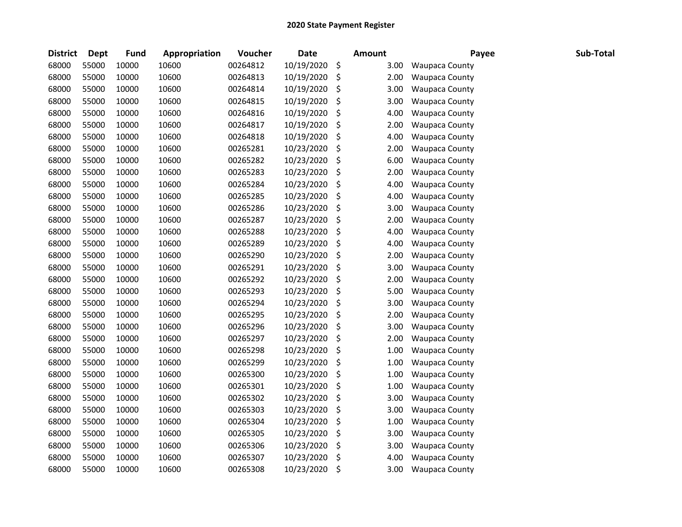| <b>District</b> | Dept  | <b>Fund</b> | Appropriation | Voucher  | <b>Date</b> | <b>Amount</b> | Payee                 | Sub-Total |
|-----------------|-------|-------------|---------------|----------|-------------|---------------|-----------------------|-----------|
| 68000           | 55000 | 10000       | 10600         | 00264812 | 10/19/2020  | \$<br>3.00    | <b>Waupaca County</b> |           |
| 68000           | 55000 | 10000       | 10600         | 00264813 | 10/19/2020  | \$<br>2.00    | <b>Waupaca County</b> |           |
| 68000           | 55000 | 10000       | 10600         | 00264814 | 10/19/2020  | \$<br>3.00    | <b>Waupaca County</b> |           |
| 68000           | 55000 | 10000       | 10600         | 00264815 | 10/19/2020  | \$<br>3.00    | Waupaca County        |           |
| 68000           | 55000 | 10000       | 10600         | 00264816 | 10/19/2020  | \$<br>4.00    | Waupaca County        |           |
| 68000           | 55000 | 10000       | 10600         | 00264817 | 10/19/2020  | \$<br>2.00    | <b>Waupaca County</b> |           |
| 68000           | 55000 | 10000       | 10600         | 00264818 | 10/19/2020  | \$<br>4.00    | Waupaca County        |           |
| 68000           | 55000 | 10000       | 10600         | 00265281 | 10/23/2020  | \$<br>2.00    | Waupaca County        |           |
| 68000           | 55000 | 10000       | 10600         | 00265282 | 10/23/2020  | \$<br>6.00    | <b>Waupaca County</b> |           |
| 68000           | 55000 | 10000       | 10600         | 00265283 | 10/23/2020  | \$<br>2.00    | <b>Waupaca County</b> |           |
| 68000           | 55000 | 10000       | 10600         | 00265284 | 10/23/2020  | \$<br>4.00    | Waupaca County        |           |
| 68000           | 55000 | 10000       | 10600         | 00265285 | 10/23/2020  | \$<br>4.00    | <b>Waupaca County</b> |           |
| 68000           | 55000 | 10000       | 10600         | 00265286 | 10/23/2020  | \$<br>3.00    | Waupaca County        |           |
| 68000           | 55000 | 10000       | 10600         | 00265287 | 10/23/2020  | \$<br>2.00    | <b>Waupaca County</b> |           |
| 68000           | 55000 | 10000       | 10600         | 00265288 | 10/23/2020  | \$<br>4.00    | Waupaca County        |           |
| 68000           | 55000 | 10000       | 10600         | 00265289 | 10/23/2020  | \$<br>4.00    | Waupaca County        |           |
| 68000           | 55000 | 10000       | 10600         | 00265290 | 10/23/2020  | \$<br>2.00    | <b>Waupaca County</b> |           |
| 68000           | 55000 | 10000       | 10600         | 00265291 | 10/23/2020  | \$<br>3.00    | <b>Waupaca County</b> |           |
| 68000           | 55000 | 10000       | 10600         | 00265292 | 10/23/2020  | \$<br>2.00    | <b>Waupaca County</b> |           |
| 68000           | 55000 | 10000       | 10600         | 00265293 | 10/23/2020  | \$<br>5.00    | Waupaca County        |           |
| 68000           | 55000 | 10000       | 10600         | 00265294 | 10/23/2020  | \$<br>3.00    | Waupaca County        |           |
| 68000           | 55000 | 10000       | 10600         | 00265295 | 10/23/2020  | \$<br>2.00    | <b>Waupaca County</b> |           |
| 68000           | 55000 | 10000       | 10600         | 00265296 | 10/23/2020  | \$<br>3.00    | <b>Waupaca County</b> |           |
| 68000           | 55000 | 10000       | 10600         | 00265297 | 10/23/2020  | \$<br>2.00    | <b>Waupaca County</b> |           |
| 68000           | 55000 | 10000       | 10600         | 00265298 | 10/23/2020  | \$<br>1.00    | <b>Waupaca County</b> |           |
| 68000           | 55000 | 10000       | 10600         | 00265299 | 10/23/2020  | \$<br>1.00    | Waupaca County        |           |
| 68000           | 55000 | 10000       | 10600         | 00265300 | 10/23/2020  | \$<br>1.00    | <b>Waupaca County</b> |           |
| 68000           | 55000 | 10000       | 10600         | 00265301 | 10/23/2020  | \$<br>1.00    | <b>Waupaca County</b> |           |
| 68000           | 55000 | 10000       | 10600         | 00265302 | 10/23/2020  | \$<br>3.00    | <b>Waupaca County</b> |           |
| 68000           | 55000 | 10000       | 10600         | 00265303 | 10/23/2020  | \$<br>3.00    | <b>Waupaca County</b> |           |
| 68000           | 55000 | 10000       | 10600         | 00265304 | 10/23/2020  | \$<br>1.00    | Waupaca County        |           |
| 68000           | 55000 | 10000       | 10600         | 00265305 | 10/23/2020  | \$<br>3.00    | Waupaca County        |           |
| 68000           | 55000 | 10000       | 10600         | 00265306 | 10/23/2020  | \$<br>3.00    | <b>Waupaca County</b> |           |
| 68000           | 55000 | 10000       | 10600         | 00265307 | 10/23/2020  | \$<br>4.00    | <b>Waupaca County</b> |           |
| 68000           | 55000 | 10000       | 10600         | 00265308 | 10/23/2020  | \$<br>3.00    | <b>Waupaca County</b> |           |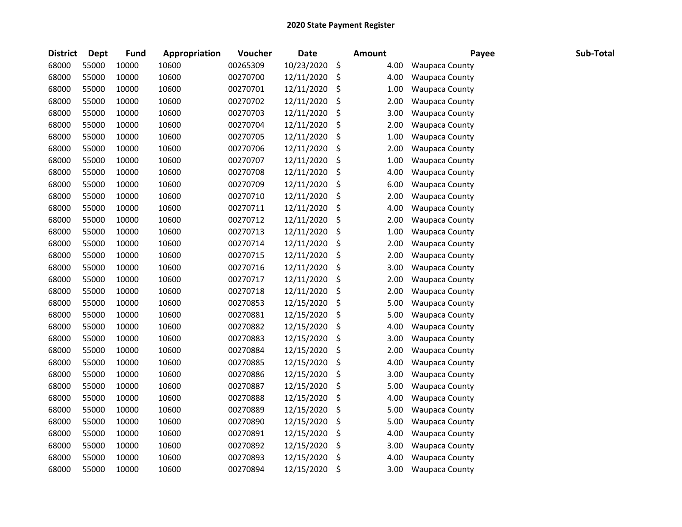| <b>District</b> | <b>Dept</b> | <b>Fund</b> | Appropriation | Voucher  | <b>Date</b> | <b>Amount</b> | Payee                 | Sub-Total |
|-----------------|-------------|-------------|---------------|----------|-------------|---------------|-----------------------|-----------|
| 68000           | 55000       | 10000       | 10600         | 00265309 | 10/23/2020  | \$<br>4.00    | <b>Waupaca County</b> |           |
| 68000           | 55000       | 10000       | 10600         | 00270700 | 12/11/2020  | \$<br>4.00    | <b>Waupaca County</b> |           |
| 68000           | 55000       | 10000       | 10600         | 00270701 | 12/11/2020  | \$<br>1.00    | Waupaca County        |           |
| 68000           | 55000       | 10000       | 10600         | 00270702 | 12/11/2020  | \$<br>2.00    | Waupaca County        |           |
| 68000           | 55000       | 10000       | 10600         | 00270703 | 12/11/2020  | \$<br>3.00    | <b>Waupaca County</b> |           |
| 68000           | 55000       | 10000       | 10600         | 00270704 | 12/11/2020  | \$<br>2.00    | <b>Waupaca County</b> |           |
| 68000           | 55000       | 10000       | 10600         | 00270705 | 12/11/2020  | \$<br>1.00    | Waupaca County        |           |
| 68000           | 55000       | 10000       | 10600         | 00270706 | 12/11/2020  | \$<br>2.00    | <b>Waupaca County</b> |           |
| 68000           | 55000       | 10000       | 10600         | 00270707 | 12/11/2020  | \$<br>1.00    | Waupaca County        |           |
| 68000           | 55000       | 10000       | 10600         | 00270708 | 12/11/2020  | \$<br>4.00    | Waupaca County        |           |
| 68000           | 55000       | 10000       | 10600         | 00270709 | 12/11/2020  | \$<br>6.00    | <b>Waupaca County</b> |           |
| 68000           | 55000       | 10000       | 10600         | 00270710 | 12/11/2020  | \$<br>2.00    | Waupaca County        |           |
| 68000           | 55000       | 10000       | 10600         | 00270711 | 12/11/2020  | \$<br>4.00    | <b>Waupaca County</b> |           |
| 68000           | 55000       | 10000       | 10600         | 00270712 | 12/11/2020  | \$<br>2.00    | Waupaca County        |           |
| 68000           | 55000       | 10000       | 10600         | 00270713 | 12/11/2020  | \$<br>1.00    | <b>Waupaca County</b> |           |
| 68000           | 55000       | 10000       | 10600         | 00270714 | 12/11/2020  | \$<br>2.00    | Waupaca County        |           |
| 68000           | 55000       | 10000       | 10600         | 00270715 | 12/11/2020  | \$<br>2.00    | Waupaca County        |           |
| 68000           | 55000       | 10000       | 10600         | 00270716 | 12/11/2020  | \$<br>3.00    | <b>Waupaca County</b> |           |
| 68000           | 55000       | 10000       | 10600         | 00270717 | 12/11/2020  | \$<br>2.00    | <b>Waupaca County</b> |           |
| 68000           | 55000       | 10000       | 10600         | 00270718 | 12/11/2020  | \$<br>2.00    | <b>Waupaca County</b> |           |
| 68000           | 55000       | 10000       | 10600         | 00270853 | 12/15/2020  | \$<br>5.00    | <b>Waupaca County</b> |           |
| 68000           | 55000       | 10000       | 10600         | 00270881 | 12/15/2020  | \$<br>5.00    | <b>Waupaca County</b> |           |
| 68000           | 55000       | 10000       | 10600         | 00270882 | 12/15/2020  | \$<br>4.00    | <b>Waupaca County</b> |           |
| 68000           | 55000       | 10000       | 10600         | 00270883 | 12/15/2020  | \$<br>3.00    | Waupaca County        |           |
| 68000           | 55000       | 10000       | 10600         | 00270884 | 12/15/2020  | \$<br>2.00    | Waupaca County        |           |
| 68000           | 55000       | 10000       | 10600         | 00270885 | 12/15/2020  | \$<br>4.00    | Waupaca County        |           |
| 68000           | 55000       | 10000       | 10600         | 00270886 | 12/15/2020  | \$<br>3.00    | Waupaca County        |           |
| 68000           | 55000       | 10000       | 10600         | 00270887 | 12/15/2020  | \$<br>5.00    | <b>Waupaca County</b> |           |
| 68000           | 55000       | 10000       | 10600         | 00270888 | 12/15/2020  | \$<br>4.00    | Waupaca County        |           |
| 68000           | 55000       | 10000       | 10600         | 00270889 | 12/15/2020  | \$<br>5.00    | <b>Waupaca County</b> |           |
| 68000           | 55000       | 10000       | 10600         | 00270890 | 12/15/2020  | \$<br>5.00    | Waupaca County        |           |
| 68000           | 55000       | 10000       | 10600         | 00270891 | 12/15/2020  | \$<br>4.00    | Waupaca County        |           |
| 68000           | 55000       | 10000       | 10600         | 00270892 | 12/15/2020  | \$<br>3.00    | Waupaca County        |           |
| 68000           | 55000       | 10000       | 10600         | 00270893 | 12/15/2020  | \$<br>4.00    | <b>Waupaca County</b> |           |
| 68000           | 55000       | 10000       | 10600         | 00270894 | 12/15/2020  | \$<br>3.00    | <b>Waupaca County</b> |           |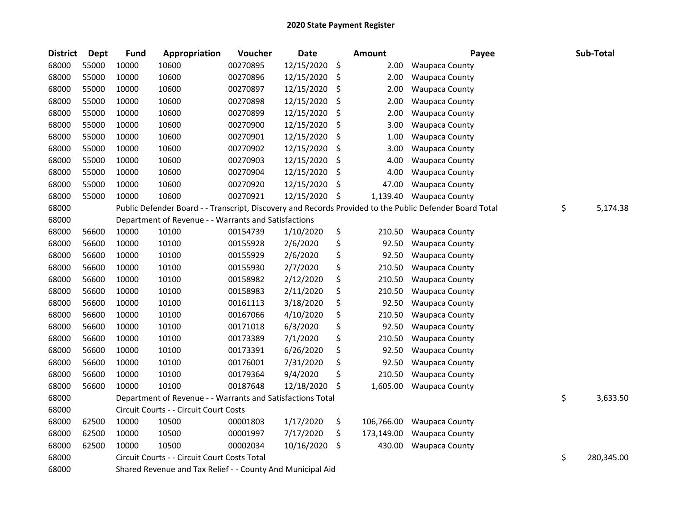| <b>District</b> | <b>Dept</b> | <b>Fund</b> | Appropriation                                              | Voucher  | <b>Date</b> | <b>Amount</b>    | Payee                                                                                                   | Sub-Total        |
|-----------------|-------------|-------------|------------------------------------------------------------|----------|-------------|------------------|---------------------------------------------------------------------------------------------------------|------------------|
| 68000           | 55000       | 10000       | 10600                                                      | 00270895 | 12/15/2020  | \$<br>2.00       | <b>Waupaca County</b>                                                                                   |                  |
| 68000           | 55000       | 10000       | 10600                                                      | 00270896 | 12/15/2020  | \$<br>2.00       | <b>Waupaca County</b>                                                                                   |                  |
| 68000           | 55000       | 10000       | 10600                                                      | 00270897 | 12/15/2020  | \$<br>2.00       | Waupaca County                                                                                          |                  |
| 68000           | 55000       | 10000       | 10600                                                      | 00270898 | 12/15/2020  | \$<br>2.00       | <b>Waupaca County</b>                                                                                   |                  |
| 68000           | 55000       | 10000       | 10600                                                      | 00270899 | 12/15/2020  | \$<br>2.00       | <b>Waupaca County</b>                                                                                   |                  |
| 68000           | 55000       | 10000       | 10600                                                      | 00270900 | 12/15/2020  | \$<br>3.00       | <b>Waupaca County</b>                                                                                   |                  |
| 68000           | 55000       | 10000       | 10600                                                      | 00270901 | 12/15/2020  | \$<br>1.00       | <b>Waupaca County</b>                                                                                   |                  |
| 68000           | 55000       | 10000       | 10600                                                      | 00270902 | 12/15/2020  | \$<br>3.00       | <b>Waupaca County</b>                                                                                   |                  |
| 68000           | 55000       | 10000       | 10600                                                      | 00270903 | 12/15/2020  | \$<br>4.00       | <b>Waupaca County</b>                                                                                   |                  |
| 68000           | 55000       | 10000       | 10600                                                      | 00270904 | 12/15/2020  | \$<br>4.00       | <b>Waupaca County</b>                                                                                   |                  |
| 68000           | 55000       | 10000       | 10600                                                      | 00270920 | 12/15/2020  | \$<br>47.00      | Waupaca County                                                                                          |                  |
| 68000           | 55000       | 10000       | 10600                                                      | 00270921 | 12/15/2020  | \$<br>1,139.40   | <b>Waupaca County</b>                                                                                   |                  |
| 68000           |             |             |                                                            |          |             |                  | Public Defender Board - - Transcript, Discovery and Records Provided to the Public Defender Board Total | \$<br>5,174.38   |
| 68000           |             |             | Department of Revenue - - Warrants and Satisfactions       |          |             |                  |                                                                                                         |                  |
| 68000           | 56600       | 10000       | 10100                                                      | 00154739 | 1/10/2020   | \$<br>210.50     | <b>Waupaca County</b>                                                                                   |                  |
| 68000           | 56600       | 10000       | 10100                                                      | 00155928 | 2/6/2020    | \$<br>92.50      | <b>Waupaca County</b>                                                                                   |                  |
| 68000           | 56600       | 10000       | 10100                                                      | 00155929 | 2/6/2020    | \$<br>92.50      | <b>Waupaca County</b>                                                                                   |                  |
| 68000           | 56600       | 10000       | 10100                                                      | 00155930 | 2/7/2020    | \$<br>210.50     | <b>Waupaca County</b>                                                                                   |                  |
| 68000           | 56600       | 10000       | 10100                                                      | 00158982 | 2/12/2020   | \$<br>210.50     | <b>Waupaca County</b>                                                                                   |                  |
| 68000           | 56600       | 10000       | 10100                                                      | 00158983 | 2/11/2020   | \$<br>210.50     | <b>Waupaca County</b>                                                                                   |                  |
| 68000           | 56600       | 10000       | 10100                                                      | 00161113 | 3/18/2020   | \$<br>92.50      | <b>Waupaca County</b>                                                                                   |                  |
| 68000           | 56600       | 10000       | 10100                                                      | 00167066 | 4/10/2020   | \$<br>210.50     | <b>Waupaca County</b>                                                                                   |                  |
| 68000           | 56600       | 10000       | 10100                                                      | 00171018 | 6/3/2020    | \$<br>92.50      | <b>Waupaca County</b>                                                                                   |                  |
| 68000           | 56600       | 10000       | 10100                                                      | 00173389 | 7/1/2020    | \$<br>210.50     | <b>Waupaca County</b>                                                                                   |                  |
| 68000           | 56600       | 10000       | 10100                                                      | 00173391 | 6/26/2020   | \$<br>92.50      | Waupaca County                                                                                          |                  |
| 68000           | 56600       | 10000       | 10100                                                      | 00176001 | 7/31/2020   | \$<br>92.50      | <b>Waupaca County</b>                                                                                   |                  |
| 68000           | 56600       | 10000       | 10100                                                      | 00179364 | 9/4/2020    | \$<br>210.50     | <b>Waupaca County</b>                                                                                   |                  |
| 68000           | 56600       | 10000       | 10100                                                      | 00187648 | 12/18/2020  | \$<br>1,605.00   | <b>Waupaca County</b>                                                                                   |                  |
| 68000           |             |             | Department of Revenue - - Warrants and Satisfactions Total |          |             |                  |                                                                                                         | \$<br>3,633.50   |
| 68000           |             |             | Circuit Courts - - Circuit Court Costs                     |          |             |                  |                                                                                                         |                  |
| 68000           | 62500       | 10000       | 10500                                                      | 00001803 | 1/17/2020   | \$<br>106,766.00 | <b>Waupaca County</b>                                                                                   |                  |
| 68000           | 62500       | 10000       | 10500                                                      | 00001997 | 7/17/2020   | \$<br>173,149.00 | <b>Waupaca County</b>                                                                                   |                  |
| 68000           | 62500       | 10000       | 10500                                                      | 00002034 | 10/16/2020  | \$<br>430.00     | <b>Waupaca County</b>                                                                                   |                  |
| 68000           |             |             | Circuit Courts - - Circuit Court Costs Total               |          |             |                  |                                                                                                         | \$<br>280,345.00 |
| 68000           |             |             | Shared Revenue and Tax Relief - - County And Municipal Aid |          |             |                  |                                                                                                         |                  |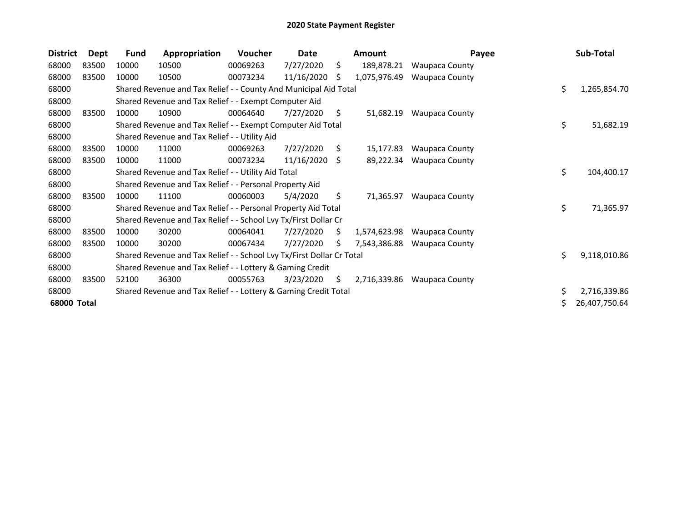| <b>District</b> | <b>Dept</b> | Fund  | Appropriation                                                         | Voucher  | Date       |     | <b>Amount</b> | Payee                 | Sub-Total          |
|-----------------|-------------|-------|-----------------------------------------------------------------------|----------|------------|-----|---------------|-----------------------|--------------------|
| 68000           | 83500       | 10000 | 10500                                                                 | 00069263 | 7/27/2020  | \$. | 189,878.21    | <b>Waupaca County</b> |                    |
| 68000           | 83500       | 10000 | 10500                                                                 | 00073234 | 11/16/2020 | S   | 1,075,976.49  | <b>Waupaca County</b> |                    |
| 68000           |             |       | Shared Revenue and Tax Relief - - County And Municipal Aid Total      |          |            |     |               |                       | \$<br>1,265,854.70 |
| 68000           |             |       | Shared Revenue and Tax Relief - - Exempt Computer Aid                 |          |            |     |               |                       |                    |
| 68000           | 83500       | 10000 | 10900                                                                 | 00064640 | 7/27/2020  | \$  | 51,682.19     | <b>Waupaca County</b> |                    |
| 68000           |             |       | Shared Revenue and Tax Relief - - Exempt Computer Aid Total           |          |            |     |               |                       | \$<br>51,682.19    |
| 68000           |             |       | Shared Revenue and Tax Relief - - Utility Aid                         |          |            |     |               |                       |                    |
| 68000           | 83500       | 10000 | 11000                                                                 | 00069263 | 7/27/2020  | S.  | 15,177.83     | <b>Waupaca County</b> |                    |
| 68000           | 83500       | 10000 | 11000                                                                 | 00073234 | 11/16/2020 | Ŝ.  | 89,222.34     | <b>Waupaca County</b> |                    |
| 68000           |             |       | Shared Revenue and Tax Relief - - Utility Aid Total                   |          |            |     |               |                       | \$<br>104,400.17   |
| 68000           |             |       | Shared Revenue and Tax Relief - - Personal Property Aid               |          |            |     |               |                       |                    |
| 68000           | 83500       | 10000 | 11100                                                                 | 00060003 | 5/4/2020   | \$  | 71,365.97     | <b>Waupaca County</b> |                    |
| 68000           |             |       | Shared Revenue and Tax Relief - - Personal Property Aid Total         |          |            |     |               |                       | \$<br>71,365.97    |
| 68000           |             |       | Shared Revenue and Tax Relief - - School Lvy Tx/First Dollar Cr       |          |            |     |               |                       |                    |
| 68000           | 83500       | 10000 | 30200                                                                 | 00064041 | 7/27/2020  | S.  | 1,574,623.98  | <b>Waupaca County</b> |                    |
| 68000           | 83500       | 10000 | 30200                                                                 | 00067434 | 7/27/2020  | Ś   | 7,543,386.88  | <b>Waupaca County</b> |                    |
| 68000           |             |       | Shared Revenue and Tax Relief - - School Lvy Tx/First Dollar Cr Total |          |            |     |               |                       | \$<br>9,118,010.86 |
| 68000           |             |       | Shared Revenue and Tax Relief - - Lottery & Gaming Credit             |          |            |     |               |                       |                    |
| 68000           | 83500       | 52100 | 36300                                                                 | 00055763 | 3/23/2020  | \$  | 2,716,339.86  | <b>Waupaca County</b> |                    |
| 68000           |             |       | Shared Revenue and Tax Relief - - Lottery & Gaming Credit Total       |          |            |     |               |                       | \$<br>2,716,339.86 |
| 68000 Total     |             |       |                                                                       |          |            |     |               |                       | 26,407,750.64      |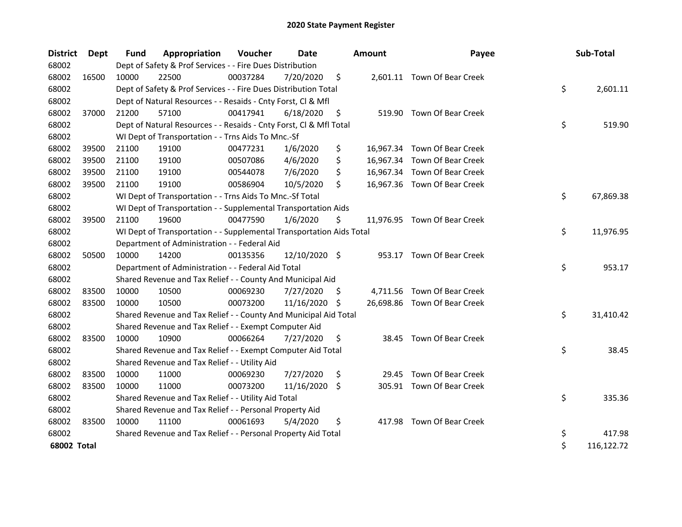| <b>District</b> | Dept  | <b>Fund</b> | Appropriation                                                        | Voucher  | <b>Date</b>   |     | <b>Amount</b> | Payee                        | Sub-Total        |
|-----------------|-------|-------------|----------------------------------------------------------------------|----------|---------------|-----|---------------|------------------------------|------------------|
| 68002           |       |             | Dept of Safety & Prof Services - - Fire Dues Distribution            |          |               |     |               |                              |                  |
| 68002           | 16500 | 10000       | 22500                                                                | 00037284 | 7/20/2020     | \$  |               | 2,601.11 Town Of Bear Creek  |                  |
| 68002           |       |             | Dept of Safety & Prof Services - - Fire Dues Distribution Total      |          |               |     |               |                              | \$<br>2,601.11   |
| 68002           |       |             | Dept of Natural Resources - - Resaids - Cnty Forst, CI & Mfl         |          |               |     |               |                              |                  |
| 68002           | 37000 | 21200       | 57100                                                                | 00417941 | 6/18/2020     | \$  |               | 519.90 Town Of Bear Creek    |                  |
| 68002           |       |             | Dept of Natural Resources - - Resaids - Cnty Forst, Cl & Mfl Total   |          |               |     |               |                              | \$<br>519.90     |
| 68002           |       |             | WI Dept of Transportation - - Trns Aids To Mnc.-Sf                   |          |               |     |               |                              |                  |
| 68002           | 39500 | 21100       | 19100                                                                | 00477231 | 1/6/2020      | \$  |               | 16,967.34 Town Of Bear Creek |                  |
| 68002           | 39500 | 21100       | 19100                                                                | 00507086 | 4/6/2020      | \$  |               | 16,967.34 Town Of Bear Creek |                  |
| 68002           | 39500 | 21100       | 19100                                                                | 00544078 | 7/6/2020      | \$  |               | 16,967.34 Town Of Bear Creek |                  |
| 68002           | 39500 | 21100       | 19100                                                                | 00586904 | 10/5/2020     | \$  |               | 16,967.36 Town Of Bear Creek |                  |
| 68002           |       |             | WI Dept of Transportation - - Trns Aids To Mnc.-Sf Total             |          |               |     |               |                              | \$<br>67,869.38  |
| 68002           |       |             | WI Dept of Transportation - - Supplemental Transportation Aids       |          |               |     |               |                              |                  |
| 68002           | 39500 | 21100       | 19600                                                                | 00477590 | 1/6/2020      | \$  |               | 11,976.95 Town Of Bear Creek |                  |
| 68002           |       |             | WI Dept of Transportation - - Supplemental Transportation Aids Total |          |               |     |               |                              | \$<br>11,976.95  |
| 68002           |       |             | Department of Administration - - Federal Aid                         |          |               |     |               |                              |                  |
| 68002           | 50500 | 10000       | 14200                                                                | 00135356 | 12/10/2020 \$ |     |               | 953.17 Town Of Bear Creek    |                  |
| 68002           |       |             | Department of Administration - - Federal Aid Total                   |          |               |     |               |                              | \$<br>953.17     |
| 68002           |       |             | Shared Revenue and Tax Relief - - County And Municipal Aid           |          |               |     |               |                              |                  |
| 68002           | 83500 | 10000       | 10500                                                                | 00069230 | 7/27/2020     | \$. |               | 4,711.56 Town Of Bear Creek  |                  |
| 68002           | 83500 | 10000       | 10500                                                                | 00073200 | 11/16/2020    | S   |               | 26,698.86 Town Of Bear Creek |                  |
| 68002           |       |             | Shared Revenue and Tax Relief - - County And Municipal Aid Total     |          |               |     |               |                              | \$<br>31,410.42  |
| 68002           |       |             | Shared Revenue and Tax Relief - - Exempt Computer Aid                |          |               |     |               |                              |                  |
| 68002           | 83500 | 10000       | 10900                                                                | 00066264 | 7/27/2020     | \$  |               | 38.45 Town Of Bear Creek     |                  |
| 68002           |       |             | Shared Revenue and Tax Relief - - Exempt Computer Aid Total          |          |               |     |               |                              | \$<br>38.45      |
| 68002           |       |             | Shared Revenue and Tax Relief - - Utility Aid                        |          |               |     |               |                              |                  |
| 68002           | 83500 | 10000       | 11000                                                                | 00069230 | 7/27/2020     | \$  | 29.45         | Town Of Bear Creek           |                  |
| 68002           | 83500 | 10000       | 11000                                                                | 00073200 | 11/16/2020 \$ |     |               | 305.91 Town Of Bear Creek    |                  |
| 68002           |       |             | Shared Revenue and Tax Relief - - Utility Aid Total                  |          |               |     |               |                              | \$<br>335.36     |
| 68002           |       |             | Shared Revenue and Tax Relief - - Personal Property Aid              |          |               |     |               |                              |                  |
| 68002           | 83500 | 10000       | 11100                                                                | 00061693 | 5/4/2020      | \$  |               | 417.98 Town Of Bear Creek    |                  |
| 68002           |       |             | Shared Revenue and Tax Relief - - Personal Property Aid Total        |          |               |     |               |                              | \$<br>417.98     |
| 68002 Total     |       |             |                                                                      |          |               |     |               |                              | \$<br>116,122.72 |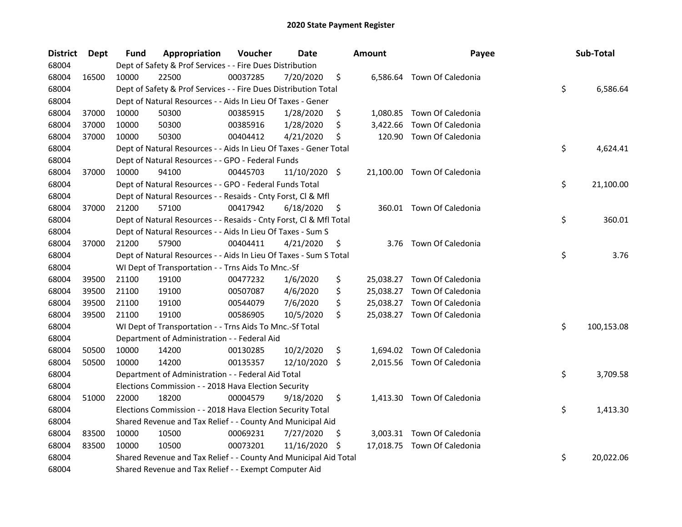| <b>District</b> | Dept  | Fund  | Appropriation                                                      | Voucher  | <b>Date</b>   |     | <b>Amount</b> | Payee                       | Sub-Total        |
|-----------------|-------|-------|--------------------------------------------------------------------|----------|---------------|-----|---------------|-----------------------------|------------------|
| 68004           |       |       | Dept of Safety & Prof Services - - Fire Dues Distribution          |          |               |     |               |                             |                  |
| 68004           | 16500 | 10000 | 22500                                                              | 00037285 | 7/20/2020     | \$  |               | 6,586.64 Town Of Caledonia  |                  |
| 68004           |       |       | Dept of Safety & Prof Services - - Fire Dues Distribution Total    |          |               |     |               |                             | \$<br>6,586.64   |
| 68004           |       |       | Dept of Natural Resources - - Aids In Lieu Of Taxes - Gener        |          |               |     |               |                             |                  |
| 68004           | 37000 | 10000 | 50300                                                              | 00385915 | 1/28/2020     | \$  |               | 1,080.85 Town Of Caledonia  |                  |
| 68004           | 37000 | 10000 | 50300                                                              | 00385916 | 1/28/2020     | \$  |               | 3,422.66 Town Of Caledonia  |                  |
| 68004           | 37000 | 10000 | 50300                                                              | 00404412 | 4/21/2020     | \$  |               | 120.90 Town Of Caledonia    |                  |
| 68004           |       |       | Dept of Natural Resources - - Aids In Lieu Of Taxes - Gener Total  |          |               |     |               |                             | \$<br>4,624.41   |
| 68004           |       |       | Dept of Natural Resources - - GPO - Federal Funds                  |          |               |     |               |                             |                  |
| 68004           | 37000 | 10000 | 94100                                                              | 00445703 | 11/10/2020 \$ |     |               | 21,100.00 Town Of Caledonia |                  |
| 68004           |       |       | Dept of Natural Resources - - GPO - Federal Funds Total            |          |               |     |               |                             | \$<br>21,100.00  |
| 68004           |       |       | Dept of Natural Resources - - Resaids - Cnty Forst, Cl & Mfl       |          |               |     |               |                             |                  |
| 68004           | 37000 | 21200 | 57100                                                              | 00417942 | 6/18/2020     | \$. |               | 360.01 Town Of Caledonia    |                  |
| 68004           |       |       | Dept of Natural Resources - - Resaids - Cnty Forst, Cl & Mfl Total |          |               |     |               |                             | \$<br>360.01     |
| 68004           |       |       | Dept of Natural Resources - - Aids In Lieu Of Taxes - Sum S        |          |               |     |               |                             |                  |
| 68004           | 37000 | 21200 | 57900                                                              | 00404411 | 4/21/2020     | \$  |               | 3.76 Town Of Caledonia      |                  |
| 68004           |       |       | Dept of Natural Resources - - Aids In Lieu Of Taxes - Sum S Total  |          |               |     |               |                             | \$<br>3.76       |
| 68004           |       |       | WI Dept of Transportation - - Trns Aids To Mnc.-Sf                 |          |               |     |               |                             |                  |
| 68004           | 39500 | 21100 | 19100                                                              | 00477232 | 1/6/2020      | \$  |               | 25,038.27 Town Of Caledonia |                  |
| 68004           | 39500 | 21100 | 19100                                                              | 00507087 | 4/6/2020      | \$  |               | 25,038.27 Town Of Caledonia |                  |
| 68004           | 39500 | 21100 | 19100                                                              | 00544079 | 7/6/2020      | \$  |               | 25,038.27 Town Of Caledonia |                  |
| 68004           | 39500 | 21100 | 19100                                                              | 00586905 | 10/5/2020     | \$  |               | 25,038.27 Town Of Caledonia |                  |
| 68004           |       |       | WI Dept of Transportation - - Trns Aids To Mnc.-Sf Total           |          |               |     |               |                             | \$<br>100,153.08 |
| 68004           |       |       | Department of Administration - - Federal Aid                       |          |               |     |               |                             |                  |
| 68004           | 50500 | 10000 | 14200                                                              | 00130285 | 10/2/2020     | \$  |               | 1,694.02 Town Of Caledonia  |                  |
| 68004           | 50500 | 10000 | 14200                                                              | 00135357 | 12/10/2020 \$ |     |               | 2,015.56 Town Of Caledonia  |                  |
| 68004           |       |       | Department of Administration - - Federal Aid Total                 |          |               |     |               |                             | \$<br>3,709.58   |
| 68004           |       |       | Elections Commission - - 2018 Hava Election Security               |          |               |     |               |                             |                  |
| 68004           | 51000 | 22000 | 18200                                                              | 00004579 | 9/18/2020     | \$  |               | 1,413.30 Town Of Caledonia  |                  |
| 68004           |       |       | Elections Commission - - 2018 Hava Election Security Total         |          |               |     |               |                             | \$<br>1,413.30   |
| 68004           |       |       | Shared Revenue and Tax Relief - - County And Municipal Aid         |          |               |     |               |                             |                  |
| 68004           | 83500 | 10000 | 10500                                                              | 00069231 | 7/27/2020     | \$. |               | 3,003.31 Town Of Caledonia  |                  |
| 68004           | 83500 | 10000 | 10500                                                              | 00073201 | 11/16/2020    | \$  |               | 17,018.75 Town Of Caledonia |                  |
| 68004           |       |       | Shared Revenue and Tax Relief - - County And Municipal Aid Total   |          |               |     |               |                             | \$<br>20,022.06  |
| 68004           |       |       | Shared Revenue and Tax Relief - - Exempt Computer Aid              |          |               |     |               |                             |                  |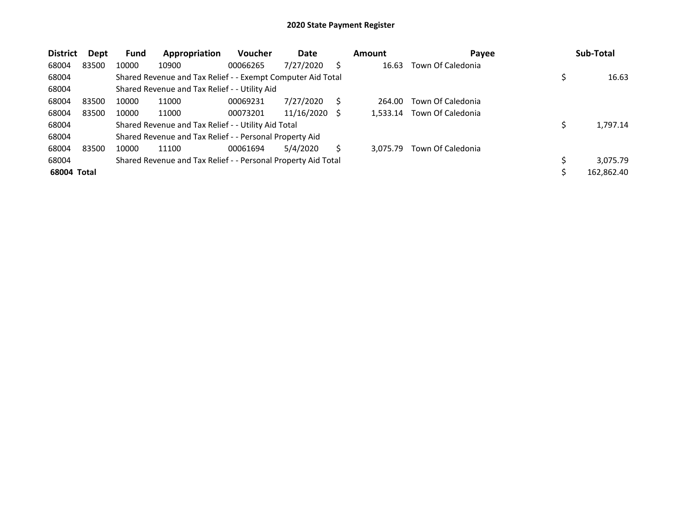| <b>District</b> | Dept  | <b>Fund</b> | Appropriation                                                 | <b>Voucher</b> | Date       |   | <b>Amount</b> | Payee             | Sub-Total  |
|-----------------|-------|-------------|---------------------------------------------------------------|----------------|------------|---|---------------|-------------------|------------|
| 68004           | 83500 | 10000       | 10900                                                         | 00066265       | 7/27/2020  | S | 16.63         | Town Of Caledonia |            |
| 68004           |       |             | Shared Revenue and Tax Relief - - Exempt Computer Aid Total   |                |            |   |               |                   | 16.63      |
| 68004           |       |             | Shared Revenue and Tax Relief - - Utility Aid                 |                |            |   |               |                   |            |
| 68004           | 83500 | 10000       | 11000                                                         | 00069231       | 7/27/2020  |   | 264.00        | Town Of Caledonia |            |
| 68004           | 83500 | 10000       | 11000                                                         | 00073201       | 11/16/2020 |   | 1.533.14      | Town Of Caledonia |            |
| 68004           |       |             | Shared Revenue and Tax Relief - - Utility Aid Total           |                |            |   |               |                   | 1,797.14   |
| 68004           |       |             | Shared Revenue and Tax Relief - - Personal Property Aid       |                |            |   |               |                   |            |
| 68004           | 83500 | 10000       | 11100                                                         | 00061694       | 5/4/2020   |   | 3.075.79      | Town Of Caledonia |            |
| 68004           |       |             | Shared Revenue and Tax Relief - - Personal Property Aid Total |                |            |   |               |                   | 3,075.79   |
| 68004 Total     |       |             |                                                               |                |            |   |               |                   | 162,862.40 |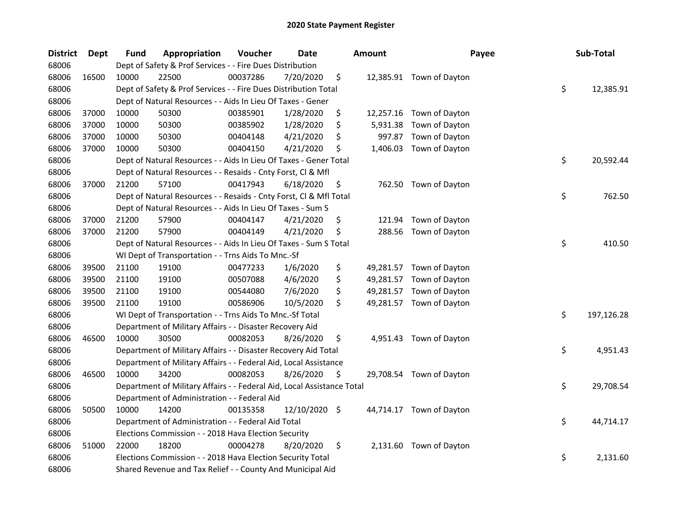| <b>District</b> | <b>Dept</b> | Fund  | Appropriation                                                          | Voucher  | <b>Date</b>   | <b>Amount</b>  | Payee                    | Sub-Total        |
|-----------------|-------------|-------|------------------------------------------------------------------------|----------|---------------|----------------|--------------------------|------------------|
| 68006           |             |       | Dept of Safety & Prof Services - - Fire Dues Distribution              |          |               |                |                          |                  |
| 68006           | 16500       | 10000 | 22500                                                                  | 00037286 | 7/20/2020     | \$             | 12,385.91 Town of Dayton |                  |
| 68006           |             |       | Dept of Safety & Prof Services - - Fire Dues Distribution Total        |          |               |                |                          | \$<br>12,385.91  |
| 68006           |             |       | Dept of Natural Resources - - Aids In Lieu Of Taxes - Gener            |          |               |                |                          |                  |
| 68006           | 37000       | 10000 | 50300                                                                  | 00385901 | 1/28/2020     | \$             | 12,257.16 Town of Dayton |                  |
| 68006           | 37000       | 10000 | 50300                                                                  | 00385902 | 1/28/2020     | \$<br>5,931.38 | Town of Dayton           |                  |
| 68006           | 37000       | 10000 | 50300                                                                  | 00404148 | 4/21/2020     | \$<br>997.87   | Town of Dayton           |                  |
| 68006           | 37000       | 10000 | 50300                                                                  | 00404150 | 4/21/2020     | \$             | 1,406.03 Town of Dayton  |                  |
| 68006           |             |       | Dept of Natural Resources - - Aids In Lieu Of Taxes - Gener Total      |          |               |                |                          | \$<br>20,592.44  |
| 68006           |             |       | Dept of Natural Resources - - Resaids - Cnty Forst, Cl & Mfl           |          |               |                |                          |                  |
| 68006           | 37000       | 21200 | 57100                                                                  | 00417943 | 6/18/2020     | \$             | 762.50 Town of Dayton    |                  |
| 68006           |             |       | Dept of Natural Resources - - Resaids - Cnty Forst, Cl & Mfl Total     |          |               |                |                          | \$<br>762.50     |
| 68006           |             |       | Dept of Natural Resources - - Aids In Lieu Of Taxes - Sum S            |          |               |                |                          |                  |
| 68006           | 37000       | 21200 | 57900                                                                  | 00404147 | 4/21/2020     | \$<br>121.94   | Town of Dayton           |                  |
| 68006           | 37000       | 21200 | 57900                                                                  | 00404149 | 4/21/2020     | \$<br>288.56   | Town of Dayton           |                  |
| 68006           |             |       | Dept of Natural Resources - - Aids In Lieu Of Taxes - Sum S Total      |          |               |                |                          | \$<br>410.50     |
| 68006           |             |       | WI Dept of Transportation - - Trns Aids To Mnc.-Sf                     |          |               |                |                          |                  |
| 68006           | 39500       | 21100 | 19100                                                                  | 00477233 | 1/6/2020      | \$             | 49,281.57 Town of Dayton |                  |
| 68006           | 39500       | 21100 | 19100                                                                  | 00507088 | 4/6/2020      | \$             | 49,281.57 Town of Dayton |                  |
| 68006           | 39500       | 21100 | 19100                                                                  | 00544080 | 7/6/2020      | \$             | 49,281.57 Town of Dayton |                  |
| 68006           | 39500       | 21100 | 19100                                                                  | 00586906 | 10/5/2020     | \$             | 49,281.57 Town of Dayton |                  |
| 68006           |             |       | WI Dept of Transportation - - Trns Aids To Mnc.-Sf Total               |          |               |                |                          | \$<br>197,126.28 |
| 68006           |             |       | Department of Military Affairs - - Disaster Recovery Aid               |          |               |                |                          |                  |
| 68006           | 46500       | 10000 | 30500                                                                  | 00082053 | 8/26/2020     | \$             | 4,951.43 Town of Dayton  |                  |
| 68006           |             |       | Department of Military Affairs - - Disaster Recovery Aid Total         |          |               |                |                          | \$<br>4,951.43   |
| 68006           |             |       | Department of Military Affairs - - Federal Aid, Local Assistance       |          |               |                |                          |                  |
| 68006           | 46500       | 10000 | 34200                                                                  | 00082053 | 8/26/2020     | \$             | 29,708.54 Town of Dayton |                  |
| 68006           |             |       | Department of Military Affairs - - Federal Aid, Local Assistance Total |          |               |                |                          | \$<br>29,708.54  |
| 68006           |             |       | Department of Administration - - Federal Aid                           |          |               |                |                          |                  |
| 68006           | 50500       | 10000 | 14200                                                                  | 00135358 | 12/10/2020 \$ |                | 44,714.17 Town of Dayton |                  |
| 68006           |             |       | Department of Administration - - Federal Aid Total                     |          |               |                |                          | \$<br>44,714.17  |
| 68006           |             |       | Elections Commission - - 2018 Hava Election Security                   |          |               |                |                          |                  |
| 68006           | 51000       | 22000 | 18200                                                                  | 00004278 | 8/20/2020     | \$             | 2,131.60 Town of Dayton  |                  |
| 68006           |             |       | Elections Commission - - 2018 Hava Election Security Total             |          |               |                |                          | \$<br>2,131.60   |
| 68006           |             |       | Shared Revenue and Tax Relief - - County And Municipal Aid             |          |               |                |                          |                  |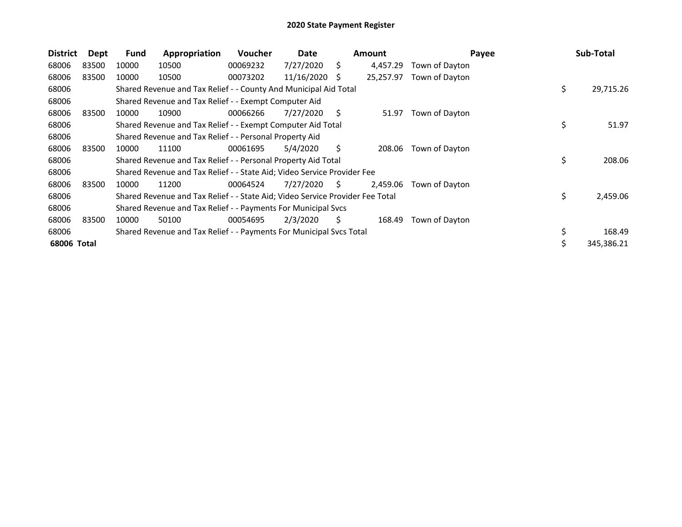| <b>District</b> | Dept  | Fund  | Appropriation                                                                 | Voucher  | Date       |    | <b>Amount</b> | Payee          |    | Sub-Total  |
|-----------------|-------|-------|-------------------------------------------------------------------------------|----------|------------|----|---------------|----------------|----|------------|
| 68006           | 83500 | 10000 | 10500                                                                         | 00069232 | 7/27/2020  | Ś. | 4,457.29      | Town of Dayton |    |            |
| 68006           | 83500 | 10000 | 10500                                                                         | 00073202 | 11/16/2020 | S  | 25,257.97     | Town of Dayton |    |            |
| 68006           |       |       | Shared Revenue and Tax Relief - - County And Municipal Aid Total              |          |            |    |               |                | \$ | 29,715.26  |
| 68006           |       |       | Shared Revenue and Tax Relief - - Exempt Computer Aid                         |          |            |    |               |                |    |            |
| 68006           | 83500 | 10000 | 10900                                                                         | 00066266 | 7/27/2020  | S. | 51.97         | Town of Dayton |    |            |
| 68006           |       |       | Shared Revenue and Tax Relief - - Exempt Computer Aid Total                   |          |            |    |               |                | \$ | 51.97      |
| 68006           |       |       | Shared Revenue and Tax Relief - - Personal Property Aid                       |          |            |    |               |                |    |            |
| 68006           | 83500 | 10000 | 11100                                                                         | 00061695 | 5/4/2020   | S. | 208.06        | Town of Dayton |    |            |
| 68006           |       |       | Shared Revenue and Tax Relief - - Personal Property Aid Total                 |          |            |    |               |                | \$ | 208.06     |
| 68006           |       |       | Shared Revenue and Tax Relief - - State Aid; Video Service Provider Fee       |          |            |    |               |                |    |            |
| 68006           | 83500 | 10000 | 11200                                                                         | 00064524 | 7/27/2020  | S  | 2.459.06      | Town of Dayton |    |            |
| 68006           |       |       | Shared Revenue and Tax Relief - - State Aid; Video Service Provider Fee Total |          |            |    |               |                | \$ | 2,459.06   |
| 68006           |       |       | Shared Revenue and Tax Relief - - Payments For Municipal Svcs                 |          |            |    |               |                |    |            |
| 68006           | 83500 | 10000 | 50100                                                                         | 00054695 | 2/3/2020   | S  | 168.49        | Town of Dayton |    |            |
| 68006           |       |       | Shared Revenue and Tax Relief - - Payments For Municipal Svcs Total           |          |            |    |               |                | \$ | 168.49     |
| 68006 Total     |       |       |                                                                               |          |            |    |               |                | ১  | 345,386.21 |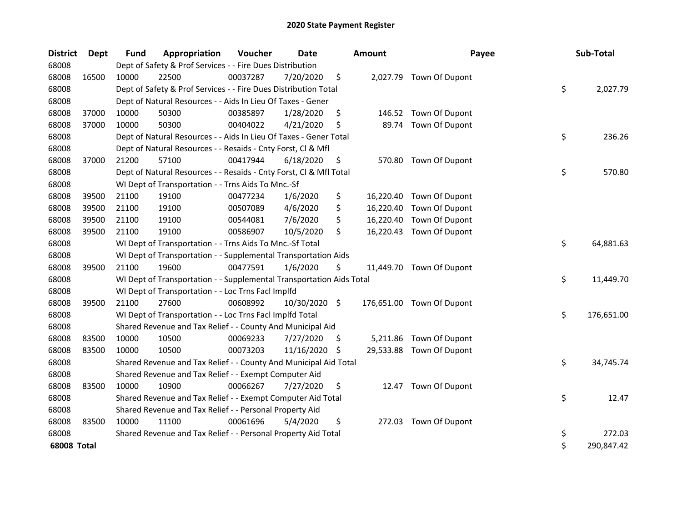| <b>District</b>    | Dept  | Fund  | Appropriation                                                        | Voucher  | <b>Date</b>   |    | <b>Amount</b> | Payee                     | Sub-Total        |
|--------------------|-------|-------|----------------------------------------------------------------------|----------|---------------|----|---------------|---------------------------|------------------|
| 68008              |       |       | Dept of Safety & Prof Services - - Fire Dues Distribution            |          |               |    |               |                           |                  |
| 68008              | 16500 | 10000 | 22500                                                                | 00037287 | 7/20/2020     | \$ |               | 2,027.79 Town Of Dupont   |                  |
| 68008              |       |       | Dept of Safety & Prof Services - - Fire Dues Distribution Total      |          |               |    |               |                           | \$<br>2,027.79   |
| 68008              |       |       | Dept of Natural Resources - - Aids In Lieu Of Taxes - Gener          |          |               |    |               |                           |                  |
| 68008              | 37000 | 10000 | 50300                                                                | 00385897 | 1/28/2020     | \$ |               | 146.52 Town Of Dupont     |                  |
| 68008              | 37000 | 10000 | 50300                                                                | 00404022 | 4/21/2020     | \$ | 89.74         | Town Of Dupont            |                  |
| 68008              |       |       | Dept of Natural Resources - - Aids In Lieu Of Taxes - Gener Total    |          |               |    |               |                           | \$<br>236.26     |
| 68008              |       |       | Dept of Natural Resources - - Resaids - Cnty Forst, Cl & Mfl         |          |               |    |               |                           |                  |
| 68008              | 37000 | 21200 | 57100                                                                | 00417944 | 6/18/2020     | \$ | 570.80        | Town Of Dupont            |                  |
| 68008              |       |       | Dept of Natural Resources - - Resaids - Cnty Forst, Cl & Mfl Total   |          |               |    |               |                           | \$<br>570.80     |
| 68008              |       |       | WI Dept of Transportation - - Trns Aids To Mnc.-Sf                   |          |               |    |               |                           |                  |
| 68008              | 39500 | 21100 | 19100                                                                | 00477234 | 1/6/2020      | \$ |               | 16,220.40 Town Of Dupont  |                  |
| 68008              | 39500 | 21100 | 19100                                                                | 00507089 | 4/6/2020      | \$ | 16,220.40     | Town Of Dupont            |                  |
| 68008              | 39500 | 21100 | 19100                                                                | 00544081 | 7/6/2020      | \$ | 16,220.40     | Town Of Dupont            |                  |
| 68008              | 39500 | 21100 | 19100                                                                | 00586907 | 10/5/2020     | \$ | 16,220.43     | Town Of Dupont            |                  |
| 68008              |       |       | WI Dept of Transportation - - Trns Aids To Mnc.-Sf Total             |          |               |    |               |                           | \$<br>64,881.63  |
| 68008              |       |       | WI Dept of Transportation - - Supplemental Transportation Aids       |          |               |    |               |                           |                  |
| 68008              | 39500 | 21100 | 19600                                                                | 00477591 | 1/6/2020      | \$ |               | 11,449.70 Town Of Dupont  |                  |
| 68008              |       |       | WI Dept of Transportation - - Supplemental Transportation Aids Total |          |               |    |               |                           | \$<br>11,449.70  |
| 68008              |       |       | WI Dept of Transportation - - Loc Trns FacI Implfd                   |          |               |    |               |                           |                  |
| 68008              | 39500 | 21100 | 27600                                                                | 00608992 | 10/30/2020 \$ |    |               | 176,651.00 Town Of Dupont |                  |
| 68008              |       |       | WI Dept of Transportation - - Loc Trns Facl Implfd Total             |          |               |    |               |                           | \$<br>176,651.00 |
| 68008              |       |       | Shared Revenue and Tax Relief - - County And Municipal Aid           |          |               |    |               |                           |                  |
| 68008              | 83500 | 10000 | 10500                                                                | 00069233 | 7/27/2020     | S. | 5,211.86      | Town Of Dupont            |                  |
| 68008              | 83500 | 10000 | 10500                                                                | 00073203 | 11/16/2020    | \$ | 29,533.88     | Town Of Dupont            |                  |
| 68008              |       |       | Shared Revenue and Tax Relief - - County And Municipal Aid Total     |          |               |    |               |                           | \$<br>34,745.74  |
| 68008              |       |       | Shared Revenue and Tax Relief - - Exempt Computer Aid                |          |               |    |               |                           |                  |
| 68008              | 83500 | 10000 | 10900                                                                | 00066267 | 7/27/2020     | \$ | 12.47         | Town Of Dupont            |                  |
| 68008              |       |       | Shared Revenue and Tax Relief - - Exempt Computer Aid Total          |          |               |    |               |                           | \$<br>12.47      |
| 68008              |       |       | Shared Revenue and Tax Relief - - Personal Property Aid              |          |               |    |               |                           |                  |
| 68008              | 83500 | 10000 | 11100                                                                | 00061696 | 5/4/2020      | \$ | 272.03        | Town Of Dupont            |                  |
| 68008              |       |       | Shared Revenue and Tax Relief - - Personal Property Aid Total        |          |               |    |               |                           | \$<br>272.03     |
| <b>68008 Total</b> |       |       |                                                                      |          |               |    |               |                           | \$<br>290,847.42 |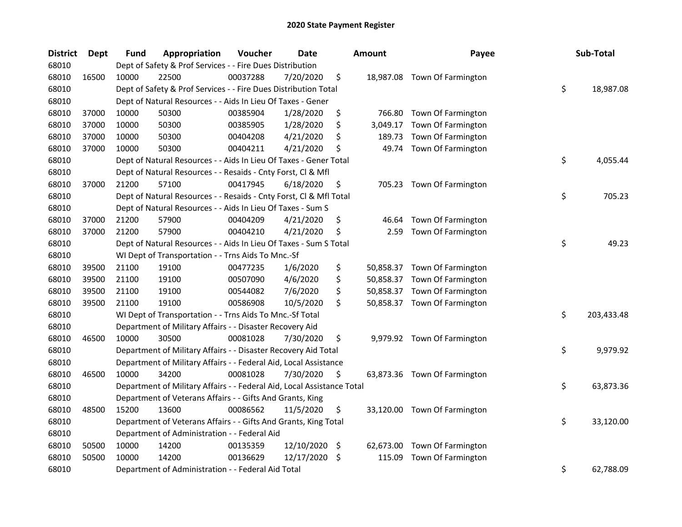| <b>District</b> | <b>Dept</b> | Fund  | Appropriation                                                          | Voucher  | <b>Date</b> | <b>Amount</b>   | Payee                        | Sub-Total        |
|-----------------|-------------|-------|------------------------------------------------------------------------|----------|-------------|-----------------|------------------------------|------------------|
| 68010           |             |       | Dept of Safety & Prof Services - - Fire Dues Distribution              |          |             |                 |                              |                  |
| 68010           | 16500       | 10000 | 22500                                                                  | 00037288 | 7/20/2020   | \$              | 18,987.08 Town Of Farmington |                  |
| 68010           |             |       | Dept of Safety & Prof Services - - Fire Dues Distribution Total        |          |             |                 |                              | \$<br>18,987.08  |
| 68010           |             |       | Dept of Natural Resources - - Aids In Lieu Of Taxes - Gener            |          |             |                 |                              |                  |
| 68010           | 37000       | 10000 | 50300                                                                  | 00385904 | 1/28/2020   | \$<br>766.80    | Town Of Farmington           |                  |
| 68010           | 37000       | 10000 | 50300                                                                  | 00385905 | 1/28/2020   | \$<br>3,049.17  | Town Of Farmington           |                  |
| 68010           | 37000       | 10000 | 50300                                                                  | 00404208 | 4/21/2020   | \$<br>189.73    | Town Of Farmington           |                  |
| 68010           | 37000       | 10000 | 50300                                                                  | 00404211 | 4/21/2020   | \$<br>49.74     | Town Of Farmington           |                  |
| 68010           |             |       | Dept of Natural Resources - - Aids In Lieu Of Taxes - Gener Total      |          |             |                 |                              | \$<br>4,055.44   |
| 68010           |             |       | Dept of Natural Resources - - Resaids - Cnty Forst, Cl & Mfl           |          |             |                 |                              |                  |
| 68010           | 37000       | 21200 | 57100                                                                  | 00417945 | 6/18/2020   | \$              | 705.23 Town Of Farmington    |                  |
| 68010           |             |       | Dept of Natural Resources - - Resaids - Cnty Forst, Cl & Mfl Total     |          |             |                 |                              | \$<br>705.23     |
| 68010           |             |       | Dept of Natural Resources - - Aids In Lieu Of Taxes - Sum S            |          |             |                 |                              |                  |
| 68010           | 37000       | 21200 | 57900                                                                  | 00404209 | 4/21/2020   | \$<br>46.64     | Town Of Farmington           |                  |
| 68010           | 37000       | 21200 | 57900                                                                  | 00404210 | 4/21/2020   | \$<br>2.59      | Town Of Farmington           |                  |
| 68010           |             |       | Dept of Natural Resources - - Aids In Lieu Of Taxes - Sum S Total      |          |             |                 |                              | \$<br>49.23      |
| 68010           |             |       | WI Dept of Transportation - - Trns Aids To Mnc.-Sf                     |          |             |                 |                              |                  |
| 68010           | 39500       | 21100 | 19100                                                                  | 00477235 | 1/6/2020    | \$              | 50,858.37 Town Of Farmington |                  |
| 68010           | 39500       | 21100 | 19100                                                                  | 00507090 | 4/6/2020    | \$              | 50,858.37 Town Of Farmington |                  |
| 68010           | 39500       | 21100 | 19100                                                                  | 00544082 | 7/6/2020    | \$              | 50,858.37 Town Of Farmington |                  |
| 68010           | 39500       | 21100 | 19100                                                                  | 00586908 | 10/5/2020   | \$              | 50,858.37 Town Of Farmington |                  |
| 68010           |             |       | WI Dept of Transportation - - Trns Aids To Mnc.-Sf Total               |          |             |                 |                              | \$<br>203,433.48 |
| 68010           |             |       | Department of Military Affairs - - Disaster Recovery Aid               |          |             |                 |                              |                  |
| 68010           | 46500       | 10000 | 30500                                                                  | 00081028 | 7/30/2020   | \$              | 9,979.92 Town Of Farmington  |                  |
| 68010           |             |       | Department of Military Affairs - - Disaster Recovery Aid Total         |          |             |                 |                              | \$<br>9,979.92   |
| 68010           |             |       | Department of Military Affairs - - Federal Aid, Local Assistance       |          |             |                 |                              |                  |
| 68010           | 46500       | 10000 | 34200                                                                  | 00081028 | 7/30/2020   | \$              | 63,873.36 Town Of Farmington |                  |
| 68010           |             |       | Department of Military Affairs - - Federal Aid, Local Assistance Total |          |             |                 |                              | \$<br>63,873.36  |
| 68010           |             |       | Department of Veterans Affairs - - Gifts And Grants, King              |          |             |                 |                              |                  |
| 68010           | 48500       | 15200 | 13600                                                                  | 00086562 | 11/5/2020   | \$              | 33,120.00 Town Of Farmington |                  |
| 68010           |             |       | Department of Veterans Affairs - - Gifts And Grants, King Total        |          |             |                 |                              | \$<br>33,120.00  |
| 68010           |             |       | Department of Administration - - Federal Aid                           |          |             |                 |                              |                  |
| 68010           | 50500       | 10000 | 14200                                                                  | 00135359 | 12/10/2020  | \$<br>62,673.00 | Town Of Farmington           |                  |
| 68010           | 50500       | 10000 | 14200                                                                  | 00136629 | 12/17/2020  | \$<br>115.09    | Town Of Farmington           |                  |
| 68010           |             |       | Department of Administration - - Federal Aid Total                     |          |             |                 |                              | \$<br>62,788.09  |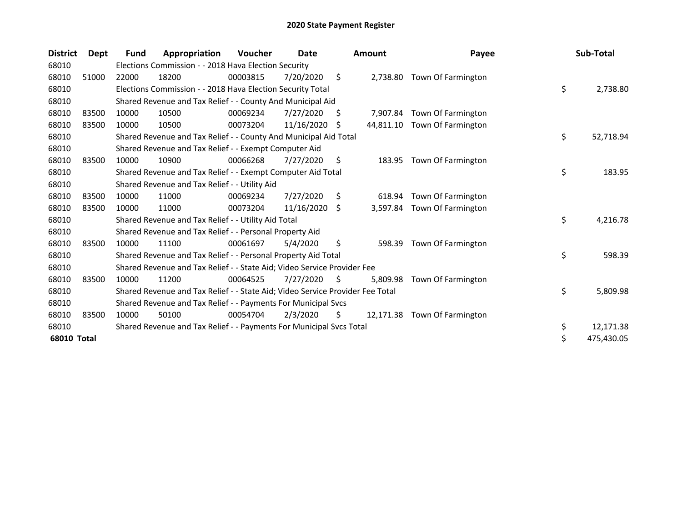| <b>District</b> | Dept  | Fund  | Appropriation                                                                 | <b>Voucher</b> | Date       |     | <b>Amount</b> | Payee                       | Sub-Total        |
|-----------------|-------|-------|-------------------------------------------------------------------------------|----------------|------------|-----|---------------|-----------------------------|------------------|
| 68010           |       |       | Elections Commission - - 2018 Hava Election Security                          |                |            |     |               |                             |                  |
| 68010           | 51000 | 22000 | 18200                                                                         | 00003815       | 7/20/2020  | \$. |               | 2,738.80 Town Of Farmington |                  |
| 68010           |       |       | Elections Commission - - 2018 Hava Election Security Total                    |                |            |     |               |                             | \$<br>2,738.80   |
| 68010           |       |       | Shared Revenue and Tax Relief - - County And Municipal Aid                    |                |            |     |               |                             |                  |
| 68010           | 83500 | 10000 | 10500                                                                         | 00069234       | 7/27/2020  | \$  | 7,907.84      | Town Of Farmington          |                  |
| 68010           | 83500 | 10000 | 10500                                                                         | 00073204       | 11/16/2020 | S.  | 44,811.10     | Town Of Farmington          |                  |
| 68010           |       |       | Shared Revenue and Tax Relief - - County And Municipal Aid Total              |                |            |     |               |                             | \$<br>52,718.94  |
| 68010           |       |       | Shared Revenue and Tax Relief - - Exempt Computer Aid                         |                |            |     |               |                             |                  |
| 68010           | 83500 | 10000 | 10900                                                                         | 00066268       | 7/27/2020  | \$  | 183.95        | Town Of Farmington          |                  |
| 68010           |       |       | Shared Revenue and Tax Relief - - Exempt Computer Aid Total                   |                |            |     |               |                             | \$<br>183.95     |
| 68010           |       |       | Shared Revenue and Tax Relief - - Utility Aid                                 |                |            |     |               |                             |                  |
| 68010           | 83500 | 10000 | 11000                                                                         | 00069234       | 7/27/2020  | S   | 618.94        | Town Of Farmington          |                  |
| 68010           | 83500 | 10000 | 11000                                                                         | 00073204       | 11/16/2020 | Ŝ.  |               | 3,597.84 Town Of Farmington |                  |
| 68010           |       |       | Shared Revenue and Tax Relief - - Utility Aid Total                           |                |            |     |               |                             | \$<br>4,216.78   |
| 68010           |       |       | Shared Revenue and Tax Relief - - Personal Property Aid                       |                |            |     |               |                             |                  |
| 68010           | 83500 | 10000 | 11100                                                                         | 00061697       | 5/4/2020   | \$  | 598.39        | Town Of Farmington          |                  |
| 68010           |       |       | Shared Revenue and Tax Relief - - Personal Property Aid Total                 |                |            |     |               |                             | \$<br>598.39     |
| 68010           |       |       | Shared Revenue and Tax Relief - - State Aid; Video Service Provider Fee       |                |            |     |               |                             |                  |
| 68010           | 83500 | 10000 | 11200                                                                         | 00064525       | 7/27/2020  | S.  | 5,809.98      | Town Of Farmington          |                  |
| 68010           |       |       | Shared Revenue and Tax Relief - - State Aid; Video Service Provider Fee Total |                |            |     |               |                             | \$<br>5,809.98   |
| 68010           |       |       | Shared Revenue and Tax Relief - - Payments For Municipal Svcs                 |                |            |     |               |                             |                  |
| 68010           | 83500 | 10000 | 50100                                                                         | 00054704       | 2/3/2020   | \$. | 12,171.38     | Town Of Farmington          |                  |
| 68010           |       |       | Shared Revenue and Tax Relief - - Payments For Municipal Svcs Total           |                |            |     |               |                             | \$<br>12,171.38  |
| 68010 Total     |       |       |                                                                               |                |            |     |               |                             | \$<br>475,430.05 |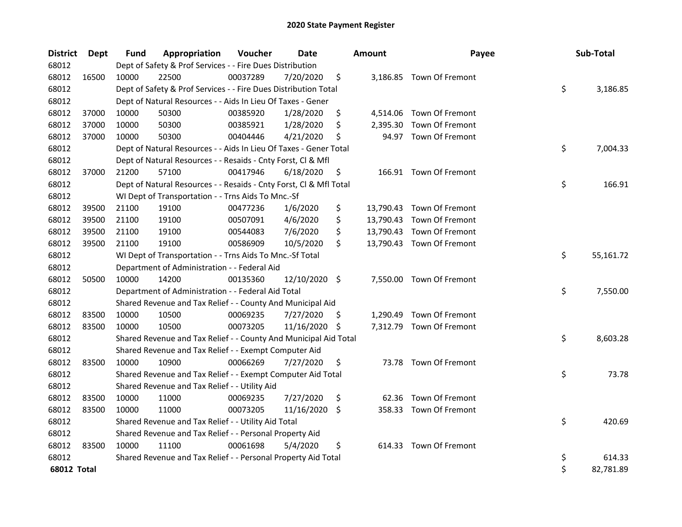| <b>District</b>    | <b>Dept</b> | <b>Fund</b> | Appropriation                                                      | Voucher  | Date          | <b>Amount</b> | Payee                     | Sub-Total       |
|--------------------|-------------|-------------|--------------------------------------------------------------------|----------|---------------|---------------|---------------------------|-----------------|
| 68012              |             |             | Dept of Safety & Prof Services - - Fire Dues Distribution          |          |               |               |                           |                 |
| 68012              | 16500       | 10000       | 22500                                                              | 00037289 | 7/20/2020     | \$            | 3,186.85 Town Of Fremont  |                 |
| 68012              |             |             | Dept of Safety & Prof Services - - Fire Dues Distribution Total    |          |               |               |                           | \$<br>3,186.85  |
| 68012              |             |             | Dept of Natural Resources - - Aids In Lieu Of Taxes - Gener        |          |               |               |                           |                 |
| 68012              | 37000       | 10000       | 50300                                                              | 00385920 | 1/28/2020     | \$            | 4,514.06 Town Of Fremont  |                 |
| 68012              | 37000       | 10000       | 50300                                                              | 00385921 | 1/28/2020     | \$            | 2,395.30 Town Of Fremont  |                 |
| 68012              | 37000       | 10000       | 50300                                                              | 00404446 | 4/21/2020     | \$            | 94.97 Town Of Fremont     |                 |
| 68012              |             |             | Dept of Natural Resources - - Aids In Lieu Of Taxes - Gener Total  |          |               |               |                           | \$<br>7,004.33  |
| 68012              |             |             | Dept of Natural Resources - - Resaids - Cnty Forst, Cl & Mfl       |          |               |               |                           |                 |
| 68012              | 37000       | 21200       | 57100                                                              | 00417946 | 6/18/2020     | \$            | 166.91 Town Of Fremont    |                 |
| 68012              |             |             | Dept of Natural Resources - - Resaids - Cnty Forst, Cl & Mfl Total |          |               |               |                           | \$<br>166.91    |
| 68012              |             |             | WI Dept of Transportation - - Trns Aids To Mnc.-Sf                 |          |               |               |                           |                 |
| 68012              | 39500       | 21100       | 19100                                                              | 00477236 | 1/6/2020      | \$            | 13,790.43 Town Of Fremont |                 |
| 68012              | 39500       | 21100       | 19100                                                              | 00507091 | 4/6/2020      | \$            | 13,790.43 Town Of Fremont |                 |
| 68012              | 39500       | 21100       | 19100                                                              | 00544083 | 7/6/2020      | \$            | 13,790.43 Town Of Fremont |                 |
| 68012              | 39500       | 21100       | 19100                                                              | 00586909 | 10/5/2020     | \$            | 13,790.43 Town Of Fremont |                 |
| 68012              |             |             | WI Dept of Transportation - - Trns Aids To Mnc.-Sf Total           |          |               |               |                           | \$<br>55,161.72 |
| 68012              |             |             | Department of Administration - - Federal Aid                       |          |               |               |                           |                 |
| 68012              | 50500       | 10000       | 14200                                                              | 00135360 | 12/10/2020 \$ |               | 7,550.00 Town Of Fremont  |                 |
| 68012              |             |             | Department of Administration - - Federal Aid Total                 |          |               |               |                           | \$<br>7,550.00  |
| 68012              |             |             | Shared Revenue and Tax Relief - - County And Municipal Aid         |          |               |               |                           |                 |
| 68012              | 83500       | 10000       | 10500                                                              | 00069235 | 7/27/2020     | \$            | 1,290.49 Town Of Fremont  |                 |
| 68012              | 83500       | 10000       | 10500                                                              | 00073205 | 11/16/2020 \$ |               | 7,312.79 Town Of Fremont  |                 |
| 68012              |             |             | Shared Revenue and Tax Relief - - County And Municipal Aid Total   |          |               |               |                           | \$<br>8,603.28  |
| 68012              |             |             | Shared Revenue and Tax Relief - - Exempt Computer Aid              |          |               |               |                           |                 |
| 68012              | 83500       | 10000       | 10900                                                              | 00066269 | 7/27/2020     | \$            | 73.78 Town Of Fremont     |                 |
| 68012              |             |             | Shared Revenue and Tax Relief - - Exempt Computer Aid Total        |          |               |               |                           | \$<br>73.78     |
| 68012              |             |             | Shared Revenue and Tax Relief - - Utility Aid                      |          |               |               |                           |                 |
| 68012              | 83500       | 10000       | 11000                                                              | 00069235 | 7/27/2020     | \$<br>62.36   | Town Of Fremont           |                 |
| 68012              | 83500       | 10000       | 11000                                                              | 00073205 | 11/16/2020    | \$            | 358.33 Town Of Fremont    |                 |
| 68012              |             |             | Shared Revenue and Tax Relief - - Utility Aid Total                |          |               |               |                           | \$<br>420.69    |
| 68012              |             |             | Shared Revenue and Tax Relief - - Personal Property Aid            |          |               |               |                           |                 |
| 68012              | 83500       | 10000       | 11100                                                              | 00061698 | 5/4/2020      | \$            | 614.33 Town Of Fremont    |                 |
| 68012              |             |             | Shared Revenue and Tax Relief - - Personal Property Aid Total      |          |               |               |                           | \$<br>614.33    |
| <b>68012 Total</b> |             |             |                                                                    |          |               |               |                           | \$<br>82,781.89 |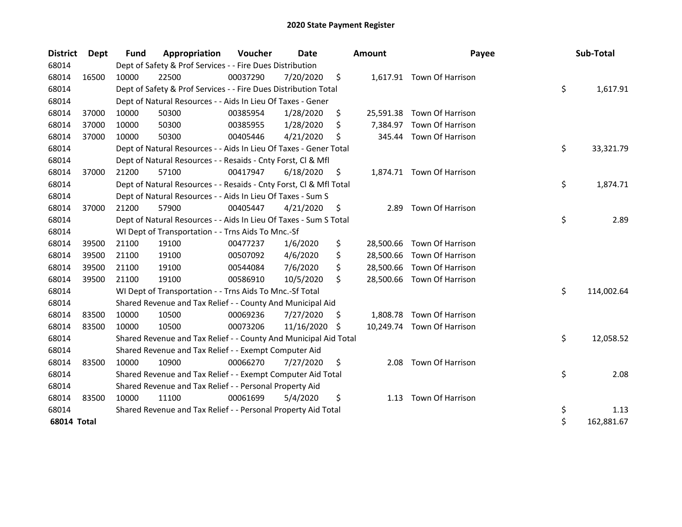| <b>District</b> | <b>Dept</b> | <b>Fund</b> | Appropriation                                                      | Voucher  | Date       |    | Amount    | Payee                      | Sub-Total        |
|-----------------|-------------|-------------|--------------------------------------------------------------------|----------|------------|----|-----------|----------------------------|------------------|
| 68014           |             |             | Dept of Safety & Prof Services - - Fire Dues Distribution          |          |            |    |           |                            |                  |
| 68014           | 16500       | 10000       | 22500                                                              | 00037290 | 7/20/2020  | \$ |           | 1,617.91 Town Of Harrison  |                  |
| 68014           |             |             | Dept of Safety & Prof Services - - Fire Dues Distribution Total    |          |            |    |           |                            | \$<br>1,617.91   |
| 68014           |             |             | Dept of Natural Resources - - Aids In Lieu Of Taxes - Gener        |          |            |    |           |                            |                  |
| 68014           | 37000       | 10000       | 50300                                                              | 00385954 | 1/28/2020  | \$ | 25,591.38 | Town Of Harrison           |                  |
| 68014           | 37000       | 10000       | 50300                                                              | 00385955 | 1/28/2020  | \$ | 7,384.97  | Town Of Harrison           |                  |
| 68014           | 37000       | 10000       | 50300                                                              | 00405446 | 4/21/2020  | \$ |           | 345.44 Town Of Harrison    |                  |
| 68014           |             |             | Dept of Natural Resources - - Aids In Lieu Of Taxes - Gener Total  |          |            |    |           |                            | \$<br>33,321.79  |
| 68014           |             |             | Dept of Natural Resources - - Resaids - Cnty Forst, Cl & Mfl       |          |            |    |           |                            |                  |
| 68014           | 37000       | 21200       | 57100                                                              | 00417947 | 6/18/2020  | \$ |           | 1,874.71 Town Of Harrison  |                  |
| 68014           |             |             | Dept of Natural Resources - - Resaids - Cnty Forst, Cl & Mfl Total |          |            |    |           |                            | \$<br>1,874.71   |
| 68014           |             |             | Dept of Natural Resources - - Aids In Lieu Of Taxes - Sum S        |          |            |    |           |                            |                  |
| 68014           | 37000       | 21200       | 57900                                                              | 00405447 | 4/21/2020  | \$ | 2.89      | Town Of Harrison           |                  |
| 68014           |             |             | Dept of Natural Resources - - Aids In Lieu Of Taxes - Sum S Total  |          |            |    |           |                            | \$<br>2.89       |
| 68014           |             |             | WI Dept of Transportation - - Trns Aids To Mnc.-Sf                 |          |            |    |           |                            |                  |
| 68014           | 39500       | 21100       | 19100                                                              | 00477237 | 1/6/2020   | \$ |           | 28,500.66 Town Of Harrison |                  |
| 68014           | 39500       | 21100       | 19100                                                              | 00507092 | 4/6/2020   | \$ |           | 28,500.66 Town Of Harrison |                  |
| 68014           | 39500       | 21100       | 19100                                                              | 00544084 | 7/6/2020   | \$ |           | 28,500.66 Town Of Harrison |                  |
| 68014           | 39500       | 21100       | 19100                                                              | 00586910 | 10/5/2020  | \$ |           | 28,500.66 Town Of Harrison |                  |
| 68014           |             |             | WI Dept of Transportation - - Trns Aids To Mnc.-Sf Total           |          |            |    |           |                            | \$<br>114,002.64 |
| 68014           |             |             | Shared Revenue and Tax Relief - - County And Municipal Aid         |          |            |    |           |                            |                  |
| 68014           | 83500       | 10000       | 10500                                                              | 00069236 | 7/27/2020  | \$ | 1,808.78  | Town Of Harrison           |                  |
| 68014           | 83500       | 10000       | 10500                                                              | 00073206 | 11/16/2020 | S  |           | 10,249.74 Town Of Harrison |                  |
| 68014           |             |             | Shared Revenue and Tax Relief - - County And Municipal Aid Total   |          |            |    |           |                            | \$<br>12,058.52  |
| 68014           |             |             | Shared Revenue and Tax Relief - - Exempt Computer Aid              |          |            |    |           |                            |                  |
| 68014           | 83500       | 10000       | 10900                                                              | 00066270 | 7/27/2020  | \$ | 2.08      | Town Of Harrison           |                  |
| 68014           |             |             | Shared Revenue and Tax Relief - - Exempt Computer Aid Total        |          |            |    |           |                            | \$<br>2.08       |
| 68014           |             |             | Shared Revenue and Tax Relief - - Personal Property Aid            |          |            |    |           |                            |                  |
| 68014           | 83500       | 10000       | 11100                                                              | 00061699 | 5/4/2020   | \$ | 1.13      | Town Of Harrison           |                  |
| 68014           |             |             | Shared Revenue and Tax Relief - - Personal Property Aid Total      |          |            |    |           |                            | \$<br>1.13       |
| 68014 Total     |             |             |                                                                    |          |            |    |           |                            | \$<br>162,881.67 |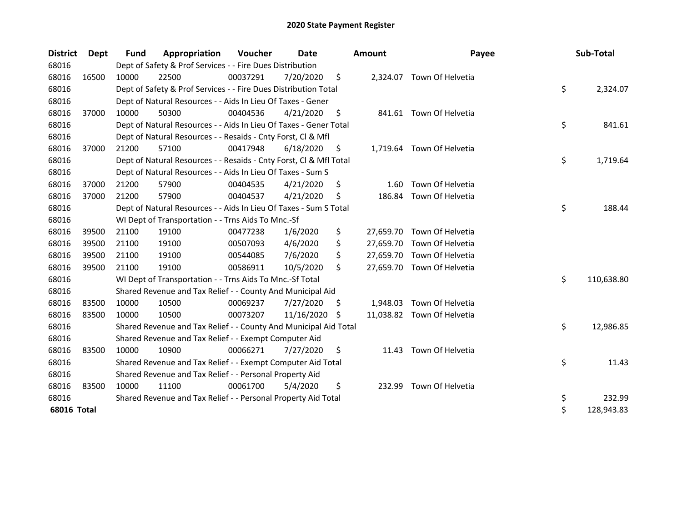| <b>District</b> | <b>Dept</b> | <b>Fund</b> | Appropriation                                                      | Voucher  | Date       |     | <b>Amount</b> | Payee                      | Sub-Total        |
|-----------------|-------------|-------------|--------------------------------------------------------------------|----------|------------|-----|---------------|----------------------------|------------------|
| 68016           |             |             | Dept of Safety & Prof Services - - Fire Dues Distribution          |          |            |     |               |                            |                  |
| 68016           | 16500       | 10000       | 22500                                                              | 00037291 | 7/20/2020  | \$  |               | 2,324.07 Town Of Helvetia  |                  |
| 68016           |             |             | Dept of Safety & Prof Services - - Fire Dues Distribution Total    |          |            |     |               |                            | \$<br>2,324.07   |
| 68016           |             |             | Dept of Natural Resources - - Aids In Lieu Of Taxes - Gener        |          |            |     |               |                            |                  |
| 68016           | 37000       | 10000       | 50300                                                              | 00404536 | 4/21/2020  | \$  |               | 841.61 Town Of Helvetia    |                  |
| 68016           |             |             | Dept of Natural Resources - - Aids In Lieu Of Taxes - Gener Total  |          |            |     |               |                            | \$<br>841.61     |
| 68016           |             |             | Dept of Natural Resources - - Resaids - Cnty Forst, Cl & Mfl       |          |            |     |               |                            |                  |
| 68016           | 37000       | 21200       | 57100                                                              | 00417948 | 6/18/2020  | \$  |               | 1,719.64 Town Of Helvetia  |                  |
| 68016           |             |             | Dept of Natural Resources - - Resaids - Cnty Forst, Cl & Mfl Total |          |            |     |               |                            | \$<br>1,719.64   |
| 68016           |             |             | Dept of Natural Resources - - Aids In Lieu Of Taxes - Sum S        |          |            |     |               |                            |                  |
| 68016           | 37000       | 21200       | 57900                                                              | 00404535 | 4/21/2020  | \$  | 1.60          | Town Of Helvetia           |                  |
| 68016           | 37000       | 21200       | 57900                                                              | 00404537 | 4/21/2020  | Ś   | 186.84        | Town Of Helvetia           |                  |
| 68016           |             |             | Dept of Natural Resources - - Aids In Lieu Of Taxes - Sum S Total  |          |            |     |               |                            | \$<br>188.44     |
| 68016           |             |             | WI Dept of Transportation - - Trns Aids To Mnc.-Sf                 |          |            |     |               |                            |                  |
| 68016           | 39500       | 21100       | 19100                                                              | 00477238 | 1/6/2020   | \$  |               | 27,659.70 Town Of Helvetia |                  |
| 68016           | 39500       | 21100       | 19100                                                              | 00507093 | 4/6/2020   | \$  |               | 27,659.70 Town Of Helvetia |                  |
| 68016           | 39500       | 21100       | 19100                                                              | 00544085 | 7/6/2020   | \$  |               | 27,659.70 Town Of Helvetia |                  |
| 68016           | 39500       | 21100       | 19100                                                              | 00586911 | 10/5/2020  | \$  |               | 27,659.70 Town Of Helvetia |                  |
| 68016           |             |             | WI Dept of Transportation - - Trns Aids To Mnc.-Sf Total           |          |            |     |               |                            | \$<br>110,638.80 |
| 68016           |             |             | Shared Revenue and Tax Relief - - County And Municipal Aid         |          |            |     |               |                            |                  |
| 68016           | 83500       | 10000       | 10500                                                              | 00069237 | 7/27/2020  | \$. |               | 1,948.03 Town Of Helvetia  |                  |
| 68016           | 83500       | 10000       | 10500                                                              | 00073207 | 11/16/2020 | .\$ |               | 11,038.82 Town Of Helvetia |                  |
| 68016           |             |             | Shared Revenue and Tax Relief - - County And Municipal Aid Total   |          |            |     |               |                            | \$<br>12,986.85  |
| 68016           |             |             | Shared Revenue and Tax Relief - - Exempt Computer Aid              |          |            |     |               |                            |                  |
| 68016           | 83500       | 10000       | 10900                                                              | 00066271 | 7/27/2020  | \$  | 11.43         | Town Of Helvetia           |                  |
| 68016           |             |             | Shared Revenue and Tax Relief - - Exempt Computer Aid Total        |          |            |     |               |                            | \$<br>11.43      |
| 68016           |             |             | Shared Revenue and Tax Relief - - Personal Property Aid            |          |            |     |               |                            |                  |
| 68016           | 83500       | 10000       | 11100                                                              | 00061700 | 5/4/2020   | \$  | 232.99        | Town Of Helvetia           |                  |
| 68016           |             |             | Shared Revenue and Tax Relief - - Personal Property Aid Total      |          |            |     |               |                            | \$<br>232.99     |
| 68016 Total     |             |             |                                                                    |          |            |     |               |                            | \$<br>128,943.83 |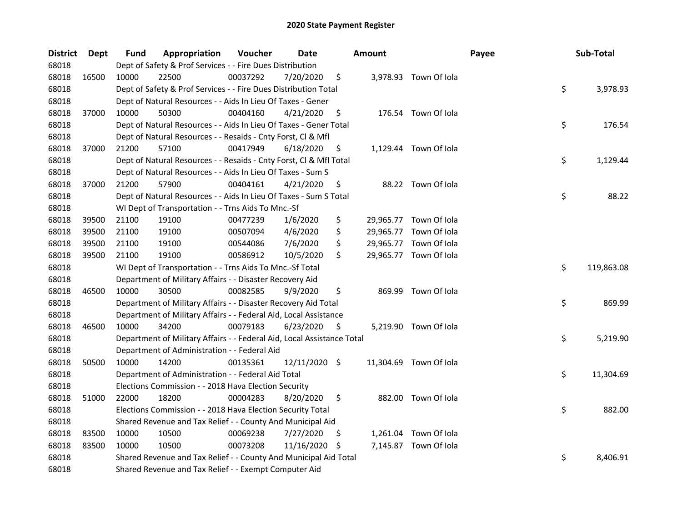| <b>District</b> | Dept  | Fund  | Appropriation                                                          | Voucher  | <b>Date</b>   |     | <b>Amount</b> |                        | Payee | Sub-Total        |
|-----------------|-------|-------|------------------------------------------------------------------------|----------|---------------|-----|---------------|------------------------|-------|------------------|
| 68018           |       |       | Dept of Safety & Prof Services - - Fire Dues Distribution              |          |               |     |               |                        |       |                  |
| 68018           | 16500 | 10000 | 22500                                                                  | 00037292 | 7/20/2020     | \$  |               | 3,978.93 Town Of Iola  |       |                  |
| 68018           |       |       | Dept of Safety & Prof Services - - Fire Dues Distribution Total        |          |               |     |               |                        |       | \$<br>3,978.93   |
| 68018           |       |       | Dept of Natural Resources - - Aids In Lieu Of Taxes - Gener            |          |               |     |               |                        |       |                  |
| 68018           | 37000 | 10000 | 50300                                                                  | 00404160 | 4/21/2020     | \$  |               | 176.54 Town Of Iola    |       |                  |
| 68018           |       |       | Dept of Natural Resources - - Aids In Lieu Of Taxes - Gener Total      |          |               |     |               |                        |       | \$<br>176.54     |
| 68018           |       |       | Dept of Natural Resources - - Resaids - Cnty Forst, Cl & Mfl           |          |               |     |               |                        |       |                  |
| 68018           | 37000 | 21200 | 57100                                                                  | 00417949 | 6/18/2020     | \$  |               | 1,129.44 Town Of Iola  |       |                  |
| 68018           |       |       | Dept of Natural Resources - - Resaids - Cnty Forst, Cl & Mfl Total     |          |               |     |               |                        |       | \$<br>1,129.44   |
| 68018           |       |       | Dept of Natural Resources - - Aids In Lieu Of Taxes - Sum S            |          |               |     |               |                        |       |                  |
| 68018           | 37000 | 21200 | 57900                                                                  | 00404161 | 4/21/2020     | \$  |               | 88.22 Town Of Iola     |       |                  |
| 68018           |       |       | Dept of Natural Resources - - Aids In Lieu Of Taxes - Sum S Total      |          |               |     |               |                        |       | \$<br>88.22      |
| 68018           |       |       | WI Dept of Transportation - - Trns Aids To Mnc.-Sf                     |          |               |     |               |                        |       |                  |
| 68018           | 39500 | 21100 | 19100                                                                  | 00477239 | 1/6/2020      | \$  |               | 29,965.77 Town Of Iola |       |                  |
| 68018           | 39500 | 21100 | 19100                                                                  | 00507094 | 4/6/2020      | \$  |               | 29,965.77 Town Of Iola |       |                  |
| 68018           | 39500 | 21100 | 19100                                                                  | 00544086 | 7/6/2020      | \$  |               | 29,965.77 Town Of Iola |       |                  |
| 68018           | 39500 | 21100 | 19100                                                                  | 00586912 | 10/5/2020     | \$  |               | 29,965.77 Town Of Iola |       |                  |
| 68018           |       |       | WI Dept of Transportation - - Trns Aids To Mnc.-Sf Total               |          |               |     |               |                        |       | \$<br>119,863.08 |
| 68018           |       |       | Department of Military Affairs - - Disaster Recovery Aid               |          |               |     |               |                        |       |                  |
| 68018           | 46500 | 10000 | 30500                                                                  | 00082585 | 9/9/2020      | \$  | 869.99        | Town Of Iola           |       |                  |
| 68018           |       |       | Department of Military Affairs - - Disaster Recovery Aid Total         |          |               |     |               |                        |       | \$<br>869.99     |
| 68018           |       |       | Department of Military Affairs - - Federal Aid, Local Assistance       |          |               |     |               |                        |       |                  |
| 68018           | 46500 | 10000 | 34200                                                                  | 00079183 | 6/23/2020     | \$  |               | 5,219.90 Town Of Iola  |       |                  |
| 68018           |       |       | Department of Military Affairs - - Federal Aid, Local Assistance Total |          |               |     |               |                        |       | \$<br>5,219.90   |
| 68018           |       |       | Department of Administration - - Federal Aid                           |          |               |     |               |                        |       |                  |
| 68018           | 50500 | 10000 | 14200                                                                  | 00135361 | 12/11/2020 \$ |     |               | 11,304.69 Town Of Iola |       |                  |
| 68018           |       |       | Department of Administration - - Federal Aid Total                     |          |               |     |               |                        |       | \$<br>11,304.69  |
| 68018           |       |       | Elections Commission - - 2018 Hava Election Security                   |          |               |     |               |                        |       |                  |
| 68018           | 51000 | 22000 | 18200                                                                  | 00004283 | 8/20/2020     | \$  |               | 882.00 Town Of Iola    |       |                  |
| 68018           |       |       | Elections Commission - - 2018 Hava Election Security Total             |          |               |     |               |                        |       | \$<br>882.00     |
| 68018           |       |       | Shared Revenue and Tax Relief - - County And Municipal Aid             |          |               |     |               |                        |       |                  |
| 68018           | 83500 | 10000 | 10500                                                                  | 00069238 | 7/27/2020     | \$. |               | 1,261.04 Town Of Iola  |       |                  |
| 68018           | 83500 | 10000 | 10500                                                                  | 00073208 | 11/16/2020    | S   |               | 7,145.87 Town Of Iola  |       |                  |
| 68018           |       |       | Shared Revenue and Tax Relief - - County And Municipal Aid Total       |          |               |     |               |                        |       | \$<br>8,406.91   |
| 68018           |       |       | Shared Revenue and Tax Relief - - Exempt Computer Aid                  |          |               |     |               |                        |       |                  |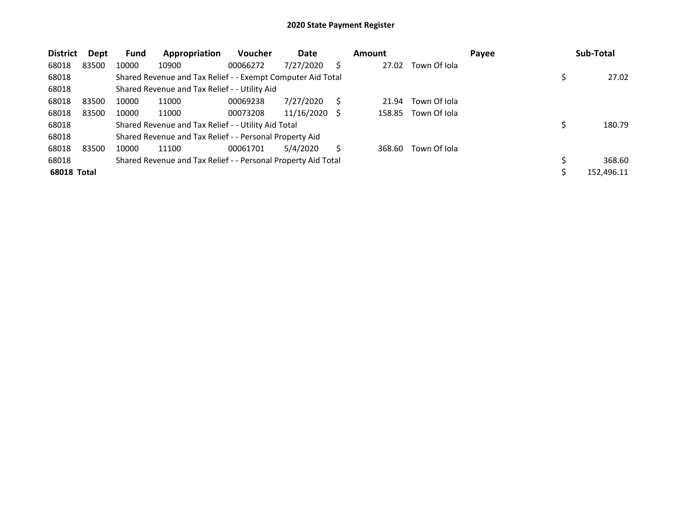| <b>District</b> | Dept  | Fund  | Appropriation                                                 | <b>Voucher</b> | Date       |   | Amount |              | Payee | Sub-Total    |
|-----------------|-------|-------|---------------------------------------------------------------|----------------|------------|---|--------|--------------|-------|--------------|
| 68018           | 83500 | 10000 | 10900                                                         | 00066272       | 7/27/2020  | S | 27.02  | Town Of Iola |       |              |
| 68018           |       |       | Shared Revenue and Tax Relief - - Exempt Computer Aid Total   |                |            |   |        |              |       | 27.02        |
| 68018           |       |       | Shared Revenue and Tax Relief - - Utility Aid                 |                |            |   |        |              |       |              |
| 68018           | 83500 | 10000 | 11000                                                         | 00069238       | 7/27/2020  | S | 21.94  | Town Of Iola |       |              |
| 68018           | 83500 | 10000 | 11000                                                         | 00073208       | 11/16/2020 |   | 158.85 | Town Of Iola |       |              |
| 68018           |       |       | Shared Revenue and Tax Relief - - Utility Aid Total           |                |            |   |        |              |       | \$<br>180.79 |
| 68018           |       |       | Shared Revenue and Tax Relief - - Personal Property Aid       |                |            |   |        |              |       |              |
| 68018           | 83500 | 10000 | 11100                                                         | 00061701       | 5/4/2020   |   | 368.60 | Town Of Iola |       |              |
| 68018           |       |       | Shared Revenue and Tax Relief - - Personal Property Aid Total |                |            |   |        |              |       | 368.60       |
| 68018 Total     |       |       |                                                               |                |            |   |        |              |       | 152,496.11   |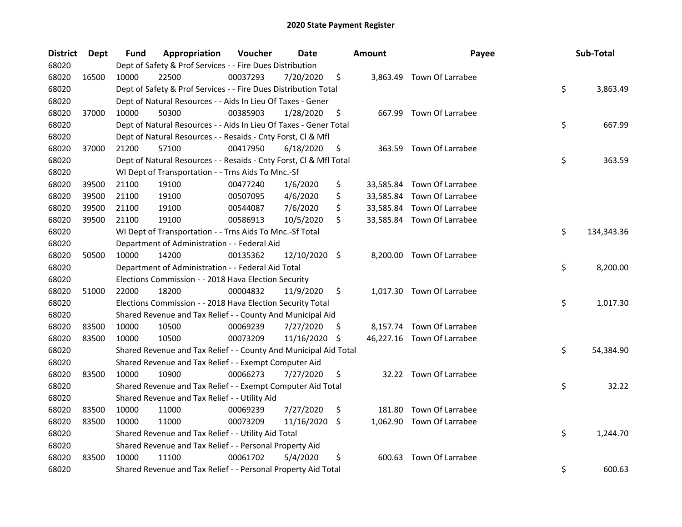| <b>District</b> | <b>Dept</b> | Fund  | Appropriation                                                      | Voucher  | <b>Date</b>   |     | <b>Amount</b> | Payee                      | Sub-Total        |
|-----------------|-------------|-------|--------------------------------------------------------------------|----------|---------------|-----|---------------|----------------------------|------------------|
| 68020           |             |       | Dept of Safety & Prof Services - - Fire Dues Distribution          |          |               |     |               |                            |                  |
| 68020           | 16500       | 10000 | 22500                                                              | 00037293 | 7/20/2020     | \$  |               | 3,863.49 Town Of Larrabee  |                  |
| 68020           |             |       | Dept of Safety & Prof Services - - Fire Dues Distribution Total    |          |               |     |               |                            | \$<br>3,863.49   |
| 68020           |             |       | Dept of Natural Resources - - Aids In Lieu Of Taxes - Gener        |          |               |     |               |                            |                  |
| 68020           | 37000       | 10000 | 50300                                                              | 00385903 | 1/28/2020     | \$  |               | 667.99 Town Of Larrabee    |                  |
| 68020           |             |       | Dept of Natural Resources - - Aids In Lieu Of Taxes - Gener Total  |          |               |     |               |                            | \$<br>667.99     |
| 68020           |             |       | Dept of Natural Resources - - Resaids - Cnty Forst, Cl & Mfl       |          |               |     |               |                            |                  |
| 68020           | 37000       | 21200 | 57100                                                              | 00417950 | 6/18/2020     | \$  |               | 363.59 Town Of Larrabee    |                  |
| 68020           |             |       | Dept of Natural Resources - - Resaids - Cnty Forst, Cl & Mfl Total |          |               |     |               |                            | \$<br>363.59     |
| 68020           |             |       | WI Dept of Transportation - - Trns Aids To Mnc.-Sf                 |          |               |     |               |                            |                  |
| 68020           | 39500       | 21100 | 19100                                                              | 00477240 | 1/6/2020      | \$  |               | 33,585.84 Town Of Larrabee |                  |
| 68020           | 39500       | 21100 | 19100                                                              | 00507095 | 4/6/2020      | \$  |               | 33,585.84 Town Of Larrabee |                  |
| 68020           | 39500       | 21100 | 19100                                                              | 00544087 | 7/6/2020      | \$  |               | 33,585.84 Town Of Larrabee |                  |
| 68020           | 39500       | 21100 | 19100                                                              | 00586913 | 10/5/2020     | \$  |               | 33,585.84 Town Of Larrabee |                  |
| 68020           |             |       | WI Dept of Transportation - - Trns Aids To Mnc.-Sf Total           |          |               |     |               |                            | \$<br>134,343.36 |
| 68020           |             |       | Department of Administration - - Federal Aid                       |          |               |     |               |                            |                  |
| 68020           | 50500       | 10000 | 14200                                                              | 00135362 | 12/10/2020 \$ |     |               | 8,200.00 Town Of Larrabee  |                  |
| 68020           |             |       | Department of Administration - - Federal Aid Total                 |          |               |     |               |                            | \$<br>8,200.00   |
| 68020           |             |       | Elections Commission - - 2018 Hava Election Security               |          |               |     |               |                            |                  |
| 68020           | 51000       | 22000 | 18200                                                              | 00004832 | 11/9/2020     | \$  |               | 1,017.30 Town Of Larrabee  |                  |
| 68020           |             |       | Elections Commission - - 2018 Hava Election Security Total         |          |               |     |               |                            | \$<br>1,017.30   |
| 68020           |             |       | Shared Revenue and Tax Relief - - County And Municipal Aid         |          |               |     |               |                            |                  |
| 68020           | 83500       | 10000 | 10500                                                              | 00069239 | 7/27/2020     | \$. |               | 8,157.74 Town Of Larrabee  |                  |
| 68020           | 83500       | 10000 | 10500                                                              | 00073209 | 11/16/2020    | \$  |               | 46,227.16 Town Of Larrabee |                  |
| 68020           |             |       | Shared Revenue and Tax Relief - - County And Municipal Aid Total   |          |               |     |               |                            | \$<br>54,384.90  |
| 68020           |             |       | Shared Revenue and Tax Relief - - Exempt Computer Aid              |          |               |     |               |                            |                  |
| 68020           | 83500       | 10000 | 10900                                                              | 00066273 | 7/27/2020     | \$  |               | 32.22 Town Of Larrabee     |                  |
| 68020           |             |       | Shared Revenue and Tax Relief - - Exempt Computer Aid Total        |          |               |     |               |                            | \$<br>32.22      |
| 68020           |             |       | Shared Revenue and Tax Relief - - Utility Aid                      |          |               |     |               |                            |                  |
| 68020           | 83500       | 10000 | 11000                                                              | 00069239 | 7/27/2020     | \$  | 181.80        | Town Of Larrabee           |                  |
| 68020           | 83500       | 10000 | 11000                                                              | 00073209 | 11/16/2020    | \$  |               | 1,062.90 Town Of Larrabee  |                  |
| 68020           |             |       | Shared Revenue and Tax Relief - - Utility Aid Total                |          |               |     |               |                            | \$<br>1,244.70   |
| 68020           |             |       | Shared Revenue and Tax Relief - - Personal Property Aid            |          |               |     |               |                            |                  |
| 68020           | 83500       | 10000 | 11100                                                              | 00061702 | 5/4/2020      | \$  |               | 600.63 Town Of Larrabee    |                  |
| 68020           |             |       | Shared Revenue and Tax Relief - - Personal Property Aid Total      |          |               |     |               |                            | \$<br>600.63     |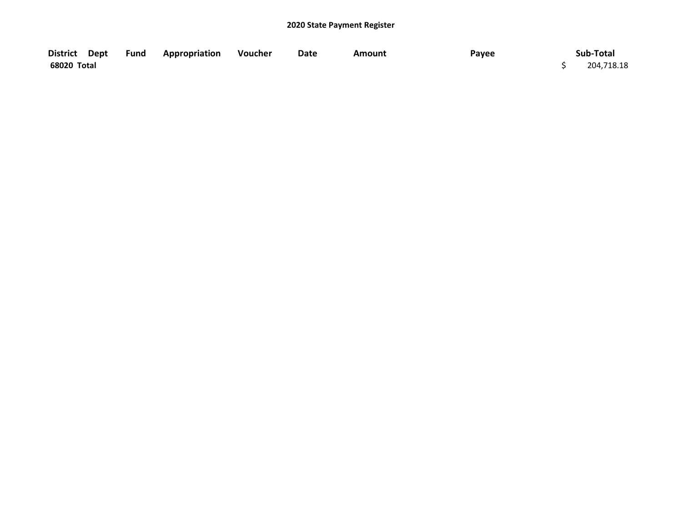| District Dept | Fund | <b>Appropriation</b> | Voucher | Date | Amount | Payee | Sub-Total  |
|---------------|------|----------------------|---------|------|--------|-------|------------|
| 68020 Total   |      |                      |         |      |        |       | 204,718.18 |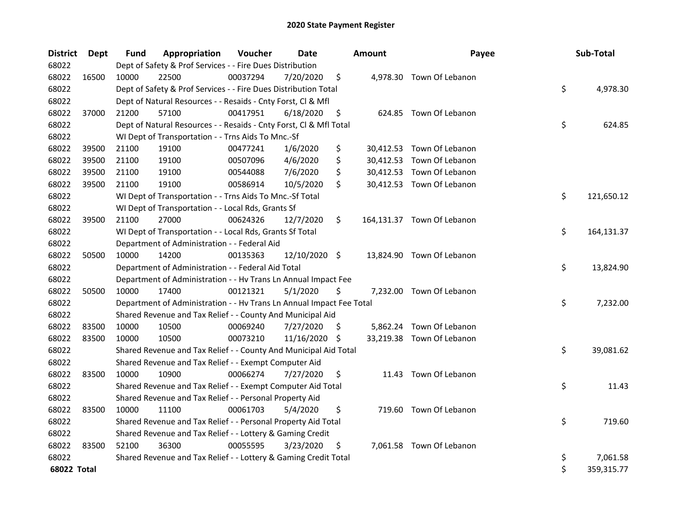| <b>District</b> | <b>Dept</b> | <b>Fund</b> | Appropriation                                                        | Voucher  | Date          |     | Amount | Payee                      | Sub-Total        |
|-----------------|-------------|-------------|----------------------------------------------------------------------|----------|---------------|-----|--------|----------------------------|------------------|
| 68022           |             |             | Dept of Safety & Prof Services - - Fire Dues Distribution            |          |               |     |        |                            |                  |
| 68022           | 16500       | 10000       | 22500                                                                | 00037294 | 7/20/2020     | \$  |        | 4,978.30 Town Of Lebanon   |                  |
| 68022           |             |             | Dept of Safety & Prof Services - - Fire Dues Distribution Total      |          |               |     |        |                            | \$<br>4,978.30   |
| 68022           |             |             | Dept of Natural Resources - - Resaids - Cnty Forst, Cl & Mfl         |          |               |     |        |                            |                  |
| 68022           | 37000       | 21200       | 57100                                                                | 00417951 | 6/18/2020     | \$  |        | 624.85 Town Of Lebanon     |                  |
| 68022           |             |             | Dept of Natural Resources - - Resaids - Cnty Forst, Cl & Mfl Total   |          |               |     |        |                            | \$<br>624.85     |
| 68022           |             |             | WI Dept of Transportation - - Trns Aids To Mnc.-Sf                   |          |               |     |        |                            |                  |
| 68022           | 39500       | 21100       | 19100                                                                | 00477241 | 1/6/2020      | \$  |        | 30,412.53 Town Of Lebanon  |                  |
| 68022           | 39500       | 21100       | 19100                                                                | 00507096 | 4/6/2020      | \$  |        | 30,412.53 Town Of Lebanon  |                  |
| 68022           | 39500       | 21100       | 19100                                                                | 00544088 | 7/6/2020      | \$  |        | 30,412.53 Town Of Lebanon  |                  |
| 68022           | 39500       | 21100       | 19100                                                                | 00586914 | 10/5/2020     | \$  |        | 30,412.53 Town Of Lebanon  |                  |
| 68022           |             |             | WI Dept of Transportation - - Trns Aids To Mnc.-Sf Total             |          |               |     |        |                            | \$<br>121,650.12 |
| 68022           |             |             | WI Dept of Transportation - - Local Rds, Grants Sf                   |          |               |     |        |                            |                  |
| 68022           | 39500       | 21100       | 27000                                                                | 00624326 | 12/7/2020     | \$  |        | 164,131.37 Town Of Lebanon |                  |
| 68022           |             |             | WI Dept of Transportation - - Local Rds, Grants Sf Total             |          |               |     |        |                            | \$<br>164,131.37 |
| 68022           |             |             | Department of Administration - - Federal Aid                         |          |               |     |        |                            |                  |
| 68022           | 50500       | 10000       | 14200                                                                | 00135363 | 12/10/2020 \$ |     |        | 13,824.90 Town Of Lebanon  |                  |
| 68022           |             |             | Department of Administration - - Federal Aid Total                   |          |               |     |        |                            | \$<br>13,824.90  |
| 68022           |             |             | Department of Administration - - Hv Trans Ln Annual Impact Fee       |          |               |     |        |                            |                  |
| 68022           | 50500       | 10000       | 17400                                                                | 00121321 | 5/1/2020      | \$  |        | 7,232.00 Town Of Lebanon   |                  |
| 68022           |             |             | Department of Administration - - Hv Trans Ln Annual Impact Fee Total |          |               |     |        |                            | \$<br>7,232.00   |
| 68022           |             |             | Shared Revenue and Tax Relief - - County And Municipal Aid           |          |               |     |        |                            |                  |
| 68022           | 83500       | 10000       | 10500                                                                | 00069240 | 7/27/2020     | \$. |        | 5,862.24 Town Of Lebanon   |                  |
| 68022           | 83500       | 10000       | 10500                                                                | 00073210 | 11/16/2020    | \$. |        | 33,219.38 Town Of Lebanon  |                  |
| 68022           |             |             | Shared Revenue and Tax Relief - - County And Municipal Aid Total     |          |               |     |        |                            | \$<br>39,081.62  |
| 68022           |             |             | Shared Revenue and Tax Relief - - Exempt Computer Aid                |          |               |     |        |                            |                  |
| 68022           | 83500       | 10000       | 10900                                                                | 00066274 | 7/27/2020     | \$  |        | 11.43 Town Of Lebanon      |                  |
| 68022           |             |             | Shared Revenue and Tax Relief - - Exempt Computer Aid Total          |          |               |     |        |                            | \$<br>11.43      |
| 68022           |             |             | Shared Revenue and Tax Relief - - Personal Property Aid              |          |               |     |        |                            |                  |
| 68022           | 83500       | 10000       | 11100                                                                | 00061703 | 5/4/2020      | \$  |        | 719.60 Town Of Lebanon     |                  |
| 68022           |             |             | Shared Revenue and Tax Relief - - Personal Property Aid Total        |          |               |     |        |                            | \$<br>719.60     |
| 68022           |             |             | Shared Revenue and Tax Relief - - Lottery & Gaming Credit            |          |               |     |        |                            |                  |
| 68022           | 83500       | 52100       | 36300                                                                | 00055595 | 3/23/2020     | \$  |        | 7,061.58 Town Of Lebanon   |                  |
| 68022           |             |             | Shared Revenue and Tax Relief - - Lottery & Gaming Credit Total      |          |               |     |        |                            | \$<br>7,061.58   |
| 68022 Total     |             |             |                                                                      |          |               |     |        |                            | \$<br>359,315.77 |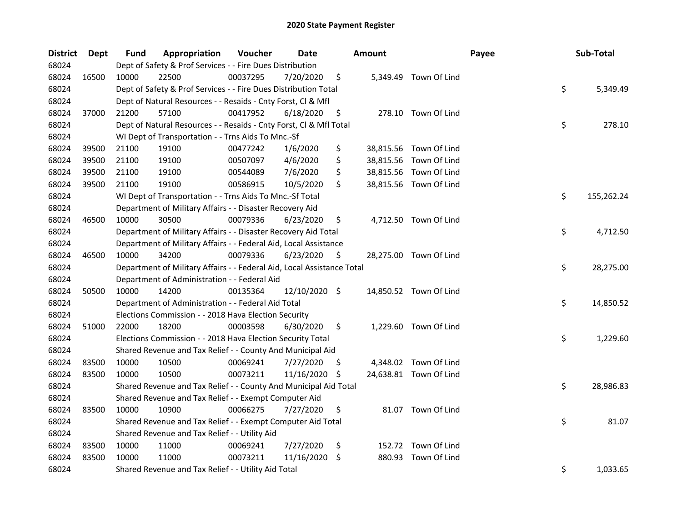| <b>District</b> | Dept  | <b>Fund</b> | Appropriation                                                          | Voucher  | Date          |    | <b>Amount</b> |                        | Payee | Sub-Total        |
|-----------------|-------|-------------|------------------------------------------------------------------------|----------|---------------|----|---------------|------------------------|-------|------------------|
| 68024           |       |             | Dept of Safety & Prof Services - - Fire Dues Distribution              |          |               |    |               |                        |       |                  |
| 68024           | 16500 | 10000       | 22500                                                                  | 00037295 | 7/20/2020     | \$ |               | 5,349.49 Town Of Lind  |       |                  |
| 68024           |       |             | Dept of Safety & Prof Services - - Fire Dues Distribution Total        |          |               |    |               |                        |       | \$<br>5,349.49   |
| 68024           |       |             | Dept of Natural Resources - - Resaids - Cnty Forst, Cl & Mfl           |          |               |    |               |                        |       |                  |
| 68024           | 37000 | 21200       | 57100                                                                  | 00417952 | 6/18/2020     | \$ |               | 278.10 Town Of Lind    |       |                  |
| 68024           |       |             | Dept of Natural Resources - - Resaids - Cnty Forst, Cl & Mfl Total     |          |               |    |               |                        |       | \$<br>278.10     |
| 68024           |       |             | WI Dept of Transportation - - Trns Aids To Mnc.-Sf                     |          |               |    |               |                        |       |                  |
| 68024           | 39500 | 21100       | 19100                                                                  | 00477242 | 1/6/2020      | \$ |               | 38,815.56 Town Of Lind |       |                  |
| 68024           | 39500 | 21100       | 19100                                                                  | 00507097 | 4/6/2020      | \$ |               | 38,815.56 Town Of Lind |       |                  |
| 68024           | 39500 | 21100       | 19100                                                                  | 00544089 | 7/6/2020      | \$ |               | 38,815.56 Town Of Lind |       |                  |
| 68024           | 39500 | 21100       | 19100                                                                  | 00586915 | 10/5/2020     | \$ |               | 38,815.56 Town Of Lind |       |                  |
| 68024           |       |             | WI Dept of Transportation - - Trns Aids To Mnc.-Sf Total               |          |               |    |               |                        |       | \$<br>155,262.24 |
| 68024           |       |             | Department of Military Affairs - - Disaster Recovery Aid               |          |               |    |               |                        |       |                  |
| 68024           | 46500 | 10000       | 30500                                                                  | 00079336 | 6/23/2020     | \$ |               | 4,712.50 Town Of Lind  |       |                  |
| 68024           |       |             | Department of Military Affairs - - Disaster Recovery Aid Total         |          |               |    |               |                        |       | \$<br>4,712.50   |
| 68024           |       |             | Department of Military Affairs - - Federal Aid, Local Assistance       |          |               |    |               |                        |       |                  |
| 68024           | 46500 | 10000       | 34200                                                                  | 00079336 | 6/23/2020     | \$ |               | 28,275.00 Town Of Lind |       |                  |
| 68024           |       |             | Department of Military Affairs - - Federal Aid, Local Assistance Total |          |               |    |               |                        |       | \$<br>28,275.00  |
| 68024           |       |             | Department of Administration - - Federal Aid                           |          |               |    |               |                        |       |                  |
| 68024           | 50500 | 10000       | 14200                                                                  | 00135364 | 12/10/2020 \$ |    |               | 14,850.52 Town Of Lind |       |                  |
| 68024           |       |             | Department of Administration - - Federal Aid Total                     |          |               |    |               |                        |       | \$<br>14,850.52  |
| 68024           |       |             | Elections Commission - - 2018 Hava Election Security                   |          |               |    |               |                        |       |                  |
| 68024           | 51000 | 22000       | 18200                                                                  | 00003598 | 6/30/2020     | \$ |               | 1,229.60 Town Of Lind  |       |                  |
| 68024           |       |             | Elections Commission - - 2018 Hava Election Security Total             |          |               |    |               |                        |       | \$<br>1,229.60   |
| 68024           |       |             | Shared Revenue and Tax Relief - - County And Municipal Aid             |          |               |    |               |                        |       |                  |
| 68024           | 83500 | 10000       | 10500                                                                  | 00069241 | 7/27/2020     | Ş. |               | 4,348.02 Town Of Lind  |       |                  |
| 68024           | 83500 | 10000       | 10500                                                                  | 00073211 | 11/16/2020    | -S |               | 24,638.81 Town Of Lind |       |                  |
| 68024           |       |             | Shared Revenue and Tax Relief - - County And Municipal Aid Total       |          |               |    |               |                        |       | \$<br>28,986.83  |
| 68024           |       |             | Shared Revenue and Tax Relief - - Exempt Computer Aid                  |          |               |    |               |                        |       |                  |
| 68024           | 83500 | 10000       | 10900                                                                  | 00066275 | 7/27/2020     | \$ |               | 81.07 Town Of Lind     |       |                  |
| 68024           |       |             | Shared Revenue and Tax Relief - - Exempt Computer Aid Total            |          |               |    |               |                        |       | \$<br>81.07      |
| 68024           |       |             | Shared Revenue and Tax Relief - - Utility Aid                          |          |               |    |               |                        |       |                  |
| 68024           | 83500 | 10000       | 11000                                                                  | 00069241 | 7/27/2020     | \$ |               | 152.72 Town Of Lind    |       |                  |
| 68024           | 83500 | 10000       | 11000                                                                  | 00073211 | 11/16/2020    | \$ |               | 880.93 Town Of Lind    |       |                  |
| 68024           |       |             | Shared Revenue and Tax Relief - - Utility Aid Total                    |          |               |    |               |                        |       | \$<br>1,033.65   |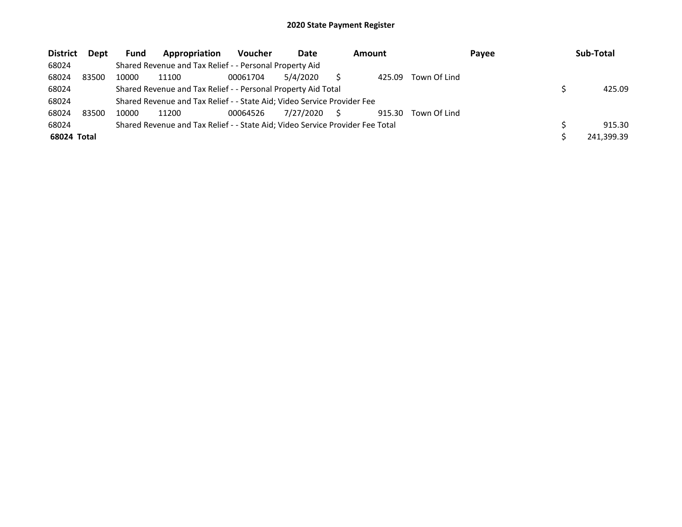| <b>District</b> | Dept  | Fund  | Appropriation                                                                 | <b>Voucher</b> | Date      |   | <b>Amount</b> |              | Payee | Sub-Total  |
|-----------------|-------|-------|-------------------------------------------------------------------------------|----------------|-----------|---|---------------|--------------|-------|------------|
| 68024           |       |       | Shared Revenue and Tax Relief - - Personal Property Aid                       |                |           |   |               |              |       |            |
| 68024           | 83500 | 10000 | 11100                                                                         | 00061704       | 5/4/2020  |   | 425.09        | Town Of Lind |       |            |
| 68024           |       |       | Shared Revenue and Tax Relief - - Personal Property Aid Total                 |                |           |   |               |              |       | 425.09     |
| 68024           |       |       | Shared Revenue and Tax Relief - - State Aid; Video Service Provider Fee       |                |           |   |               |              |       |            |
| 68024           | 83500 | 10000 | 11200                                                                         | 00064526       | 7/27/2020 | S | 915.30        | Town Of Lind |       |            |
| 68024           |       |       | Shared Revenue and Tax Relief - - State Aid; Video Service Provider Fee Total |                |           |   |               |              |       | 915.30     |
| 68024 Total     |       |       |                                                                               |                |           |   |               |              |       | 241.399.39 |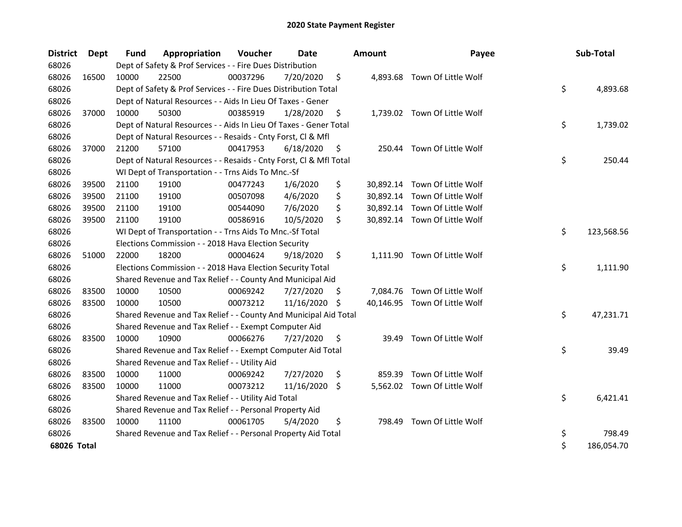| <b>District</b> | Dept  | <b>Fund</b> | Appropriation                                                      | Voucher  | <b>Date</b>   |     | <b>Amount</b> | Payee                         | Sub-Total        |
|-----------------|-------|-------------|--------------------------------------------------------------------|----------|---------------|-----|---------------|-------------------------------|------------------|
| 68026           |       |             | Dept of Safety & Prof Services - - Fire Dues Distribution          |          |               |     |               |                               |                  |
| 68026           | 16500 | 10000       | 22500                                                              | 00037296 | 7/20/2020     | \$  |               | 4,893.68 Town Of Little Wolf  |                  |
| 68026           |       |             | Dept of Safety & Prof Services - - Fire Dues Distribution Total    |          |               |     |               |                               | \$<br>4,893.68   |
| 68026           |       |             | Dept of Natural Resources - - Aids In Lieu Of Taxes - Gener        |          |               |     |               |                               |                  |
| 68026           | 37000 | 10000       | 50300                                                              | 00385919 | 1/28/2020     | \$  |               | 1,739.02 Town Of Little Wolf  |                  |
| 68026           |       |             | Dept of Natural Resources - - Aids In Lieu Of Taxes - Gener Total  |          |               |     |               |                               | \$<br>1,739.02   |
| 68026           |       |             | Dept of Natural Resources - - Resaids - Cnty Forst, Cl & Mfl       |          |               |     |               |                               |                  |
| 68026           | 37000 | 21200       | 57100                                                              | 00417953 | 6/18/2020     | \$  |               | 250.44 Town Of Little Wolf    |                  |
| 68026           |       |             | Dept of Natural Resources - - Resaids - Cnty Forst, Cl & Mfl Total |          |               |     |               |                               | \$<br>250.44     |
| 68026           |       |             | WI Dept of Transportation - - Trns Aids To Mnc.-Sf                 |          |               |     |               |                               |                  |
| 68026           | 39500 | 21100       | 19100                                                              | 00477243 | 1/6/2020      | \$  |               | 30,892.14 Town Of Little Wolf |                  |
| 68026           | 39500 | 21100       | 19100                                                              | 00507098 | 4/6/2020      | \$  |               | 30,892.14 Town Of Little Wolf |                  |
| 68026           | 39500 | 21100       | 19100                                                              | 00544090 | 7/6/2020      | \$  |               | 30,892.14 Town Of Little Wolf |                  |
| 68026           | 39500 | 21100       | 19100                                                              | 00586916 | 10/5/2020     | \$  |               | 30,892.14 Town Of Little Wolf |                  |
| 68026           |       |             | WI Dept of Transportation - - Trns Aids To Mnc.-Sf Total           |          |               |     |               |                               | \$<br>123,568.56 |
| 68026           |       |             | Elections Commission - - 2018 Hava Election Security               |          |               |     |               |                               |                  |
| 68026           | 51000 | 22000       | 18200                                                              | 00004624 | 9/18/2020     | \$  |               | 1,111.90 Town Of Little Wolf  |                  |
| 68026           |       |             | Elections Commission - - 2018 Hava Election Security Total         |          |               |     |               |                               | \$<br>1,111.90   |
| 68026           |       |             | Shared Revenue and Tax Relief - - County And Municipal Aid         |          |               |     |               |                               |                  |
| 68026           | 83500 | 10000       | 10500                                                              | 00069242 | 7/27/2020     | \$. |               | 7,084.76 Town Of Little Wolf  |                  |
| 68026           | 83500 | 10000       | 10500                                                              | 00073212 | 11/16/2020 \$ |     |               | 40,146.95 Town Of Little Wolf |                  |
| 68026           |       |             | Shared Revenue and Tax Relief - - County And Municipal Aid Total   |          |               |     |               |                               | \$<br>47,231.71  |
| 68026           |       |             | Shared Revenue and Tax Relief - - Exempt Computer Aid              |          |               |     |               |                               |                  |
| 68026           | 83500 | 10000       | 10900                                                              | 00066276 | 7/27/2020     | \$. | 39.49         | Town Of Little Wolf           |                  |
| 68026           |       |             | Shared Revenue and Tax Relief - - Exempt Computer Aid Total        |          |               |     |               |                               | \$<br>39.49      |
| 68026           |       |             | Shared Revenue and Tax Relief - - Utility Aid                      |          |               |     |               |                               |                  |
| 68026           | 83500 | 10000       | 11000                                                              | 00069242 | 7/27/2020     | \$  | 859.39        | Town Of Little Wolf           |                  |
| 68026           | 83500 | 10000       | 11000                                                              | 00073212 | 11/16/2020 \$ |     |               | 5,562.02 Town Of Little Wolf  |                  |
| 68026           |       |             | Shared Revenue and Tax Relief - - Utility Aid Total                |          |               |     |               |                               | \$<br>6,421.41   |
| 68026           |       |             | Shared Revenue and Tax Relief - - Personal Property Aid            |          |               |     |               |                               |                  |
| 68026           | 83500 | 10000       | 11100                                                              | 00061705 | 5/4/2020      | \$  | 798.49        | Town Of Little Wolf           |                  |
| 68026           |       |             | Shared Revenue and Tax Relief - - Personal Property Aid Total      |          |               |     |               |                               | \$<br>798.49     |
| 68026 Total     |       |             |                                                                    |          |               |     |               |                               | \$<br>186,054.70 |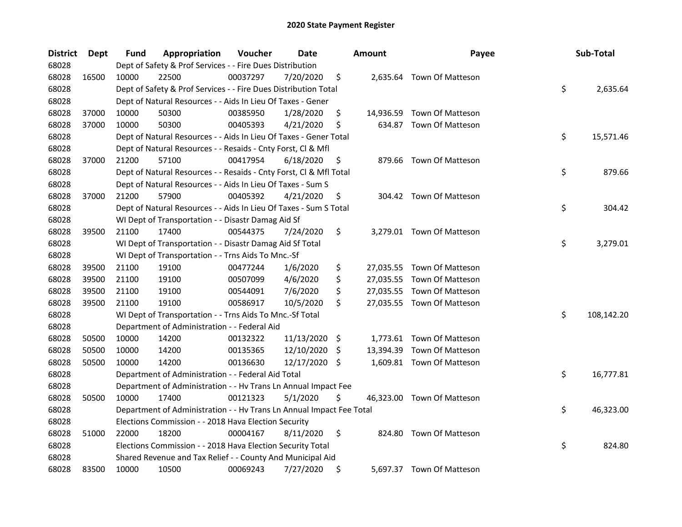| District | <b>Dept</b> | Fund  | Appropriation                                                        | Voucher  | Date          | <b>Amount</b> | Payee                      | Sub-Total        |
|----------|-------------|-------|----------------------------------------------------------------------|----------|---------------|---------------|----------------------------|------------------|
| 68028    |             |       | Dept of Safety & Prof Services - - Fire Dues Distribution            |          |               |               |                            |                  |
| 68028    | 16500       | 10000 | 22500                                                                | 00037297 | 7/20/2020     | \$            | 2,635.64 Town Of Matteson  |                  |
| 68028    |             |       | Dept of Safety & Prof Services - - Fire Dues Distribution Total      |          |               |               |                            | \$<br>2,635.64   |
| 68028    |             |       | Dept of Natural Resources - - Aids In Lieu Of Taxes - Gener          |          |               |               |                            |                  |
| 68028    | 37000       | 10000 | 50300                                                                | 00385950 | 1/28/2020     | \$            | 14,936.59 Town Of Matteson |                  |
| 68028    | 37000       | 10000 | 50300                                                                | 00405393 | 4/21/2020     | \$            | 634.87 Town Of Matteson    |                  |
| 68028    |             |       | Dept of Natural Resources - - Aids In Lieu Of Taxes - Gener Total    |          |               |               |                            | \$<br>15,571.46  |
| 68028    |             |       | Dept of Natural Resources - - Resaids - Cnty Forst, Cl & Mfl         |          |               |               |                            |                  |
| 68028    | 37000       | 21200 | 57100                                                                | 00417954 | 6/18/2020     | \$            | 879.66 Town Of Matteson    |                  |
| 68028    |             |       | Dept of Natural Resources - - Resaids - Cnty Forst, Cl & Mfl Total   |          |               |               |                            | \$<br>879.66     |
| 68028    |             |       | Dept of Natural Resources - - Aids In Lieu Of Taxes - Sum S          |          |               |               |                            |                  |
| 68028    | 37000       | 21200 | 57900                                                                | 00405392 | 4/21/2020     | \$            | 304.42 Town Of Matteson    |                  |
| 68028    |             |       | Dept of Natural Resources - - Aids In Lieu Of Taxes - Sum S Total    |          |               |               |                            | \$<br>304.42     |
| 68028    |             |       | WI Dept of Transportation - - Disastr Damag Aid Sf                   |          |               |               |                            |                  |
| 68028    | 39500       | 21100 | 17400                                                                | 00544375 | 7/24/2020     | \$            | 3,279.01 Town Of Matteson  |                  |
| 68028    |             |       | WI Dept of Transportation - - Disastr Damag Aid Sf Total             |          |               |               |                            | \$<br>3,279.01   |
| 68028    |             |       | WI Dept of Transportation - - Trns Aids To Mnc.-Sf                   |          |               |               |                            |                  |
| 68028    | 39500       | 21100 | 19100                                                                | 00477244 | 1/6/2020      | \$            | 27,035.55 Town Of Matteson |                  |
| 68028    | 39500       | 21100 | 19100                                                                | 00507099 | 4/6/2020      | \$            | 27,035.55 Town Of Matteson |                  |
| 68028    | 39500       | 21100 | 19100                                                                | 00544091 | 7/6/2020      | \$            | 27,035.55 Town Of Matteson |                  |
| 68028    | 39500       | 21100 | 19100                                                                | 00586917 | 10/5/2020     | \$            | 27,035.55 Town Of Matteson |                  |
| 68028    |             |       | WI Dept of Transportation - - Trns Aids To Mnc.-Sf Total             |          |               |               |                            | \$<br>108,142.20 |
| 68028    |             |       | Department of Administration - - Federal Aid                         |          |               |               |                            |                  |
| 68028    | 50500       | 10000 | 14200                                                                | 00132322 | 11/13/2020 \$ |               | 1,773.61 Town Of Matteson  |                  |
| 68028    | 50500       | 10000 | 14200                                                                | 00135365 | 12/10/2020    | \$            | 13,394.39 Town Of Matteson |                  |
| 68028    | 50500       | 10000 | 14200                                                                | 00136630 | 12/17/2020 \$ |               | 1,609.81 Town Of Matteson  |                  |
| 68028    |             |       | Department of Administration - - Federal Aid Total                   |          |               |               |                            | \$<br>16,777.81  |
| 68028    |             |       | Department of Administration - - Hv Trans Ln Annual Impact Fee       |          |               |               |                            |                  |
| 68028    | 50500       | 10000 | 17400                                                                | 00121323 | 5/1/2020      | \$            | 46,323.00 Town Of Matteson |                  |
| 68028    |             |       | Department of Administration - - Hv Trans Ln Annual Impact Fee Total |          |               |               |                            | \$<br>46,323.00  |
| 68028    |             |       | Elections Commission - - 2018 Hava Election Security                 |          |               |               |                            |                  |
| 68028    | 51000       | 22000 | 18200                                                                | 00004167 | 8/11/2020     | \$            | 824.80 Town Of Matteson    |                  |
| 68028    |             |       | Elections Commission - - 2018 Hava Election Security Total           |          |               |               |                            | \$<br>824.80     |
| 68028    |             |       | Shared Revenue and Tax Relief - - County And Municipal Aid           |          |               |               |                            |                  |
| 68028    | 83500       | 10000 | 10500                                                                | 00069243 | 7/27/2020     | \$            | 5,697.37 Town Of Matteson  |                  |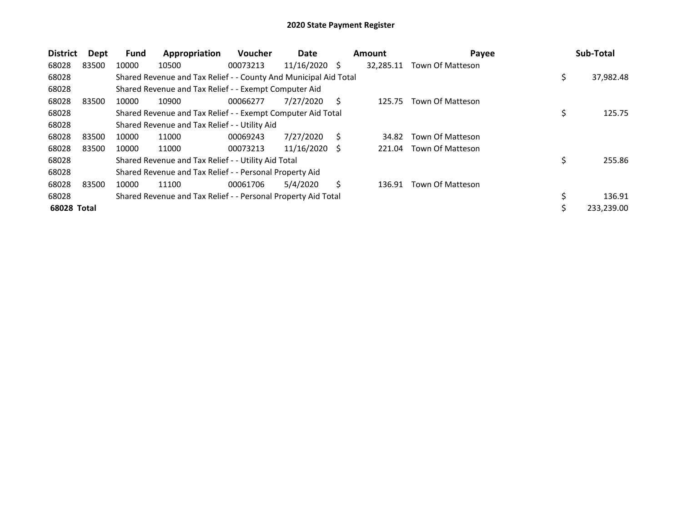| <b>District</b> | Dept  | <b>Fund</b> | Appropriation                                                    | Voucher  | Date            |   | <b>Amount</b> | Payee            | Sub-Total       |
|-----------------|-------|-------------|------------------------------------------------------------------|----------|-----------------|---|---------------|------------------|-----------------|
| 68028           | 83500 | 10000       | 10500                                                            | 00073213 | $11/16/2020$ \$ |   | 32,285.11     | Town Of Matteson |                 |
| 68028           |       |             | Shared Revenue and Tax Relief - - County And Municipal Aid Total |          |                 |   |               |                  | \$<br>37,982.48 |
| 68028           |       |             | Shared Revenue and Tax Relief - - Exempt Computer Aid            |          |                 |   |               |                  |                 |
| 68028           | 83500 | 10000       | 10900                                                            | 00066277 | 7/27/2020       | S | 125.75        | Town Of Matteson |                 |
| 68028           |       |             | Shared Revenue and Tax Relief - - Exempt Computer Aid Total      |          |                 |   |               |                  | \$<br>125.75    |
| 68028           |       |             | Shared Revenue and Tax Relief - - Utility Aid                    |          |                 |   |               |                  |                 |
| 68028           | 83500 | 10000       | 11000                                                            | 00069243 | 7/27/2020       | Ś | 34.82         | Town Of Matteson |                 |
| 68028           | 83500 | 10000       | 11000                                                            | 00073213 | 11/16/2020      | S | 221.04        | Town Of Matteson |                 |
| 68028           |       |             | Shared Revenue and Tax Relief - - Utility Aid Total              |          |                 |   |               |                  | \$<br>255.86    |
| 68028           |       |             | Shared Revenue and Tax Relief - - Personal Property Aid          |          |                 |   |               |                  |                 |
| 68028           | 83500 | 10000       | 11100                                                            | 00061706 | 5/4/2020        | Ś | 136.91        | Town Of Matteson |                 |
| 68028           |       |             | Shared Revenue and Tax Relief - - Personal Property Aid Total    |          |                 |   |               |                  | \$<br>136.91    |
| 68028 Total     |       |             |                                                                  |          |                 |   |               |                  | 233,239.00      |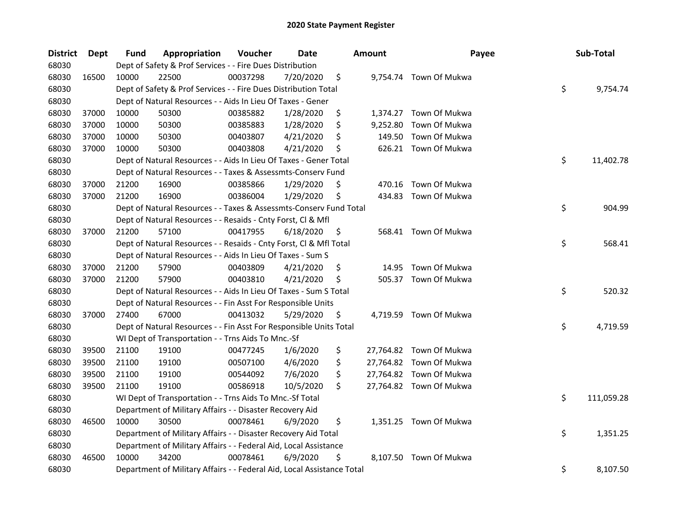| <b>District</b> | <b>Dept</b> | <b>Fund</b> | Appropriation                                                          | Voucher  | <b>Date</b> |     | <b>Amount</b> | Payee                   | Sub-Total        |
|-----------------|-------------|-------------|------------------------------------------------------------------------|----------|-------------|-----|---------------|-------------------------|------------------|
| 68030           |             |             | Dept of Safety & Prof Services - - Fire Dues Distribution              |          |             |     |               |                         |                  |
| 68030           | 16500       | 10000       | 22500                                                                  | 00037298 | 7/20/2020   | \$  |               | 9,754.74 Town Of Mukwa  |                  |
| 68030           |             |             | Dept of Safety & Prof Services - - Fire Dues Distribution Total        |          |             |     |               |                         | \$<br>9,754.74   |
| 68030           |             |             | Dept of Natural Resources - - Aids In Lieu Of Taxes - Gener            |          |             |     |               |                         |                  |
| 68030           | 37000       | 10000       | 50300                                                                  | 00385882 | 1/28/2020   | \$  |               | 1,374.27 Town Of Mukwa  |                  |
| 68030           | 37000       | 10000       | 50300                                                                  | 00385883 | 1/28/2020   | \$  | 9,252.80      | Town Of Mukwa           |                  |
| 68030           | 37000       | 10000       | 50300                                                                  | 00403807 | 4/21/2020   | \$  | 149.50        | Town Of Mukwa           |                  |
| 68030           | 37000       | 10000       | 50300                                                                  | 00403808 | 4/21/2020   | \$. |               | 626.21 Town Of Mukwa    |                  |
| 68030           |             |             | Dept of Natural Resources - - Aids In Lieu Of Taxes - Gener Total      |          |             |     |               |                         | \$<br>11,402.78  |
| 68030           |             |             | Dept of Natural Resources - - Taxes & Assessmts-Conserv Fund           |          |             |     |               |                         |                  |
| 68030           | 37000       | 21200       | 16900                                                                  | 00385866 | 1/29/2020   | \$  |               | 470.16 Town Of Mukwa    |                  |
| 68030           | 37000       | 21200       | 16900                                                                  | 00386004 | 1/29/2020   | \$  |               | 434.83 Town Of Mukwa    |                  |
| 68030           |             |             | Dept of Natural Resources - - Taxes & Assessmts-Conserv Fund Total     |          |             |     |               |                         | \$<br>904.99     |
| 68030           |             |             | Dept of Natural Resources - - Resaids - Cnty Forst, Cl & Mfl           |          |             |     |               |                         |                  |
| 68030           | 37000       | 21200       | 57100                                                                  | 00417955 | 6/18/2020   | \$  |               | 568.41 Town Of Mukwa    |                  |
| 68030           |             |             | Dept of Natural Resources - - Resaids - Cnty Forst, CI & Mfl Total     |          |             |     |               |                         | \$<br>568.41     |
| 68030           |             |             | Dept of Natural Resources - - Aids In Lieu Of Taxes - Sum S            |          |             |     |               |                         |                  |
| 68030           | 37000       | 21200       | 57900                                                                  | 00403809 | 4/21/2020   | \$  | 14.95         | Town Of Mukwa           |                  |
| 68030           | 37000       | 21200       | 57900                                                                  | 00403810 | 4/21/2020   | \$  |               | 505.37 Town Of Mukwa    |                  |
| 68030           |             |             | Dept of Natural Resources - - Aids In Lieu Of Taxes - Sum S Total      |          |             |     |               |                         | \$<br>520.32     |
| 68030           |             |             | Dept of Natural Resources - - Fin Asst For Responsible Units           |          |             |     |               |                         |                  |
| 68030           | 37000       | 27400       | 67000                                                                  | 00413032 | 5/29/2020   | \$  |               | 4,719.59 Town Of Mukwa  |                  |
| 68030           |             |             | Dept of Natural Resources - - Fin Asst For Responsible Units Total     |          |             |     |               |                         | \$<br>4,719.59   |
| 68030           |             |             | WI Dept of Transportation - - Trns Aids To Mnc.-Sf                     |          |             |     |               |                         |                  |
| 68030           | 39500       | 21100       | 19100                                                                  | 00477245 | 1/6/2020    | \$  |               | 27,764.82 Town Of Mukwa |                  |
| 68030           | 39500       | 21100       | 19100                                                                  | 00507100 | 4/6/2020    | \$  |               | 27,764.82 Town Of Mukwa |                  |
| 68030           | 39500       | 21100       | 19100                                                                  | 00544092 | 7/6/2020    | \$  |               | 27,764.82 Town Of Mukwa |                  |
| 68030           | 39500       | 21100       | 19100                                                                  | 00586918 | 10/5/2020   | \$  |               | 27,764.82 Town Of Mukwa |                  |
| 68030           |             |             | WI Dept of Transportation - - Trns Aids To Mnc.-Sf Total               |          |             |     |               |                         | \$<br>111,059.28 |
| 68030           |             |             | Department of Military Affairs - - Disaster Recovery Aid               |          |             |     |               |                         |                  |
| 68030           | 46500       | 10000       | 30500                                                                  | 00078461 | 6/9/2020    | \$  |               | 1,351.25 Town Of Mukwa  |                  |
| 68030           |             |             | Department of Military Affairs - - Disaster Recovery Aid Total         |          |             |     |               |                         | \$<br>1,351.25   |
| 68030           |             |             | Department of Military Affairs - - Federal Aid, Local Assistance       |          |             |     |               |                         |                  |
| 68030           | 46500       | 10000       | 34200                                                                  | 00078461 | 6/9/2020    | \$  |               | 8,107.50 Town Of Mukwa  |                  |
| 68030           |             |             | Department of Military Affairs - - Federal Aid, Local Assistance Total |          |             |     |               |                         | \$<br>8,107.50   |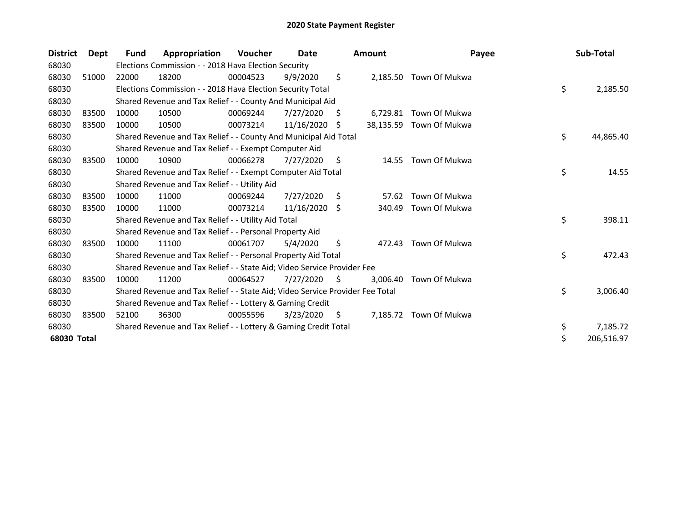| <b>District</b> | Dept  | Fund  | Appropriation                                                                 | <b>Voucher</b> | Date       |    | <b>Amount</b> | Payee                   | Sub-Total        |
|-----------------|-------|-------|-------------------------------------------------------------------------------|----------------|------------|----|---------------|-------------------------|------------------|
| 68030           |       |       | Elections Commission - - 2018 Hava Election Security                          |                |            |    |               |                         |                  |
| 68030           | 51000 | 22000 | 18200                                                                         | 00004523       | 9/9/2020   | \$ |               | 2,185.50 Town Of Mukwa  |                  |
| 68030           |       |       | Elections Commission - - 2018 Hava Election Security Total                    |                |            |    |               |                         | \$<br>2,185.50   |
| 68030           |       |       | Shared Revenue and Tax Relief - - County And Municipal Aid                    |                |            |    |               |                         |                  |
| 68030           | 83500 | 10000 | 10500                                                                         | 00069244       | 7/27/2020  | S. | 6,729.81      | Town Of Mukwa           |                  |
| 68030           | 83500 | 10000 | 10500                                                                         | 00073214       | 11/16/2020 | S. |               | 38,135.59 Town Of Mukwa |                  |
| 68030           |       |       | Shared Revenue and Tax Relief - - County And Municipal Aid Total              |                |            |    |               |                         | \$<br>44,865.40  |
| 68030           |       |       | Shared Revenue and Tax Relief - - Exempt Computer Aid                         |                |            |    |               |                         |                  |
| 68030           | 83500 | 10000 | 10900                                                                         | 00066278       | 7/27/2020  | \$ | 14.55         | Town Of Mukwa           |                  |
| 68030           |       |       | Shared Revenue and Tax Relief - - Exempt Computer Aid Total                   |                |            |    |               |                         | \$<br>14.55      |
| 68030           |       |       | Shared Revenue and Tax Relief - - Utility Aid                                 |                |            |    |               |                         |                  |
| 68030           | 83500 | 10000 | 11000                                                                         | 00069244       | 7/27/2020  | \$ | 57.62         | Town Of Mukwa           |                  |
| 68030           | 83500 | 10000 | 11000                                                                         | 00073214       | 11/16/2020 | Ŝ. | 340.49        | Town Of Mukwa           |                  |
| 68030           |       |       | Shared Revenue and Tax Relief - - Utility Aid Total                           |                |            |    |               |                         | \$<br>398.11     |
| 68030           |       |       | Shared Revenue and Tax Relief - - Personal Property Aid                       |                |            |    |               |                         |                  |
| 68030           | 83500 | 10000 | 11100                                                                         | 00061707       | 5/4/2020   | \$ | 472.43        | Town Of Mukwa           |                  |
| 68030           |       |       | Shared Revenue and Tax Relief - - Personal Property Aid Total                 |                |            |    |               |                         | \$<br>472.43     |
| 68030           |       |       | Shared Revenue and Tax Relief - - State Aid; Video Service Provider Fee       |                |            |    |               |                         |                  |
| 68030           | 83500 | 10000 | 11200                                                                         | 00064527       | 7/27/2020  | S. | 3,006.40      | Town Of Mukwa           |                  |
| 68030           |       |       | Shared Revenue and Tax Relief - - State Aid; Video Service Provider Fee Total |                |            |    |               |                         | \$<br>3,006.40   |
| 68030           |       |       | Shared Revenue and Tax Relief - - Lottery & Gaming Credit                     |                |            |    |               |                         |                  |
| 68030           | 83500 | 52100 | 36300                                                                         | 00055596       | 3/23/2020  | S  | 7,185.72      | Town Of Mukwa           |                  |
| 68030           |       |       | Shared Revenue and Tax Relief - - Lottery & Gaming Credit Total               |                |            |    |               |                         | \$<br>7,185.72   |
| 68030 Total     |       |       |                                                                               |                |            |    |               |                         | \$<br>206,516.97 |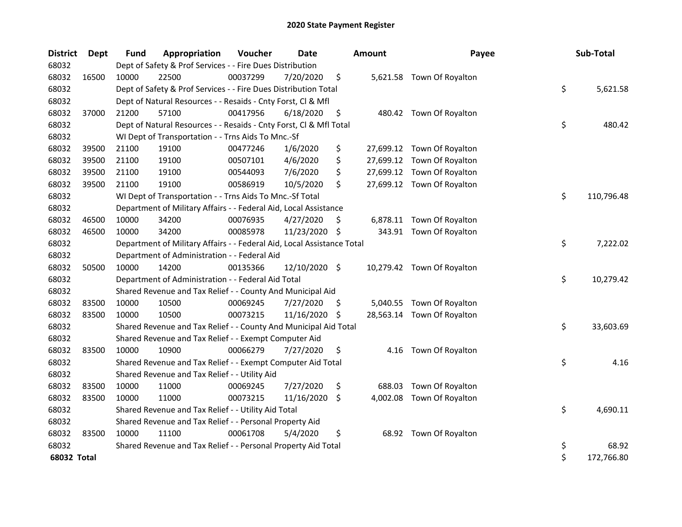| <b>District</b> | Dept  | Fund  | Appropriation                                                          | Voucher  | <b>Date</b>   |     | <b>Amount</b> | Payee                      | Sub-Total        |
|-----------------|-------|-------|------------------------------------------------------------------------|----------|---------------|-----|---------------|----------------------------|------------------|
| 68032           |       |       | Dept of Safety & Prof Services - - Fire Dues Distribution              |          |               |     |               |                            |                  |
| 68032           | 16500 | 10000 | 22500                                                                  | 00037299 | 7/20/2020     | \$  |               | 5,621.58 Town Of Royalton  |                  |
| 68032           |       |       | Dept of Safety & Prof Services - - Fire Dues Distribution Total        |          |               |     |               |                            | \$<br>5,621.58   |
| 68032           |       |       | Dept of Natural Resources - - Resaids - Cnty Forst, Cl & Mfl           |          |               |     |               |                            |                  |
| 68032           | 37000 | 21200 | 57100                                                                  | 00417956 | 6/18/2020     | \$  |               | 480.42 Town Of Royalton    |                  |
| 68032           |       |       | Dept of Natural Resources - - Resaids - Cnty Forst, Cl & Mfl Total     |          |               |     |               |                            | \$<br>480.42     |
| 68032           |       |       | WI Dept of Transportation - - Trns Aids To Mnc.-Sf                     |          |               |     |               |                            |                  |
| 68032           | 39500 | 21100 | 19100                                                                  | 00477246 | 1/6/2020      | \$  |               | 27,699.12 Town Of Royalton |                  |
| 68032           | 39500 | 21100 | 19100                                                                  | 00507101 | 4/6/2020      | \$  |               | 27,699.12 Town Of Royalton |                  |
| 68032           | 39500 | 21100 | 19100                                                                  | 00544093 | 7/6/2020      | \$  |               | 27,699.12 Town Of Royalton |                  |
| 68032           | 39500 | 21100 | 19100                                                                  | 00586919 | 10/5/2020     | \$  |               | 27,699.12 Town Of Royalton |                  |
| 68032           |       |       | WI Dept of Transportation - - Trns Aids To Mnc.-Sf Total               |          |               |     |               |                            | \$<br>110,796.48 |
| 68032           |       |       | Department of Military Affairs - - Federal Aid, Local Assistance       |          |               |     |               |                            |                  |
| 68032           | 46500 | 10000 | 34200                                                                  | 00076935 | 4/27/2020     | S   | 6,878.11      | Town Of Royalton           |                  |
| 68032           | 46500 | 10000 | 34200                                                                  | 00085978 | 11/23/2020    | \$  |               | 343.91 Town Of Royalton    |                  |
| 68032           |       |       | Department of Military Affairs - - Federal Aid, Local Assistance Total |          |               |     |               |                            | \$<br>7,222.02   |
| 68032           |       |       | Department of Administration - - Federal Aid                           |          |               |     |               |                            |                  |
| 68032           | 50500 | 10000 | 14200                                                                  | 00135366 | 12/10/2020 \$ |     |               | 10,279.42 Town Of Royalton |                  |
| 68032           |       |       | Department of Administration - - Federal Aid Total                     |          |               |     |               |                            | \$<br>10,279.42  |
| 68032           |       |       | Shared Revenue and Tax Relief - - County And Municipal Aid             |          |               |     |               |                            |                  |
| 68032           | 83500 | 10000 | 10500                                                                  | 00069245 | 7/27/2020     | \$. | 5,040.55      | Town Of Royalton           |                  |
| 68032           | 83500 | 10000 | 10500                                                                  | 00073215 | 11/16/2020    | \$  |               | 28,563.14 Town Of Royalton |                  |
| 68032           |       |       | Shared Revenue and Tax Relief - - County And Municipal Aid Total       |          |               |     |               |                            | \$<br>33,603.69  |
| 68032           |       |       | Shared Revenue and Tax Relief - - Exempt Computer Aid                  |          |               |     |               |                            |                  |
| 68032           | 83500 | 10000 | 10900                                                                  | 00066279 | 7/27/2020     | \$  | 4.16          | Town Of Royalton           |                  |
| 68032           |       |       | Shared Revenue and Tax Relief - - Exempt Computer Aid Total            |          |               |     |               |                            | \$<br>4.16       |
| 68032           |       |       | Shared Revenue and Tax Relief - - Utility Aid                          |          |               |     |               |                            |                  |
| 68032           | 83500 | 10000 | 11000                                                                  | 00069245 | 7/27/2020     | \$  | 688.03        | Town Of Royalton           |                  |
| 68032           | 83500 | 10000 | 11000                                                                  | 00073215 | 11/16/2020    | \$  | 4,002.08      | Town Of Royalton           |                  |
| 68032           |       |       | Shared Revenue and Tax Relief - - Utility Aid Total                    |          |               |     |               |                            | \$<br>4,690.11   |
| 68032           |       |       | Shared Revenue and Tax Relief - - Personal Property Aid                |          |               |     |               |                            |                  |
| 68032           | 83500 | 10000 | 11100                                                                  | 00061708 | 5/4/2020      | \$  |               | 68.92 Town Of Royalton     |                  |
| 68032           |       |       | Shared Revenue and Tax Relief - - Personal Property Aid Total          |          |               |     |               |                            | \$<br>68.92      |
| 68032 Total     |       |       |                                                                        |          |               |     |               |                            | \$<br>172,766.80 |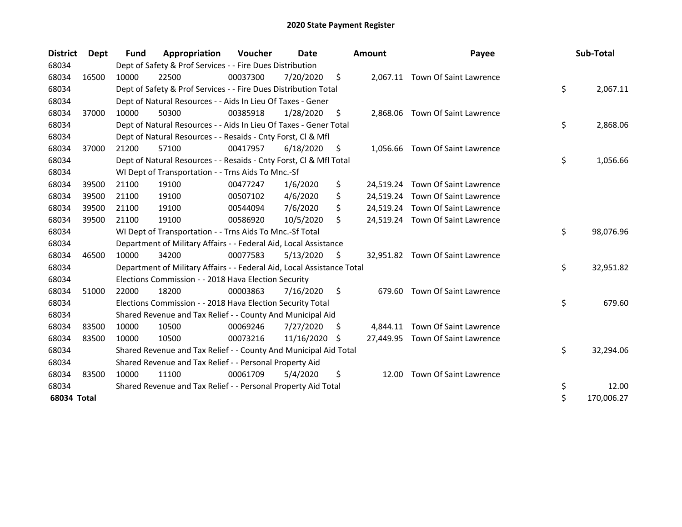| <b>District</b> | <b>Dept</b> | <b>Fund</b> | Appropriation                                                          | Voucher  | Date       |    | <b>Amount</b> | Payee                            | Sub-Total        |
|-----------------|-------------|-------------|------------------------------------------------------------------------|----------|------------|----|---------------|----------------------------------|------------------|
| 68034           |             |             | Dept of Safety & Prof Services - - Fire Dues Distribution              |          |            |    |               |                                  |                  |
| 68034           | 16500       | 10000       | 22500                                                                  | 00037300 | 7/20/2020  | \$ |               | 2,067.11 Town Of Saint Lawrence  |                  |
| 68034           |             |             | Dept of Safety & Prof Services - - Fire Dues Distribution Total        |          |            |    |               |                                  | \$<br>2,067.11   |
| 68034           |             |             | Dept of Natural Resources - - Aids In Lieu Of Taxes - Gener            |          |            |    |               |                                  |                  |
| 68034           | 37000       | 10000       | 50300                                                                  | 00385918 | 1/28/2020  | \$ |               | 2,868.06 Town Of Saint Lawrence  |                  |
| 68034           |             |             | Dept of Natural Resources - - Aids In Lieu Of Taxes - Gener Total      |          |            |    |               |                                  | \$<br>2,868.06   |
| 68034           |             |             | Dept of Natural Resources - - Resaids - Cnty Forst, Cl & Mfl           |          |            |    |               |                                  |                  |
| 68034           | 37000       | 21200       | 57100                                                                  | 00417957 | 6/18/2020  | S  |               | 1,056.66 Town Of Saint Lawrence  |                  |
| 68034           |             |             | Dept of Natural Resources - - Resaids - Cnty Forst, Cl & Mfl Total     |          |            |    |               |                                  | \$<br>1,056.66   |
| 68034           |             |             | WI Dept of Transportation - - Trns Aids To Mnc.-Sf                     |          |            |    |               |                                  |                  |
| 68034           | 39500       | 21100       | 19100                                                                  | 00477247 | 1/6/2020   | \$ |               | 24,519.24 Town Of Saint Lawrence |                  |
| 68034           | 39500       | 21100       | 19100                                                                  | 00507102 | 4/6/2020   | \$ |               | 24,519.24 Town Of Saint Lawrence |                  |
| 68034           | 39500       | 21100       | 19100                                                                  | 00544094 | 7/6/2020   | \$ |               | 24,519.24 Town Of Saint Lawrence |                  |
| 68034           | 39500       | 21100       | 19100                                                                  | 00586920 | 10/5/2020  | \$ |               | 24,519.24 Town Of Saint Lawrence |                  |
| 68034           |             |             | WI Dept of Transportation - - Trns Aids To Mnc.-Sf Total               |          |            |    |               |                                  | \$<br>98,076.96  |
| 68034           |             |             | Department of Military Affairs - - Federal Aid, Local Assistance       |          |            |    |               |                                  |                  |
| 68034           | 46500       | 10000       | 34200                                                                  | 00077583 | 5/13/2020  | \$ |               | 32,951.82 Town Of Saint Lawrence |                  |
| 68034           |             |             | Department of Military Affairs - - Federal Aid, Local Assistance Total |          |            |    |               |                                  | \$<br>32,951.82  |
| 68034           |             |             | Elections Commission - - 2018 Hava Election Security                   |          |            |    |               |                                  |                  |
| 68034           | 51000       | 22000       | 18200                                                                  | 00003863 | 7/16/2020  | \$ |               | 679.60 Town Of Saint Lawrence    |                  |
| 68034           |             |             | Elections Commission - - 2018 Hava Election Security Total             |          |            |    |               |                                  | \$<br>679.60     |
| 68034           |             |             | Shared Revenue and Tax Relief - - County And Municipal Aid             |          |            |    |               |                                  |                  |
| 68034           | 83500       | 10000       | 10500                                                                  | 00069246 | 7/27/2020  | \$ | 4,844.11      | Town Of Saint Lawrence           |                  |
| 68034           | 83500       | 10000       | 10500                                                                  | 00073216 | 11/16/2020 | S  |               | 27,449.95 Town Of Saint Lawrence |                  |
| 68034           |             |             | Shared Revenue and Tax Relief - - County And Municipal Aid Total       |          |            |    |               |                                  | \$<br>32,294.06  |
| 68034           |             |             | Shared Revenue and Tax Relief - - Personal Property Aid                |          |            |    |               |                                  |                  |
| 68034           | 83500       | 10000       | 11100                                                                  | 00061709 | 5/4/2020   | \$ | 12.00         | Town Of Saint Lawrence           |                  |
| 68034           |             |             | Shared Revenue and Tax Relief - - Personal Property Aid Total          |          |            |    |               |                                  | \$<br>12.00      |
| 68034 Total     |             |             |                                                                        |          |            |    |               |                                  | \$<br>170,006.27 |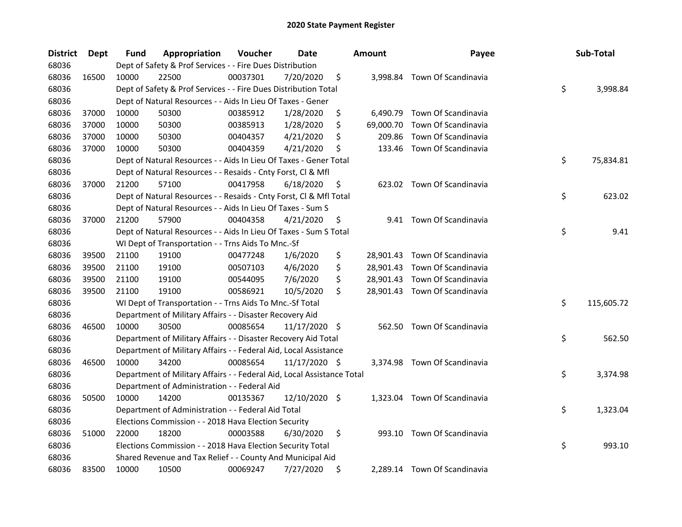| <b>District</b> | <b>Dept</b> | Fund  | Appropriation                                                          | Voucher  | Date            |     | <b>Amount</b> | Payee                         | Sub-Total        |
|-----------------|-------------|-------|------------------------------------------------------------------------|----------|-----------------|-----|---------------|-------------------------------|------------------|
| 68036           |             |       | Dept of Safety & Prof Services - - Fire Dues Distribution              |          |                 |     |               |                               |                  |
| 68036           | 16500       | 10000 | 22500                                                                  | 00037301 | 7/20/2020       | \$  |               | 3,998.84 Town Of Scandinavia  |                  |
| 68036           |             |       | Dept of Safety & Prof Services - - Fire Dues Distribution Total        |          |                 |     |               |                               | \$<br>3,998.84   |
| 68036           |             |       | Dept of Natural Resources - - Aids In Lieu Of Taxes - Gener            |          |                 |     |               |                               |                  |
| 68036           | 37000       | 10000 | 50300                                                                  | 00385912 | 1/28/2020       | \$  |               | 6,490.79 Town Of Scandinavia  |                  |
| 68036           | 37000       | 10000 | 50300                                                                  | 00385913 | 1/28/2020       | \$  | 69,000.70     | Town Of Scandinavia           |                  |
| 68036           | 37000       | 10000 | 50300                                                                  | 00404357 | 4/21/2020       | \$  | 209.86        | Town Of Scandinavia           |                  |
| 68036           | 37000       | 10000 | 50300                                                                  | 00404359 | 4/21/2020       | \$  |               | 133.46 Town Of Scandinavia    |                  |
| 68036           |             |       | Dept of Natural Resources - - Aids In Lieu Of Taxes - Gener Total      |          |                 |     |               |                               | \$<br>75,834.81  |
| 68036           |             |       | Dept of Natural Resources - - Resaids - Cnty Forst, Cl & Mfl           |          |                 |     |               |                               |                  |
| 68036           | 37000       | 21200 | 57100                                                                  | 00417958 | 6/18/2020       | \$  |               | 623.02 Town Of Scandinavia    |                  |
| 68036           |             |       | Dept of Natural Resources - - Resaids - Cnty Forst, Cl & Mfl Total     |          |                 |     |               |                               | \$<br>623.02     |
| 68036           |             |       | Dept of Natural Resources - - Aids In Lieu Of Taxes - Sum S            |          |                 |     |               |                               |                  |
| 68036           | 37000       | 21200 | 57900                                                                  | 00404358 | 4/21/2020       | \$, |               | 9.41 Town Of Scandinavia      |                  |
| 68036           |             |       | Dept of Natural Resources - - Aids In Lieu Of Taxes - Sum S Total      |          |                 |     |               |                               | \$<br>9.41       |
| 68036           |             |       | WI Dept of Transportation - - Trns Aids To Mnc.-Sf                     |          |                 |     |               |                               |                  |
| 68036           | 39500       | 21100 | 19100                                                                  | 00477248 | 1/6/2020        | \$  |               | 28,901.43 Town Of Scandinavia |                  |
| 68036           | 39500       | 21100 | 19100                                                                  | 00507103 | 4/6/2020        | \$  |               | 28,901.43 Town Of Scandinavia |                  |
| 68036           | 39500       | 21100 | 19100                                                                  | 00544095 | 7/6/2020        | \$  |               | 28,901.43 Town Of Scandinavia |                  |
| 68036           | 39500       | 21100 | 19100                                                                  | 00586921 | 10/5/2020       | \$  |               | 28,901.43 Town Of Scandinavia |                  |
| 68036           |             |       | WI Dept of Transportation - - Trns Aids To Mnc.-Sf Total               |          |                 |     |               |                               | \$<br>115,605.72 |
| 68036           |             |       | Department of Military Affairs - - Disaster Recovery Aid               |          |                 |     |               |                               |                  |
| 68036           | 46500       | 10000 | 30500                                                                  | 00085654 | 11/17/2020      | -\$ |               | 562.50 Town Of Scandinavia    |                  |
| 68036           |             |       | Department of Military Affairs - - Disaster Recovery Aid Total         |          |                 |     |               |                               | \$<br>562.50     |
| 68036           |             |       | Department of Military Affairs - - Federal Aid, Local Assistance       |          |                 |     |               |                               |                  |
| 68036           | 46500       | 10000 | 34200                                                                  | 00085654 | $11/17/2020$ \$ |     |               | 3,374.98 Town Of Scandinavia  |                  |
| 68036           |             |       | Department of Military Affairs - - Federal Aid, Local Assistance Total |          |                 |     |               |                               | \$<br>3,374.98   |
| 68036           |             |       | Department of Administration - - Federal Aid                           |          |                 |     |               |                               |                  |
| 68036           | 50500       | 10000 | 14200                                                                  | 00135367 | 12/10/2020 \$   |     |               | 1,323.04 Town Of Scandinavia  |                  |
| 68036           |             |       | Department of Administration - - Federal Aid Total                     |          |                 |     |               |                               | \$<br>1,323.04   |
| 68036           |             |       | Elections Commission - - 2018 Hava Election Security                   |          |                 |     |               |                               |                  |
| 68036           | 51000       | 22000 | 18200                                                                  | 00003588 | 6/30/2020       | \$  |               | 993.10 Town Of Scandinavia    |                  |
| 68036           |             |       | Elections Commission - - 2018 Hava Election Security Total             |          |                 |     |               |                               | \$<br>993.10     |
| 68036           |             |       | Shared Revenue and Tax Relief - - County And Municipal Aid             |          |                 |     |               |                               |                  |
| 68036           | 83500       | 10000 | 10500                                                                  | 00069247 | 7/27/2020       | \$  |               | 2,289.14 Town Of Scandinavia  |                  |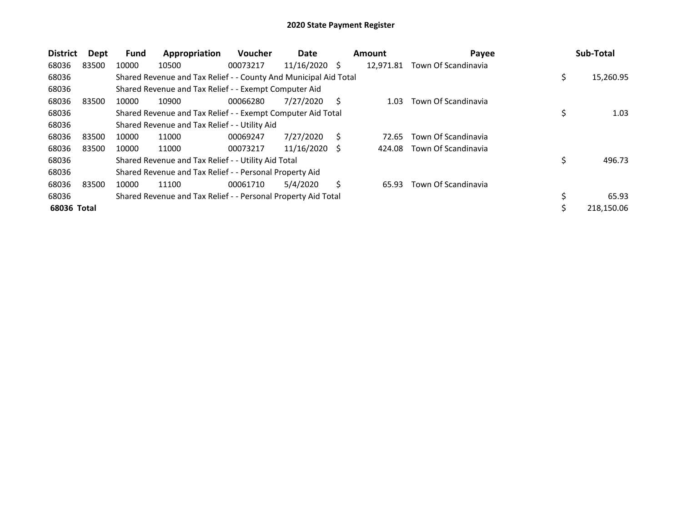| <b>District</b> | Dept  | <b>Fund</b> | Appropriation                                                    | Voucher  | Date            |   | <b>Amount</b> | Payee               |    | Sub-Total  |
|-----------------|-------|-------------|------------------------------------------------------------------|----------|-----------------|---|---------------|---------------------|----|------------|
| 68036           | 83500 | 10000       | 10500                                                            | 00073217 | $11/16/2020$ \$ |   | 12,971.81     | Town Of Scandinavia |    |            |
| 68036           |       |             | Shared Revenue and Tax Relief - - County And Municipal Aid Total |          |                 |   |               |                     | \$ | 15,260.95  |
| 68036           |       |             | Shared Revenue and Tax Relief - - Exempt Computer Aid            |          |                 |   |               |                     |    |            |
| 68036           | 83500 | 10000       | 10900                                                            | 00066280 | 7/27/2020       | S | 1.03          | Town Of Scandinavia |    |            |
| 68036           |       |             | Shared Revenue and Tax Relief - - Exempt Computer Aid Total      |          |                 |   |               |                     |    | 1.03       |
| 68036           |       |             | Shared Revenue and Tax Relief - - Utility Aid                    |          |                 |   |               |                     |    |            |
| 68036           | 83500 | 10000       | 11000                                                            | 00069247 | 7/27/2020       | Ś | 72.65         | Town Of Scandinavia |    |            |
| 68036           | 83500 | 10000       | 11000                                                            | 00073217 | 11/16/2020      | S | 424.08        | Town Of Scandinavia |    |            |
| 68036           |       |             | Shared Revenue and Tax Relief - - Utility Aid Total              |          |                 |   |               |                     | \$ | 496.73     |
| 68036           |       |             | Shared Revenue and Tax Relief - - Personal Property Aid          |          |                 |   |               |                     |    |            |
| 68036           | 83500 | 10000       | 11100                                                            | 00061710 | 5/4/2020        | Ś | 65.93         | Town Of Scandinavia |    |            |
| 68036           |       |             | Shared Revenue and Tax Relief - - Personal Property Aid Total    |          |                 |   |               |                     |    | 65.93      |
| 68036 Total     |       |             |                                                                  |          |                 |   |               |                     | Ś  | 218,150.06 |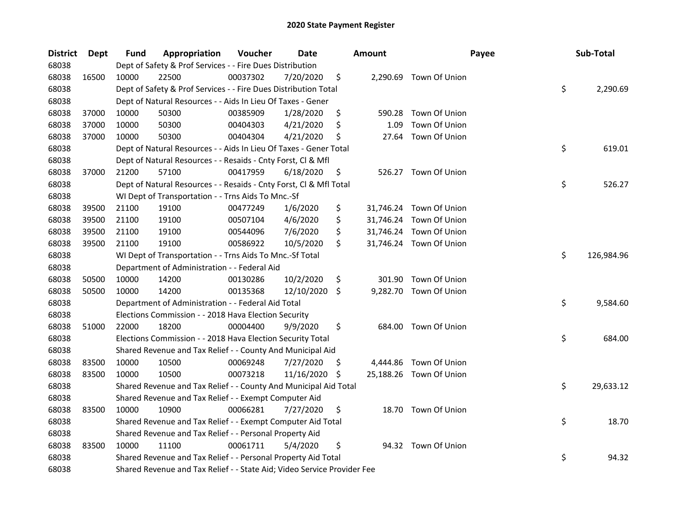| <b>District</b> | <b>Dept</b> | Fund  | Appropriation                                                           | Voucher  | <b>Date</b> |     | <b>Amount</b> | Payee                   | Sub-Total        |
|-----------------|-------------|-------|-------------------------------------------------------------------------|----------|-------------|-----|---------------|-------------------------|------------------|
| 68038           |             |       | Dept of Safety & Prof Services - - Fire Dues Distribution               |          |             |     |               |                         |                  |
| 68038           | 16500       | 10000 | 22500                                                                   | 00037302 | 7/20/2020   | \$  |               | 2,290.69 Town Of Union  |                  |
| 68038           |             |       | Dept of Safety & Prof Services - - Fire Dues Distribution Total         |          |             |     |               |                         | \$<br>2,290.69   |
| 68038           |             |       | Dept of Natural Resources - - Aids In Lieu Of Taxes - Gener             |          |             |     |               |                         |                  |
| 68038           | 37000       | 10000 | 50300                                                                   | 00385909 | 1/28/2020   | \$  |               | 590.28 Town Of Union    |                  |
| 68038           | 37000       | 10000 | 50300                                                                   | 00404303 | 4/21/2020   | \$  | 1.09          | Town Of Union           |                  |
| 68038           | 37000       | 10000 | 50300                                                                   | 00404304 | 4/21/2020   | \$  | 27.64         | Town Of Union           |                  |
| 68038           |             |       | Dept of Natural Resources - - Aids In Lieu Of Taxes - Gener Total       |          |             |     |               |                         | \$<br>619.01     |
| 68038           |             |       | Dept of Natural Resources - - Resaids - Cnty Forst, Cl & Mfl            |          |             |     |               |                         |                  |
| 68038           | 37000       | 21200 | 57100                                                                   | 00417959 | 6/18/2020   | \$  |               | 526.27 Town Of Union    |                  |
| 68038           |             |       | Dept of Natural Resources - - Resaids - Cnty Forst, Cl & Mfl Total      |          |             |     |               |                         | \$<br>526.27     |
| 68038           |             |       | WI Dept of Transportation - - Trns Aids To Mnc.-Sf                      |          |             |     |               |                         |                  |
| 68038           | 39500       | 21100 | 19100                                                                   | 00477249 | 1/6/2020    | \$  |               | 31,746.24 Town Of Union |                  |
| 68038           | 39500       | 21100 | 19100                                                                   | 00507104 | 4/6/2020    | \$  |               | 31,746.24 Town Of Union |                  |
| 68038           | 39500       | 21100 | 19100                                                                   | 00544096 | 7/6/2020    | \$  |               | 31,746.24 Town Of Union |                  |
| 68038           | 39500       | 21100 | 19100                                                                   | 00586922 | 10/5/2020   | \$  |               | 31,746.24 Town Of Union |                  |
| 68038           |             |       | WI Dept of Transportation - - Trns Aids To Mnc.-Sf Total                |          |             |     |               |                         | \$<br>126,984.96 |
| 68038           |             |       | Department of Administration - - Federal Aid                            |          |             |     |               |                         |                  |
| 68038           | 50500       | 10000 | 14200                                                                   | 00130286 | 10/2/2020   | \$  | 301.90        | Town Of Union           |                  |
| 68038           | 50500       | 10000 | 14200                                                                   | 00135368 | 12/10/2020  | \$. | 9,282.70      | Town Of Union           |                  |
| 68038           |             |       | Department of Administration - - Federal Aid Total                      |          |             |     |               |                         | \$<br>9,584.60   |
| 68038           |             |       | Elections Commission - - 2018 Hava Election Security                    |          |             |     |               |                         |                  |
| 68038           | 51000       | 22000 | 18200                                                                   | 00004400 | 9/9/2020    | \$  |               | 684.00 Town Of Union    |                  |
| 68038           |             |       | Elections Commission - - 2018 Hava Election Security Total              |          |             |     |               |                         | \$<br>684.00     |
| 68038           |             |       | Shared Revenue and Tax Relief - - County And Municipal Aid              |          |             |     |               |                         |                  |
| 68038           | 83500       | 10000 | 10500                                                                   | 00069248 | 7/27/2020   | \$. | 4,444.86      | Town Of Union           |                  |
| 68038           | 83500       | 10000 | 10500                                                                   | 00073218 | 11/16/2020  | S   |               | 25,188.26 Town Of Union |                  |
| 68038           |             |       | Shared Revenue and Tax Relief - - County And Municipal Aid Total        |          |             |     |               |                         | \$<br>29,633.12  |
| 68038           |             |       | Shared Revenue and Tax Relief - - Exempt Computer Aid                   |          |             |     |               |                         |                  |
| 68038           | 83500       | 10000 | 10900                                                                   | 00066281 | 7/27/2020   | \$  |               | 18.70 Town Of Union     |                  |
| 68038           |             |       | Shared Revenue and Tax Relief - - Exempt Computer Aid Total             |          |             |     |               |                         | \$<br>18.70      |
| 68038           |             |       | Shared Revenue and Tax Relief - - Personal Property Aid                 |          |             |     |               |                         |                  |
| 68038           | 83500       | 10000 | 11100                                                                   | 00061711 | 5/4/2020    | \$  |               | 94.32 Town Of Union     |                  |
| 68038           |             |       | Shared Revenue and Tax Relief - - Personal Property Aid Total           |          |             |     |               |                         | \$<br>94.32      |
| 68038           |             |       | Shared Revenue and Tax Relief - - State Aid; Video Service Provider Fee |          |             |     |               |                         |                  |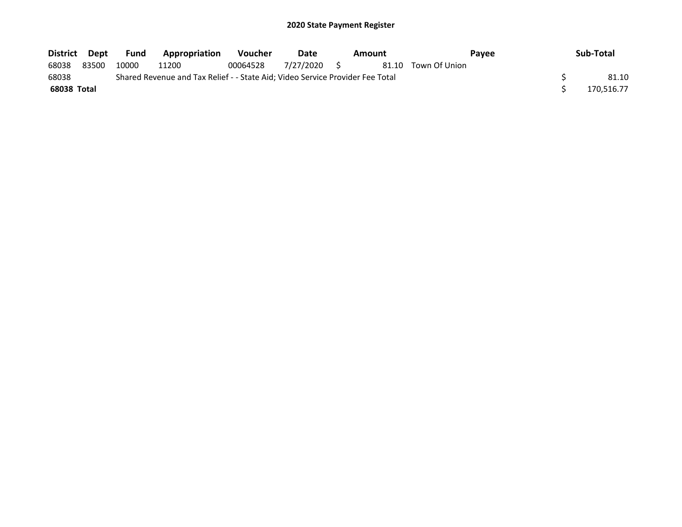| District Dept |                                                                               | Fund  | Appropriation | <b>Voucher</b> | Date         |  | Amount |               | <b>Pavee</b> | Sub-Total  |  |
|---------------|-------------------------------------------------------------------------------|-------|---------------|----------------|--------------|--|--------|---------------|--------------|------------|--|
| 68038         | 83500                                                                         | 10000 | 11200         | 00064528       | 7/27/2020 \$ |  | 81.10  | Town Of Union |              |            |  |
| 68038         | Shared Revenue and Tax Relief - - State Aid; Video Service Provider Fee Total |       |               |                |              |  |        |               |              |            |  |
| 68038 Total   |                                                                               |       |               |                |              |  |        |               |              | 170.516.77 |  |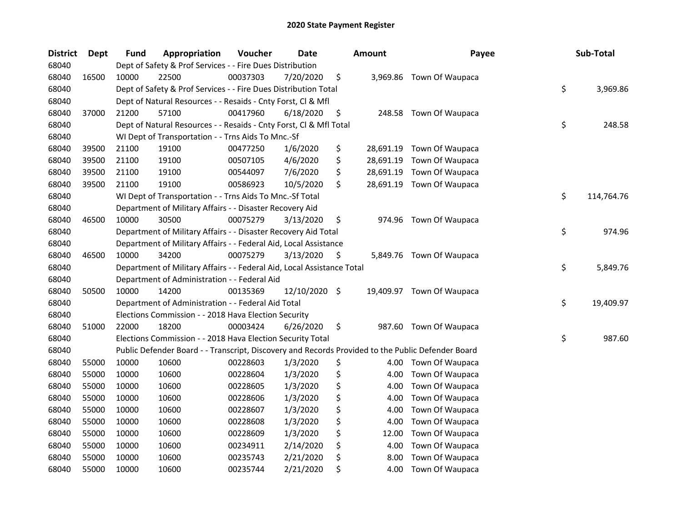| <b>District</b> | <b>Dept</b> | <b>Fund</b> | Appropriation                                                                                     | Voucher  | Date       |     | <b>Amount</b> | Payee                     | Sub-Total        |
|-----------------|-------------|-------------|---------------------------------------------------------------------------------------------------|----------|------------|-----|---------------|---------------------------|------------------|
| 68040           |             |             | Dept of Safety & Prof Services - - Fire Dues Distribution                                         |          |            |     |               |                           |                  |
| 68040           | 16500       | 10000       | 22500                                                                                             | 00037303 | 7/20/2020  | \$  | 3,969.86      | Town Of Waupaca           |                  |
| 68040           |             |             | Dept of Safety & Prof Services - - Fire Dues Distribution Total                                   |          |            |     |               |                           | \$<br>3,969.86   |
| 68040           |             |             | Dept of Natural Resources - - Resaids - Cnty Forst, Cl & Mfl                                      |          |            |     |               |                           |                  |
| 68040           | 37000       | 21200       | 57100                                                                                             | 00417960 | 6/18/2020  | \$  |               | 248.58 Town Of Waupaca    |                  |
| 68040           |             |             | Dept of Natural Resources - - Resaids - Cnty Forst, Cl & Mfl Total                                |          |            |     |               |                           | \$<br>248.58     |
| 68040           |             |             | WI Dept of Transportation - - Trns Aids To Mnc.-Sf                                                |          |            |     |               |                           |                  |
| 68040           | 39500       | 21100       | 19100                                                                                             | 00477250 | 1/6/2020   | \$  |               | 28,691.19 Town Of Waupaca |                  |
| 68040           | 39500       | 21100       | 19100                                                                                             | 00507105 | 4/6/2020   | \$  | 28,691.19     | Town Of Waupaca           |                  |
| 68040           | 39500       | 21100       | 19100                                                                                             | 00544097 | 7/6/2020   | \$  |               | 28,691.19 Town Of Waupaca |                  |
| 68040           | 39500       | 21100       | 19100                                                                                             | 00586923 | 10/5/2020  | \$  |               | 28,691.19 Town Of Waupaca |                  |
| 68040           |             |             | WI Dept of Transportation - - Trns Aids To Mnc.-Sf Total                                          |          |            |     |               |                           | \$<br>114,764.76 |
| 68040           |             |             | Department of Military Affairs - - Disaster Recovery Aid                                          |          |            |     |               |                           |                  |
| 68040           | 46500       | 10000       | 30500                                                                                             | 00075279 | 3/13/2020  | \$  | 974.96        | Town Of Waupaca           |                  |
| 68040           |             |             | Department of Military Affairs - - Disaster Recovery Aid Total                                    |          |            |     |               |                           | \$<br>974.96     |
| 68040           |             |             | Department of Military Affairs - - Federal Aid, Local Assistance                                  |          |            |     |               |                           |                  |
| 68040           | 46500       | 10000       | 34200                                                                                             | 00075279 | 3/13/2020  | \$  |               | 5,849.76 Town Of Waupaca  |                  |
| 68040           |             |             | Department of Military Affairs - - Federal Aid, Local Assistance Total                            |          |            |     |               |                           | \$<br>5,849.76   |
| 68040           |             |             | Department of Administration - - Federal Aid                                                      |          |            |     |               |                           |                  |
| 68040           | 50500       | 10000       | 14200                                                                                             | 00135369 | 12/10/2020 | -\$ |               | 19,409.97 Town Of Waupaca |                  |
| 68040           |             |             | Department of Administration - - Federal Aid Total                                                |          |            |     |               |                           | \$<br>19,409.97  |
| 68040           |             |             | Elections Commission - - 2018 Hava Election Security                                              |          |            |     |               |                           |                  |
| 68040           | 51000       | 22000       | 18200                                                                                             | 00003424 | 6/26/2020  | \$  |               | 987.60 Town Of Waupaca    |                  |
| 68040           |             |             | Elections Commission - - 2018 Hava Election Security Total                                        |          |            |     |               |                           | \$<br>987.60     |
| 68040           |             |             | Public Defender Board - - Transcript, Discovery and Records Provided to the Public Defender Board |          |            |     |               |                           |                  |
| 68040           | 55000       | 10000       | 10600                                                                                             | 00228603 | 1/3/2020   | \$  | 4.00          | Town Of Waupaca           |                  |
| 68040           | 55000       | 10000       | 10600                                                                                             | 00228604 | 1/3/2020   | \$  | 4.00          | Town Of Waupaca           |                  |
| 68040           | 55000       | 10000       | 10600                                                                                             | 00228605 | 1/3/2020   | \$  | 4.00          | Town Of Waupaca           |                  |
| 68040           | 55000       | 10000       | 10600                                                                                             | 00228606 | 1/3/2020   | \$  | 4.00          | Town Of Waupaca           |                  |
| 68040           | 55000       | 10000       | 10600                                                                                             | 00228607 | 1/3/2020   | \$  | 4.00          | Town Of Waupaca           |                  |
| 68040           | 55000       | 10000       | 10600                                                                                             | 00228608 | 1/3/2020   | \$  | 4.00          | Town Of Waupaca           |                  |
| 68040           | 55000       | 10000       | 10600                                                                                             | 00228609 | 1/3/2020   | \$  | 12.00         | Town Of Waupaca           |                  |
| 68040           | 55000       | 10000       | 10600                                                                                             | 00234911 | 2/14/2020  | \$  | 4.00          | Town Of Waupaca           |                  |
| 68040           | 55000       | 10000       | 10600                                                                                             | 00235743 | 2/21/2020  | \$  | 8.00          | Town Of Waupaca           |                  |
| 68040           | 55000       | 10000       | 10600                                                                                             | 00235744 | 2/21/2020  | \$  | 4.00          | Town Of Waupaca           |                  |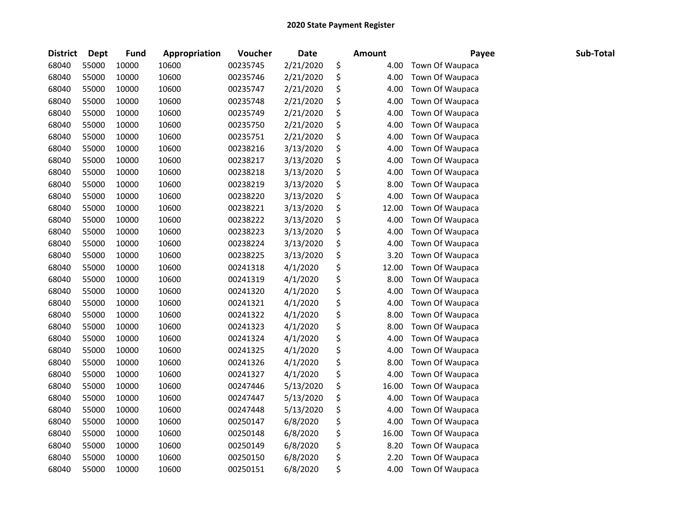| <b>District</b> | <b>Dept</b> | <b>Fund</b> | Appropriation | Voucher  | Date      | <b>Amount</b> | Payee           | Sub-Total |
|-----------------|-------------|-------------|---------------|----------|-----------|---------------|-----------------|-----------|
| 68040           | 55000       | 10000       | 10600         | 00235745 | 2/21/2020 | \$<br>4.00    | Town Of Waupaca |           |
| 68040           | 55000       | 10000       | 10600         | 00235746 | 2/21/2020 | \$<br>4.00    | Town Of Waupaca |           |
| 68040           | 55000       | 10000       | 10600         | 00235747 | 2/21/2020 | \$<br>4.00    | Town Of Waupaca |           |
| 68040           | 55000       | 10000       | 10600         | 00235748 | 2/21/2020 | \$<br>4.00    | Town Of Waupaca |           |
| 68040           | 55000       | 10000       | 10600         | 00235749 | 2/21/2020 | \$<br>4.00    | Town Of Waupaca |           |
| 68040           | 55000       | 10000       | 10600         | 00235750 | 2/21/2020 | \$<br>4.00    | Town Of Waupaca |           |
| 68040           | 55000       | 10000       | 10600         | 00235751 | 2/21/2020 | \$<br>4.00    | Town Of Waupaca |           |
| 68040           | 55000       | 10000       | 10600         | 00238216 | 3/13/2020 | \$<br>4.00    | Town Of Waupaca |           |
| 68040           | 55000       | 10000       | 10600         | 00238217 | 3/13/2020 | \$<br>4.00    | Town Of Waupaca |           |
| 68040           | 55000       | 10000       | 10600         | 00238218 | 3/13/2020 | \$<br>4.00    | Town Of Waupaca |           |
| 68040           | 55000       | 10000       | 10600         | 00238219 | 3/13/2020 | \$<br>8.00    | Town Of Waupaca |           |
| 68040           | 55000       | 10000       | 10600         | 00238220 | 3/13/2020 | \$<br>4.00    | Town Of Waupaca |           |
| 68040           | 55000       | 10000       | 10600         | 00238221 | 3/13/2020 | \$<br>12.00   | Town Of Waupaca |           |
| 68040           | 55000       | 10000       | 10600         | 00238222 | 3/13/2020 | \$<br>4.00    | Town Of Waupaca |           |
| 68040           | 55000       | 10000       | 10600         | 00238223 | 3/13/2020 | \$<br>4.00    | Town Of Waupaca |           |
| 68040           | 55000       | 10000       | 10600         | 00238224 | 3/13/2020 | \$<br>4.00    | Town Of Waupaca |           |
| 68040           | 55000       | 10000       | 10600         | 00238225 | 3/13/2020 | \$<br>3.20    | Town Of Waupaca |           |
| 68040           | 55000       | 10000       | 10600         | 00241318 | 4/1/2020  | \$<br>12.00   | Town Of Waupaca |           |
| 68040           | 55000       | 10000       | 10600         | 00241319 | 4/1/2020  | \$<br>8.00    | Town Of Waupaca |           |
| 68040           | 55000       | 10000       | 10600         | 00241320 | 4/1/2020  | \$<br>4.00    | Town Of Waupaca |           |
| 68040           | 55000       | 10000       | 10600         | 00241321 | 4/1/2020  | \$<br>4.00    | Town Of Waupaca |           |
| 68040           | 55000       | 10000       | 10600         | 00241322 | 4/1/2020  | \$<br>8.00    | Town Of Waupaca |           |
| 68040           | 55000       | 10000       | 10600         | 00241323 | 4/1/2020  | \$<br>8.00    | Town Of Waupaca |           |
| 68040           | 55000       | 10000       | 10600         | 00241324 | 4/1/2020  | \$<br>4.00    | Town Of Waupaca |           |
| 68040           | 55000       | 10000       | 10600         | 00241325 | 4/1/2020  | \$<br>4.00    | Town Of Waupaca |           |
| 68040           | 55000       | 10000       | 10600         | 00241326 | 4/1/2020  | \$<br>8.00    | Town Of Waupaca |           |
| 68040           | 55000       | 10000       | 10600         | 00241327 | 4/1/2020  | \$<br>4.00    | Town Of Waupaca |           |
| 68040           | 55000       | 10000       | 10600         | 00247446 | 5/13/2020 | \$<br>16.00   | Town Of Waupaca |           |
| 68040           | 55000       | 10000       | 10600         | 00247447 | 5/13/2020 | \$<br>4.00    | Town Of Waupaca |           |
| 68040           | 55000       | 10000       | 10600         | 00247448 | 5/13/2020 | \$<br>4.00    | Town Of Waupaca |           |
| 68040           | 55000       | 10000       | 10600         | 00250147 | 6/8/2020  | \$<br>4.00    | Town Of Waupaca |           |
| 68040           | 55000       | 10000       | 10600         | 00250148 | 6/8/2020  | \$<br>16.00   | Town Of Waupaca |           |
| 68040           | 55000       | 10000       | 10600         | 00250149 | 6/8/2020  | \$<br>8.20    | Town Of Waupaca |           |
| 68040           | 55000       | 10000       | 10600         | 00250150 | 6/8/2020  | \$<br>2.20    | Town Of Waupaca |           |
| 68040           | 55000       | 10000       | 10600         | 00250151 | 6/8/2020  | \$<br>4.00    | Town Of Waupaca |           |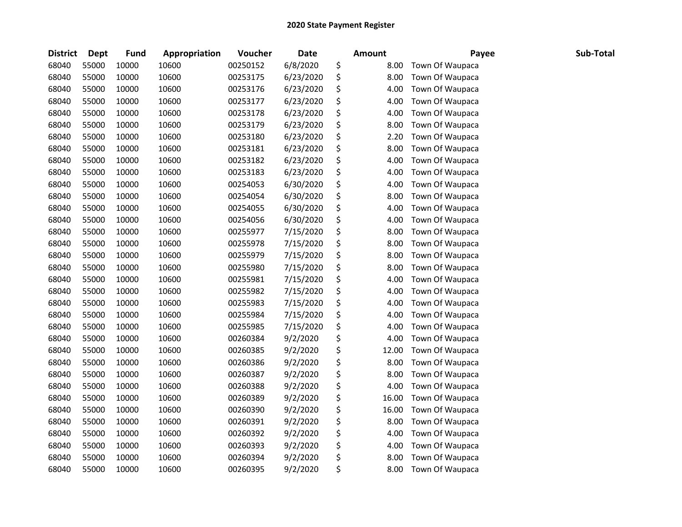| <b>District</b> | <b>Dept</b> | <b>Fund</b> | Appropriation | Voucher  | Date      | <b>Amount</b> | Payee           | Sub-Total |
|-----------------|-------------|-------------|---------------|----------|-----------|---------------|-----------------|-----------|
| 68040           | 55000       | 10000       | 10600         | 00250152 | 6/8/2020  | \$<br>8.00    | Town Of Waupaca |           |
| 68040           | 55000       | 10000       | 10600         | 00253175 | 6/23/2020 | \$<br>8.00    | Town Of Waupaca |           |
| 68040           | 55000       | 10000       | 10600         | 00253176 | 6/23/2020 | \$<br>4.00    | Town Of Waupaca |           |
| 68040           | 55000       | 10000       | 10600         | 00253177 | 6/23/2020 | \$<br>4.00    | Town Of Waupaca |           |
| 68040           | 55000       | 10000       | 10600         | 00253178 | 6/23/2020 | \$<br>4.00    | Town Of Waupaca |           |
| 68040           | 55000       | 10000       | 10600         | 00253179 | 6/23/2020 | \$<br>8.00    | Town Of Waupaca |           |
| 68040           | 55000       | 10000       | 10600         | 00253180 | 6/23/2020 | \$<br>2.20    | Town Of Waupaca |           |
| 68040           | 55000       | 10000       | 10600         | 00253181 | 6/23/2020 | \$<br>8.00    | Town Of Waupaca |           |
| 68040           | 55000       | 10000       | 10600         | 00253182 | 6/23/2020 | \$<br>4.00    | Town Of Waupaca |           |
| 68040           | 55000       | 10000       | 10600         | 00253183 | 6/23/2020 | \$<br>4.00    | Town Of Waupaca |           |
| 68040           | 55000       | 10000       | 10600         | 00254053 | 6/30/2020 | \$<br>4.00    | Town Of Waupaca |           |
| 68040           | 55000       | 10000       | 10600         | 00254054 | 6/30/2020 | \$<br>8.00    | Town Of Waupaca |           |
| 68040           | 55000       | 10000       | 10600         | 00254055 | 6/30/2020 | \$<br>4.00    | Town Of Waupaca |           |
| 68040           | 55000       | 10000       | 10600         | 00254056 | 6/30/2020 | \$<br>4.00    | Town Of Waupaca |           |
| 68040           | 55000       | 10000       | 10600         | 00255977 | 7/15/2020 | \$<br>8.00    | Town Of Waupaca |           |
| 68040           | 55000       | 10000       | 10600         | 00255978 | 7/15/2020 | \$<br>8.00    | Town Of Waupaca |           |
| 68040           | 55000       | 10000       | 10600         | 00255979 | 7/15/2020 | \$<br>8.00    | Town Of Waupaca |           |
| 68040           | 55000       | 10000       | 10600         | 00255980 | 7/15/2020 | \$<br>8.00    | Town Of Waupaca |           |
| 68040           | 55000       | 10000       | 10600         | 00255981 | 7/15/2020 | \$<br>4.00    | Town Of Waupaca |           |
| 68040           | 55000       | 10000       | 10600         | 00255982 | 7/15/2020 | \$<br>4.00    | Town Of Waupaca |           |
| 68040           | 55000       | 10000       | 10600         | 00255983 | 7/15/2020 | \$<br>4.00    | Town Of Waupaca |           |
| 68040           | 55000       | 10000       | 10600         | 00255984 | 7/15/2020 | \$<br>4.00    | Town Of Waupaca |           |
| 68040           | 55000       | 10000       | 10600         | 00255985 | 7/15/2020 | \$<br>4.00    | Town Of Waupaca |           |
| 68040           | 55000       | 10000       | 10600         | 00260384 | 9/2/2020  | \$<br>4.00    | Town Of Waupaca |           |
| 68040           | 55000       | 10000       | 10600         | 00260385 | 9/2/2020  | \$<br>12.00   | Town Of Waupaca |           |
| 68040           | 55000       | 10000       | 10600         | 00260386 | 9/2/2020  | \$<br>8.00    | Town Of Waupaca |           |
| 68040           | 55000       | 10000       | 10600         | 00260387 | 9/2/2020  | \$<br>8.00    | Town Of Waupaca |           |
| 68040           | 55000       | 10000       | 10600         | 00260388 | 9/2/2020  | \$<br>4.00    | Town Of Waupaca |           |
| 68040           | 55000       | 10000       | 10600         | 00260389 | 9/2/2020  | \$<br>16.00   | Town Of Waupaca |           |
| 68040           | 55000       | 10000       | 10600         | 00260390 | 9/2/2020  | \$<br>16.00   | Town Of Waupaca |           |
| 68040           | 55000       | 10000       | 10600         | 00260391 | 9/2/2020  | \$<br>8.00    | Town Of Waupaca |           |
| 68040           | 55000       | 10000       | 10600         | 00260392 | 9/2/2020  | \$<br>4.00    | Town Of Waupaca |           |
| 68040           | 55000       | 10000       | 10600         | 00260393 | 9/2/2020  | \$<br>4.00    | Town Of Waupaca |           |
| 68040           | 55000       | 10000       | 10600         | 00260394 | 9/2/2020  | \$<br>8.00    | Town Of Waupaca |           |
| 68040           | 55000       | 10000       | 10600         | 00260395 | 9/2/2020  | \$<br>8.00    | Town Of Waupaca |           |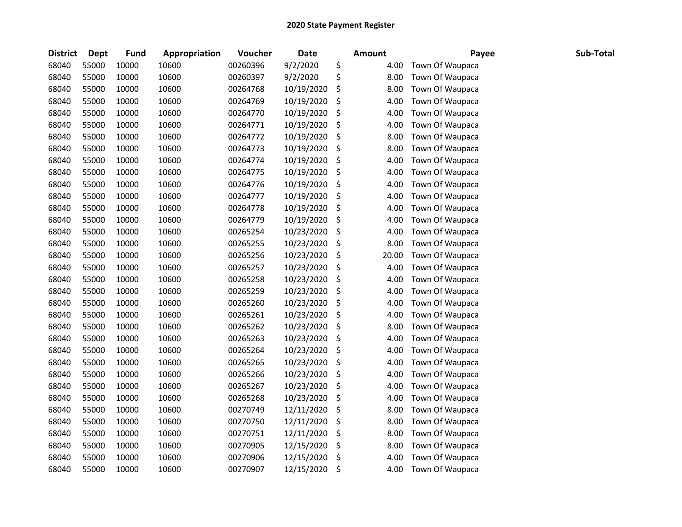| <b>District</b> | <b>Dept</b> | <b>Fund</b> | Appropriation | Voucher  | Date       | <b>Amount</b> | Payee           | Sub-Total |
|-----------------|-------------|-------------|---------------|----------|------------|---------------|-----------------|-----------|
| 68040           | 55000       | 10000       | 10600         | 00260396 | 9/2/2020   | \$<br>4.00    | Town Of Waupaca |           |
| 68040           | 55000       | 10000       | 10600         | 00260397 | 9/2/2020   | \$<br>8.00    | Town Of Waupaca |           |
| 68040           | 55000       | 10000       | 10600         | 00264768 | 10/19/2020 | \$<br>8.00    | Town Of Waupaca |           |
| 68040           | 55000       | 10000       | 10600         | 00264769 | 10/19/2020 | \$<br>4.00    | Town Of Waupaca |           |
| 68040           | 55000       | 10000       | 10600         | 00264770 | 10/19/2020 | \$<br>4.00    | Town Of Waupaca |           |
| 68040           | 55000       | 10000       | 10600         | 00264771 | 10/19/2020 | \$<br>4.00    | Town Of Waupaca |           |
| 68040           | 55000       | 10000       | 10600         | 00264772 | 10/19/2020 | \$<br>8.00    | Town Of Waupaca |           |
| 68040           | 55000       | 10000       | 10600         | 00264773 | 10/19/2020 | \$<br>8.00    | Town Of Waupaca |           |
| 68040           | 55000       | 10000       | 10600         | 00264774 | 10/19/2020 | \$<br>4.00    | Town Of Waupaca |           |
| 68040           | 55000       | 10000       | 10600         | 00264775 | 10/19/2020 | \$<br>4.00    | Town Of Waupaca |           |
| 68040           | 55000       | 10000       | 10600         | 00264776 | 10/19/2020 | \$<br>4.00    | Town Of Waupaca |           |
| 68040           | 55000       | 10000       | 10600         | 00264777 | 10/19/2020 | \$<br>4.00    | Town Of Waupaca |           |
| 68040           | 55000       | 10000       | 10600         | 00264778 | 10/19/2020 | \$<br>4.00    | Town Of Waupaca |           |
| 68040           | 55000       | 10000       | 10600         | 00264779 | 10/19/2020 | \$<br>4.00    | Town Of Waupaca |           |
| 68040           | 55000       | 10000       | 10600         | 00265254 | 10/23/2020 | \$<br>4.00    | Town Of Waupaca |           |
| 68040           | 55000       | 10000       | 10600         | 00265255 | 10/23/2020 | \$<br>8.00    | Town Of Waupaca |           |
| 68040           | 55000       | 10000       | 10600         | 00265256 | 10/23/2020 | \$<br>20.00   | Town Of Waupaca |           |
| 68040           | 55000       | 10000       | 10600         | 00265257 | 10/23/2020 | \$<br>4.00    | Town Of Waupaca |           |
| 68040           | 55000       | 10000       | 10600         | 00265258 | 10/23/2020 | \$<br>4.00    | Town Of Waupaca |           |
| 68040           | 55000       | 10000       | 10600         | 00265259 | 10/23/2020 | \$<br>4.00    | Town Of Waupaca |           |
| 68040           | 55000       | 10000       | 10600         | 00265260 | 10/23/2020 | \$<br>4.00    | Town Of Waupaca |           |
| 68040           | 55000       | 10000       | 10600         | 00265261 | 10/23/2020 | \$<br>4.00    | Town Of Waupaca |           |
| 68040           | 55000       | 10000       | 10600         | 00265262 | 10/23/2020 | \$<br>8.00    | Town Of Waupaca |           |
| 68040           | 55000       | 10000       | 10600         | 00265263 | 10/23/2020 | \$<br>4.00    | Town Of Waupaca |           |
| 68040           | 55000       | 10000       | 10600         | 00265264 | 10/23/2020 | \$<br>4.00    | Town Of Waupaca |           |
| 68040           | 55000       | 10000       | 10600         | 00265265 | 10/23/2020 | \$<br>4.00    | Town Of Waupaca |           |
| 68040           | 55000       | 10000       | 10600         | 00265266 | 10/23/2020 | \$<br>4.00    | Town Of Waupaca |           |
| 68040           | 55000       | 10000       | 10600         | 00265267 | 10/23/2020 | \$<br>4.00    | Town Of Waupaca |           |
| 68040           | 55000       | 10000       | 10600         | 00265268 | 10/23/2020 | \$<br>4.00    | Town Of Waupaca |           |
| 68040           | 55000       | 10000       | 10600         | 00270749 | 12/11/2020 | \$<br>8.00    | Town Of Waupaca |           |
| 68040           | 55000       | 10000       | 10600         | 00270750 | 12/11/2020 | \$<br>8.00    | Town Of Waupaca |           |
| 68040           | 55000       | 10000       | 10600         | 00270751 | 12/11/2020 | \$<br>8.00    | Town Of Waupaca |           |
| 68040           | 55000       | 10000       | 10600         | 00270905 | 12/15/2020 | \$<br>8.00    | Town Of Waupaca |           |
| 68040           | 55000       | 10000       | 10600         | 00270906 | 12/15/2020 | \$<br>4.00    | Town Of Waupaca |           |
| 68040           | 55000       | 10000       | 10600         | 00270907 | 12/15/2020 | \$<br>4.00    | Town Of Waupaca |           |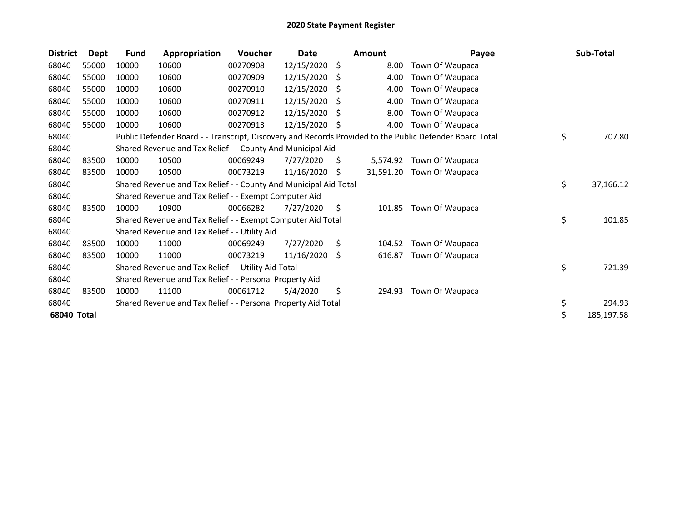| <b>District</b> | Dept  | <b>Fund</b> | Appropriation                                                    | <b>Voucher</b> | Date       |     | <b>Amount</b> | Payee                                                                                                   | Sub-Total        |
|-----------------|-------|-------------|------------------------------------------------------------------|----------------|------------|-----|---------------|---------------------------------------------------------------------------------------------------------|------------------|
| 68040           | 55000 | 10000       | 10600                                                            | 00270908       | 12/15/2020 | -S  | 8.00          | Town Of Waupaca                                                                                         |                  |
| 68040           | 55000 | 10000       | 10600                                                            | 00270909       | 12/15/2020 | - S | 4.00          | Town Of Waupaca                                                                                         |                  |
| 68040           | 55000 | 10000       | 10600                                                            | 00270910       | 12/15/2020 | S   | 4.00          | Town Of Waupaca                                                                                         |                  |
| 68040           | 55000 | 10000       | 10600                                                            | 00270911       | 12/15/2020 | S   | 4.00          | Town Of Waupaca                                                                                         |                  |
| 68040           | 55000 | 10000       | 10600                                                            | 00270912       | 12/15/2020 | S   | 8.00          | Town Of Waupaca                                                                                         |                  |
| 68040           | 55000 | 10000       | 10600                                                            | 00270913       | 12/15/2020 | -S  | 4.00          | Town Of Waupaca                                                                                         |                  |
| 68040           |       |             |                                                                  |                |            |     |               | Public Defender Board - - Transcript, Discovery and Records Provided to the Public Defender Board Total | \$<br>707.80     |
| 68040           |       |             | Shared Revenue and Tax Relief - - County And Municipal Aid       |                |            |     |               |                                                                                                         |                  |
| 68040           | 83500 | 10000       | 10500                                                            | 00069249       | 7/27/2020  | S.  | 5.574.92      | Town Of Waupaca                                                                                         |                  |
| 68040           | 83500 | 10000       | 10500                                                            | 00073219       | 11/16/2020 | -\$ | 31,591.20     | Town Of Waupaca                                                                                         |                  |
| 68040           |       |             | Shared Revenue and Tax Relief - - County And Municipal Aid Total |                |            |     |               |                                                                                                         | \$<br>37,166.12  |
| 68040           |       |             | Shared Revenue and Tax Relief - - Exempt Computer Aid            |                |            |     |               |                                                                                                         |                  |
| 68040           | 83500 | 10000       | 10900                                                            | 00066282       | 7/27/2020  | \$  | 101.85        | Town Of Waupaca                                                                                         |                  |
| 68040           |       |             | Shared Revenue and Tax Relief - - Exempt Computer Aid Total      |                |            |     |               |                                                                                                         | \$<br>101.85     |
| 68040           |       |             | Shared Revenue and Tax Relief - - Utility Aid                    |                |            |     |               |                                                                                                         |                  |
| 68040           | 83500 | 10000       | 11000                                                            | 00069249       | 7/27/2020  | \$  | 104.52        | Town Of Waupaca                                                                                         |                  |
| 68040           | 83500 | 10000       | 11000                                                            | 00073219       | 11/16/2020 | -S  | 616.87        | Town Of Waupaca                                                                                         |                  |
| 68040           |       |             | Shared Revenue and Tax Relief - - Utility Aid Total              |                |            |     |               |                                                                                                         | \$<br>721.39     |
| 68040           |       |             | Shared Revenue and Tax Relief - - Personal Property Aid          |                |            |     |               |                                                                                                         |                  |
| 68040           | 83500 | 10000       | 11100                                                            | 00061712       | 5/4/2020   | \$  | 294.93        | Town Of Waupaca                                                                                         |                  |
| 68040           |       |             | Shared Revenue and Tax Relief - - Personal Property Aid Total    |                |            |     |               |                                                                                                         | \$<br>294.93     |
| 68040 Total     |       |             |                                                                  |                |            |     |               |                                                                                                         | \$<br>185,197.58 |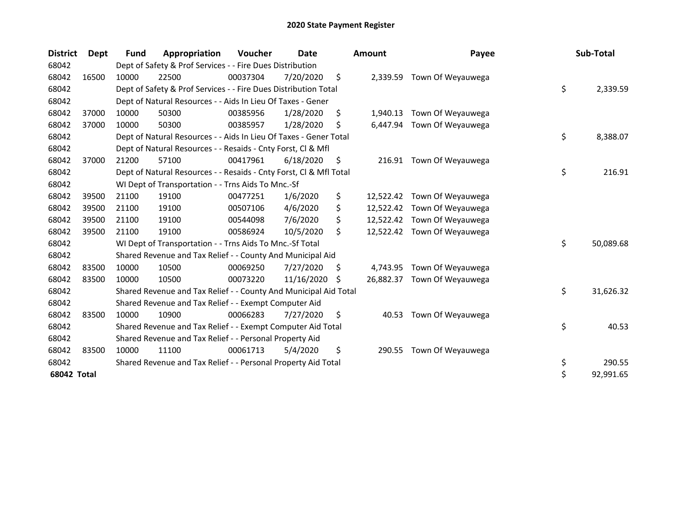| <b>District</b> | Dept  | Fund  | Appropriation                                                      | Voucher  | Date       |     | Amount    | Payee                       | Sub-Total       |
|-----------------|-------|-------|--------------------------------------------------------------------|----------|------------|-----|-----------|-----------------------------|-----------------|
| 68042           |       |       | Dept of Safety & Prof Services - - Fire Dues Distribution          |          |            |     |           |                             |                 |
| 68042           | 16500 | 10000 | 22500                                                              | 00037304 | 7/20/2020  | \$  | 2,339.59  | Town Of Weyauwega           |                 |
| 68042           |       |       | Dept of Safety & Prof Services - - Fire Dues Distribution Total    |          |            |     |           |                             | \$<br>2,339.59  |
| 68042           |       |       | Dept of Natural Resources - - Aids In Lieu Of Taxes - Gener        |          |            |     |           |                             |                 |
| 68042           | 37000 | 10000 | 50300                                                              | 00385956 | 1/28/2020  | \$  | 1,940.13  | Town Of Weyauwega           |                 |
| 68042           | 37000 | 10000 | 50300                                                              | 00385957 | 1/28/2020  | Ś   | 6,447.94  | Town Of Weyauwega           |                 |
| 68042           |       |       | Dept of Natural Resources - - Aids In Lieu Of Taxes - Gener Total  |          |            |     |           |                             | \$<br>8,388.07  |
| 68042           |       |       | Dept of Natural Resources - - Resaids - Cnty Forst, CI & Mfl       |          |            |     |           |                             |                 |
| 68042           | 37000 | 21200 | 57100                                                              | 00417961 | 6/18/2020  | \$, |           | 216.91 Town Of Weyauwega    |                 |
| 68042           |       |       | Dept of Natural Resources - - Resaids - Cnty Forst, Cl & Mfl Total |          |            |     |           |                             | \$<br>216.91    |
| 68042           |       |       | WI Dept of Transportation - - Trns Aids To Mnc.-Sf                 |          |            |     |           |                             |                 |
| 68042           | 39500 | 21100 | 19100                                                              | 00477251 | 1/6/2020   | \$  |           | 12,522.42 Town Of Weyauwega |                 |
| 68042           | 39500 | 21100 | 19100                                                              | 00507106 | 4/6/2020   | \$  |           | 12,522.42 Town Of Weyauwega |                 |
| 68042           | 39500 | 21100 | 19100                                                              | 00544098 | 7/6/2020   | \$  |           | 12,522.42 Town Of Weyauwega |                 |
| 68042           | 39500 | 21100 | 19100                                                              | 00586924 | 10/5/2020  | \$  |           | 12,522.42 Town Of Weyauwega |                 |
| 68042           |       |       | WI Dept of Transportation - - Trns Aids To Mnc.-Sf Total           |          |            |     |           |                             | \$<br>50,089.68 |
| 68042           |       |       | Shared Revenue and Tax Relief - - County And Municipal Aid         |          |            |     |           |                             |                 |
| 68042           | 83500 | 10000 | 10500                                                              | 00069250 | 7/27/2020  | S.  | 4,743.95  | Town Of Weyauwega           |                 |
| 68042           | 83500 | 10000 | 10500                                                              | 00073220 | 11/16/2020 | Ŝ.  | 26.882.37 | Town Of Weyauwega           |                 |
| 68042           |       |       | Shared Revenue and Tax Relief - - County And Municipal Aid Total   |          |            |     |           |                             | \$<br>31,626.32 |
| 68042           |       |       | Shared Revenue and Tax Relief - - Exempt Computer Aid              |          |            |     |           |                             |                 |
| 68042           | 83500 | 10000 | 10900                                                              | 00066283 | 7/27/2020  | \$  | 40.53     | Town Of Weyauwega           |                 |
| 68042           |       |       | Shared Revenue and Tax Relief - - Exempt Computer Aid Total        |          |            |     |           |                             | \$<br>40.53     |
| 68042           |       |       | Shared Revenue and Tax Relief - - Personal Property Aid            |          |            |     |           |                             |                 |
| 68042           | 83500 | 10000 | 11100                                                              | 00061713 | 5/4/2020   | \$  | 290.55    | Town Of Weyauwega           |                 |
| 68042           |       |       | Shared Revenue and Tax Relief - - Personal Property Aid Total      |          |            |     |           |                             | \$<br>290.55    |
| 68042 Total     |       |       |                                                                    |          |            |     |           |                             | \$<br>92,991.65 |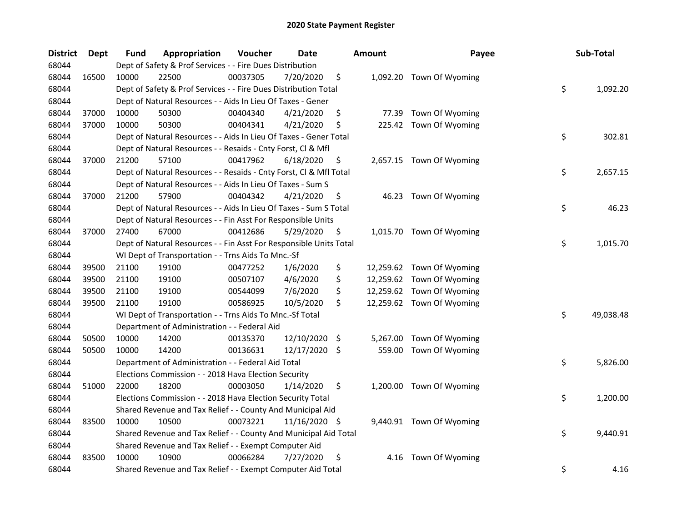| <b>District</b> | Dept  | Fund  | Appropriation                                                      | Voucher  | <b>Date</b>   | <b>Amount</b>  | Payee                     | Sub-Total       |
|-----------------|-------|-------|--------------------------------------------------------------------|----------|---------------|----------------|---------------------------|-----------------|
| 68044           |       |       | Dept of Safety & Prof Services - - Fire Dues Distribution          |          |               |                |                           |                 |
| 68044           | 16500 | 10000 | 22500                                                              | 00037305 | 7/20/2020     | \$             | 1,092.20 Town Of Wyoming  |                 |
| 68044           |       |       | Dept of Safety & Prof Services - - Fire Dues Distribution Total    |          |               |                |                           | \$<br>1,092.20  |
| 68044           |       |       | Dept of Natural Resources - - Aids In Lieu Of Taxes - Gener        |          |               |                |                           |                 |
| 68044           | 37000 | 10000 | 50300                                                              | 00404340 | 4/21/2020     | \$<br>77.39    | Town Of Wyoming           |                 |
| 68044           | 37000 | 10000 | 50300                                                              | 00404341 | 4/21/2020     | \$             | 225.42 Town Of Wyoming    |                 |
| 68044           |       |       | Dept of Natural Resources - - Aids In Lieu Of Taxes - Gener Total  |          |               |                |                           | \$<br>302.81    |
| 68044           |       |       | Dept of Natural Resources - - Resaids - Cnty Forst, Cl & Mfl       |          |               |                |                           |                 |
| 68044           | 37000 | 21200 | 57100                                                              | 00417962 | 6/18/2020     | \$             | 2,657.15 Town Of Wyoming  |                 |
| 68044           |       |       | Dept of Natural Resources - - Resaids - Cnty Forst, Cl & Mfl Total |          |               |                |                           | \$<br>2,657.15  |
| 68044           |       |       | Dept of Natural Resources - - Aids In Lieu Of Taxes - Sum S        |          |               |                |                           |                 |
| 68044           | 37000 | 21200 | 57900                                                              | 00404342 | 4/21/2020     | \$             | 46.23 Town Of Wyoming     |                 |
| 68044           |       |       | Dept of Natural Resources - - Aids In Lieu Of Taxes - Sum S Total  |          |               |                |                           | \$<br>46.23     |
| 68044           |       |       | Dept of Natural Resources - - Fin Asst For Responsible Units       |          |               |                |                           |                 |
| 68044           | 37000 | 27400 | 67000                                                              | 00412686 | 5/29/2020     | \$             | 1,015.70 Town Of Wyoming  |                 |
| 68044           |       |       | Dept of Natural Resources - - Fin Asst For Responsible Units Total |          |               |                |                           | \$<br>1,015.70  |
| 68044           |       |       | WI Dept of Transportation - - Trns Aids To Mnc.-Sf                 |          |               |                |                           |                 |
| 68044           | 39500 | 21100 | 19100                                                              | 00477252 | 1/6/2020      | \$             | 12,259.62 Town Of Wyoming |                 |
| 68044           | 39500 | 21100 | 19100                                                              | 00507107 | 4/6/2020      | \$             | 12,259.62 Town Of Wyoming |                 |
| 68044           | 39500 | 21100 | 19100                                                              | 00544099 | 7/6/2020      | \$             | 12,259.62 Town Of Wyoming |                 |
| 68044           | 39500 | 21100 | 19100                                                              | 00586925 | 10/5/2020     | \$             | 12,259.62 Town Of Wyoming |                 |
| 68044           |       |       | WI Dept of Transportation - - Trns Aids To Mnc.-Sf Total           |          |               |                |                           | \$<br>49,038.48 |
| 68044           |       |       | Department of Administration - - Federal Aid                       |          |               |                |                           |                 |
| 68044           | 50500 | 10000 | 14200                                                              | 00135370 | 12/10/2020    | \$<br>5,267.00 | Town Of Wyoming           |                 |
| 68044           | 50500 | 10000 | 14200                                                              | 00136631 | 12/17/2020 \$ | 559.00         | Town Of Wyoming           |                 |
| 68044           |       |       | Department of Administration - - Federal Aid Total                 |          |               |                |                           | \$<br>5,826.00  |
| 68044           |       |       | Elections Commission - - 2018 Hava Election Security               |          |               |                |                           |                 |
| 68044           | 51000 | 22000 | 18200                                                              | 00003050 | 1/14/2020     | \$             | 1,200.00 Town Of Wyoming  |                 |
| 68044           |       |       | Elections Commission - - 2018 Hava Election Security Total         |          |               |                |                           | \$<br>1,200.00  |
| 68044           |       |       | Shared Revenue and Tax Relief - - County And Municipal Aid         |          |               |                |                           |                 |
| 68044           | 83500 | 10000 | 10500                                                              | 00073221 | 11/16/2020 \$ |                | 9,440.91 Town Of Wyoming  |                 |
| 68044           |       |       | Shared Revenue and Tax Relief - - County And Municipal Aid Total   |          |               |                |                           | \$<br>9,440.91  |
| 68044           |       |       | Shared Revenue and Tax Relief - - Exempt Computer Aid              |          |               |                |                           |                 |
| 68044           | 83500 | 10000 | 10900                                                              | 00066284 | 7/27/2020     | \$<br>4.16     | Town Of Wyoming           |                 |
| 68044           |       |       | Shared Revenue and Tax Relief - - Exempt Computer Aid Total        |          |               |                |                           | \$<br>4.16      |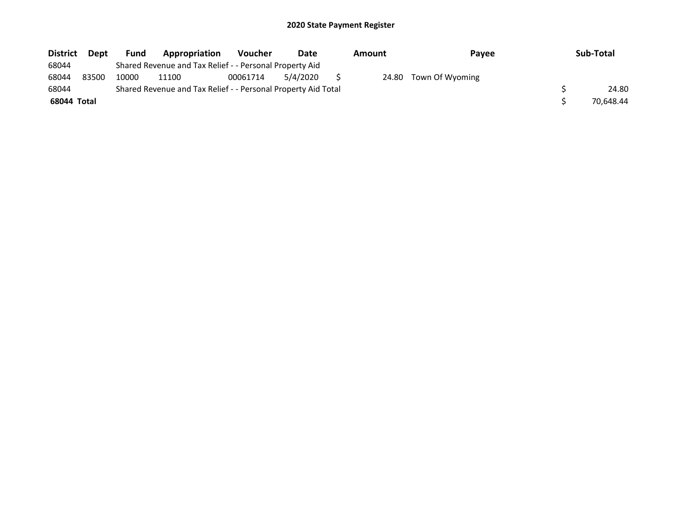| <b>District</b> | <b>Dept</b> | <b>Fund</b> | Appropriation                                                 | <b>Voucher</b> | Date     | Amount | <b>Pavee</b>          | Sub-Total |
|-----------------|-------------|-------------|---------------------------------------------------------------|----------------|----------|--------|-----------------------|-----------|
| 68044           |             |             | Shared Revenue and Tax Relief - - Personal Property Aid       |                |          |        |                       |           |
| 68044           | 83500       | 10000       | 11100                                                         | 00061714       | 5/4/2020 |        | 24.80 Town Of Wyoming |           |
| 68044           |             |             | Shared Revenue and Tax Relief - - Personal Property Aid Total |                |          |        |                       | 24.80     |
| 68044 Total     |             |             |                                                               |                |          |        |                       | 70.648.44 |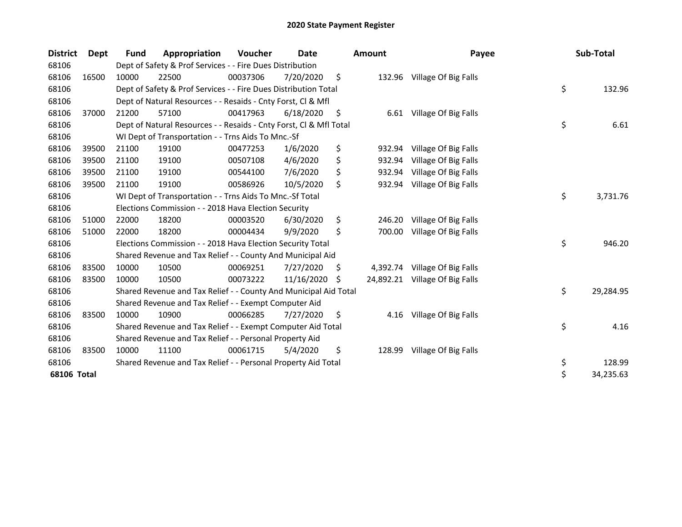| <b>District</b> | Dept  | Fund  | Appropriation                                                      | Voucher  | Date       |    | <b>Amount</b> | Payee                          | Sub-Total       |
|-----------------|-------|-------|--------------------------------------------------------------------|----------|------------|----|---------------|--------------------------------|-----------------|
| 68106           |       |       | Dept of Safety & Prof Services - - Fire Dues Distribution          |          |            |    |               |                                |                 |
| 68106           | 16500 | 10000 | 22500                                                              | 00037306 | 7/20/2020  | \$ |               | 132.96 Village Of Big Falls    |                 |
| 68106           |       |       | Dept of Safety & Prof Services - - Fire Dues Distribution Total    |          |            |    |               |                                | \$<br>132.96    |
| 68106           |       |       | Dept of Natural Resources - - Resaids - Cnty Forst, Cl & Mfl       |          |            |    |               |                                |                 |
| 68106           | 37000 | 21200 | 57100                                                              | 00417963 | 6/18/2020  | \$ |               | 6.61 Village Of Big Falls      |                 |
| 68106           |       |       | Dept of Natural Resources - - Resaids - Cnty Forst, CI & Mfl Total |          |            |    |               |                                | \$<br>6.61      |
| 68106           |       |       | WI Dept of Transportation - - Trns Aids To Mnc.-Sf                 |          |            |    |               |                                |                 |
| 68106           | 39500 | 21100 | 19100                                                              | 00477253 | 1/6/2020   | \$ | 932.94        | Village Of Big Falls           |                 |
| 68106           | 39500 | 21100 | 19100                                                              | 00507108 | 4/6/2020   | \$ | 932.94        | Village Of Big Falls           |                 |
| 68106           | 39500 | 21100 | 19100                                                              | 00544100 | 7/6/2020   | \$ | 932.94        | Village Of Big Falls           |                 |
| 68106           | 39500 | 21100 | 19100                                                              | 00586926 | 10/5/2020  | \$ | 932.94        | Village Of Big Falls           |                 |
| 68106           |       |       | WI Dept of Transportation - - Trns Aids To Mnc.-Sf Total           |          |            |    |               |                                | \$<br>3,731.76  |
| 68106           |       |       | Elections Commission - - 2018 Hava Election Security               |          |            |    |               |                                |                 |
| 68106           | 51000 | 22000 | 18200                                                              | 00003520 | 6/30/2020  | \$ | 246.20        | Village Of Big Falls           |                 |
| 68106           | 51000 | 22000 | 18200                                                              | 00004434 | 9/9/2020   | \$ | 700.00        | Village Of Big Falls           |                 |
| 68106           |       |       | Elections Commission - - 2018 Hava Election Security Total         |          |            |    |               |                                | \$<br>946.20    |
| 68106           |       |       | Shared Revenue and Tax Relief - - County And Municipal Aid         |          |            |    |               |                                |                 |
| 68106           | 83500 | 10000 | 10500                                                              | 00069251 | 7/27/2020  | S  | 4,392.74      | Village Of Big Falls           |                 |
| 68106           | 83500 | 10000 | 10500                                                              | 00073222 | 11/16/2020 | \$ |               | 24,892.21 Village Of Big Falls |                 |
| 68106           |       |       | Shared Revenue and Tax Relief - - County And Municipal Aid Total   |          |            |    |               |                                | \$<br>29,284.95 |
| 68106           |       |       | Shared Revenue and Tax Relief - - Exempt Computer Aid              |          |            |    |               |                                |                 |
| 68106           | 83500 | 10000 | 10900                                                              | 00066285 | 7/27/2020  | \$ | 4.16          | Village Of Big Falls           |                 |
| 68106           |       |       | Shared Revenue and Tax Relief - - Exempt Computer Aid Total        |          |            |    |               |                                | \$<br>4.16      |
| 68106           |       |       | Shared Revenue and Tax Relief - - Personal Property Aid            |          |            |    |               |                                |                 |
| 68106           | 83500 | 10000 | 11100                                                              | 00061715 | 5/4/2020   | \$ | 128.99        | Village Of Big Falls           |                 |
| 68106           |       |       | Shared Revenue and Tax Relief - - Personal Property Aid Total      |          |            |    |               |                                | \$<br>128.99    |
| 68106 Total     |       |       |                                                                    |          |            |    |               |                                | \$<br>34,235.63 |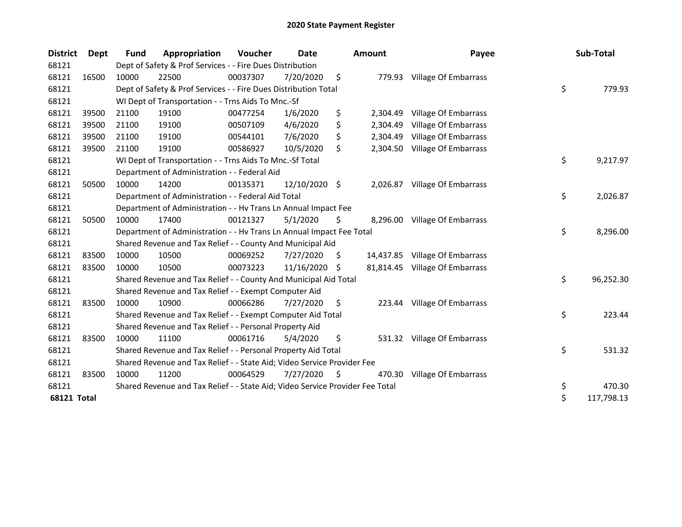| <b>District</b>    | Dept  | Fund  | Appropriation                                                                 | Voucher  | Date          |     | <b>Amount</b> | Payee                          | Sub-Total        |
|--------------------|-------|-------|-------------------------------------------------------------------------------|----------|---------------|-----|---------------|--------------------------------|------------------|
| 68121              |       |       | Dept of Safety & Prof Services - - Fire Dues Distribution                     |          |               |     |               |                                |                  |
| 68121              | 16500 | 10000 | 22500                                                                         | 00037307 | 7/20/2020     | \$  |               | 779.93 Village Of Embarrass    |                  |
| 68121              |       |       | Dept of Safety & Prof Services - - Fire Dues Distribution Total               |          |               |     |               |                                | \$<br>779.93     |
| 68121              |       |       | WI Dept of Transportation - - Trns Aids To Mnc.-Sf                            |          |               |     |               |                                |                  |
| 68121              | 39500 | 21100 | 19100                                                                         | 00477254 | 1/6/2020      | \$  | 2,304.49      | Village Of Embarrass           |                  |
| 68121              | 39500 | 21100 | 19100                                                                         | 00507109 | 4/6/2020      | \$  | 2,304.49      | <b>Village Of Embarrass</b>    |                  |
| 68121              | 39500 | 21100 | 19100                                                                         | 00544101 | 7/6/2020      |     | 2,304.49      | Village Of Embarrass           |                  |
| 68121              | 39500 | 21100 | 19100                                                                         | 00586927 | 10/5/2020     | \$  | 2,304.50      | Village Of Embarrass           |                  |
| 68121              |       |       | WI Dept of Transportation - - Trns Aids To Mnc.-Sf Total                      |          |               |     |               |                                | \$<br>9,217.97   |
| 68121              |       |       | Department of Administration - - Federal Aid                                  |          |               |     |               |                                |                  |
| 68121              | 50500 | 10000 | 14200                                                                         | 00135371 | 12/10/2020 \$ |     | 2,026.87      | Village Of Embarrass           |                  |
| 68121              |       |       | Department of Administration - - Federal Aid Total                            |          |               |     |               |                                | \$<br>2,026.87   |
| 68121              |       |       | Department of Administration - - Hv Trans Ln Annual Impact Fee                |          |               |     |               |                                |                  |
| 68121              | 50500 | 10000 | 17400                                                                         | 00121327 | 5/1/2020      | \$  | 8,296.00      | Village Of Embarrass           |                  |
| 68121              |       |       | Department of Administration - - Hv Trans Ln Annual Impact Fee Total          |          |               |     |               |                                | \$<br>8,296.00   |
| 68121              |       |       | Shared Revenue and Tax Relief - - County And Municipal Aid                    |          |               |     |               |                                |                  |
| 68121              | 83500 | 10000 | 10500                                                                         | 00069252 | 7/27/2020     | \$. |               | 14,437.85 Village Of Embarrass |                  |
| 68121              | 83500 | 10000 | 10500                                                                         | 00073223 | 11/16/2020    | S.  |               | 81,814.45 Village Of Embarrass |                  |
| 68121              |       |       | Shared Revenue and Tax Relief - - County And Municipal Aid Total              |          |               |     |               |                                | \$<br>96,252.30  |
| 68121              |       |       | Shared Revenue and Tax Relief - - Exempt Computer Aid                         |          |               |     |               |                                |                  |
| 68121              | 83500 | 10000 | 10900                                                                         | 00066286 | 7/27/2020     | \$  |               | 223.44 Village Of Embarrass    |                  |
| 68121              |       |       | Shared Revenue and Tax Relief - - Exempt Computer Aid Total                   |          |               |     |               |                                | \$<br>223.44     |
| 68121              |       |       | Shared Revenue and Tax Relief - - Personal Property Aid                       |          |               |     |               |                                |                  |
| 68121              | 83500 | 10000 | 11100                                                                         | 00061716 | 5/4/2020      | \$  |               | 531.32 Village Of Embarrass    |                  |
| 68121              |       |       | Shared Revenue and Tax Relief - - Personal Property Aid Total                 |          |               |     |               |                                | \$<br>531.32     |
| 68121              |       |       | Shared Revenue and Tax Relief - - State Aid; Video Service Provider Fee       |          |               |     |               |                                |                  |
| 68121              | 83500 | 10000 | 11200                                                                         | 00064529 | 7/27/2020     | \$  | 470.30        | Village Of Embarrass           |                  |
| 68121              |       |       | Shared Revenue and Tax Relief - - State Aid; Video Service Provider Fee Total |          |               |     |               |                                | \$<br>470.30     |
| <b>68121 Total</b> |       |       |                                                                               |          |               |     |               |                                | \$<br>117,798.13 |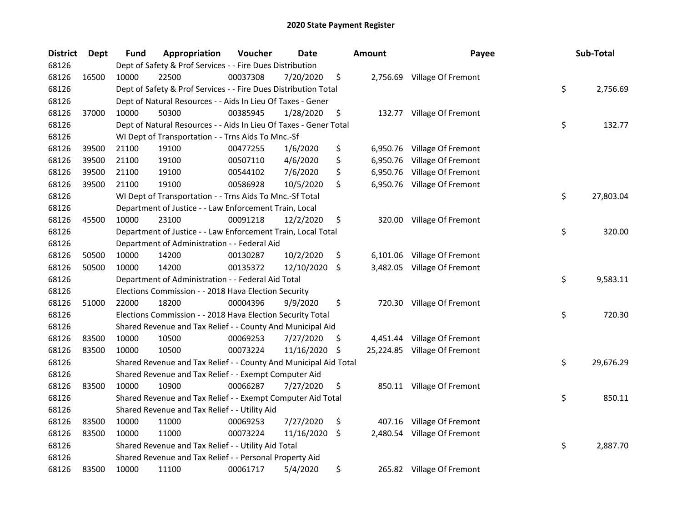| <b>District</b> | Dept  | Fund  | Appropriation                                                     | Voucher  | Date       |     | <b>Amount</b> | Payee                        | Sub-Total       |
|-----------------|-------|-------|-------------------------------------------------------------------|----------|------------|-----|---------------|------------------------------|-----------------|
| 68126           |       |       | Dept of Safety & Prof Services - - Fire Dues Distribution         |          |            |     |               |                              |                 |
| 68126           | 16500 | 10000 | 22500                                                             | 00037308 | 7/20/2020  | \$  |               | 2,756.69 Village Of Fremont  |                 |
| 68126           |       |       | Dept of Safety & Prof Services - - Fire Dues Distribution Total   |          |            |     |               |                              | \$<br>2,756.69  |
| 68126           |       |       | Dept of Natural Resources - - Aids In Lieu Of Taxes - Gener       |          |            |     |               |                              |                 |
| 68126           | 37000 | 10000 | 50300                                                             | 00385945 | 1/28/2020  | \$  |               | 132.77 Village Of Fremont    |                 |
| 68126           |       |       | Dept of Natural Resources - - Aids In Lieu Of Taxes - Gener Total |          |            |     |               |                              | \$<br>132.77    |
| 68126           |       |       | WI Dept of Transportation - - Trns Aids To Mnc.-Sf                |          |            |     |               |                              |                 |
| 68126           | 39500 | 21100 | 19100                                                             | 00477255 | 1/6/2020   | \$  |               | 6,950.76 Village Of Fremont  |                 |
| 68126           | 39500 | 21100 | 19100                                                             | 00507110 | 4/6/2020   | \$  | 6,950.76      | Village Of Fremont           |                 |
| 68126           | 39500 | 21100 | 19100                                                             | 00544102 | 7/6/2020   | \$  |               | 6,950.76 Village Of Fremont  |                 |
| 68126           | 39500 | 21100 | 19100                                                             | 00586928 | 10/5/2020  | \$  |               | 6,950.76 Village Of Fremont  |                 |
| 68126           |       |       | WI Dept of Transportation - - Trns Aids To Mnc.-Sf Total          |          |            |     |               |                              | \$<br>27,803.04 |
| 68126           |       |       | Department of Justice - - Law Enforcement Train, Local            |          |            |     |               |                              |                 |
| 68126           | 45500 | 10000 | 23100                                                             | 00091218 | 12/2/2020  | \$  |               | 320.00 Village Of Fremont    |                 |
| 68126           |       |       | Department of Justice - - Law Enforcement Train, Local Total      |          |            |     |               |                              | \$<br>320.00    |
| 68126           |       |       | Department of Administration - - Federal Aid                      |          |            |     |               |                              |                 |
| 68126           | 50500 | 10000 | 14200                                                             | 00130287 | 10/2/2020  | \$  | 6,101.06      | Village Of Fremont           |                 |
| 68126           | 50500 | 10000 | 14200                                                             | 00135372 | 12/10/2020 | \$  | 3,482.05      | Village Of Fremont           |                 |
| 68126           |       |       | Department of Administration - - Federal Aid Total                |          |            |     |               |                              | \$<br>9,583.11  |
| 68126           |       |       | Elections Commission - - 2018 Hava Election Security              |          |            |     |               |                              |                 |
| 68126           | 51000 | 22000 | 18200                                                             | 00004396 | 9/9/2020   | \$  |               | 720.30 Village Of Fremont    |                 |
| 68126           |       |       | Elections Commission - - 2018 Hava Election Security Total        |          |            |     |               |                              | \$<br>720.30    |
| 68126           |       |       | Shared Revenue and Tax Relief - - County And Municipal Aid        |          |            |     |               |                              |                 |
| 68126           | 83500 | 10000 | 10500                                                             | 00069253 | 7/27/2020  | \$. |               | 4,451.44 Village Of Fremont  |                 |
| 68126           | 83500 | 10000 | 10500                                                             | 00073224 | 11/16/2020 | \$  |               | 25,224.85 Village Of Fremont |                 |
| 68126           |       |       | Shared Revenue and Tax Relief - - County And Municipal Aid Total  |          |            |     |               |                              | \$<br>29,676.29 |
| 68126           |       |       | Shared Revenue and Tax Relief - - Exempt Computer Aid             |          |            |     |               |                              |                 |
| 68126           | 83500 | 10000 | 10900                                                             | 00066287 | 7/27/2020  | \$  |               | 850.11 Village Of Fremont    |                 |
| 68126           |       |       | Shared Revenue and Tax Relief - - Exempt Computer Aid Total       |          |            |     |               |                              | \$<br>850.11    |
| 68126           |       |       | Shared Revenue and Tax Relief - - Utility Aid                     |          |            |     |               |                              |                 |
| 68126           | 83500 | 10000 | 11000                                                             | 00069253 | 7/27/2020  | \$  |               | 407.16 Village Of Fremont    |                 |
| 68126           | 83500 | 10000 | 11000                                                             | 00073224 | 11/16/2020 | \$  |               | 2,480.54 Village Of Fremont  |                 |
| 68126           |       |       | Shared Revenue and Tax Relief - - Utility Aid Total               |          |            |     |               |                              | \$<br>2,887.70  |
| 68126           |       |       | Shared Revenue and Tax Relief - - Personal Property Aid           |          |            |     |               |                              |                 |
| 68126           | 83500 | 10000 | 11100                                                             | 00061717 | 5/4/2020   | \$  |               | 265.82 Village Of Fremont    |                 |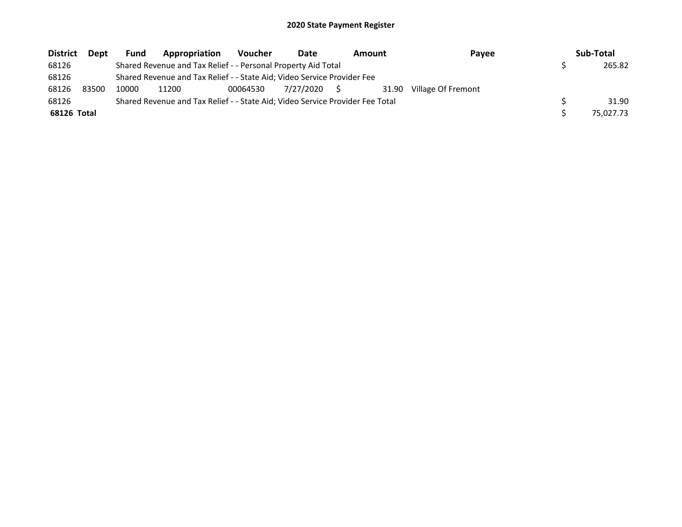| <b>District</b> | Dept  | <b>Fund</b> | Appropriation                                                                 | <b>Voucher</b> | Date      | <b>Amount</b> | Payee              | Sub-Total |
|-----------------|-------|-------------|-------------------------------------------------------------------------------|----------------|-----------|---------------|--------------------|-----------|
| 68126           |       |             | Shared Revenue and Tax Relief - - Personal Property Aid Total                 |                |           |               |                    | 265.82    |
| 68126           |       |             | Shared Revenue and Tax Relief - - State Aid; Video Service Provider Fee       |                |           |               |                    |           |
| 68126           | 83500 | 10000       | 11200                                                                         | 00064530       | 7/27/2020 | 31.90         | Village Of Fremont |           |
| 68126           |       |             | Shared Revenue and Tax Relief - - State Aid; Video Service Provider Fee Total |                |           |               |                    | 31.90     |
| 68126 Total     |       |             |                                                                               |                |           |               |                    | 75.027.73 |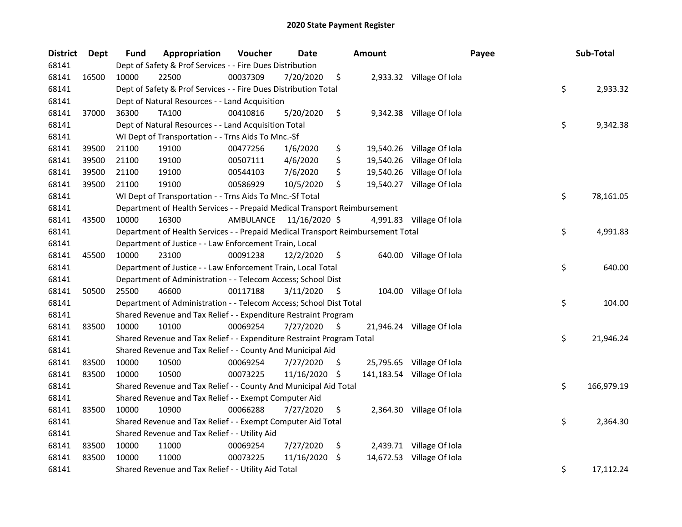| <b>District</b> | <b>Dept</b> | <b>Fund</b> | Appropriation                                                                   | Voucher   | Date          |     | Amount |                            | Payee | Sub-Total        |
|-----------------|-------------|-------------|---------------------------------------------------------------------------------|-----------|---------------|-----|--------|----------------------------|-------|------------------|
| 68141           |             |             | Dept of Safety & Prof Services - - Fire Dues Distribution                       |           |               |     |        |                            |       |                  |
| 68141           | 16500       | 10000       | 22500                                                                           | 00037309  | 7/20/2020     | \$  |        | 2,933.32 Village Of Iola   |       |                  |
| 68141           |             |             | Dept of Safety & Prof Services - - Fire Dues Distribution Total                 |           |               |     |        |                            |       | \$<br>2,933.32   |
| 68141           |             |             | Dept of Natural Resources - - Land Acquisition                                  |           |               |     |        |                            |       |                  |
| 68141           | 37000       | 36300       | <b>TA100</b>                                                                    | 00410816  | 5/20/2020     | \$  |        | 9,342.38 Village Of Iola   |       |                  |
| 68141           |             |             | Dept of Natural Resources - - Land Acquisition Total                            |           |               |     |        |                            |       | \$<br>9,342.38   |
| 68141           |             |             | WI Dept of Transportation - - Trns Aids To Mnc.-Sf                              |           |               |     |        |                            |       |                  |
| 68141           | 39500       | 21100       | 19100                                                                           | 00477256  | 1/6/2020      | \$  |        | 19,540.26 Village Of Iola  |       |                  |
| 68141           | 39500       | 21100       | 19100                                                                           | 00507111  | 4/6/2020      | \$  |        | 19,540.26 Village Of Iola  |       |                  |
| 68141           | 39500       | 21100       | 19100                                                                           | 00544103  | 7/6/2020      | \$  |        | 19,540.26 Village Of Iola  |       |                  |
| 68141           | 39500       | 21100       | 19100                                                                           | 00586929  | 10/5/2020     | \$  |        | 19,540.27 Village Of Iola  |       |                  |
| 68141           |             |             | WI Dept of Transportation - - Trns Aids To Mnc.-Sf Total                        |           |               |     |        |                            |       | \$<br>78,161.05  |
| 68141           |             |             | Department of Health Services - - Prepaid Medical Transport Reimbursement       |           |               |     |        |                            |       |                  |
| 68141           | 43500       | 10000       | 16300                                                                           | AMBULANCE | 11/16/2020 \$ |     |        | 4,991.83 Village Of Iola   |       |                  |
| 68141           |             |             | Department of Health Services - - Prepaid Medical Transport Reimbursement Total |           |               |     |        |                            |       | \$<br>4,991.83   |
| 68141           |             |             | Department of Justice - - Law Enforcement Train, Local                          |           |               |     |        |                            |       |                  |
| 68141           | 45500       | 10000       | 23100                                                                           | 00091238  | 12/2/2020     | \$  |        | 640.00 Village Of Iola     |       |                  |
| 68141           |             |             | Department of Justice - - Law Enforcement Train, Local Total                    |           |               |     |        |                            |       | \$<br>640.00     |
| 68141           |             |             | Department of Administration - - Telecom Access; School Dist                    |           |               |     |        |                            |       |                  |
| 68141           | 50500       | 25500       | 46600                                                                           | 00117188  | 3/11/2020     | -\$ |        | 104.00 Village Of Iola     |       |                  |
| 68141           |             |             | Department of Administration - - Telecom Access; School Dist Total              |           |               |     |        |                            |       | \$<br>104.00     |
| 68141           |             |             | Shared Revenue and Tax Relief - - Expenditure Restraint Program                 |           |               |     |        |                            |       |                  |
| 68141           | 83500       | 10000       | 10100                                                                           | 00069254  | 7/27/2020     | \$  |        | 21,946.24 Village Of Iola  |       |                  |
| 68141           |             |             | Shared Revenue and Tax Relief - - Expenditure Restraint Program Total           |           |               |     |        |                            |       | \$<br>21,946.24  |
| 68141           |             |             | Shared Revenue and Tax Relief - - County And Municipal Aid                      |           |               |     |        |                            |       |                  |
| 68141           | 83500       | 10000       | 10500                                                                           | 00069254  | 7/27/2020     | \$. |        | 25,795.65 Village Of Iola  |       |                  |
| 68141           | 83500       | 10000       | 10500                                                                           | 00073225  | 11/16/2020    | \$  |        | 141,183.54 Village Of Iola |       |                  |
| 68141           |             |             | Shared Revenue and Tax Relief - - County And Municipal Aid Total                |           |               |     |        |                            |       | \$<br>166,979.19 |
| 68141           |             |             | Shared Revenue and Tax Relief - - Exempt Computer Aid                           |           |               |     |        |                            |       |                  |
| 68141           | 83500       | 10000       | 10900                                                                           | 00066288  | 7/27/2020     | \$  |        | 2,364.30 Village Of Iola   |       |                  |
| 68141           |             |             | Shared Revenue and Tax Relief - - Exempt Computer Aid Total                     |           |               |     |        |                            |       | \$<br>2,364.30   |
| 68141           |             |             | Shared Revenue and Tax Relief - - Utility Aid                                   |           |               |     |        |                            |       |                  |
| 68141           | 83500       | 10000       | 11000                                                                           | 00069254  | 7/27/2020     | \$  |        | 2,439.71 Village Of Iola   |       |                  |
| 68141           | 83500       | 10000       | 11000                                                                           | 00073225  | 11/16/2020    | \$  |        | 14,672.53 Village Of Iola  |       |                  |
| 68141           |             |             | Shared Revenue and Tax Relief - - Utility Aid Total                             |           |               |     |        |                            |       | \$<br>17,112.24  |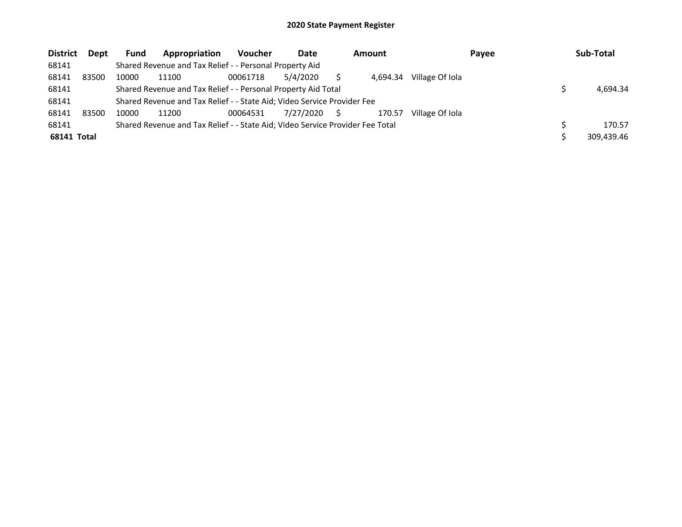| <b>District</b> | <b>Dept</b> | <b>Fund</b> | Appropriation                                                                 | <b>Voucher</b> | Date      | <b>Amount</b> |                 | Payee | Sub-Total  |
|-----------------|-------------|-------------|-------------------------------------------------------------------------------|----------------|-----------|---------------|-----------------|-------|------------|
| 68141           |             |             | Shared Revenue and Tax Relief - - Personal Property Aid                       |                |           |               |                 |       |            |
| 68141           | 83500       | 10000       | 11100                                                                         | 00061718       | 5/4/2020  | 4.694.34      | Village Of Iola |       |            |
| 68141           |             |             | Shared Revenue and Tax Relief - - Personal Property Aid Total                 |                |           |               |                 |       | 4.694.34   |
| 68141           |             |             | Shared Revenue and Tax Relief - - State Aid; Video Service Provider Fee       |                |           |               |                 |       |            |
| 68141           | 83500       | 10000       | 11200                                                                         | 00064531       | 7/27/2020 | 170.57        | Village Of Iola |       |            |
| 68141           |             |             | Shared Revenue and Tax Relief - - State Aid; Video Service Provider Fee Total |                |           |               |                 |       | 170.57     |
| 68141 Total     |             |             |                                                                               |                |           |               |                 |       | 309.439.46 |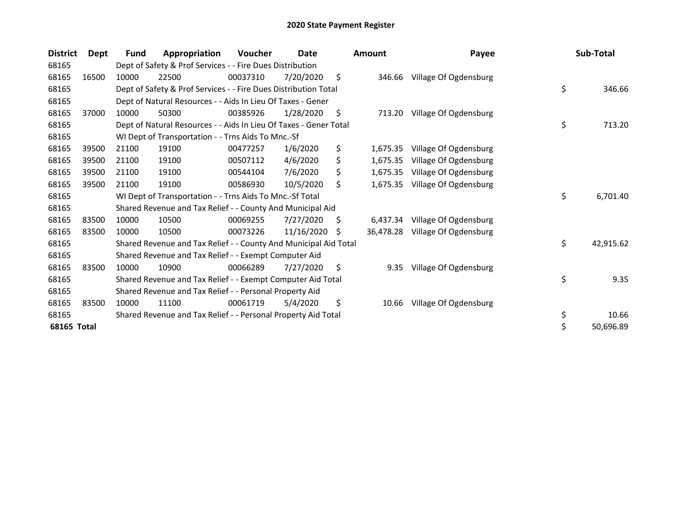| <b>District</b> | Dept  | Fund  | Appropriation                                                     | <b>Voucher</b> | Date       |    | <b>Amount</b> | Payee                 | Sub-Total       |
|-----------------|-------|-------|-------------------------------------------------------------------|----------------|------------|----|---------------|-----------------------|-----------------|
| 68165           |       |       | Dept of Safety & Prof Services - - Fire Dues Distribution         |                |            |    |               |                       |                 |
| 68165           | 16500 | 10000 | 22500                                                             | 00037310       | 7/20/2020  | \$ | 346.66        | Village Of Ogdensburg |                 |
| 68165           |       |       | Dept of Safety & Prof Services - - Fire Dues Distribution Total   |                |            |    |               |                       | \$<br>346.66    |
| 68165           |       |       | Dept of Natural Resources - - Aids In Lieu Of Taxes - Gener       |                |            |    |               |                       |                 |
| 68165           | 37000 | 10000 | 50300                                                             | 00385926       | 1/28/2020  | S. | 713.20        | Village Of Ogdensburg |                 |
| 68165           |       |       | Dept of Natural Resources - - Aids In Lieu Of Taxes - Gener Total |                |            |    |               |                       | \$<br>713.20    |
| 68165           |       |       | WI Dept of Transportation - - Trns Aids To Mnc.-Sf                |                |            |    |               |                       |                 |
| 68165           | 39500 | 21100 | 19100                                                             | 00477257       | 1/6/2020   | \$ | 1,675.35      | Village Of Ogdensburg |                 |
| 68165           | 39500 | 21100 | 19100                                                             | 00507112       | 4/6/2020   | \$ | 1,675.35      | Village Of Ogdensburg |                 |
| 68165           | 39500 | 21100 | 19100                                                             | 00544104       | 7/6/2020   | \$ | 1,675.35      | Village Of Ogdensburg |                 |
| 68165           | 39500 | 21100 | 19100                                                             | 00586930       | 10/5/2020  | \$ | 1,675.35      | Village Of Ogdensburg |                 |
| 68165           |       |       | WI Dept of Transportation - - Trns Aids To Mnc.-Sf Total          |                |            |    |               |                       | \$<br>6,701.40  |
| 68165           |       |       | Shared Revenue and Tax Relief - - County And Municipal Aid        |                |            |    |               |                       |                 |
| 68165           | 83500 | 10000 | 10500                                                             | 00069255       | 7/27/2020  | S  | 6,437.34      | Village Of Ogdensburg |                 |
| 68165           | 83500 | 10000 | 10500                                                             | 00073226       | 11/16/2020 | S. | 36,478.28     | Village Of Ogdensburg |                 |
| 68165           |       |       | Shared Revenue and Tax Relief - - County And Municipal Aid Total  |                |            |    |               |                       | \$<br>42,915.62 |
| 68165           |       |       | Shared Revenue and Tax Relief - - Exempt Computer Aid             |                |            |    |               |                       |                 |
| 68165           | 83500 | 10000 | 10900                                                             | 00066289       | 7/27/2020  | \$ | 9.35          | Village Of Ogdensburg |                 |
| 68165           |       |       | Shared Revenue and Tax Relief - - Exempt Computer Aid Total       |                |            |    |               |                       | \$<br>9.35      |
| 68165           |       |       | Shared Revenue and Tax Relief - - Personal Property Aid           |                |            |    |               |                       |                 |
| 68165           | 83500 | 10000 | 11100                                                             | 00061719       | 5/4/2020   | \$ | 10.66         | Village Of Ogdensburg |                 |
| 68165           |       |       | Shared Revenue and Tax Relief - - Personal Property Aid Total     |                |            |    |               |                       | \$<br>10.66     |
| 68165 Total     |       |       |                                                                   |                |            |    |               |                       | \$<br>50,696.89 |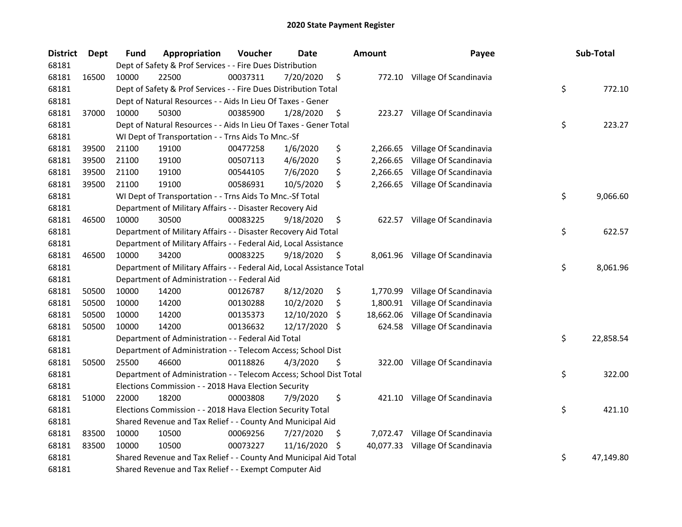| <b>District</b> | <b>Dept</b> | <b>Fund</b> | Appropriation                                                          | Voucher  | <b>Date</b> |     | Amount    | Payee                            | Sub-Total       |
|-----------------|-------------|-------------|------------------------------------------------------------------------|----------|-------------|-----|-----------|----------------------------------|-----------------|
| 68181           |             |             | Dept of Safety & Prof Services - - Fire Dues Distribution              |          |             |     |           |                                  |                 |
| 68181           | 16500       | 10000       | 22500                                                                  | 00037311 | 7/20/2020   | \$  |           | 772.10 Village Of Scandinavia    |                 |
| 68181           |             |             | Dept of Safety & Prof Services - - Fire Dues Distribution Total        |          |             |     |           |                                  | \$<br>772.10    |
| 68181           |             |             | Dept of Natural Resources - - Aids In Lieu Of Taxes - Gener            |          |             |     |           |                                  |                 |
| 68181           | 37000       | 10000       | 50300                                                                  | 00385900 | 1/28/2020   | \$  |           | 223.27 Village Of Scandinavia    |                 |
| 68181           |             |             | Dept of Natural Resources - - Aids In Lieu Of Taxes - Gener Total      |          |             |     |           |                                  | \$<br>223.27    |
| 68181           |             |             | WI Dept of Transportation - - Trns Aids To Mnc.-Sf                     |          |             |     |           |                                  |                 |
| 68181           | 39500       | 21100       | 19100                                                                  | 00477258 | 1/6/2020    | \$  |           | 2,266.65 Village Of Scandinavia  |                 |
| 68181           | 39500       | 21100       | 19100                                                                  | 00507113 | 4/6/2020    | \$  | 2,266.65  | Village Of Scandinavia           |                 |
| 68181           | 39500       | 21100       | 19100                                                                  | 00544105 | 7/6/2020    | \$  | 2,266.65  | Village Of Scandinavia           |                 |
| 68181           | 39500       | 21100       | 19100                                                                  | 00586931 | 10/5/2020   | \$  |           | 2,266.65 Village Of Scandinavia  |                 |
| 68181           |             |             | WI Dept of Transportation - - Trns Aids To Mnc.-Sf Total               |          |             |     |           |                                  | \$<br>9,066.60  |
| 68181           |             |             | Department of Military Affairs - - Disaster Recovery Aid               |          |             |     |           |                                  |                 |
| 68181           | 46500       | 10000       | 30500                                                                  | 00083225 | 9/18/2020   | \$  |           | 622.57 Village Of Scandinavia    |                 |
| 68181           |             |             | Department of Military Affairs - - Disaster Recovery Aid Total         |          |             |     |           |                                  | \$<br>622.57    |
| 68181           |             |             | Department of Military Affairs - - Federal Aid, Local Assistance       |          |             |     |           |                                  |                 |
| 68181           | 46500       | 10000       | 34200                                                                  | 00083225 | 9/18/2020   | \$  |           | 8,061.96 Village Of Scandinavia  |                 |
| 68181           |             |             | Department of Military Affairs - - Federal Aid, Local Assistance Total |          |             |     |           |                                  | \$<br>8,061.96  |
| 68181           |             |             | Department of Administration - - Federal Aid                           |          |             |     |           |                                  |                 |
| 68181           | 50500       | 10000       | 14200                                                                  | 00126787 | 8/12/2020   | \$  | 1,770.99  | Village Of Scandinavia           |                 |
| 68181           | 50500       | 10000       | 14200                                                                  | 00130288 | 10/2/2020   | \$  | 1,800.91  | Village Of Scandinavia           |                 |
| 68181           | 50500       | 10000       | 14200                                                                  | 00135373 | 12/10/2020  | \$. | 18,662.06 | Village Of Scandinavia           |                 |
| 68181           | 50500       | 10000       | 14200                                                                  | 00136632 | 12/17/2020  | -S  |           | 624.58 Village Of Scandinavia    |                 |
| 68181           |             |             | Department of Administration - - Federal Aid Total                     |          |             |     |           |                                  | \$<br>22,858.54 |
| 68181           |             |             | Department of Administration - - Telecom Access; School Dist           |          |             |     |           |                                  |                 |
| 68181           | 50500       | 25500       | 46600                                                                  | 00118826 | 4/3/2020    | \$  | 322.00    | Village Of Scandinavia           |                 |
| 68181           |             |             | Department of Administration - - Telecom Access; School Dist Total     |          |             |     |           |                                  | \$<br>322.00    |
| 68181           |             |             | Elections Commission - - 2018 Hava Election Security                   |          |             |     |           |                                  |                 |
| 68181           | 51000       | 22000       | 18200                                                                  | 00003808 | 7/9/2020    | \$  | 421.10    | Village Of Scandinavia           |                 |
| 68181           |             |             | Elections Commission - - 2018 Hava Election Security Total             |          |             |     |           |                                  | \$<br>421.10    |
| 68181           |             |             | Shared Revenue and Tax Relief - - County And Municipal Aid             |          |             |     |           |                                  |                 |
| 68181           | 83500       | 10000       | 10500                                                                  | 00069256 | 7/27/2020   | Ş   |           | 7,072.47 Village Of Scandinavia  |                 |
| 68181           | 83500       | 10000       | 10500                                                                  | 00073227 | 11/16/2020  | \$. |           | 40,077.33 Village Of Scandinavia |                 |
| 68181           |             |             | Shared Revenue and Tax Relief - - County And Municipal Aid Total       |          |             |     |           |                                  | \$<br>47,149.80 |
| 68181           |             |             | Shared Revenue and Tax Relief - - Exempt Computer Aid                  |          |             |     |           |                                  |                 |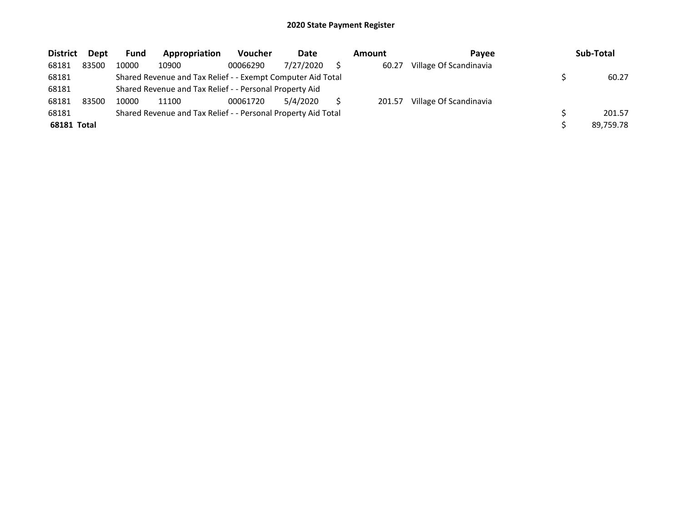| <b>District</b> | Dept  | Fund  | Appropriation                                                 | <b>Voucher</b> | Date      | Amount | Pavee                  | Sub-Total |
|-----------------|-------|-------|---------------------------------------------------------------|----------------|-----------|--------|------------------------|-----------|
| 68181           | 83500 | 10000 | 10900                                                         | 00066290       | 7/27/2020 | 60.27  | Village Of Scandinavia |           |
| 68181           |       |       | Shared Revenue and Tax Relief - - Exempt Computer Aid Total   |                |           |        |                        | 60.27     |
| 68181           |       |       | Shared Revenue and Tax Relief - - Personal Property Aid       |                |           |        |                        |           |
| 68181           | 83500 | 10000 | 11100                                                         | 00061720       | 5/4/2020  | 201.57 | Village Of Scandinavia |           |
| 68181           |       |       | Shared Revenue and Tax Relief - - Personal Property Aid Total |                |           |        |                        | 201.57    |
| 68181 Total     |       |       |                                                               |                |           |        |                        | 89.759.78 |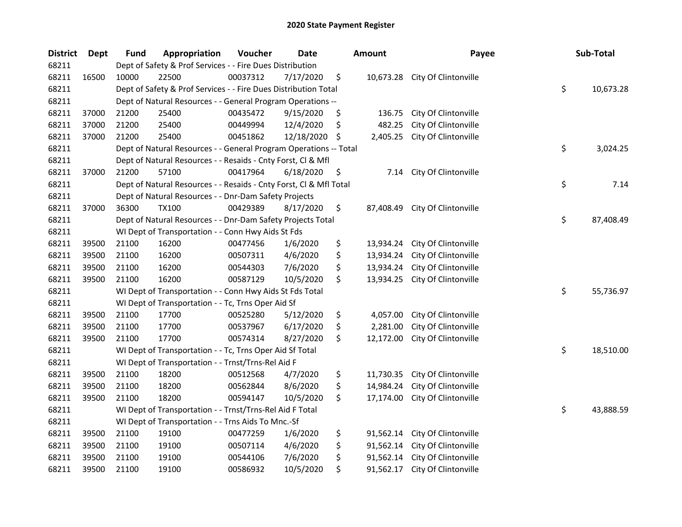| <b>District</b> | <b>Dept</b> | <b>Fund</b> | Appropriation                                                      | Voucher  | Date       |     | <b>Amount</b> | Payee                | Sub-Total       |
|-----------------|-------------|-------------|--------------------------------------------------------------------|----------|------------|-----|---------------|----------------------|-----------------|
| 68211           |             |             | Dept of Safety & Prof Services - - Fire Dues Distribution          |          |            |     |               |                      |                 |
| 68211           | 16500       | 10000       | 22500                                                              | 00037312 | 7/17/2020  | \$  | 10,673.28     | City Of Clintonville |                 |
| 68211           |             |             | Dept of Safety & Prof Services - - Fire Dues Distribution Total    |          |            |     |               |                      | \$<br>10,673.28 |
| 68211           |             |             | Dept of Natural Resources - - General Program Operations --        |          |            |     |               |                      |                 |
| 68211           | 37000       | 21200       | 25400                                                              | 00435472 | 9/15/2020  | \$  | 136.75        | City Of Clintonville |                 |
| 68211           | 37000       | 21200       | 25400                                                              | 00449994 | 12/4/2020  | \$  | 482.25        | City Of Clintonville |                 |
| 68211           | 37000       | 21200       | 25400                                                              | 00451862 | 12/18/2020 | \$. | 2,405.25      | City Of Clintonville |                 |
| 68211           |             |             | Dept of Natural Resources - - General Program Operations -- Total  |          |            |     |               |                      | \$<br>3,024.25  |
| 68211           |             |             | Dept of Natural Resources - - Resaids - Cnty Forst, Cl & Mfl       |          |            |     |               |                      |                 |
| 68211           | 37000       | 21200       | 57100                                                              | 00417964 | 6/18/2020  | \$  | 7.14          | City Of Clintonville |                 |
| 68211           |             |             | Dept of Natural Resources - - Resaids - Cnty Forst, Cl & Mfl Total |          |            |     |               |                      | \$<br>7.14      |
| 68211           |             |             | Dept of Natural Resources - - Dnr-Dam Safety Projects              |          |            |     |               |                      |                 |
| 68211           | 37000       | 36300       | <b>TX100</b>                                                       | 00429389 | 8/17/2020  | \$  | 87,408.49     | City Of Clintonville |                 |
| 68211           |             |             | Dept of Natural Resources - - Dnr-Dam Safety Projects Total        |          |            |     |               |                      | \$<br>87,408.49 |
| 68211           |             |             | WI Dept of Transportation - - Conn Hwy Aids St Fds                 |          |            |     |               |                      |                 |
| 68211           | 39500       | 21100       | 16200                                                              | 00477456 | 1/6/2020   | \$  | 13,934.24     | City Of Clintonville |                 |
| 68211           | 39500       | 21100       | 16200                                                              | 00507311 | 4/6/2020   | \$  | 13,934.24     | City Of Clintonville |                 |
| 68211           | 39500       | 21100       | 16200                                                              | 00544303 | 7/6/2020   | \$  | 13,934.24     | City Of Clintonville |                 |
| 68211           | 39500       | 21100       | 16200                                                              | 00587129 | 10/5/2020  | \$  | 13,934.25     | City Of Clintonville |                 |
| 68211           |             |             | WI Dept of Transportation - - Conn Hwy Aids St Fds Total           |          |            |     |               |                      | \$<br>55,736.97 |
| 68211           |             |             | WI Dept of Transportation - - Tc, Trns Oper Aid Sf                 |          |            |     |               |                      |                 |
| 68211           | 39500       | 21100       | 17700                                                              | 00525280 | 5/12/2020  | \$  | 4,057.00      | City Of Clintonville |                 |
| 68211           | 39500       | 21100       | 17700                                                              | 00537967 | 6/17/2020  | \$  | 2,281.00      | City Of Clintonville |                 |
| 68211           | 39500       | 21100       | 17700                                                              | 00574314 | 8/27/2020  | \$  | 12,172.00     | City Of Clintonville |                 |
| 68211           |             |             | WI Dept of Transportation - - Tc, Trns Oper Aid Sf Total           |          |            |     |               |                      | \$<br>18,510.00 |
| 68211           |             |             | WI Dept of Transportation - - Trnst/Trns-Rel Aid F                 |          |            |     |               |                      |                 |
| 68211           | 39500       | 21100       | 18200                                                              | 00512568 | 4/7/2020   | \$  | 11,730.35     | City Of Clintonville |                 |
| 68211           | 39500       | 21100       | 18200                                                              | 00562844 | 8/6/2020   | \$  | 14,984.24     | City Of Clintonville |                 |
| 68211           | 39500       | 21100       | 18200                                                              | 00594147 | 10/5/2020  | \$  | 17,174.00     | City Of Clintonville |                 |
| 68211           |             |             | WI Dept of Transportation - - Trnst/Trns-Rel Aid F Total           |          |            |     |               |                      | \$<br>43,888.59 |
| 68211           |             |             | WI Dept of Transportation - - Trns Aids To Mnc.-Sf                 |          |            |     |               |                      |                 |
| 68211           | 39500       | 21100       | 19100                                                              | 00477259 | 1/6/2020   | \$  | 91,562.14     | City Of Clintonville |                 |
| 68211           | 39500       | 21100       | 19100                                                              | 00507114 | 4/6/2020   | \$  | 91,562.14     | City Of Clintonville |                 |
| 68211           | 39500       | 21100       | 19100                                                              | 00544106 | 7/6/2020   | \$  | 91,562.14     | City Of Clintonville |                 |
| 68211           | 39500       | 21100       | 19100                                                              | 00586932 | 10/5/2020  | \$  | 91,562.17     | City Of Clintonville |                 |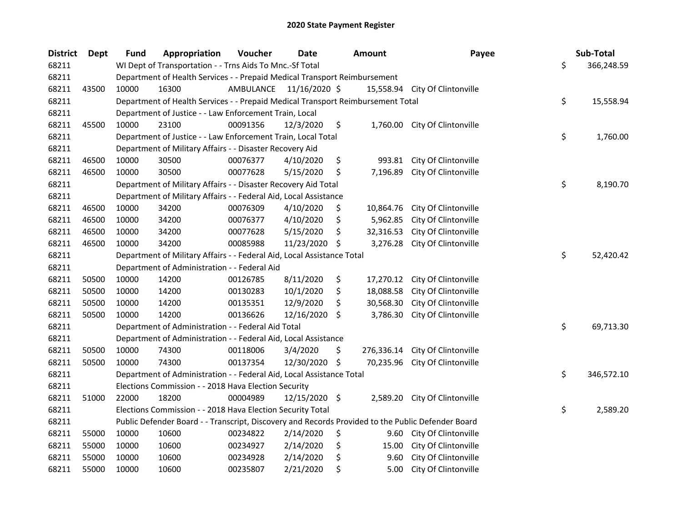| <b>District</b> | Dept  | <b>Fund</b> | Appropriation                                                                                     | Voucher                 | <b>Date</b>   |    | <b>Amount</b> | Payee                          | Sub-Total        |
|-----------------|-------|-------------|---------------------------------------------------------------------------------------------------|-------------------------|---------------|----|---------------|--------------------------------|------------------|
| 68211           |       |             | WI Dept of Transportation - - Trns Aids To Mnc.-Sf Total                                          |                         |               |    |               |                                | \$<br>366,248.59 |
| 68211           |       |             | Department of Health Services - - Prepaid Medical Transport Reimbursement                         |                         |               |    |               |                                |                  |
| 68211           | 43500 | 10000       | 16300                                                                                             | AMBULANCE 11/16/2020 \$ |               |    |               | 15,558.94 City Of Clintonville |                  |
| 68211           |       |             | Department of Health Services - - Prepaid Medical Transport Reimbursement Total                   |                         |               |    |               |                                | \$<br>15,558.94  |
| 68211           |       |             | Department of Justice - - Law Enforcement Train, Local                                            |                         |               |    |               |                                |                  |
| 68211           | 45500 | 10000       | 23100                                                                                             | 00091356                | 12/3/2020     | \$ |               | 1,760.00 City Of Clintonville  |                  |
| 68211           |       |             | Department of Justice - - Law Enforcement Train, Local Total                                      |                         |               |    |               |                                | \$<br>1,760.00   |
| 68211           |       |             | Department of Military Affairs - - Disaster Recovery Aid                                          |                         |               |    |               |                                |                  |
| 68211           | 46500 | 10000       | 30500                                                                                             | 00076377                | 4/10/2020     | \$ | 993.81        | City Of Clintonville           |                  |
| 68211           | 46500 | 10000       | 30500                                                                                             | 00077628                | 5/15/2020     | \$ | 7,196.89      | City Of Clintonville           |                  |
| 68211           |       |             | Department of Military Affairs - - Disaster Recovery Aid Total                                    |                         |               |    |               |                                | \$<br>8,190.70   |
| 68211           |       |             | Department of Military Affairs - - Federal Aid, Local Assistance                                  |                         |               |    |               |                                |                  |
| 68211           | 46500 | 10000       | 34200                                                                                             | 00076309                | 4/10/2020     | \$ | 10,864.76     | City Of Clintonville           |                  |
| 68211           | 46500 | 10000       | 34200                                                                                             | 00076377                | 4/10/2020     | \$ | 5,962.85      | City Of Clintonville           |                  |
| 68211           | 46500 | 10000       | 34200                                                                                             | 00077628                | 5/15/2020     | S. | 32,316.53     | City Of Clintonville           |                  |
| 68211           | 46500 | 10000       | 34200                                                                                             | 00085988                | 11/23/2020    | \$ | 3,276.28      | City Of Clintonville           |                  |
| 68211           |       |             | Department of Military Affairs - - Federal Aid, Local Assistance Total                            |                         |               |    |               |                                | \$<br>52,420.42  |
| 68211           |       |             | Department of Administration - - Federal Aid                                                      |                         |               |    |               |                                |                  |
| 68211           | 50500 | 10000       | 14200                                                                                             | 00126785                | 8/11/2020     | \$ | 17,270.12     | City Of Clintonville           |                  |
| 68211           | 50500 | 10000       | 14200                                                                                             | 00130283                | 10/1/2020     | \$ | 18,088.58     | City Of Clintonville           |                  |
| 68211           | 50500 | 10000       | 14200                                                                                             | 00135351                | 12/9/2020     | \$ | 30,568.30     | City Of Clintonville           |                  |
| 68211           | 50500 | 10000       | 14200                                                                                             | 00136626                | 12/16/2020 \$ |    | 3,786.30      | City Of Clintonville           |                  |
| 68211           |       |             | Department of Administration - - Federal Aid Total                                                |                         |               |    |               |                                | \$<br>69,713.30  |
| 68211           |       |             | Department of Administration - - Federal Aid, Local Assistance                                    |                         |               |    |               |                                |                  |
| 68211           | 50500 | 10000       | 74300                                                                                             | 00118006                | 3/4/2020      | \$ | 276,336.14    | City Of Clintonville           |                  |
| 68211           | 50500 | 10000       | 74300                                                                                             | 00137354                | 12/30/2020 \$ |    | 70,235.96     | City Of Clintonville           |                  |
| 68211           |       |             | Department of Administration - - Federal Aid, Local Assistance Total                              |                         |               |    |               |                                | \$<br>346,572.10 |
| 68211           |       |             | Elections Commission - - 2018 Hava Election Security                                              |                         |               |    |               |                                |                  |
| 68211           | 51000 | 22000       | 18200                                                                                             | 00004989                | 12/15/2020 \$ |    |               | 2,589.20 City Of Clintonville  |                  |
| 68211           |       |             | Elections Commission - - 2018 Hava Election Security Total                                        |                         |               |    |               |                                | \$<br>2,589.20   |
| 68211           |       |             | Public Defender Board - - Transcript, Discovery and Records Provided to the Public Defender Board |                         |               |    |               |                                |                  |
| 68211           | 55000 | 10000       | 10600                                                                                             | 00234822                | 2/14/2020     | \$ | 9.60          | City Of Clintonville           |                  |
| 68211           | 55000 | 10000       | 10600                                                                                             | 00234927                | 2/14/2020     | \$ | 15.00         | City Of Clintonville           |                  |
| 68211           | 55000 | 10000       | 10600                                                                                             | 00234928                | 2/14/2020     | \$ | 9.60          | City Of Clintonville           |                  |
| 68211           | 55000 | 10000       | 10600                                                                                             | 00235807                | 2/21/2020     | \$ | 5.00          | City Of Clintonville           |                  |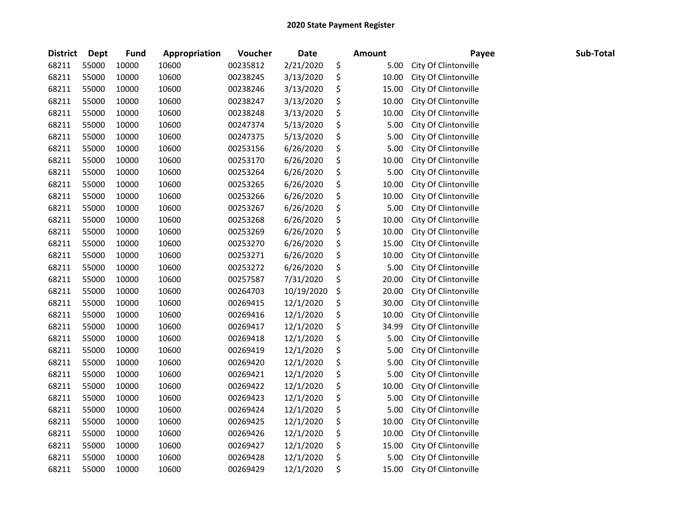| <b>District</b> | <b>Dept</b> | Fund  | Appropriation | Voucher  | <b>Date</b> | <b>Amount</b> | Payee                | Sub-Total |
|-----------------|-------------|-------|---------------|----------|-------------|---------------|----------------------|-----------|
| 68211           | 55000       | 10000 | 10600         | 00235812 | 2/21/2020   | \$<br>5.00    | City Of Clintonville |           |
| 68211           | 55000       | 10000 | 10600         | 00238245 | 3/13/2020   | \$<br>10.00   | City Of Clintonville |           |
| 68211           | 55000       | 10000 | 10600         | 00238246 | 3/13/2020   | \$<br>15.00   | City Of Clintonville |           |
| 68211           | 55000       | 10000 | 10600         | 00238247 | 3/13/2020   | \$<br>10.00   | City Of Clintonville |           |
| 68211           | 55000       | 10000 | 10600         | 00238248 | 3/13/2020   | \$<br>10.00   | City Of Clintonville |           |
| 68211           | 55000       | 10000 | 10600         | 00247374 | 5/13/2020   | \$<br>5.00    | City Of Clintonville |           |
| 68211           | 55000       | 10000 | 10600         | 00247375 | 5/13/2020   | \$<br>5.00    | City Of Clintonville |           |
| 68211           | 55000       | 10000 | 10600         | 00253156 | 6/26/2020   | \$<br>5.00    | City Of Clintonville |           |
| 68211           | 55000       | 10000 | 10600         | 00253170 | 6/26/2020   | \$<br>10.00   | City Of Clintonville |           |
| 68211           | 55000       | 10000 | 10600         | 00253264 | 6/26/2020   | \$<br>5.00    | City Of Clintonville |           |
| 68211           | 55000       | 10000 | 10600         | 00253265 | 6/26/2020   | \$<br>10.00   | City Of Clintonville |           |
| 68211           | 55000       | 10000 | 10600         | 00253266 | 6/26/2020   | \$<br>10.00   | City Of Clintonville |           |
| 68211           | 55000       | 10000 | 10600         | 00253267 | 6/26/2020   | \$<br>5.00    | City Of Clintonville |           |
| 68211           | 55000       | 10000 | 10600         | 00253268 | 6/26/2020   | \$<br>10.00   | City Of Clintonville |           |
| 68211           | 55000       | 10000 | 10600         | 00253269 | 6/26/2020   | \$<br>10.00   | City Of Clintonville |           |
| 68211           | 55000       | 10000 | 10600         | 00253270 | 6/26/2020   | \$<br>15.00   | City Of Clintonville |           |
| 68211           | 55000       | 10000 | 10600         | 00253271 | 6/26/2020   | \$<br>10.00   | City Of Clintonville |           |
| 68211           | 55000       | 10000 | 10600         | 00253272 | 6/26/2020   | \$<br>5.00    | City Of Clintonville |           |
| 68211           | 55000       | 10000 | 10600         | 00257587 | 7/31/2020   | \$<br>20.00   | City Of Clintonville |           |
| 68211           | 55000       | 10000 | 10600         | 00264703 | 10/19/2020  | \$<br>20.00   | City Of Clintonville |           |
| 68211           | 55000       | 10000 | 10600         | 00269415 | 12/1/2020   | \$<br>30.00   | City Of Clintonville |           |
| 68211           | 55000       | 10000 | 10600         | 00269416 | 12/1/2020   | \$<br>10.00   | City Of Clintonville |           |
| 68211           | 55000       | 10000 | 10600         | 00269417 | 12/1/2020   | \$<br>34.99   | City Of Clintonville |           |
| 68211           | 55000       | 10000 | 10600         | 00269418 | 12/1/2020   | \$<br>5.00    | City Of Clintonville |           |
| 68211           | 55000       | 10000 | 10600         | 00269419 | 12/1/2020   | \$<br>5.00    | City Of Clintonville |           |
| 68211           | 55000       | 10000 | 10600         | 00269420 | 12/1/2020   | \$<br>5.00    | City Of Clintonville |           |
| 68211           | 55000       | 10000 | 10600         | 00269421 | 12/1/2020   | \$<br>5.00    | City Of Clintonville |           |
| 68211           | 55000       | 10000 | 10600         | 00269422 | 12/1/2020   | \$<br>10.00   | City Of Clintonville |           |
| 68211           | 55000       | 10000 | 10600         | 00269423 | 12/1/2020   | \$<br>5.00    | City Of Clintonville |           |
| 68211           | 55000       | 10000 | 10600         | 00269424 | 12/1/2020   | \$<br>5.00    | City Of Clintonville |           |
| 68211           | 55000       | 10000 | 10600         | 00269425 | 12/1/2020   | \$<br>10.00   | City Of Clintonville |           |
| 68211           | 55000       | 10000 | 10600         | 00269426 | 12/1/2020   | \$<br>10.00   | City Of Clintonville |           |
| 68211           | 55000       | 10000 | 10600         | 00269427 | 12/1/2020   | \$<br>15.00   | City Of Clintonville |           |
| 68211           | 55000       | 10000 | 10600         | 00269428 | 12/1/2020   | \$<br>5.00    | City Of Clintonville |           |
| 68211           | 55000       | 10000 | 10600         | 00269429 | 12/1/2020   | \$<br>15.00   | City Of Clintonville |           |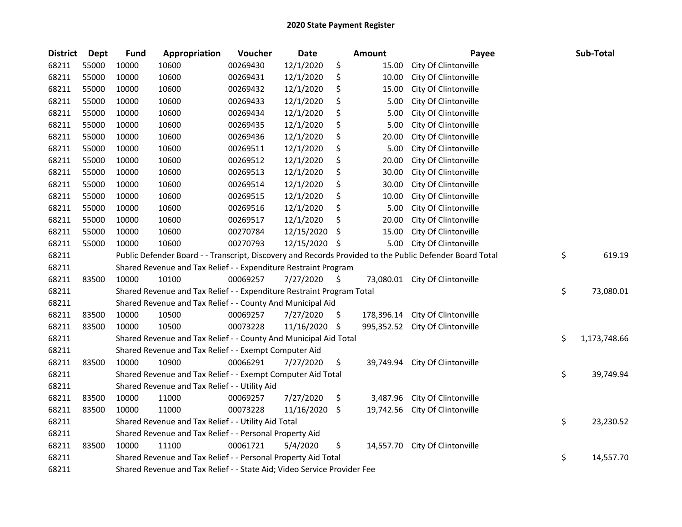| <b>District</b> | Dept  | <b>Fund</b> | Appropriation                                                           | Voucher  | <b>Date</b>   |    | Amount     | Payee                                                                                                   | Sub-Total          |
|-----------------|-------|-------------|-------------------------------------------------------------------------|----------|---------------|----|------------|---------------------------------------------------------------------------------------------------------|--------------------|
| 68211           | 55000 | 10000       | 10600                                                                   | 00269430 | 12/1/2020     | \$ | 15.00      | City Of Clintonville                                                                                    |                    |
| 68211           | 55000 | 10000       | 10600                                                                   | 00269431 | 12/1/2020     | \$ | 10.00      | City Of Clintonville                                                                                    |                    |
| 68211           | 55000 | 10000       | 10600                                                                   | 00269432 | 12/1/2020     | \$ | 15.00      | City Of Clintonville                                                                                    |                    |
| 68211           | 55000 | 10000       | 10600                                                                   | 00269433 | 12/1/2020     | \$ | 5.00       | City Of Clintonville                                                                                    |                    |
| 68211           | 55000 | 10000       | 10600                                                                   | 00269434 | 12/1/2020     | \$ | 5.00       | City Of Clintonville                                                                                    |                    |
| 68211           | 55000 | 10000       | 10600                                                                   | 00269435 | 12/1/2020     | \$ | 5.00       | City Of Clintonville                                                                                    |                    |
| 68211           | 55000 | 10000       | 10600                                                                   | 00269436 | 12/1/2020     | \$ | 20.00      | City Of Clintonville                                                                                    |                    |
| 68211           | 55000 | 10000       | 10600                                                                   | 00269511 | 12/1/2020     | \$ | 5.00       | City Of Clintonville                                                                                    |                    |
| 68211           | 55000 | 10000       | 10600                                                                   | 00269512 | 12/1/2020     | \$ | 20.00      | City Of Clintonville                                                                                    |                    |
| 68211           | 55000 | 10000       | 10600                                                                   | 00269513 | 12/1/2020     | \$ | 30.00      | City Of Clintonville                                                                                    |                    |
| 68211           | 55000 | 10000       | 10600                                                                   | 00269514 | 12/1/2020     | \$ | 30.00      | City Of Clintonville                                                                                    |                    |
| 68211           | 55000 | 10000       | 10600                                                                   | 00269515 | 12/1/2020     | \$ | 10.00      | City Of Clintonville                                                                                    |                    |
| 68211           | 55000 | 10000       | 10600                                                                   | 00269516 | 12/1/2020     | \$ | 5.00       | City Of Clintonville                                                                                    |                    |
| 68211           | 55000 | 10000       | 10600                                                                   | 00269517 | 12/1/2020     | \$ | 20.00      | City Of Clintonville                                                                                    |                    |
| 68211           | 55000 | 10000       | 10600                                                                   | 00270784 | 12/15/2020    | S  | 15.00      | City Of Clintonville                                                                                    |                    |
| 68211           | 55000 | 10000       | 10600                                                                   | 00270793 | 12/15/2020    | S  | 5.00       | City Of Clintonville                                                                                    |                    |
| 68211           |       |             |                                                                         |          |               |    |            | Public Defender Board - - Transcript, Discovery and Records Provided to the Public Defender Board Total | \$<br>619.19       |
| 68211           |       |             | Shared Revenue and Tax Relief - - Expenditure Restraint Program         |          |               |    |            |                                                                                                         |                    |
| 68211           | 83500 | 10000       | 10100                                                                   | 00069257 | 7/27/2020     | \$ |            | 73,080.01 City Of Clintonville                                                                          |                    |
| 68211           |       |             | Shared Revenue and Tax Relief - - Expenditure Restraint Program Total   |          |               |    |            |                                                                                                         | \$<br>73,080.01    |
| 68211           |       |             | Shared Revenue and Tax Relief - - County And Municipal Aid              |          |               |    |            |                                                                                                         |                    |
| 68211           | 83500 | 10000       | 10500                                                                   | 00069257 | 7/27/2020     | Ş. | 178,396.14 | City Of Clintonville                                                                                    |                    |
| 68211           | 83500 | 10000       | 10500                                                                   | 00073228 | 11/16/2020 \$ |    |            | 995,352.52 City Of Clintonville                                                                         |                    |
| 68211           |       |             | Shared Revenue and Tax Relief - - County And Municipal Aid Total        |          |               |    |            |                                                                                                         | \$<br>1,173,748.66 |
| 68211           |       |             | Shared Revenue and Tax Relief - - Exempt Computer Aid                   |          |               |    |            |                                                                                                         |                    |
| 68211           | 83500 | 10000       | 10900                                                                   | 00066291 | 7/27/2020     | \$ | 39,749.94  | City Of Clintonville                                                                                    |                    |
| 68211           |       |             | Shared Revenue and Tax Relief - - Exempt Computer Aid Total             |          |               |    |            |                                                                                                         | \$<br>39,749.94    |
| 68211           |       |             | Shared Revenue and Tax Relief - - Utility Aid                           |          |               |    |            |                                                                                                         |                    |
| 68211           | 83500 | 10000       | 11000                                                                   | 00069257 | 7/27/2020     | \$ | 3,487.96   | City Of Clintonville                                                                                    |                    |
| 68211           | 83500 | 10000       | 11000                                                                   | 00073228 | 11/16/2020    | \$ | 19,742.56  | City Of Clintonville                                                                                    |                    |
| 68211           |       |             | Shared Revenue and Tax Relief - - Utility Aid Total                     |          |               |    |            |                                                                                                         | \$<br>23,230.52    |
| 68211           |       |             | Shared Revenue and Tax Relief - - Personal Property Aid                 |          |               |    |            |                                                                                                         |                    |
| 68211           | 83500 | 10000       | 11100                                                                   | 00061721 | 5/4/2020      | \$ | 14,557.70  | City Of Clintonville                                                                                    |                    |
| 68211           |       |             | Shared Revenue and Tax Relief - - Personal Property Aid Total           |          |               |    |            |                                                                                                         | \$<br>14,557.70    |
| 68211           |       |             | Shared Revenue and Tax Relief - - State Aid; Video Service Provider Fee |          |               |    |            |                                                                                                         |                    |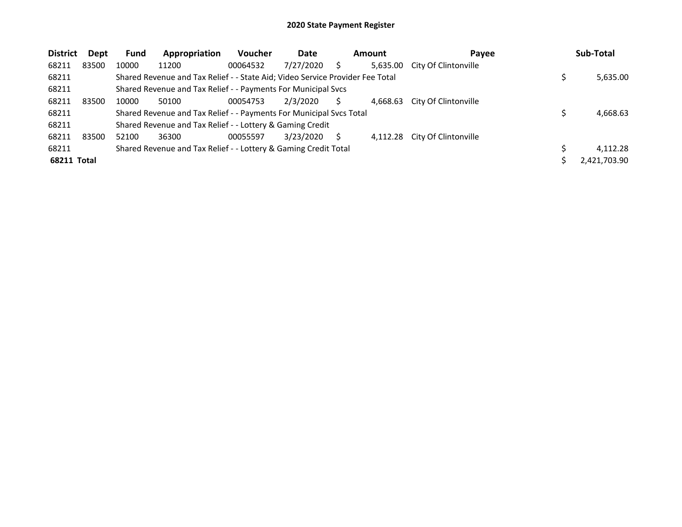| <b>District</b>    | <b>Dept</b> | <b>Fund</b> | Appropriation                                                                 | <b>Voucher</b> | Date      | <b>Amount</b> | Payee                         | Sub-Total    |
|--------------------|-------------|-------------|-------------------------------------------------------------------------------|----------------|-----------|---------------|-------------------------------|--------------|
| 68211              | 83500       | 10000       | 11200                                                                         | 00064532       | 7/27/2020 | 5,635.00      | City Of Clintonville          |              |
| 68211              |             |             | Shared Revenue and Tax Relief - - State Aid; Video Service Provider Fee Total |                |           |               |                               | 5,635.00     |
| 68211              |             |             | Shared Revenue and Tax Relief - - Payments For Municipal Svcs                 |                |           |               |                               |              |
| 68211              | 83500       | 10000       | 50100                                                                         | 00054753       | 2/3/2020  |               | 4,668.63 City Of Clintonville |              |
| 68211              |             |             | Shared Revenue and Tax Relief - - Payments For Municipal Svcs Total           |                |           |               |                               | 4,668.63     |
| 68211              |             |             | Shared Revenue and Tax Relief - - Lottery & Gaming Credit                     |                |           |               |                               |              |
| 68211              | 83500       | 52100       | 36300                                                                         | 00055597       | 3/23/2020 |               | 4,112.28 City Of Clintonville |              |
| 68211              |             |             | Shared Revenue and Tax Relief - - Lottery & Gaming Credit Total               |                |           |               |                               | 4.112.28     |
| <b>68211 Total</b> |             |             |                                                                               |                |           |               |                               | 2,421,703.90 |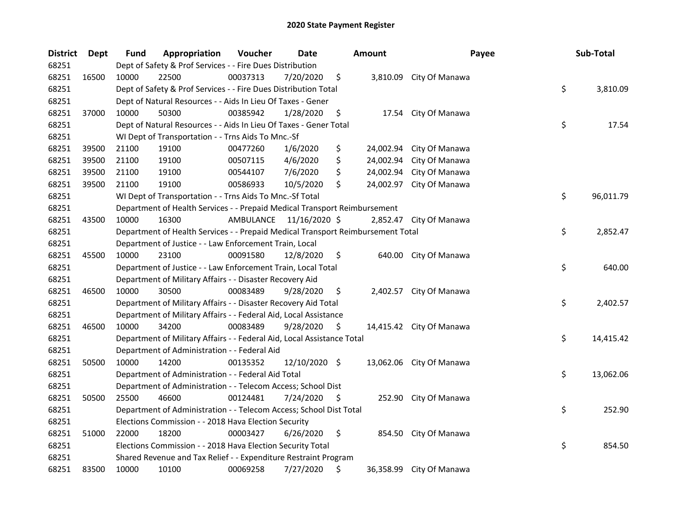| <b>District</b> | Dept  | <b>Fund</b> | Appropriation                                                                   | Voucher   | Date          |    | <b>Amount</b> | Payee                    | Sub-Total       |
|-----------------|-------|-------------|---------------------------------------------------------------------------------|-----------|---------------|----|---------------|--------------------------|-----------------|
| 68251           |       |             | Dept of Safety & Prof Services - - Fire Dues Distribution                       |           |               |    |               |                          |                 |
| 68251           | 16500 | 10000       | 22500                                                                           | 00037313  | 7/20/2020     | \$ |               | 3,810.09 City Of Manawa  |                 |
| 68251           |       |             | Dept of Safety & Prof Services - - Fire Dues Distribution Total                 |           |               |    |               |                          | \$<br>3,810.09  |
| 68251           |       |             | Dept of Natural Resources - - Aids In Lieu Of Taxes - Gener                     |           |               |    |               |                          |                 |
| 68251           | 37000 | 10000       | 50300                                                                           | 00385942  | 1/28/2020     | \$ |               | 17.54 City Of Manawa     |                 |
| 68251           |       |             | Dept of Natural Resources - - Aids In Lieu Of Taxes - Gener Total               |           |               |    |               |                          | \$<br>17.54     |
| 68251           |       |             | WI Dept of Transportation - - Trns Aids To Mnc.-Sf                              |           |               |    |               |                          |                 |
| 68251           | 39500 | 21100       | 19100                                                                           | 00477260  | 1/6/2020      | \$ |               | 24,002.94 City Of Manawa |                 |
| 68251           | 39500 | 21100       | 19100                                                                           | 00507115  | 4/6/2020      | \$ | 24,002.94     | City Of Manawa           |                 |
| 68251           | 39500 | 21100       | 19100                                                                           | 00544107  | 7/6/2020      | \$ | 24,002.94     | City Of Manawa           |                 |
| 68251           | 39500 | 21100       | 19100                                                                           | 00586933  | 10/5/2020     | \$ |               | 24,002.97 City Of Manawa |                 |
| 68251           |       |             | WI Dept of Transportation - - Trns Aids To Mnc.-Sf Total                        |           |               |    |               |                          | \$<br>96,011.79 |
| 68251           |       |             | Department of Health Services - - Prepaid Medical Transport Reimbursement       |           |               |    |               |                          |                 |
| 68251           | 43500 | 10000       | 16300                                                                           | AMBULANCE | 11/16/2020 \$ |    |               | 2,852.47 City Of Manawa  |                 |
| 68251           |       |             | Department of Health Services - - Prepaid Medical Transport Reimbursement Total |           |               |    |               |                          | \$<br>2,852.47  |
| 68251           |       |             | Department of Justice - - Law Enforcement Train, Local                          |           |               |    |               |                          |                 |
| 68251           | 45500 | 10000       | 23100                                                                           | 00091580  | 12/8/2020     | \$ |               | 640.00 City Of Manawa    |                 |
| 68251           |       |             | Department of Justice - - Law Enforcement Train, Local Total                    |           |               |    |               |                          | \$<br>640.00    |
| 68251           |       |             | Department of Military Affairs - - Disaster Recovery Aid                        |           |               |    |               |                          |                 |
| 68251           | 46500 | 10000       | 30500                                                                           | 00083489  | 9/28/2020     | \$ |               | 2,402.57 City Of Manawa  |                 |
| 68251           |       |             | Department of Military Affairs - - Disaster Recovery Aid Total                  |           |               |    |               |                          | \$<br>2,402.57  |
| 68251           |       |             | Department of Military Affairs - - Federal Aid, Local Assistance                |           |               |    |               |                          |                 |
| 68251           | 46500 | 10000       | 34200                                                                           | 00083489  | 9/28/2020     | \$ |               | 14,415.42 City Of Manawa |                 |
| 68251           |       |             | Department of Military Affairs - - Federal Aid, Local Assistance Total          |           |               |    |               |                          | \$<br>14,415.42 |
| 68251           |       |             | Department of Administration - - Federal Aid                                    |           |               |    |               |                          |                 |
| 68251           | 50500 | 10000       | 14200                                                                           | 00135352  | 12/10/2020 \$ |    |               | 13,062.06 City Of Manawa |                 |
| 68251           |       |             | Department of Administration - - Federal Aid Total                              |           |               |    |               |                          | \$<br>13,062.06 |
| 68251           |       |             | Department of Administration - - Telecom Access; School Dist                    |           |               |    |               |                          |                 |
| 68251           | 50500 | 25500       | 46600                                                                           | 00124481  | 7/24/2020     | S  |               | 252.90 City Of Manawa    |                 |
| 68251           |       |             | Department of Administration - - Telecom Access; School Dist Total              |           |               |    |               |                          | \$<br>252.90    |
| 68251           |       |             | Elections Commission - - 2018 Hava Election Security                            |           |               |    |               |                          |                 |
| 68251           | 51000 | 22000       | 18200                                                                           | 00003427  | 6/26/2020     | \$ |               | 854.50 City Of Manawa    |                 |
| 68251           |       |             | Elections Commission - - 2018 Hava Election Security Total                      |           |               |    |               |                          | \$<br>854.50    |
| 68251           |       |             | Shared Revenue and Tax Relief - - Expenditure Restraint Program                 |           |               |    |               |                          |                 |
| 68251           | 83500 | 10000       | 10100                                                                           | 00069258  | 7/27/2020     | \$ |               | 36,358.99 City Of Manawa |                 |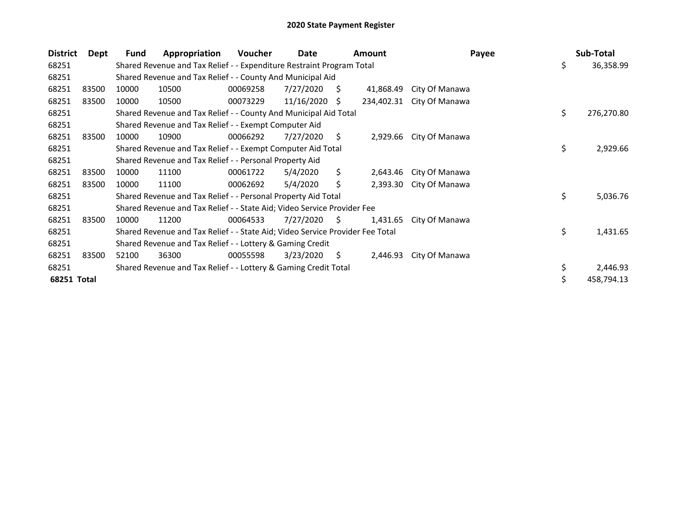| <b>District</b> | Dept  | Fund  | Appropriation                                                                 | <b>Voucher</b> | Date       |     | <b>Amount</b> | Payee          | Sub-Total        |
|-----------------|-------|-------|-------------------------------------------------------------------------------|----------------|------------|-----|---------------|----------------|------------------|
| 68251           |       |       | Shared Revenue and Tax Relief - - Expenditure Restraint Program Total         |                |            |     |               |                | \$<br>36,358.99  |
| 68251           |       |       | Shared Revenue and Tax Relief - - County And Municipal Aid                    |                |            |     |               |                |                  |
| 68251           | 83500 | 10000 | 10500                                                                         | 00069258       | 7/27/2020  | S.  | 41,868.49     | City Of Manawa |                  |
| 68251           | 83500 | 10000 | 10500                                                                         | 00073229       | 11/16/2020 | S.  | 234,402.31    | City Of Manawa |                  |
| 68251           |       |       | Shared Revenue and Tax Relief - - County And Municipal Aid Total              |                |            |     |               |                | \$<br>276,270.80 |
| 68251           |       |       | Shared Revenue and Tax Relief - - Exempt Computer Aid                         |                |            |     |               |                |                  |
| 68251           | 83500 | 10000 | 10900                                                                         | 00066292       | 7/27/2020  | S.  | 2,929.66      | City Of Manawa |                  |
| 68251           |       |       | Shared Revenue and Tax Relief - - Exempt Computer Aid Total                   |                |            |     |               |                | \$<br>2,929.66   |
| 68251           |       |       | Shared Revenue and Tax Relief - - Personal Property Aid                       |                |            |     |               |                |                  |
| 68251           | 83500 | 10000 | 11100                                                                         | 00061722       | 5/4/2020   | \$. | 2,643.46      | City Of Manawa |                  |
| 68251           | 83500 | 10000 | 11100                                                                         | 00062692       | 5/4/2020   | Ś.  | 2,393.30      | City Of Manawa |                  |
| 68251           |       |       | Shared Revenue and Tax Relief - - Personal Property Aid Total                 |                |            |     |               |                | \$<br>5,036.76   |
| 68251           |       |       | Shared Revenue and Tax Relief - - State Aid; Video Service Provider Fee       |                |            |     |               |                |                  |
| 68251           | 83500 | 10000 | 11200                                                                         | 00064533       | 7/27/2020  | S.  | 1,431.65      | City Of Manawa |                  |
| 68251           |       |       | Shared Revenue and Tax Relief - - State Aid; Video Service Provider Fee Total |                |            |     |               |                | \$<br>1,431.65   |
| 68251           |       |       | Shared Revenue and Tax Relief - - Lottery & Gaming Credit                     |                |            |     |               |                |                  |
| 68251           | 83500 | 52100 | 36300                                                                         | 00055598       | 3/23/2020  | S.  | 2,446.93      | City Of Manawa |                  |
| 68251           |       |       | Shared Revenue and Tax Relief - - Lottery & Gaming Credit Total               |                |            |     |               |                | \$<br>2,446.93   |
| 68251 Total     |       |       |                                                                               |                |            |     |               |                | \$<br>458,794.13 |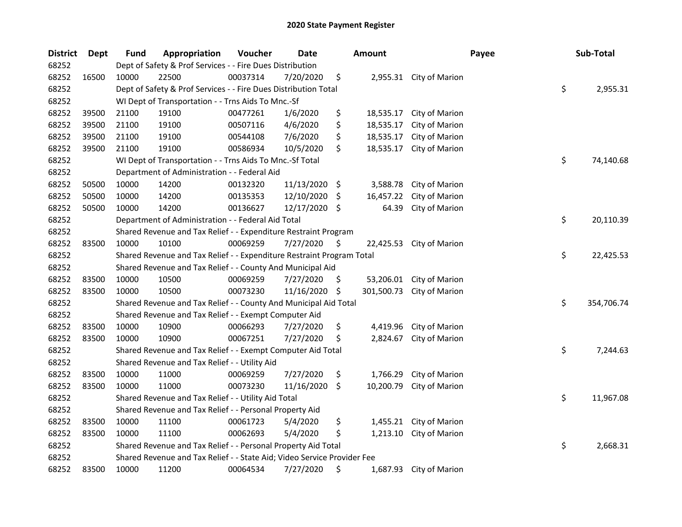| <b>District</b> | Dept  | <b>Fund</b> | Appropriation                                                           | Voucher  | Date          |      | <b>Amount</b> |                         | Payee | Sub-Total        |
|-----------------|-------|-------------|-------------------------------------------------------------------------|----------|---------------|------|---------------|-------------------------|-------|------------------|
| 68252           |       |             | Dept of Safety & Prof Services - - Fire Dues Distribution               |          |               |      |               |                         |       |                  |
| 68252           | 16500 | 10000       | 22500                                                                   | 00037314 | 7/20/2020     | \$   |               | 2,955.31 City of Marion |       |                  |
| 68252           |       |             | Dept of Safety & Prof Services - - Fire Dues Distribution Total         |          |               |      |               |                         |       | \$<br>2,955.31   |
| 68252           |       |             | WI Dept of Transportation - - Trns Aids To Mnc.-Sf                      |          |               |      |               |                         |       |                  |
| 68252           | 39500 | 21100       | 19100                                                                   | 00477261 | 1/6/2020      | \$   | 18,535.17     | City of Marion          |       |                  |
| 68252           | 39500 | 21100       | 19100                                                                   | 00507116 | 4/6/2020      | \$   | 18,535.17     | City of Marion          |       |                  |
| 68252           | 39500 | 21100       | 19100                                                                   | 00544108 | 7/6/2020      | \$   | 18,535.17     | City of Marion          |       |                  |
| 68252           | 39500 | 21100       | 19100                                                                   | 00586934 | 10/5/2020     | \$   | 18,535.17     | City of Marion          |       |                  |
| 68252           |       |             | WI Dept of Transportation - - Trns Aids To Mnc.-Sf Total                |          |               |      |               |                         |       | \$<br>74,140.68  |
| 68252           |       |             | Department of Administration - - Federal Aid                            |          |               |      |               |                         |       |                  |
| 68252           | 50500 | 10000       | 14200                                                                   | 00132320 | 11/13/2020 \$ |      | 3,588.78      | City of Marion          |       |                  |
| 68252           | 50500 | 10000       | 14200                                                                   | 00135353 | 12/10/2020    | - \$ | 16,457.22     | City of Marion          |       |                  |
| 68252           | 50500 | 10000       | 14200                                                                   | 00136627 | 12/17/2020 \$ |      | 64.39         | City of Marion          |       |                  |
| 68252           |       |             | Department of Administration - - Federal Aid Total                      |          |               |      |               |                         |       | \$<br>20,110.39  |
| 68252           |       |             | Shared Revenue and Tax Relief - - Expenditure Restraint Program         |          |               |      |               |                         |       |                  |
| 68252           | 83500 | 10000       | 10100                                                                   | 00069259 | 7/27/2020     | \$   | 22,425.53     | City of Marion          |       |                  |
| 68252           |       |             | Shared Revenue and Tax Relief - - Expenditure Restraint Program Total   |          |               |      |               |                         |       | \$<br>22,425.53  |
| 68252           |       |             | Shared Revenue and Tax Relief - - County And Municipal Aid              |          |               |      |               |                         |       |                  |
| 68252           | 83500 | 10000       | 10500                                                                   | 00069259 | 7/27/2020     | \$.  | 53,206.01     | City of Marion          |       |                  |
| 68252           | 83500 | 10000       | 10500                                                                   | 00073230 | 11/16/2020    | \$   | 301,500.73    | City of Marion          |       |                  |
| 68252           |       |             | Shared Revenue and Tax Relief - - County And Municipal Aid Total        |          |               |      |               |                         |       | \$<br>354,706.74 |
| 68252           |       |             | Shared Revenue and Tax Relief - - Exempt Computer Aid                   |          |               |      |               |                         |       |                  |
| 68252           | 83500 | 10000       | 10900                                                                   | 00066293 | 7/27/2020     | \$   | 4,419.96      | City of Marion          |       |                  |
| 68252           | 83500 | 10000       | 10900                                                                   | 00067251 | 7/27/2020     | \$   | 2,824.67      | City of Marion          |       |                  |
| 68252           |       |             | Shared Revenue and Tax Relief - - Exempt Computer Aid Total             |          |               |      |               |                         |       | \$<br>7,244.63   |
| 68252           |       |             | Shared Revenue and Tax Relief - - Utility Aid                           |          |               |      |               |                         |       |                  |
| 68252           | 83500 | 10000       | 11000                                                                   | 00069259 | 7/27/2020     | \$   | 1,766.29      | City of Marion          |       |                  |
| 68252           | 83500 | 10000       | 11000                                                                   | 00073230 | 11/16/2020    | \$   | 10,200.79     | City of Marion          |       |                  |
| 68252           |       |             | Shared Revenue and Tax Relief - - Utility Aid Total                     |          |               |      |               |                         |       | \$<br>11,967.08  |
| 68252           |       |             | Shared Revenue and Tax Relief - - Personal Property Aid                 |          |               |      |               |                         |       |                  |
| 68252           | 83500 | 10000       | 11100                                                                   | 00061723 | 5/4/2020      | \$   | 1,455.21      | City of Marion          |       |                  |
| 68252           | 83500 | 10000       | 11100                                                                   | 00062693 | 5/4/2020      | \$   | 1,213.10      | City of Marion          |       |                  |
| 68252           |       |             | Shared Revenue and Tax Relief - - Personal Property Aid Total           |          |               |      |               |                         |       | \$<br>2,668.31   |
| 68252           |       |             | Shared Revenue and Tax Relief - - State Aid; Video Service Provider Fee |          |               |      |               |                         |       |                  |
| 68252           | 83500 | 10000       | 11200                                                                   | 00064534 | 7/27/2020     | \$   |               | 1,687.93 City of Marion |       |                  |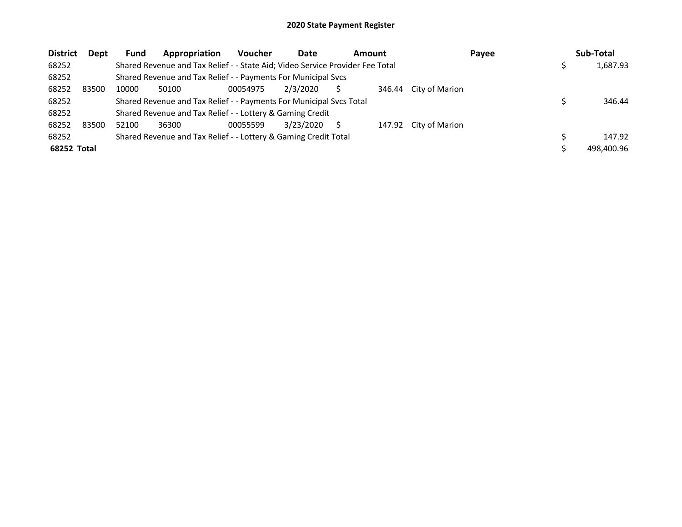| <b>District</b> | Dept  | Fund  | Appropriation                                                                 | <b>Voucher</b> | Date      | <b>Amount</b> |        | Payee          | Sub-Total  |
|-----------------|-------|-------|-------------------------------------------------------------------------------|----------------|-----------|---------------|--------|----------------|------------|
| 68252           |       |       | Shared Revenue and Tax Relief - - State Aid; Video Service Provider Fee Total |                |           |               |        |                | 1,687.93   |
| 68252           |       |       | Shared Revenue and Tax Relief - - Payments For Municipal Svcs                 |                |           |               |        |                |            |
| 68252           | 83500 | 10000 | 50100                                                                         | 00054975       | 2/3/2020  |               | 346.44 | City of Marion |            |
| 68252           |       |       | Shared Revenue and Tax Relief - - Payments For Municipal Svcs Total           |                |           |               |        |                | 346.44     |
| 68252           |       |       | Shared Revenue and Tax Relief - - Lottery & Gaming Credit                     |                |           |               |        |                |            |
| 68252           | 83500 | 52100 | 36300                                                                         | 00055599       | 3/23/2020 |               | 147.92 | City of Marion |            |
| 68252           |       |       | Shared Revenue and Tax Relief - - Lottery & Gaming Credit Total               |                |           |               |        |                | 147.92     |
| 68252 Total     |       |       |                                                                               |                |           |               |        |                | 498.400.96 |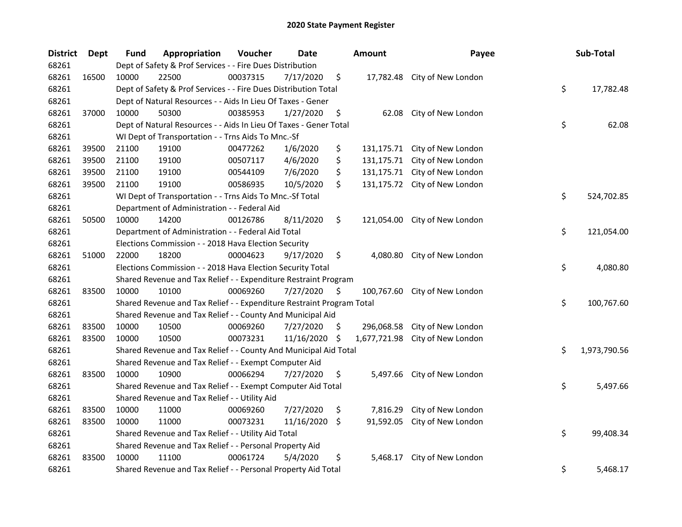| <b>District</b> | Dept  | Fund  | Appropriation                                                         | Voucher  | Date       |    | <b>Amount</b> | Payee                         | Sub-Total          |
|-----------------|-------|-------|-----------------------------------------------------------------------|----------|------------|----|---------------|-------------------------------|--------------------|
| 68261           |       |       | Dept of Safety & Prof Services - - Fire Dues Distribution             |          |            |    |               |                               |                    |
| 68261           | 16500 | 10000 | 22500                                                                 | 00037315 | 7/17/2020  | \$ |               | 17,782.48 City of New London  |                    |
| 68261           |       |       | Dept of Safety & Prof Services - - Fire Dues Distribution Total       |          |            |    |               |                               | \$<br>17,782.48    |
| 68261           |       |       | Dept of Natural Resources - - Aids In Lieu Of Taxes - Gener           |          |            |    |               |                               |                    |
| 68261           | 37000 | 10000 | 50300                                                                 | 00385953 | 1/27/2020  | \$ | 62.08         | City of New London            |                    |
| 68261           |       |       | Dept of Natural Resources - - Aids In Lieu Of Taxes - Gener Total     |          |            |    |               |                               | \$<br>62.08        |
| 68261           |       |       | WI Dept of Transportation - - Trns Aids To Mnc.-Sf                    |          |            |    |               |                               |                    |
| 68261           | 39500 | 21100 | 19100                                                                 | 00477262 | 1/6/2020   | \$ | 131,175.71    | City of New London            |                    |
| 68261           | 39500 | 21100 | 19100                                                                 | 00507117 | 4/6/2020   | \$ | 131,175.71    | City of New London            |                    |
| 68261           | 39500 | 21100 | 19100                                                                 | 00544109 | 7/6/2020   | \$ | 131,175.71    | City of New London            |                    |
| 68261           | 39500 | 21100 | 19100                                                                 | 00586935 | 10/5/2020  | \$ |               | 131,175.72 City of New London |                    |
| 68261           |       |       | WI Dept of Transportation - - Trns Aids To Mnc.-Sf Total              |          |            |    |               |                               | \$<br>524,702.85   |
| 68261           |       |       | Department of Administration - - Federal Aid                          |          |            |    |               |                               |                    |
| 68261           | 50500 | 10000 | 14200                                                                 | 00126786 | 8/11/2020  | \$ | 121,054.00    | City of New London            |                    |
| 68261           |       |       | Department of Administration - - Federal Aid Total                    |          |            |    |               |                               | \$<br>121,054.00   |
| 68261           |       |       | Elections Commission - - 2018 Hava Election Security                  |          |            |    |               |                               |                    |
| 68261           | 51000 | 22000 | 18200                                                                 | 00004623 | 9/17/2020  | \$ | 4,080.80      | City of New London            |                    |
| 68261           |       |       | Elections Commission - - 2018 Hava Election Security Total            |          |            |    |               |                               | \$<br>4,080.80     |
| 68261           |       |       | Shared Revenue and Tax Relief - - Expenditure Restraint Program       |          |            |    |               |                               |                    |
| 68261           | 83500 | 10000 | 10100                                                                 | 00069260 | 7/27/2020  | \$ | 100,767.60    | City of New London            |                    |
| 68261           |       |       | Shared Revenue and Tax Relief - - Expenditure Restraint Program Total |          |            |    |               |                               | \$<br>100,767.60   |
| 68261           |       |       | Shared Revenue and Tax Relief - - County And Municipal Aid            |          |            |    |               |                               |                    |
| 68261           | 83500 | 10000 | 10500                                                                 | 00069260 | 7/27/2020  | \$ | 296,068.58    | City of New London            |                    |
| 68261           | 83500 | 10000 | 10500                                                                 | 00073231 | 11/16/2020 | \$ | 1,677,721.98  | City of New London            |                    |
| 68261           |       |       | Shared Revenue and Tax Relief - - County And Municipal Aid Total      |          |            |    |               |                               | \$<br>1,973,790.56 |
| 68261           |       |       | Shared Revenue and Tax Relief - - Exempt Computer Aid                 |          |            |    |               |                               |                    |
| 68261           | 83500 | 10000 | 10900                                                                 | 00066294 | 7/27/2020  | \$ | 5,497.66      | City of New London            |                    |
| 68261           |       |       | Shared Revenue and Tax Relief - - Exempt Computer Aid Total           |          |            |    |               |                               | \$<br>5,497.66     |
| 68261           |       |       | Shared Revenue and Tax Relief - - Utility Aid                         |          |            |    |               |                               |                    |
| 68261           | 83500 | 10000 | 11000                                                                 | 00069260 | 7/27/2020  | \$ | 7,816.29      | City of New London            |                    |
| 68261           | 83500 | 10000 | 11000                                                                 | 00073231 | 11/16/2020 | -S | 91,592.05     | City of New London            |                    |
| 68261           |       |       | Shared Revenue and Tax Relief - - Utility Aid Total                   |          |            |    |               |                               | \$<br>99,408.34    |
| 68261           |       |       | Shared Revenue and Tax Relief - - Personal Property Aid               |          |            |    |               |                               |                    |
| 68261           | 83500 | 10000 | 11100                                                                 | 00061724 | 5/4/2020   | \$ | 5,468.17      | City of New London            |                    |
| 68261           |       |       | Shared Revenue and Tax Relief - - Personal Property Aid Total         |          |            |    |               |                               | \$<br>5,468.17     |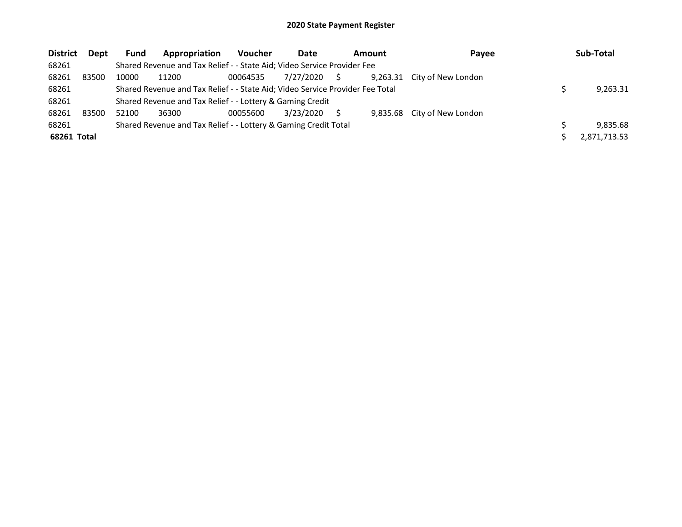| <b>District</b> | Dept  | <b>Fund</b> | Appropriation                                                                 | <b>Voucher</b> | Date      |    | Amount   | Payee                       | Sub-Total    |
|-----------------|-------|-------------|-------------------------------------------------------------------------------|----------------|-----------|----|----------|-----------------------------|--------------|
| 68261           |       |             | Shared Revenue and Tax Relief - - State Aid; Video Service Provider Fee       |                |           |    |          |                             |              |
| 68261           | 83500 | 10000       | 11200                                                                         | 00064535       | 7/27/2020 | S. | 9,263.31 | City of New London          |              |
| 68261           |       |             | Shared Revenue and Tax Relief - - State Aid; Video Service Provider Fee Total |                |           |    |          |                             | 9,263.31     |
| 68261           |       |             | Shared Revenue and Tax Relief - - Lottery & Gaming Credit                     |                |           |    |          |                             |              |
| 68261           | 83500 | 52100       | 36300                                                                         | 00055600       | 3/23/2020 |    |          | 9,835.68 City of New London |              |
| 68261           |       |             | Shared Revenue and Tax Relief - - Lottery & Gaming Credit Total               |                |           |    |          |                             | 9.835.68     |
| 68261 Total     |       |             |                                                                               |                |           |    |          |                             | 2,871,713.53 |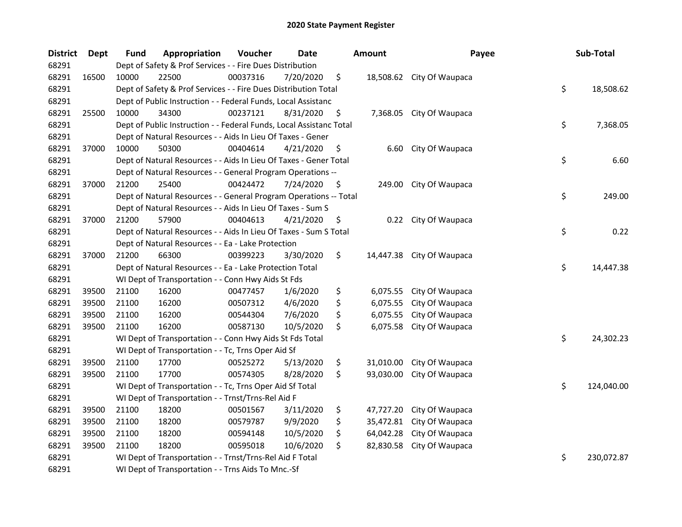| <b>District</b> | <b>Dept</b> | Fund  | Appropriation                                                       | Voucher  | <b>Date</b> | <b>Amount</b>   | Payee                     | Sub-Total        |
|-----------------|-------------|-------|---------------------------------------------------------------------|----------|-------------|-----------------|---------------------------|------------------|
| 68291           |             |       | Dept of Safety & Prof Services - - Fire Dues Distribution           |          |             |                 |                           |                  |
| 68291           | 16500       | 10000 | 22500                                                               | 00037316 | 7/20/2020   | \$              | 18,508.62 City Of Waupaca |                  |
| 68291           |             |       | Dept of Safety & Prof Services - - Fire Dues Distribution Total     |          |             |                 |                           | \$<br>18,508.62  |
| 68291           |             |       | Dept of Public Instruction - - Federal Funds, Local Assistanc       |          |             |                 |                           |                  |
| 68291           | 25500       | 10000 | 34300                                                               | 00237121 | 8/31/2020   | \$              | 7,368.05 City Of Waupaca  |                  |
| 68291           |             |       | Dept of Public Instruction - - Federal Funds, Local Assistanc Total |          |             |                 |                           | \$<br>7,368.05   |
| 68291           |             |       | Dept of Natural Resources - - Aids In Lieu Of Taxes - Gener         |          |             |                 |                           |                  |
| 68291           | 37000       | 10000 | 50300                                                               | 00404614 | 4/21/2020   | \$<br>6.60      | City Of Waupaca           |                  |
| 68291           |             |       | Dept of Natural Resources - - Aids In Lieu Of Taxes - Gener Total   |          |             |                 |                           | \$<br>6.60       |
| 68291           |             |       | Dept of Natural Resources - - General Program Operations --         |          |             |                 |                           |                  |
| 68291           | 37000       | 21200 | 25400                                                               | 00424472 | 7/24/2020   | \$<br>249.00    | City Of Waupaca           |                  |
| 68291           |             |       | Dept of Natural Resources - - General Program Operations -- Total   |          |             |                 |                           | \$<br>249.00     |
| 68291           |             |       | Dept of Natural Resources - - Aids In Lieu Of Taxes - Sum S         |          |             |                 |                           |                  |
| 68291           | 37000       | 21200 | 57900                                                               | 00404613 | 4/21/2020   | \$<br>0.22      | City Of Waupaca           |                  |
| 68291           |             |       | Dept of Natural Resources - - Aids In Lieu Of Taxes - Sum S Total   |          |             |                 |                           | \$<br>0.22       |
| 68291           |             |       | Dept of Natural Resources - - Ea - Lake Protection                  |          |             |                 |                           |                  |
| 68291           | 37000       | 21200 | 66300                                                               | 00399223 | 3/30/2020   | \$<br>14,447.38 | City Of Waupaca           |                  |
| 68291           |             |       | Dept of Natural Resources - - Ea - Lake Protection Total            |          |             |                 |                           | \$<br>14,447.38  |
| 68291           |             |       | WI Dept of Transportation - - Conn Hwy Aids St Fds                  |          |             |                 |                           |                  |
| 68291           | 39500       | 21100 | 16200                                                               | 00477457 | 1/6/2020    | \$<br>6,075.55  | City Of Waupaca           |                  |
| 68291           | 39500       | 21100 | 16200                                                               | 00507312 | 4/6/2020    | \$<br>6,075.55  | City Of Waupaca           |                  |
| 68291           | 39500       | 21100 | 16200                                                               | 00544304 | 7/6/2020    | \$<br>6,075.55  | City Of Waupaca           |                  |
| 68291           | 39500       | 21100 | 16200                                                               | 00587130 | 10/5/2020   | \$<br>6,075.58  | City Of Waupaca           |                  |
| 68291           |             |       | WI Dept of Transportation - - Conn Hwy Aids St Fds Total            |          |             |                 |                           | \$<br>24,302.23  |
| 68291           |             |       | WI Dept of Transportation - - Tc, Trns Oper Aid Sf                  |          |             |                 |                           |                  |
| 68291           | 39500       | 21100 | 17700                                                               | 00525272 | 5/13/2020   | \$<br>31,010.00 | City Of Waupaca           |                  |
| 68291           | 39500       | 21100 | 17700                                                               | 00574305 | 8/28/2020   | \$<br>93,030.00 | City Of Waupaca           |                  |
| 68291           |             |       | WI Dept of Transportation - - Tc, Trns Oper Aid Sf Total            |          |             |                 |                           | \$<br>124,040.00 |
| 68291           |             |       | WI Dept of Transportation - - Trnst/Trns-Rel Aid F                  |          |             |                 |                           |                  |
| 68291           | 39500       | 21100 | 18200                                                               | 00501567 | 3/11/2020   | \$<br>47,727.20 | City Of Waupaca           |                  |
| 68291           | 39500       | 21100 | 18200                                                               | 00579787 | 9/9/2020    | \$<br>35,472.81 | City Of Waupaca           |                  |
| 68291           | 39500       | 21100 | 18200                                                               | 00594148 | 10/5/2020   | \$<br>64,042.28 | City Of Waupaca           |                  |
| 68291           | 39500       | 21100 | 18200                                                               | 00595018 | 10/6/2020   | \$<br>82,830.58 | City Of Waupaca           |                  |
| 68291           |             |       | WI Dept of Transportation - - Trnst/Trns-Rel Aid F Total            |          |             |                 |                           | \$<br>230,072.87 |
| 68291           |             |       | WI Dept of Transportation - - Trns Aids To Mnc.-Sf                  |          |             |                 |                           |                  |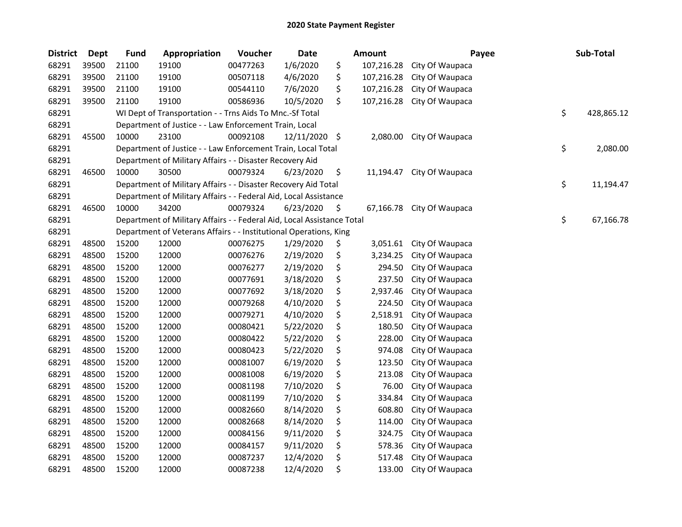| <b>District</b> | <b>Dept</b> | <b>Fund</b> | Appropriation                                                          | Voucher  | <b>Date</b>   | <b>Amount</b>    | Payee           | Sub-Total        |
|-----------------|-------------|-------------|------------------------------------------------------------------------|----------|---------------|------------------|-----------------|------------------|
| 68291           | 39500       | 21100       | 19100                                                                  | 00477263 | 1/6/2020      | \$<br>107,216.28 | City Of Waupaca |                  |
| 68291           | 39500       | 21100       | 19100                                                                  | 00507118 | 4/6/2020      | \$<br>107,216.28 | City Of Waupaca |                  |
| 68291           | 39500       | 21100       | 19100                                                                  | 00544110 | 7/6/2020      | \$<br>107,216.28 | City Of Waupaca |                  |
| 68291           | 39500       | 21100       | 19100                                                                  | 00586936 | 10/5/2020     | \$<br>107,216.28 | City Of Waupaca |                  |
| 68291           |             |             | WI Dept of Transportation - - Trns Aids To Mnc.-Sf Total               |          |               |                  |                 | \$<br>428,865.12 |
| 68291           |             |             | Department of Justice - - Law Enforcement Train, Local                 |          |               |                  |                 |                  |
| 68291           | 45500       | 10000       | 23100                                                                  | 00092108 | 12/11/2020 \$ | 2,080.00         | City Of Waupaca |                  |
| 68291           |             |             | Department of Justice - - Law Enforcement Train, Local Total           |          |               |                  |                 | \$<br>2,080.00   |
| 68291           |             |             | Department of Military Affairs - - Disaster Recovery Aid               |          |               |                  |                 |                  |
| 68291           | 46500       | 10000       | 30500                                                                  | 00079324 | 6/23/2020     | \$<br>11,194.47  | City Of Waupaca |                  |
| 68291           |             |             | Department of Military Affairs - - Disaster Recovery Aid Total         |          |               |                  |                 | \$<br>11,194.47  |
| 68291           |             |             | Department of Military Affairs - - Federal Aid, Local Assistance       |          |               |                  |                 |                  |
| 68291           | 46500       | 10000       | 34200                                                                  | 00079324 | 6/23/2020     | \$<br>67,166.78  | City Of Waupaca |                  |
| 68291           |             |             | Department of Military Affairs - - Federal Aid, Local Assistance Total |          |               |                  |                 | \$<br>67,166.78  |
| 68291           |             |             | Department of Veterans Affairs - - Institutional Operations, King      |          |               |                  |                 |                  |
| 68291           | 48500       | 15200       | 12000                                                                  | 00076275 | 1/29/2020     | \$<br>3,051.61   | City Of Waupaca |                  |
| 68291           | 48500       | 15200       | 12000                                                                  | 00076276 | 2/19/2020     | \$<br>3,234.25   | City Of Waupaca |                  |
| 68291           | 48500       | 15200       | 12000                                                                  | 00076277 | 2/19/2020     | \$<br>294.50     | City Of Waupaca |                  |
| 68291           | 48500       | 15200       | 12000                                                                  | 00077691 | 3/18/2020     | \$<br>237.50     | City Of Waupaca |                  |
| 68291           | 48500       | 15200       | 12000                                                                  | 00077692 | 3/18/2020     | \$<br>2,937.46   | City Of Waupaca |                  |
| 68291           | 48500       | 15200       | 12000                                                                  | 00079268 | 4/10/2020     | \$<br>224.50     | City Of Waupaca |                  |
| 68291           | 48500       | 15200       | 12000                                                                  | 00079271 | 4/10/2020     | \$<br>2,518.91   | City Of Waupaca |                  |
| 68291           | 48500       | 15200       | 12000                                                                  | 00080421 | 5/22/2020     | \$<br>180.50     | City Of Waupaca |                  |
| 68291           | 48500       | 15200       | 12000                                                                  | 00080422 | 5/22/2020     | \$<br>228.00     | City Of Waupaca |                  |
| 68291           | 48500       | 15200       | 12000                                                                  | 00080423 | 5/22/2020     | \$<br>974.08     | City Of Waupaca |                  |
| 68291           | 48500       | 15200       | 12000                                                                  | 00081007 | 6/19/2020     | \$<br>123.50     | City Of Waupaca |                  |
| 68291           | 48500       | 15200       | 12000                                                                  | 00081008 | 6/19/2020     | \$<br>213.08     | City Of Waupaca |                  |
| 68291           | 48500       | 15200       | 12000                                                                  | 00081198 | 7/10/2020     | \$<br>76.00      | City Of Waupaca |                  |
| 68291           | 48500       | 15200       | 12000                                                                  | 00081199 | 7/10/2020     | \$<br>334.84     | City Of Waupaca |                  |
| 68291           | 48500       | 15200       | 12000                                                                  | 00082660 | 8/14/2020     | \$<br>608.80     | City Of Waupaca |                  |
| 68291           | 48500       | 15200       | 12000                                                                  | 00082668 | 8/14/2020     | \$<br>114.00     | City Of Waupaca |                  |
| 68291           | 48500       | 15200       | 12000                                                                  | 00084156 | 9/11/2020     | \$<br>324.75     | City Of Waupaca |                  |
| 68291           | 48500       | 15200       | 12000                                                                  | 00084157 | 9/11/2020     | \$<br>578.36     | City Of Waupaca |                  |
| 68291           | 48500       | 15200       | 12000                                                                  | 00087237 | 12/4/2020     | \$<br>517.48     | City Of Waupaca |                  |
| 68291           | 48500       | 15200       | 12000                                                                  | 00087238 | 12/4/2020     | \$<br>133.00     | City Of Waupaca |                  |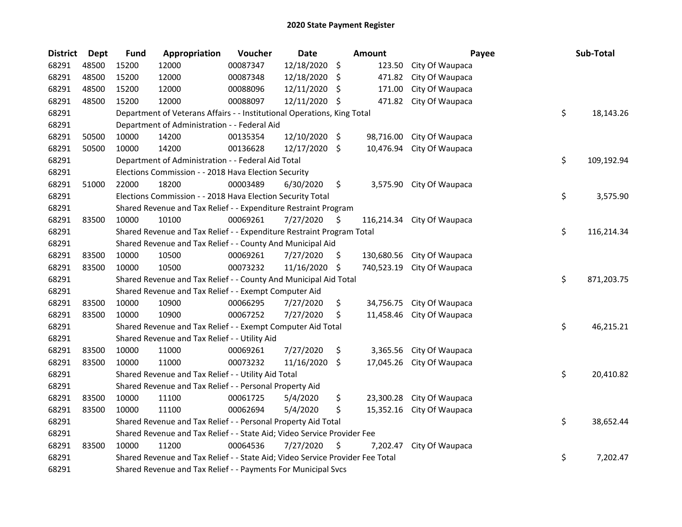| <b>District</b> | <b>Dept</b> | <b>Fund</b> | Appropriation                                                                 | Voucher  | Date          |     | Amount     | Payee                    | Sub-Total        |
|-----------------|-------------|-------------|-------------------------------------------------------------------------------|----------|---------------|-----|------------|--------------------------|------------------|
| 68291           | 48500       | 15200       | 12000                                                                         | 00087347 | 12/18/2020    | \$  | 123.50     | City Of Waupaca          |                  |
| 68291           | 48500       | 15200       | 12000                                                                         | 00087348 | 12/18/2020    | \$  | 471.82     | City Of Waupaca          |                  |
| 68291           | 48500       | 15200       | 12000                                                                         | 00088096 | 12/11/2020    | -\$ | 171.00     | City Of Waupaca          |                  |
| 68291           | 48500       | 15200       | 12000                                                                         | 00088097 | 12/11/2020    | \$  | 471.82     | City Of Waupaca          |                  |
| 68291           |             |             | Department of Veterans Affairs - - Institutional Operations, King Total       |          |               |     |            |                          | \$<br>18,143.26  |
| 68291           |             |             | Department of Administration - - Federal Aid                                  |          |               |     |            |                          |                  |
| 68291           | 50500       | 10000       | 14200                                                                         | 00135354 | 12/10/2020 \$ |     | 98,716.00  | City Of Waupaca          |                  |
| 68291           | 50500       | 10000       | 14200                                                                         | 00136628 | 12/17/2020    | \$  | 10,476.94  | City Of Waupaca          |                  |
| 68291           |             |             | Department of Administration - - Federal Aid Total                            |          |               |     |            |                          | \$<br>109,192.94 |
| 68291           |             |             | Elections Commission - - 2018 Hava Election Security                          |          |               |     |            |                          |                  |
| 68291           | 51000       | 22000       | 18200                                                                         | 00003489 | 6/30/2020     | \$  |            | 3,575.90 City Of Waupaca |                  |
| 68291           |             |             | Elections Commission - - 2018 Hava Election Security Total                    |          |               |     |            |                          | \$<br>3,575.90   |
| 68291           |             |             | Shared Revenue and Tax Relief - - Expenditure Restraint Program               |          |               |     |            |                          |                  |
| 68291           | 83500       | 10000       | 10100                                                                         | 00069261 | 7/27/2020     | \$  | 116,214.34 | City Of Waupaca          |                  |
| 68291           |             |             | Shared Revenue and Tax Relief - - Expenditure Restraint Program Total         |          |               |     |            |                          | \$<br>116,214.34 |
| 68291           |             |             | Shared Revenue and Tax Relief - - County And Municipal Aid                    |          |               |     |            |                          |                  |
| 68291           | 83500       | 10000       | 10500                                                                         | 00069261 | 7/27/2020     | \$  | 130,680.56 | City Of Waupaca          |                  |
| 68291           | 83500       | 10000       | 10500                                                                         | 00073232 | 11/16/2020    | \$  | 740,523.19 | City Of Waupaca          |                  |
| 68291           |             |             | Shared Revenue and Tax Relief - - County And Municipal Aid Total              |          |               |     |            |                          | \$<br>871,203.75 |
| 68291           |             |             | Shared Revenue and Tax Relief - - Exempt Computer Aid                         |          |               |     |            |                          |                  |
| 68291           | 83500       | 10000       | 10900                                                                         | 00066295 | 7/27/2020     | \$  | 34,756.75  | City Of Waupaca          |                  |
| 68291           | 83500       | 10000       | 10900                                                                         | 00067252 | 7/27/2020     | \$  | 11,458.46  | City Of Waupaca          |                  |
| 68291           |             |             | Shared Revenue and Tax Relief - - Exempt Computer Aid Total                   |          |               |     |            |                          | \$<br>46,215.21  |
| 68291           |             |             | Shared Revenue and Tax Relief - - Utility Aid                                 |          |               |     |            |                          |                  |
| 68291           | 83500       | 10000       | 11000                                                                         | 00069261 | 7/27/2020     | \$  | 3,365.56   | City Of Waupaca          |                  |
| 68291           | 83500       | 10000       | 11000                                                                         | 00073232 | 11/16/2020    | \$  | 17,045.26  | City Of Waupaca          |                  |
| 68291           |             |             | Shared Revenue and Tax Relief - - Utility Aid Total                           |          |               |     |            |                          | \$<br>20,410.82  |
| 68291           |             |             | Shared Revenue and Tax Relief - - Personal Property Aid                       |          |               |     |            |                          |                  |
| 68291           | 83500       | 10000       | 11100                                                                         | 00061725 | 5/4/2020      | \$  | 23,300.28  | City Of Waupaca          |                  |
| 68291           | 83500       | 10000       | 11100                                                                         | 00062694 | 5/4/2020      | \$  | 15,352.16  | City Of Waupaca          |                  |
| 68291           |             |             | Shared Revenue and Tax Relief - - Personal Property Aid Total                 |          |               |     |            |                          | \$<br>38,652.44  |
| 68291           |             |             | Shared Revenue and Tax Relief - - State Aid; Video Service Provider Fee       |          |               |     |            |                          |                  |
| 68291           | 83500       | 10000       | 11200                                                                         | 00064536 | 7/27/2020     | \$  | 7,202.47   | City Of Waupaca          |                  |
| 68291           |             |             | Shared Revenue and Tax Relief - - State Aid; Video Service Provider Fee Total |          |               |     |            |                          | \$<br>7,202.47   |
| 68291           |             |             | Shared Revenue and Tax Relief - - Payments For Municipal Svcs                 |          |               |     |            |                          |                  |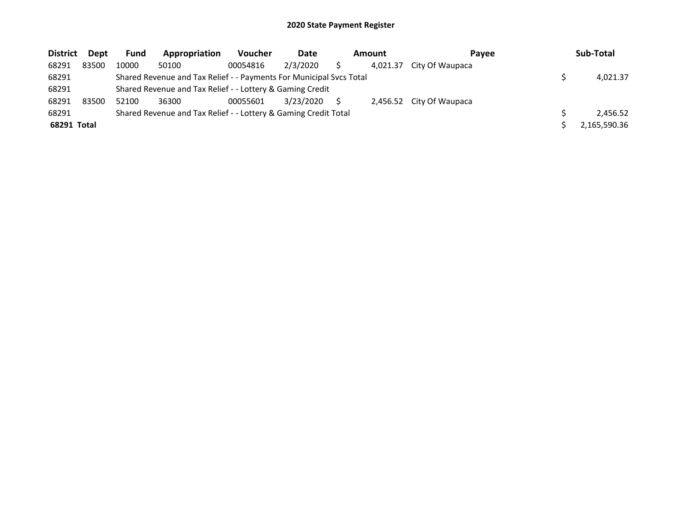| <b>District</b> | Dept  | <b>Fund</b> | Appropriation                                                       | <b>Voucher</b> | Date      | Amount   | Pavee                    | Sub-Total    |
|-----------------|-------|-------------|---------------------------------------------------------------------|----------------|-----------|----------|--------------------------|--------------|
| 68291           | 83500 | 10000       | 50100                                                               | 00054816       | 2/3/2020  | 4.021.37 | City Of Waupaca          |              |
| 68291           |       |             | Shared Revenue and Tax Relief - - Payments For Municipal Svcs Total |                |           |          |                          | 4,021.37     |
| 68291           |       |             | Shared Revenue and Tax Relief - - Lottery & Gaming Credit           |                |           |          |                          |              |
| 68291           | 83500 | 52100       | 36300                                                               | 00055601       | 3/23/2020 |          | 2,456.52 City Of Waupaca |              |
| 68291           |       |             | Shared Revenue and Tax Relief - - Lottery & Gaming Credit Total     |                |           |          |                          | 2.456.52     |
| 68291 Total     |       |             |                                                                     |                |           |          |                          | 2,165,590.36 |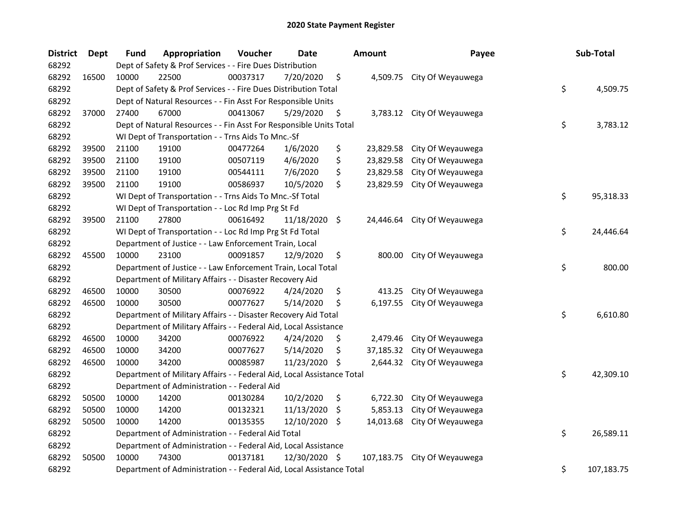| <b>District</b> | <b>Dept</b> | <b>Fund</b>                                                            | Appropriation                                                | Voucher  | <b>Date</b>   |     | Amount     | Payee                      |            | Sub-Total |
|-----------------|-------------|------------------------------------------------------------------------|--------------------------------------------------------------|----------|---------------|-----|------------|----------------------------|------------|-----------|
| 68292           |             | Dept of Safety & Prof Services - - Fire Dues Distribution              |                                                              |          |               |     |            |                            |            |           |
| 68292           | 16500       | 10000                                                                  | 22500                                                        | 00037317 | 7/20/2020     | \$  |            | 4,509.75 City Of Weyauwega |            |           |
| 68292           |             | Dept of Safety & Prof Services - - Fire Dues Distribution Total        |                                                              |          |               |     |            |                            | \$         | 4,509.75  |
| 68292           |             | Dept of Natural Resources - - Fin Asst For Responsible Units           |                                                              |          |               |     |            |                            |            |           |
| 68292           | 37000       | 27400                                                                  | 67000                                                        | 00413067 | 5/29/2020     | \$  |            | 3,783.12 City Of Weyauwega |            |           |
| 68292           |             | Dept of Natural Resources - - Fin Asst For Responsible Units Total     |                                                              |          |               |     |            |                            |            | 3,783.12  |
| 68292           |             | WI Dept of Transportation - - Trns Aids To Mnc.-Sf                     |                                                              |          |               |     |            |                            |            |           |
| 68292           | 39500       | 21100                                                                  | 19100                                                        | 00477264 | 1/6/2020      | \$  | 23,829.58  | City Of Weyauwega          |            |           |
| 68292           | 39500       | 21100                                                                  | 19100                                                        | 00507119 | 4/6/2020      | \$  | 23,829.58  | City Of Weyauwega          |            |           |
| 68292           | 39500       | 21100                                                                  | 19100                                                        | 00544111 | 7/6/2020      | \$  | 23,829.58  | City Of Weyauwega          |            |           |
| 68292           | 39500       | 21100                                                                  | 19100                                                        | 00586937 | 10/5/2020     | \$  | 23,829.59  | City Of Weyauwega          |            |           |
| 68292           |             |                                                                        | WI Dept of Transportation - - Trns Aids To Mnc.-Sf Total     |          |               |     |            |                            | \$         | 95,318.33 |
| 68292           |             |                                                                        | WI Dept of Transportation - - Loc Rd Imp Prg St Fd           |          |               |     |            |                            |            |           |
| 68292           | 39500       | 21100                                                                  | 27800                                                        | 00616492 | 11/18/2020 \$ |     | 24,446.64  | City Of Weyauwega          |            |           |
| 68292           |             | WI Dept of Transportation - - Loc Rd Imp Prg St Fd Total               |                                                              |          |               |     |            |                            | \$         | 24,446.64 |
| 68292           |             | Department of Justice - - Law Enforcement Train, Local                 |                                                              |          |               |     |            |                            |            |           |
| 68292           | 45500       | 10000                                                                  | 23100                                                        | 00091857 | 12/9/2020     | \$  | 800.00     | City Of Weyauwega          |            |           |
| 68292           |             |                                                                        | Department of Justice - - Law Enforcement Train, Local Total |          |               |     |            |                            | \$         | 800.00    |
| 68292           |             | Department of Military Affairs - - Disaster Recovery Aid               |                                                              |          |               |     |            |                            |            |           |
| 68292           | 46500       | 10000                                                                  | 30500                                                        | 00076922 | 4/24/2020     | \$  | 413.25     | City Of Weyauwega          |            |           |
| 68292           | 46500       | 10000                                                                  | 30500                                                        | 00077627 | 5/14/2020     | \$  | 6,197.55   | City Of Weyauwega          |            |           |
| 68292           |             | Department of Military Affairs - - Disaster Recovery Aid Total         |                                                              |          |               |     |            |                            | \$         | 6,610.80  |
| 68292           |             | Department of Military Affairs - - Federal Aid, Local Assistance       |                                                              |          |               |     |            |                            |            |           |
| 68292           | 46500       | 10000                                                                  | 34200                                                        | 00076922 | 4/24/2020     | \$, | 2,479.46   | City Of Weyauwega          |            |           |
| 68292           | 46500       | 10000                                                                  | 34200                                                        | 00077627 | 5/14/2020     | \$  | 37,185.32  | City Of Weyauwega          |            |           |
| 68292           | 46500       | 10000                                                                  | 34200                                                        | 00085987 | 11/23/2020    | \$  | 2,644.32   | City Of Weyauwega          |            |           |
| 68292           |             | Department of Military Affairs - - Federal Aid, Local Assistance Total |                                                              |          |               |     |            |                            | \$         | 42,309.10 |
| 68292           |             | Department of Administration - - Federal Aid                           |                                                              |          |               |     |            |                            |            |           |
| 68292           | 50500       | 10000                                                                  | 14200                                                        | 00130284 | 10/2/2020     | \$  | 6,722.30   | City Of Weyauwega          |            |           |
| 68292           | 50500       | 10000                                                                  | 14200                                                        | 00132321 | 11/13/2020    | -\$ | 5,853.13   | City Of Weyauwega          |            |           |
| 68292           | 50500       | 10000                                                                  | 14200                                                        | 00135355 | 12/10/2020    | -\$ | 14,013.68  | City Of Weyauwega          |            |           |
| 68292           |             | Department of Administration - - Federal Aid Total                     |                                                              |          |               |     |            |                            | \$         | 26,589.11 |
| 68292           |             | Department of Administration - - Federal Aid, Local Assistance         |                                                              |          |               |     |            |                            |            |           |
| 68292           | 50500       | 10000                                                                  | 74300                                                        | 00137181 | 12/30/2020 \$ |     | 107,183.75 | City Of Weyauwega          |            |           |
| 68292           |             | Department of Administration - - Federal Aid, Local Assistance Total   |                                                              |          |               |     |            | \$                         | 107,183.75 |           |